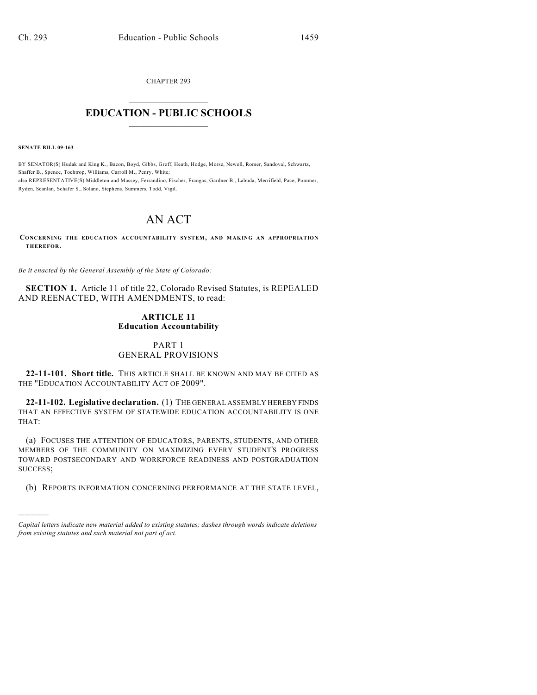CHAPTER 293  $\mathcal{L}_\text{max}$  . The set of the set of the set of the set of the set of the set of the set of the set of the set of the set of the set of the set of the set of the set of the set of the set of the set of the set of the set

#### **EDUCATION - PUBLIC SCHOOLS**  $\_$   $\_$   $\_$   $\_$   $\_$   $\_$   $\_$   $\_$   $\_$

**SENATE BILL 09-163**

)))))

BY SENATOR(S) Hudak and King K., Bacon, Boyd, Gibbs, Groff, Heath, Hodge, Morse, Newell, Romer, Sandoval, Schwartz, Shaffer B., Spence, Tochtrop, Williams, Carroll M., Penry, White; also REPRESENTATIVE(S) Middleton and Massey, Ferrandino, Fischer, Frangas, Gardner B., Labuda, Merrifield, Pace, Pommer, Ryden, Scanlan, Schafer S., Solano, Stephens, Summers, Todd, Vigil.

# AN ACT

**CONCERNING THE EDUCATION ACCOUNTABILITY SYSTEM, AND M AKING AN APPROPRIATION THEREFOR.**

*Be it enacted by the General Assembly of the State of Colorado:*

**SECTION 1.** Article 11 of title 22, Colorado Revised Statutes, is REPEALED AND REENACTED, WITH AMENDMENTS, to read:

#### **ARTICLE 11 Education Accountability**

#### PART 1 GENERAL PROVISIONS

**22-11-101. Short title.** THIS ARTICLE SHALL BE KNOWN AND MAY BE CITED AS THE "EDUCATION ACCOUNTABILITY ACT OF 2009".

**22-11-102. Legislative declaration.** (1) THE GENERAL ASSEMBLY HEREBY FINDS THAT AN EFFECTIVE SYSTEM OF STATEWIDE EDUCATION ACCOUNTABILITY IS ONE THAT:

(a) FOCUSES THE ATTENTION OF EDUCATORS, PARENTS, STUDENTS, AND OTHER MEMBERS OF THE COMMUNITY ON MAXIMIZING EVERY STUDENT'S PROGRESS TOWARD POSTSECONDARY AND WORKFORCE READINESS AND POSTGRADUATION SUCCESS;

(b) REPORTS INFORMATION CONCERNING PERFORMANCE AT THE STATE LEVEL,

*Capital letters indicate new material added to existing statutes; dashes through words indicate deletions from existing statutes and such material not part of act.*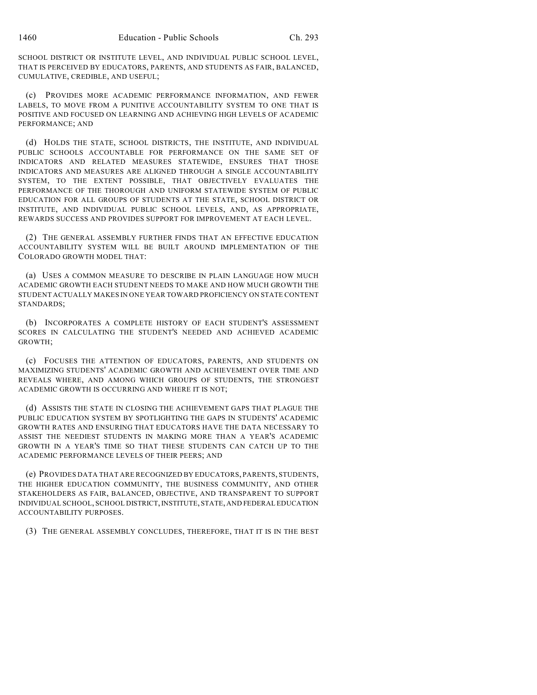SCHOOL DISTRICT OR INSTITUTE LEVEL, AND INDIVIDUAL PUBLIC SCHOOL LEVEL, THAT IS PERCEIVED BY EDUCATORS, PARENTS, AND STUDENTS AS FAIR, BALANCED, CUMULATIVE, CREDIBLE, AND USEFUL;

(c) PROVIDES MORE ACADEMIC PERFORMANCE INFORMATION, AND FEWER LABELS, TO MOVE FROM A PUNITIVE ACCOUNTABILITY SYSTEM TO ONE THAT IS POSITIVE AND FOCUSED ON LEARNING AND ACHIEVING HIGH LEVELS OF ACADEMIC PERFORMANCE; AND

(d) HOLDS THE STATE, SCHOOL DISTRICTS, THE INSTITUTE, AND INDIVIDUAL PUBLIC SCHOOLS ACCOUNTABLE FOR PERFORMANCE ON THE SAME SET OF INDICATORS AND RELATED MEASURES STATEWIDE, ENSURES THAT THOSE INDICATORS AND MEASURES ARE ALIGNED THROUGH A SINGLE ACCOUNTABILITY SYSTEM, TO THE EXTENT POSSIBLE, THAT OBJECTIVELY EVALUATES THE PERFORMANCE OF THE THOROUGH AND UNIFORM STATEWIDE SYSTEM OF PUBLIC EDUCATION FOR ALL GROUPS OF STUDENTS AT THE STATE, SCHOOL DISTRICT OR INSTITUTE, AND INDIVIDUAL PUBLIC SCHOOL LEVELS, AND, AS APPROPRIATE, REWARDS SUCCESS AND PROVIDES SUPPORT FOR IMPROVEMENT AT EACH LEVEL.

(2) THE GENERAL ASSEMBLY FURTHER FINDS THAT AN EFFECTIVE EDUCATION ACCOUNTABILITY SYSTEM WILL BE BUILT AROUND IMPLEMENTATION OF THE COLORADO GROWTH MODEL THAT:

(a) USES A COMMON MEASURE TO DESCRIBE IN PLAIN LANGUAGE HOW MUCH ACADEMIC GROWTH EACH STUDENT NEEDS TO MAKE AND HOW MUCH GROWTH THE STUDENT ACTUALLY MAKES IN ONE YEAR TOWARD PROFICIENCY ON STATE CONTENT STANDARDS;

(b) INCORPORATES A COMPLETE HISTORY OF EACH STUDENT'S ASSESSMENT SCORES IN CALCULATING THE STUDENT'S NEEDED AND ACHIEVED ACADEMIC GROWTH;

(c) FOCUSES THE ATTENTION OF EDUCATORS, PARENTS, AND STUDENTS ON MAXIMIZING STUDENTS' ACADEMIC GROWTH AND ACHIEVEMENT OVER TIME AND REVEALS WHERE, AND AMONG WHICH GROUPS OF STUDENTS, THE STRONGEST ACADEMIC GROWTH IS OCCURRING AND WHERE IT IS NOT;

(d) ASSISTS THE STATE IN CLOSING THE ACHIEVEMENT GAPS THAT PLAGUE THE PUBLIC EDUCATION SYSTEM BY SPOTLIGHTING THE GAPS IN STUDENTS' ACADEMIC GROWTH RATES AND ENSURING THAT EDUCATORS HAVE THE DATA NECESSARY TO ASSIST THE NEEDIEST STUDENTS IN MAKING MORE THAN A YEAR'S ACADEMIC GROWTH IN A YEAR'S TIME SO THAT THESE STUDENTS CAN CATCH UP TO THE ACADEMIC PERFORMANCE LEVELS OF THEIR PEERS; AND

(e) PROVIDES DATA THAT ARE RECOGNIZED BY EDUCATORS, PARENTS, STUDENTS, THE HIGHER EDUCATION COMMUNITY, THE BUSINESS COMMUNITY, AND OTHER STAKEHOLDERS AS FAIR, BALANCED, OBJECTIVE, AND TRANSPARENT TO SUPPORT INDIVIDUAL SCHOOL, SCHOOL DISTRICT, INSTITUTE, STATE, AND FEDERAL EDUCATION ACCOUNTABILITY PURPOSES.

(3) THE GENERAL ASSEMBLY CONCLUDES, THEREFORE, THAT IT IS IN THE BEST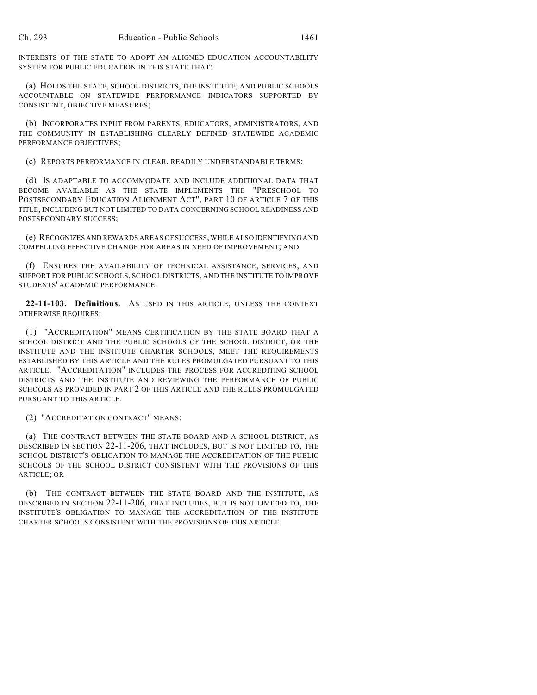INTERESTS OF THE STATE TO ADOPT AN ALIGNED EDUCATION ACCOUNTABILITY SYSTEM FOR PUBLIC EDUCATION IN THIS STATE THAT:

(a) HOLDS THE STATE, SCHOOL DISTRICTS, THE INSTITUTE, AND PUBLIC SCHOOLS ACCOUNTABLE ON STATEWIDE PERFORMANCE INDICATORS SUPPORTED BY CONSISTENT, OBJECTIVE MEASURES;

(b) INCORPORATES INPUT FROM PARENTS, EDUCATORS, ADMINISTRATORS, AND THE COMMUNITY IN ESTABLISHING CLEARLY DEFINED STATEWIDE ACADEMIC PERFORMANCE OBJECTIVES;

(c) REPORTS PERFORMANCE IN CLEAR, READILY UNDERSTANDABLE TERMS;

(d) IS ADAPTABLE TO ACCOMMODATE AND INCLUDE ADDITIONAL DATA THAT BECOME AVAILABLE AS THE STATE IMPLEMENTS THE "PRESCHOOL TO POSTSECONDARY EDUCATION ALIGNMENT ACT", PART 10 OF ARTICLE 7 OF THIS TITLE, INCLUDING BUT NOT LIMITED TO DATA CONCERNING SCHOOL READINESS AND POSTSECONDARY SUCCESS;

(e) RECOGNIZES AND REWARDS AREAS OF SUCCESS, WHILE ALSO IDENTIFYING AND COMPELLING EFFECTIVE CHANGE FOR AREAS IN NEED OF IMPROVEMENT; AND

(f) ENSURES THE AVAILABILITY OF TECHNICAL ASSISTANCE, SERVICES, AND SUPPORT FOR PUBLIC SCHOOLS, SCHOOL DISTRICTS, AND THE INSTITUTE TO IMPROVE STUDENTS' ACADEMIC PERFORMANCE.

**22-11-103. Definitions.** AS USED IN THIS ARTICLE, UNLESS THE CONTEXT OTHERWISE REQUIRES:

(1) "ACCREDITATION" MEANS CERTIFICATION BY THE STATE BOARD THAT A SCHOOL DISTRICT AND THE PUBLIC SCHOOLS OF THE SCHOOL DISTRICT, OR THE INSTITUTE AND THE INSTITUTE CHARTER SCHOOLS, MEET THE REQUIREMENTS ESTABLISHED BY THIS ARTICLE AND THE RULES PROMULGATED PURSUANT TO THIS ARTICLE. "ACCREDITATION" INCLUDES THE PROCESS FOR ACCREDITING SCHOOL DISTRICTS AND THE INSTITUTE AND REVIEWING THE PERFORMANCE OF PUBLIC SCHOOLS AS PROVIDED IN PART 2 OF THIS ARTICLE AND THE RULES PROMULGATED PURSUANT TO THIS ARTICLE.

(2) "ACCREDITATION CONTRACT" MEANS:

(a) THE CONTRACT BETWEEN THE STATE BOARD AND A SCHOOL DISTRICT, AS DESCRIBED IN SECTION 22-11-206, THAT INCLUDES, BUT IS NOT LIMITED TO, THE SCHOOL DISTRICT'S OBLIGATION TO MANAGE THE ACCREDITATION OF THE PUBLIC SCHOOLS OF THE SCHOOL DISTRICT CONSISTENT WITH THE PROVISIONS OF THIS ARTICLE; OR

(b) THE CONTRACT BETWEEN THE STATE BOARD AND THE INSTITUTE, AS DESCRIBED IN SECTION 22-11-206, THAT INCLUDES, BUT IS NOT LIMITED TO, THE INSTITUTE'S OBLIGATION TO MANAGE THE ACCREDITATION OF THE INSTITUTE CHARTER SCHOOLS CONSISTENT WITH THE PROVISIONS OF THIS ARTICLE.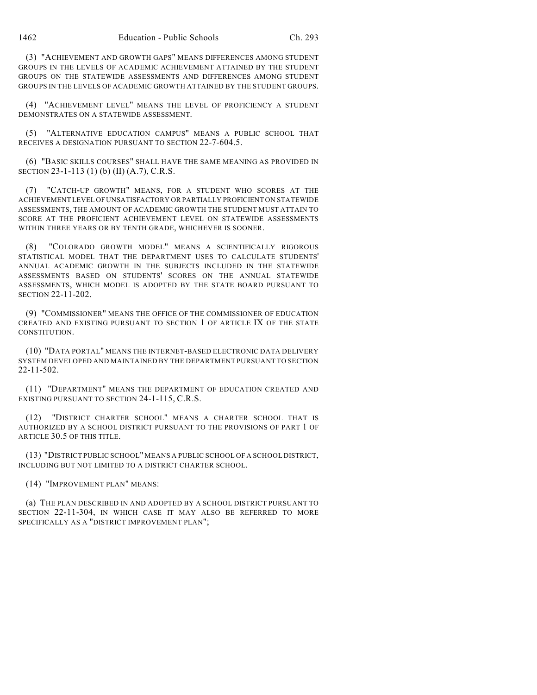(3) "ACHIEVEMENT AND GROWTH GAPS" MEANS DIFFERENCES AMONG STUDENT GROUPS IN THE LEVELS OF ACADEMIC ACHIEVEMENT ATTAINED BY THE STUDENT GROUPS ON THE STATEWIDE ASSESSMENTS AND DIFFERENCES AMONG STUDENT GROUPS IN THE LEVELS OF ACADEMIC GROWTH ATTAINED BY THE STUDENT GROUPS.

(4) "ACHIEVEMENT LEVEL" MEANS THE LEVEL OF PROFICIENCY A STUDENT DEMONSTRATES ON A STATEWIDE ASSESSMENT.

(5) "ALTERNATIVE EDUCATION CAMPUS" MEANS A PUBLIC SCHOOL THAT RECEIVES A DESIGNATION PURSUANT TO SECTION 22-7-604.5.

(6) "BASIC SKILLS COURSES" SHALL HAVE THE SAME MEANING AS PROVIDED IN SECTION 23-1-113 (1) (b) (II) (A.7), C.R.S.

(7) "CATCH-UP GROWTH" MEANS, FOR A STUDENT WHO SCORES AT THE ACHIEVEMENT LEVEL OF UNSATISFACTORY OR PARTIALLY PROFICIENT ON STATEWIDE ASSESSMENTS, THE AMOUNT OF ACADEMIC GROWTH THE STUDENT MUST ATTAIN TO SCORE AT THE PROFICIENT ACHIEVEMENT LEVEL ON STATEWIDE ASSESSMENTS WITHIN THREE YEARS OR BY TENTH GRADE, WHICHEVER IS SOONER.

(8) "COLORADO GROWTH MODEL" MEANS A SCIENTIFICALLY RIGOROUS STATISTICAL MODEL THAT THE DEPARTMENT USES TO CALCULATE STUDENTS' ANNUAL ACADEMIC GROWTH IN THE SUBJECTS INCLUDED IN THE STATEWIDE ASSESSMENTS BASED ON STUDENTS' SCORES ON THE ANNUAL STATEWIDE ASSESSMENTS, WHICH MODEL IS ADOPTED BY THE STATE BOARD PURSUANT TO SECTION 22-11-202.

(9) "COMMISSIONER" MEANS THE OFFICE OF THE COMMISSIONER OF EDUCATION CREATED AND EXISTING PURSUANT TO SECTION 1 OF ARTICLE IX OF THE STATE CONSTITUTION.

(10) "DATA PORTAL" MEANS THE INTERNET-BASED ELECTRONIC DATA DELIVERY SYSTEM DEVELOPED AND MAINTAINED BY THE DEPARTMENT PURSUANT TO SECTION 22-11-502.

(11) "DEPARTMENT" MEANS THE DEPARTMENT OF EDUCATION CREATED AND EXISTING PURSUANT TO SECTION 24-1-115, C.R.S.

(12) "DISTRICT CHARTER SCHOOL" MEANS A CHARTER SCHOOL THAT IS AUTHORIZED BY A SCHOOL DISTRICT PURSUANT TO THE PROVISIONS OF PART 1 OF ARTICLE 30.5 OF THIS TITLE.

(13) "DISTRICT PUBLIC SCHOOL" MEANS A PUBLIC SCHOOL OF A SCHOOL DISTRICT, INCLUDING BUT NOT LIMITED TO A DISTRICT CHARTER SCHOOL.

(14) "IMPROVEMENT PLAN" MEANS:

(a) THE PLAN DESCRIBED IN AND ADOPTED BY A SCHOOL DISTRICT PURSUANT TO SECTION 22-11-304, IN WHICH CASE IT MAY ALSO BE REFERRED TO MORE SPECIFICALLY AS A "DISTRICT IMPROVEMENT PLAN";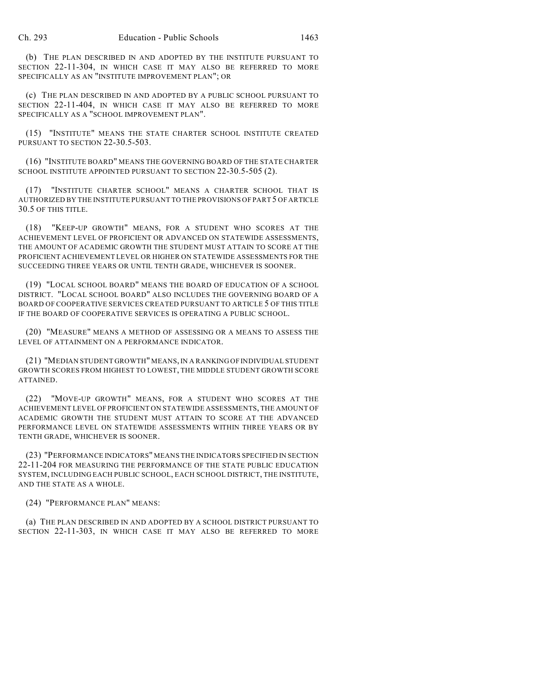(b) THE PLAN DESCRIBED IN AND ADOPTED BY THE INSTITUTE PURSUANT TO SECTION 22-11-304, IN WHICH CASE IT MAY ALSO BE REFERRED TO MORE SPECIFICALLY AS AN "INSTITUTE IMPROVEMENT PLAN"; OR

(c) THE PLAN DESCRIBED IN AND ADOPTED BY A PUBLIC SCHOOL PURSUANT TO SECTION 22-11-404, IN WHICH CASE IT MAY ALSO BE REFERRED TO MORE SPECIFICALLY AS A "SCHOOL IMPROVEMENT PLAN".

(15) "INSTITUTE" MEANS THE STATE CHARTER SCHOOL INSTITUTE CREATED PURSUANT TO SECTION 22-30.5-503.

(16) "INSTITUTE BOARD" MEANS THE GOVERNING BOARD OF THE STATE CHARTER SCHOOL INSTITUTE APPOINTED PURSUANT TO SECTION 22-30.5-505 (2).

(17) "INSTITUTE CHARTER SCHOOL" MEANS A CHARTER SCHOOL THAT IS AUTHORIZED BY THE INSTITUTE PURSUANT TO THE PROVISIONS OF PART 5 OF ARTICLE 30.5 OF THIS TITLE.

(18) "KEEP-UP GROWTH" MEANS, FOR A STUDENT WHO SCORES AT THE ACHIEVEMENT LEVEL OF PROFICIENT OR ADVANCED ON STATEWIDE ASSESSMENTS, THE AMOUNT OF ACADEMIC GROWTH THE STUDENT MUST ATTAIN TO SCORE AT THE PROFICIENT ACHIEVEMENT LEVEL OR HIGHER ON STATEWIDE ASSESSMENTS FOR THE SUCCEEDING THREE YEARS OR UNTIL TENTH GRADE, WHICHEVER IS SOONER.

(19) "LOCAL SCHOOL BOARD" MEANS THE BOARD OF EDUCATION OF A SCHOOL DISTRICT. "LOCAL SCHOOL BOARD" ALSO INCLUDES THE GOVERNING BOARD OF A BOARD OF COOPERATIVE SERVICES CREATED PURSUANT TO ARTICLE 5 OF THIS TITLE IF THE BOARD OF COOPERATIVE SERVICES IS OPERATING A PUBLIC SCHOOL.

(20) "MEASURE" MEANS A METHOD OF ASSESSING OR A MEANS TO ASSESS THE LEVEL OF ATTAINMENT ON A PERFORMANCE INDICATOR.

(21) "MEDIAN STUDENT GROWTH" MEANS, IN A RANKING OF INDIVIDUAL STUDENT GROWTH SCORES FROM HIGHEST TO LOWEST, THE MIDDLE STUDENT GROWTH SCORE ATTAINED.

(22) "MOVE-UP GROWTH" MEANS, FOR A STUDENT WHO SCORES AT THE ACHIEVEMENT LEVEL OF PROFICIENT ON STATEWIDE ASSESSMENTS, THE AMOUNT OF ACADEMIC GROWTH THE STUDENT MUST ATTAIN TO SCORE AT THE ADVANCED PERFORMANCE LEVEL ON STATEWIDE ASSESSMENTS WITHIN THREE YEARS OR BY TENTH GRADE, WHICHEVER IS SOONER.

(23) "PERFORMANCE INDICATORS" MEANS THE INDICATORS SPECIFIED IN SECTION 22-11-204 FOR MEASURING THE PERFORMANCE OF THE STATE PUBLIC EDUCATION SYSTEM, INCLUDING EACH PUBLIC SCHOOL, EACH SCHOOL DISTRICT, THE INSTITUTE, AND THE STATE AS A WHOLE.

(24) "PERFORMANCE PLAN" MEANS:

(a) THE PLAN DESCRIBED IN AND ADOPTED BY A SCHOOL DISTRICT PURSUANT TO SECTION 22-11-303, IN WHICH CASE IT MAY ALSO BE REFERRED TO MORE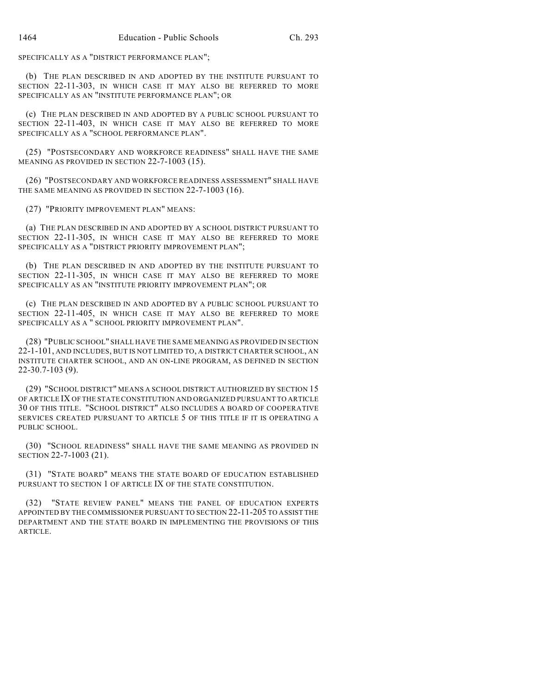SPECIFICALLY AS A "DISTRICT PERFORMANCE PLAN";

(b) THE PLAN DESCRIBED IN AND ADOPTED BY THE INSTITUTE PURSUANT TO SECTION 22-11-303, IN WHICH CASE IT MAY ALSO BE REFERRED TO MORE SPECIFICALLY AS AN "INSTITUTE PERFORMANCE PLAN"; OR

(c) THE PLAN DESCRIBED IN AND ADOPTED BY A PUBLIC SCHOOL PURSUANT TO SECTION 22-11-403, IN WHICH CASE IT MAY ALSO BE REFERRED TO MORE SPECIFICALLY AS A "SCHOOL PERFORMANCE PLAN".

(25) "POSTSECONDARY AND WORKFORCE READINESS" SHALL HAVE THE SAME MEANING AS PROVIDED IN SECTION 22-7-1003 (15).

(26) "POSTSECONDARY AND WORKFORCE READINESS ASSESSMENT" SHALL HAVE THE SAME MEANING AS PROVIDED IN SECTION 22-7-1003 (16).

(27) "PRIORITY IMPROVEMENT PLAN" MEANS:

(a) THE PLAN DESCRIBED IN AND ADOPTED BY A SCHOOL DISTRICT PURSUANT TO SECTION 22-11-305, IN WHICH CASE IT MAY ALSO BE REFERRED TO MORE SPECIFICALLY AS A "DISTRICT PRIORITY IMPROVEMENT PLAN";

(b) THE PLAN DESCRIBED IN AND ADOPTED BY THE INSTITUTE PURSUANT TO SECTION 22-11-305, IN WHICH CASE IT MAY ALSO BE REFERRED TO MORE SPECIFICALLY AS AN "INSTITUTE PRIORITY IMPROVEMENT PLAN"; OR

(c) THE PLAN DESCRIBED IN AND ADOPTED BY A PUBLIC SCHOOL PURSUANT TO SECTION 22-11-405, IN WHICH CASE IT MAY ALSO BE REFERRED TO MORE SPECIFICALLY AS A " SCHOOL PRIORITY IMPROVEMENT PLAN".

(28) "PUBLIC SCHOOL" SHALL HAVE THE SAME MEANING AS PROVIDED IN SECTION 22-1-101, AND INCLUDES, BUT IS NOT LIMITED TO, A DISTRICT CHARTER SCHOOL, AN INSTITUTE CHARTER SCHOOL, AND AN ON-LINE PROGRAM, AS DEFINED IN SECTION 22-30.7-103 (9).

(29) "SCHOOL DISTRICT" MEANS A SCHOOL DISTRICT AUTHORIZED BY SECTION 15 OF ARTICLE IX OF THE STATE CONSTITUTION AND ORGANIZED PURSUANT TO ARTICLE 30 OF THIS TITLE. "SCHOOL DISTRICT" ALSO INCLUDES A BOARD OF COOPERATIVE SERVICES CREATED PURSUANT TO ARTICLE 5 OF THIS TITLE IF IT IS OPERATING A PUBLIC SCHOOL.

(30) "SCHOOL READINESS" SHALL HAVE THE SAME MEANING AS PROVIDED IN SECTION 22-7-1003 (21).

(31) "STATE BOARD" MEANS THE STATE BOARD OF EDUCATION ESTABLISHED PURSUANT TO SECTION 1 OF ARTICLE IX OF THE STATE CONSTITUTION.

(32) "STATE REVIEW PANEL" MEANS THE PANEL OF EDUCATION EXPERTS APPOINTED BY THE COMMISSIONER PURSUANT TO SECTION 22-11-205 TO ASSIST THE DEPARTMENT AND THE STATE BOARD IN IMPLEMENTING THE PROVISIONS OF THIS ARTICLE.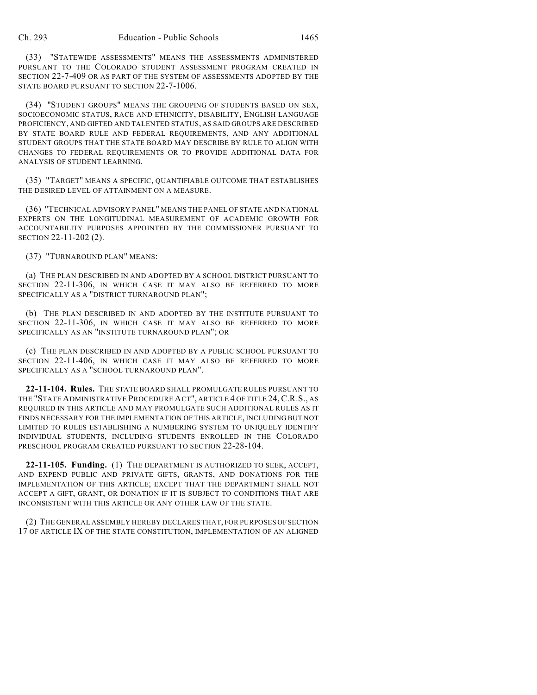(33) "STATEWIDE ASSESSMENTS" MEANS THE ASSESSMENTS ADMINISTERED PURSUANT TO THE COLORADO STUDENT ASSESSMENT PROGRAM CREATED IN SECTION 22-7-409 OR AS PART OF THE SYSTEM OF ASSESSMENTS ADOPTED BY THE STATE BOARD PURSUANT TO SECTION 22-7-1006.

(34) "STUDENT GROUPS" MEANS THE GROUPING OF STUDENTS BASED ON SEX, SOCIOECONOMIC STATUS, RACE AND ETHNICITY, DISABILITY, ENGLISH LANGUAGE PROFICIENCY, AND GIFTED AND TALENTED STATUS, AS SAID GROUPS ARE DESCRIBED BY STATE BOARD RULE AND FEDERAL REQUIREMENTS, AND ANY ADDITIONAL STUDENT GROUPS THAT THE STATE BOARD MAY DESCRIBE BY RULE TO ALIGN WITH CHANGES TO FEDERAL REQUIREMENTS OR TO PROVIDE ADDITIONAL DATA FOR ANALYSIS OF STUDENT LEARNING.

(35) "TARGET" MEANS A SPECIFIC, QUANTIFIABLE OUTCOME THAT ESTABLISHES THE DESIRED LEVEL OF ATTAINMENT ON A MEASURE.

(36) "TECHNICAL ADVISORY PANEL" MEANS THE PANEL OF STATE AND NATIONAL EXPERTS ON THE LONGITUDINAL MEASUREMENT OF ACADEMIC GROWTH FOR ACCOUNTABILITY PURPOSES APPOINTED BY THE COMMISSIONER PURSUANT TO SECTION 22-11-202 (2).

(37) "TURNAROUND PLAN" MEANS:

(a) THE PLAN DESCRIBED IN AND ADOPTED BY A SCHOOL DISTRICT PURSUANT TO SECTION 22-11-306, IN WHICH CASE IT MAY ALSO BE REFERRED TO MORE SPECIFICALLY AS A "DISTRICT TURNAROUND PLAN";

(b) THE PLAN DESCRIBED IN AND ADOPTED BY THE INSTITUTE PURSUANT TO SECTION 22-11-306, IN WHICH CASE IT MAY ALSO BE REFERRED TO MORE SPECIFICALLY AS AN "INSTITUTE TURNAROUND PLAN"; OR

(c) THE PLAN DESCRIBED IN AND ADOPTED BY A PUBLIC SCHOOL PURSUANT TO SECTION 22-11-406, IN WHICH CASE IT MAY ALSO BE REFERRED TO MORE SPECIFICALLY AS A "SCHOOL TURNAROUND PLAN".

**22-11-104. Rules.** THE STATE BOARD SHALL PROMULGATE RULES PURSUANT TO THE "STATE ADMINISTRATIVE PROCEDURE ACT", ARTICLE 4 OF TITLE 24, C.R.S., AS REQUIRED IN THIS ARTICLE AND MAY PROMULGATE SUCH ADDITIONAL RULES AS IT FINDS NECESSARY FOR THE IMPLEMENTATION OF THIS ARTICLE, INCLUDING BUT NOT LIMITED TO RULES ESTABLISHING A NUMBERING SYSTEM TO UNIQUELY IDENTIFY INDIVIDUAL STUDENTS, INCLUDING STUDENTS ENROLLED IN THE COLORADO PRESCHOOL PROGRAM CREATED PURSUANT TO SECTION 22-28-104.

**22-11-105. Funding.** (1) THE DEPARTMENT IS AUTHORIZED TO SEEK, ACCEPT, AND EXPEND PUBLIC AND PRIVATE GIFTS, GRANTS, AND DONATIONS FOR THE IMPLEMENTATION OF THIS ARTICLE; EXCEPT THAT THE DEPARTMENT SHALL NOT ACCEPT A GIFT, GRANT, OR DONATION IF IT IS SUBJECT TO CONDITIONS THAT ARE INCONSISTENT WITH THIS ARTICLE OR ANY OTHER LAW OF THE STATE.

(2) THE GENERAL ASSEMBLY HEREBY DECLARES THAT, FOR PURPOSES OF SECTION 17 OF ARTICLE IX OF THE STATE CONSTITUTION, IMPLEMENTATION OF AN ALIGNED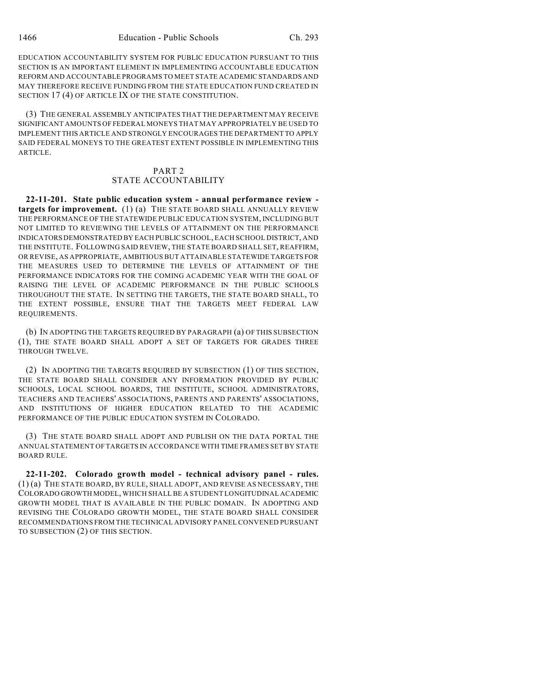EDUCATION ACCOUNTABILITY SYSTEM FOR PUBLIC EDUCATION PURSUANT TO THIS SECTION IS AN IMPORTANT ELEMENT IN IMPLEMENTING ACCOUNTABLE EDUCATION REFORM AND ACCOUNTABLE PROGRAMS TO MEET STATE ACADEMIC STANDARDS AND MAY THEREFORE RECEIVE FUNDING FROM THE STATE EDUCATION FUND CREATED IN SECTION 17 (4) OF ARTICLE IX OF THE STATE CONSTITUTION.

(3) THE GENERAL ASSEMBLY ANTICIPATES THAT THE DEPARTMENT MAY RECEIVE SIGNIFICANT AMOUNTS OF FEDERAL MONEYS THAT MAY APPROPRIATELY BE USED TO IMPLEMENT THIS ARTICLE AND STRONGLY ENCOURAGES THE DEPARTMENT TO APPLY SAID FEDERAL MONEYS TO THE GREATEST EXTENT POSSIBLE IN IMPLEMENTING THIS **ARTICLE** 

#### PART 2 STATE ACCOUNTABILITY

**22-11-201. State public education system - annual performance review targets for improvement.** (1) (a) THE STATE BOARD SHALL ANNUALLY REVIEW THE PERFORMANCE OF THE STATEWIDE PUBLIC EDUCATION SYSTEM, INCLUDING BUT NOT LIMITED TO REVIEWING THE LEVELS OF ATTAINMENT ON THE PERFORMANCE INDICATORS DEMONSTRATED BY EACH PUBLIC SCHOOL, EACH SCHOOL DISTRICT, AND THE INSTITUTE. FOLLOWING SAID REVIEW, THE STATE BOARD SHALL SET, REAFFIRM, OR REVISE, AS APPROPRIATE, AMBITIOUS BUT ATTAINABLE STATEWIDE TARGETS FOR THE MEASURES USED TO DETERMINE THE LEVELS OF ATTAINMENT OF THE PERFORMANCE INDICATORS FOR THE COMING ACADEMIC YEAR WITH THE GOAL OF RAISING THE LEVEL OF ACADEMIC PERFORMANCE IN THE PUBLIC SCHOOLS THROUGHOUT THE STATE. IN SETTING THE TARGETS, THE STATE BOARD SHALL, TO THE EXTENT POSSIBLE, ENSURE THAT THE TARGETS MEET FEDERAL LAW REQUIREMENTS.

(b) IN ADOPTING THE TARGETS REQUIRED BY PARAGRAPH (a) OF THIS SUBSECTION (1), THE STATE BOARD SHALL ADOPT A SET OF TARGETS FOR GRADES THREE THROUGH TWELVE.

(2) IN ADOPTING THE TARGETS REQUIRED BY SUBSECTION (1) OF THIS SECTION, THE STATE BOARD SHALL CONSIDER ANY INFORMATION PROVIDED BY PUBLIC SCHOOLS, LOCAL SCHOOL BOARDS, THE INSTITUTE, SCHOOL ADMINISTRATORS, TEACHERS AND TEACHERS' ASSOCIATIONS, PARENTS AND PARENTS' ASSOCIATIONS, AND INSTITUTIONS OF HIGHER EDUCATION RELATED TO THE ACADEMIC PERFORMANCE OF THE PUBLIC EDUCATION SYSTEM IN COLORADO.

(3) THE STATE BOARD SHALL ADOPT AND PUBLISH ON THE DATA PORTAL THE ANNUAL STATEMENT OFTARGETS IN ACCORDANCE WITH TIME FRAMES SET BY STATE BOARD RULE.

**22-11-202. Colorado growth model - technical advisory panel - rules.** (1) (a) THE STATE BOARD, BY RULE, SHALL ADOPT, AND REVISE AS NECESSARY, THE COLORADO GROWTH MODEL, WHICH SHALL BE A STUDENT LONGITUDINAL ACADEMIC GROWTH MODEL THAT IS AVAILABLE IN THE PUBLIC DOMAIN. IN ADOPTING AND REVISING THE COLORADO GROWTH MODEL, THE STATE BOARD SHALL CONSIDER RECOMMENDATIONS FROM THE TECHNICAL ADVISORY PANEL CONVENED PURSUANT TO SUBSECTION (2) OF THIS SECTION.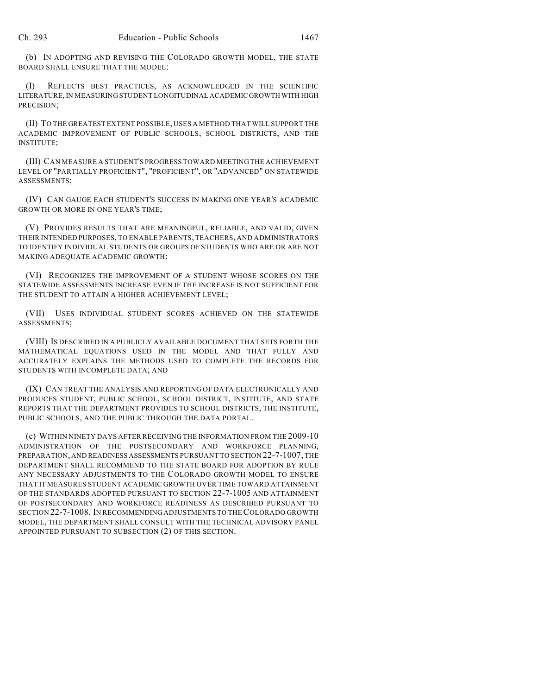(b) IN ADOPTING AND REVISING THE COLORADO GROWTH MODEL, THE STATE BOARD SHALL ENSURE THAT THE MODEL:

(I) REFLECTS BEST PRACTICES, AS ACKNOWLEDGED IN THE SCIENTIFIC LITERATURE, IN MEASURING STUDENT LONGITUDINAL ACADEMIC GROWTH WITH HIGH PRECISION;

(II) TO THE GREATEST EXTENT POSSIBLE, USES A METHOD THAT WILL SUPPORT THE ACADEMIC IMPROVEMENT OF PUBLIC SCHOOLS, SCHOOL DISTRICTS, AND THE INSTITUTE;

(III) CAN MEASURE A STUDENT'S PROGRESS TOWARD MEETING THE ACHIEVEMENT LEVEL OF "PARTIALLY PROFICIENT", "PROFICIENT", OR "ADVANCED" ON STATEWIDE ASSESSMENTS;

(IV) CAN GAUGE EACH STUDENT'S SUCCESS IN MAKING ONE YEAR'S ACADEMIC GROWTH OR MORE IN ONE YEAR'S TIME;

(V) PROVIDES RESULTS THAT ARE MEANINGFUL, RELIABLE, AND VALID, GIVEN THEIR INTENDED PURPOSES, TO ENABLE PARENTS, TEACHERS, AND ADMINISTRATORS TO IDENTIFY INDIVIDUAL STUDENTS OR GROUPS OF STUDENTS WHO ARE OR ARE NOT MAKING ADEQUATE ACADEMIC GROWTH;

(VI) RECOGNIZES THE IMPROVEMENT OF A STUDENT WHOSE SCORES ON THE STATEWIDE ASSESSMENTS INCREASE EVEN IF THE INCREASE IS NOT SUFFICIENT FOR THE STUDENT TO ATTAIN A HIGHER ACHIEVEMENT LEVEL;

(VII) USES INDIVIDUAL STUDENT SCORES ACHIEVED ON THE STATEWIDE ASSESSMENTS;

(VIII) IS DESCRIBED IN A PUBLICLY AVAILABLE DOCUMENT THAT SETS FORTH THE MATHEMATICAL EQUATIONS USED IN THE MODEL AND THAT FULLY AND ACCURATELY EXPLAINS THE METHODS USED TO COMPLETE THE RECORDS FOR STUDENTS WITH INCOMPLETE DATA; AND

(IX) CAN TREAT THE ANALYSIS AND REPORTING OF DATA ELECTRONICALLY AND PRODUCES STUDENT, PUBLIC SCHOOL, SCHOOL DISTRICT, INSTITUTE, AND STATE REPORTS THAT THE DEPARTMENT PROVIDES TO SCHOOL DISTRICTS, THE INSTITUTE, PUBLIC SCHOOLS, AND THE PUBLIC THROUGH THE DATA PORTAL.

(c) WITHIN NINETY DAYS AFTER RECEIVING THE INFORMATION FROM THE 2009-10 ADMINISTRATION OF THE POSTSECONDARY AND WORKFORCE PLANNING, PREPARATION, AND READINESS ASSESSMENTS PURSUANT TO SECTION 22-7-1007, THE DEPARTMENT SHALL RECOMMEND TO THE STATE BOARD FOR ADOPTION BY RULE ANY NECESSARY ADJUSTMENTS TO THE COLORADO GROWTH MODEL TO ENSURE THAT IT MEASURES STUDENT ACADEMIC GROWTH OVER TIME TOWARD ATTAINMENT OF THE STANDARDS ADOPTED PURSUANT TO SECTION 22-7-1005 AND ATTAINMENT OF POSTSECONDARY AND WORKFORCE READINESS AS DESCRIBED PURSUANT TO SECTION 22-7-1008. IN RECOMMENDING ADJUSTMENTS TO THE COLORADO GROWTH MODEL, THE DEPARTMENT SHALL CONSULT WITH THE TECHNICAL ADVISORY PANEL APPOINTED PURSUANT TO SUBSECTION (2) OF THIS SECTION.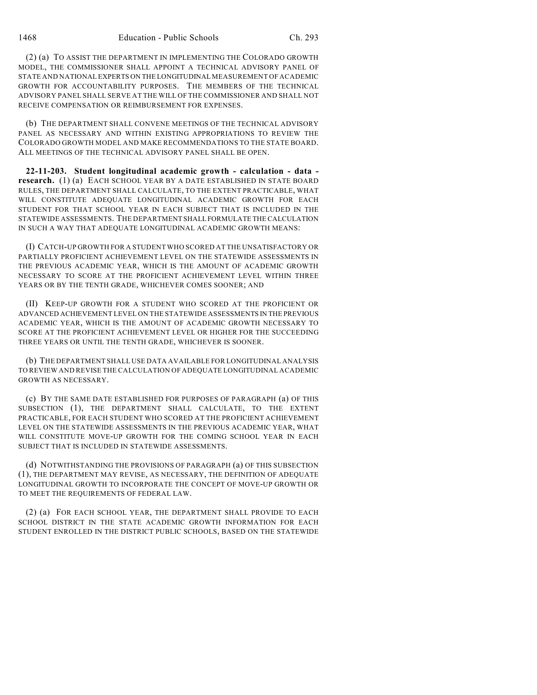(2) (a) TO ASSIST THE DEPARTMENT IN IMPLEMENTING THE COLORADO GROWTH MODEL, THE COMMISSIONER SHALL APPOINT A TECHNICAL ADVISORY PANEL OF STATE AND NATIONAL EXPERTS ON THE LONGITUDINAL MEASUREMENT OF ACADEMIC GROWTH FOR ACCOUNTABILITY PURPOSES. THE MEMBERS OF THE TECHNICAL ADVISORY PANEL SHALL SERVE AT THE WILL OF THE COMMISSIONER AND SHALL NOT RECEIVE COMPENSATION OR REIMBURSEMENT FOR EXPENSES.

(b) THE DEPARTMENT SHALL CONVENE MEETINGS OF THE TECHNICAL ADVISORY PANEL AS NECESSARY AND WITHIN EXISTING APPROPRIATIONS TO REVIEW THE COLORADO GROWTH MODEL AND MAKE RECOMMENDATIONS TO THE STATE BOARD. ALL MEETINGS OF THE TECHNICAL ADVISORY PANEL SHALL BE OPEN.

**22-11-203. Student longitudinal academic growth - calculation - data research.** (1) (a) EACH SCHOOL YEAR BY A DATE ESTABLISHED IN STATE BOARD RULES, THE DEPARTMENT SHALL CALCULATE, TO THE EXTENT PRACTICABLE, WHAT WILL CONSTITUTE ADEQUATE LONGITUDINAL ACADEMIC GROWTH FOR EACH STUDENT FOR THAT SCHOOL YEAR IN EACH SUBJECT THAT IS INCLUDED IN THE STATEWIDE ASSESSMENTS. THE DEPARTMENT SHALL FORMULATE THE CALCULATION IN SUCH A WAY THAT ADEQUATE LONGITUDINAL ACADEMIC GROWTH MEANS:

(I) CATCH-UP GROWTH FOR A STUDENT WHO SCORED AT THE UNSATISFACTORY OR PARTIALLY PROFICIENT ACHIEVEMENT LEVEL ON THE STATEWIDE ASSESSMENTS IN THE PREVIOUS ACADEMIC YEAR, WHICH IS THE AMOUNT OF ACADEMIC GROWTH NECESSARY TO SCORE AT THE PROFICIENT ACHIEVEMENT LEVEL WITHIN THREE YEARS OR BY THE TENTH GRADE, WHICHEVER COMES SOONER; AND

(II) KEEP-UP GROWTH FOR A STUDENT WHO SCORED AT THE PROFICIENT OR ADVANCED ACHIEVEMENT LEVEL ON THE STATEWIDE ASSESSMENTS IN THE PREVIOUS ACADEMIC YEAR, WHICH IS THE AMOUNT OF ACADEMIC GROWTH NECESSARY TO SCORE AT THE PROFICIENT ACHIEVEMENT LEVEL OR HIGHER FOR THE SUCCEEDING THREE YEARS OR UNTIL THE TENTH GRADE, WHICHEVER IS SOONER.

(b) THE DEPARTMENT SHALL USE DATA AVAILABLE FOR LONGITUDINAL ANALYSIS TO REVIEW AND REVISE THE CALCULATION OF ADEQUATE LONGITUDINAL ACADEMIC GROWTH AS NECESSARY.

(c) BY THE SAME DATE ESTABLISHED FOR PURPOSES OF PARAGRAPH (a) OF THIS SUBSECTION (1), THE DEPARTMENT SHALL CALCULATE, TO THE EXTENT PRACTICABLE, FOR EACH STUDENT WHO SCORED AT THE PROFICIENT ACHIEVEMENT LEVEL ON THE STATEWIDE ASSESSMENTS IN THE PREVIOUS ACADEMIC YEAR, WHAT WILL CONSTITUTE MOVE-UP GROWTH FOR THE COMING SCHOOL YEAR IN EACH SUBJECT THAT IS INCLUDED IN STATEWIDE ASSESSMENTS.

(d) NOTWITHSTANDING THE PROVISIONS OF PARAGRAPH (a) OF THIS SUBSECTION (1), THE DEPARTMENT MAY REVISE, AS NECESSARY, THE DEFINITION OF ADEQUATE LONGITUDINAL GROWTH TO INCORPORATE THE CONCEPT OF MOVE-UP GROWTH OR TO MEET THE REQUIREMENTS OF FEDERAL LAW.

(2) (a) FOR EACH SCHOOL YEAR, THE DEPARTMENT SHALL PROVIDE TO EACH SCHOOL DISTRICT IN THE STATE ACADEMIC GROWTH INFORMATION FOR EACH STUDENT ENROLLED IN THE DISTRICT PUBLIC SCHOOLS, BASED ON THE STATEWIDE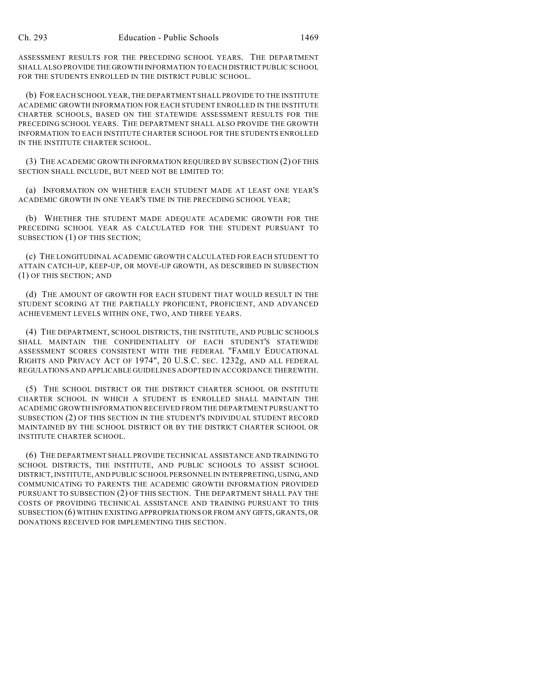ASSESSMENT RESULTS FOR THE PRECEDING SCHOOL YEARS. THE DEPARTMENT SHALL ALSO PROVIDE THE GROWTH INFORMATION TO EACH DISTRICT PUBLIC SCHOOL FOR THE STUDENTS ENROLLED IN THE DISTRICT PUBLIC SCHOOL.

(b) FOR EACH SCHOOL YEAR, THE DEPARTMENT SHALL PROVIDE TO THE INSTITUTE ACADEMIC GROWTH INFORMATION FOR EACH STUDENT ENROLLED IN THE INSTITUTE CHARTER SCHOOLS, BASED ON THE STATEWIDE ASSESSMENT RESULTS FOR THE PRECEDING SCHOOL YEARS. THE DEPARTMENT SHALL ALSO PROVIDE THE GROWTH INFORMATION TO EACH INSTITUTE CHARTER SCHOOL FOR THE STUDENTS ENROLLED IN THE INSTITUTE CHARTER SCHOOL.

(3) THE ACADEMIC GROWTH INFORMATION REQUIRED BY SUBSECTION (2) OF THIS SECTION SHALL INCLUDE, BUT NEED NOT BE LIMITED TO:

(a) INFORMATION ON WHETHER EACH STUDENT MADE AT LEAST ONE YEAR'S ACADEMIC GROWTH IN ONE YEAR'S TIME IN THE PRECEDING SCHOOL YEAR;

(b) WHETHER THE STUDENT MADE ADEQUATE ACADEMIC GROWTH FOR THE PRECEDING SCHOOL YEAR AS CALCULATED FOR THE STUDENT PURSUANT TO SUBSECTION (1) OF THIS SECTION;

(c) THE LONGITUDINAL ACADEMIC GROWTH CALCULATED FOR EACH STUDENT TO ATTAIN CATCH-UP, KEEP-UP, OR MOVE-UP GROWTH, AS DESCRIBED IN SUBSECTION (1) OF THIS SECTION; AND

(d) THE AMOUNT OF GROWTH FOR EACH STUDENT THAT WOULD RESULT IN THE STUDENT SCORING AT THE PARTIALLY PROFICIENT, PROFICIENT, AND ADVANCED ACHIEVEMENT LEVELS WITHIN ONE, TWO, AND THREE YEARS.

(4) THE DEPARTMENT, SCHOOL DISTRICTS, THE INSTITUTE, AND PUBLIC SCHOOLS SHALL MAINTAIN THE CONFIDENTIALITY OF EACH STUDENT'S STATEWIDE ASSESSMENT SCORES CONSISTENT WITH THE FEDERAL "FAMILY EDUCATIONAL RIGHTS AND PRIVACY ACT OF 1974", 20 U.S.C. SEC. 1232g, AND ALL FEDERAL REGULATIONS AND APPLICABLE GUIDELINES ADOPTED IN ACCORDANCE THEREWITH.

(5) THE SCHOOL DISTRICT OR THE DISTRICT CHARTER SCHOOL OR INSTITUTE CHARTER SCHOOL IN WHICH A STUDENT IS ENROLLED SHALL MAINTAIN THE ACADEMIC GROWTH INFORMATION RECEIVED FROM THE DEPARTMENT PURSUANT TO SUBSECTION (2) OF THIS SECTION IN THE STUDENT'S INDIVIDUAL STUDENT RECORD MAINTAINED BY THE SCHOOL DISTRICT OR BY THE DISTRICT CHARTER SCHOOL OR INSTITUTE CHARTER SCHOOL.

(6) THE DEPARTMENT SHALL PROVIDE TECHNICAL ASSISTANCE AND TRAINING TO SCHOOL DISTRICTS, THE INSTITUTE, AND PUBLIC SCHOOLS TO ASSIST SCHOOL DISTRICT, INSTITUTE, AND PUBLIC SCHOOL PERSONNEL IN INTERPRETING, USING, AND COMMUNICATING TO PARENTS THE ACADEMIC GROWTH INFORMATION PROVIDED PURSUANT TO SUBSECTION (2) OF THIS SECTION. THE DEPARTMENT SHALL PAY THE COSTS OF PROVIDING TECHNICAL ASSISTANCE AND TRAINING PURSUANT TO THIS SUBSECTION (6) WITHIN EXISTING APPROPRIATIONS OR FROM ANY GIFTS, GRANTS, OR DONATIONS RECEIVED FOR IMPLEMENTING THIS SECTION.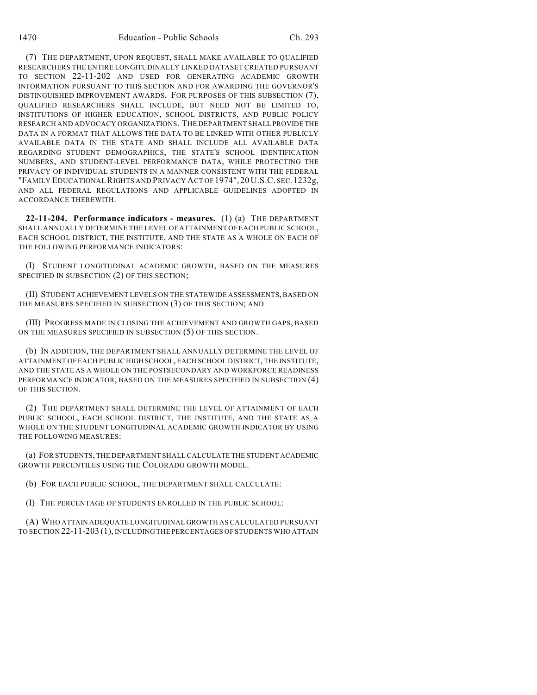(7) THE DEPARTMENT, UPON REQUEST, SHALL MAKE AVAILABLE TO QUALIFIED RESEARCHERS THE ENTIRE LONGITUDINALLY LINKED DATASET CREATED PURSUANT TO SECTION 22-11-202 AND USED FOR GENERATING ACADEMIC GROWTH INFORMATION PURSUANT TO THIS SECTION AND FOR AWARDING THE GOVERNOR'S DISTINGUISHED IMPROVEMENT AWARDS. FOR PURPOSES OF THIS SUBSECTION (7), QUALIFIED RESEARCHERS SHALL INCLUDE, BUT NEED NOT BE LIMITED TO, INSTITUTIONS OF HIGHER EDUCATION, SCHOOL DISTRICTS, AND PUBLIC POLICY RESEARCH AND ADVOCACY ORGANIZATIONS. THE DEPARTMENT SHALL PROVIDE THE DATA IN A FORMAT THAT ALLOWS THE DATA TO BE LINKED WITH OTHER PUBLICLY AVAILABLE DATA IN THE STATE AND SHALL INCLUDE ALL AVAILABLE DATA REGARDING STUDENT DEMOGRAPHICS, THE STATE'S SCHOOL IDENTIFICATION NUMBERS, AND STUDENT-LEVEL PERFORMANCE DATA, WHILE PROTECTING THE PRIVACY OF INDIVIDUAL STUDENTS IN A MANNER CONSISTENT WITH THE FEDERAL "FAMILY EDUCATIONAL RIGHTS AND PRIVACY ACT OF 1974", 20 U.S.C. SEC.1232g, AND ALL FEDERAL REGULATIONS AND APPLICABLE GUIDELINES ADOPTED IN ACCORDANCE THEREWITH.

**22-11-204. Performance indicators - measures.** (1) (a) THE DEPARTMENT SHALL ANNUALLY DETERMINE THE LEVEL OF ATTAINMENT OF EACH PUBLIC SCHOOL, EACH SCHOOL DISTRICT, THE INSTITUTE, AND THE STATE AS A WHOLE ON EACH OF THE FOLLOWING PERFORMANCE INDICATORS:

(I) STUDENT LONGITUDINAL ACADEMIC GROWTH, BASED ON THE MEASURES SPECIFIED IN SUBSECTION (2) OF THIS SECTION;

(II) STUDENT ACHIEVEMENT LEVELS ON THE STATEWIDE ASSESSMENTS, BASED ON THE MEASURES SPECIFIED IN SUBSECTION (3) OF THIS SECTION; AND

(III) PROGRESS MADE IN CLOSING THE ACHIEVEMENT AND GROWTH GAPS, BASED ON THE MEASURES SPECIFIED IN SUBSECTION (5) OF THIS SECTION.

(b) IN ADDITION, THE DEPARTMENT SHALL ANNUALLY DETERMINE THE LEVEL OF ATTAINMENT OF EACH PUBLIC HIGH SCHOOL, EACH SCHOOL DISTRICT, THE INSTITUTE, AND THE STATE AS A WHOLE ON THE POSTSECONDARY AND WORKFORCE READINESS PERFORMANCE INDICATOR, BASED ON THE MEASURES SPECIFIED IN SUBSECTION (4) OF THIS SECTION.

(2) THE DEPARTMENT SHALL DETERMINE THE LEVEL OF ATTAINMENT OF EACH PUBLIC SCHOOL, EACH SCHOOL DISTRICT, THE INSTITUTE, AND THE STATE AS A WHOLE ON THE STUDENT LONGITUDINAL ACADEMIC GROWTH INDICATOR BY USING THE FOLLOWING MEASURES:

(a) FOR STUDENTS, THE DEPARTMENT SHALL CALCULATE THE STUDENT ACADEMIC GROWTH PERCENTILES USING THE COLORADO GROWTH MODEL.

(b) FOR EACH PUBLIC SCHOOL, THE DEPARTMENT SHALL CALCULATE:

(I) THE PERCENTAGE OF STUDENTS ENROLLED IN THE PUBLIC SCHOOL:

(A) WHO ATTAIN ADEQUATE LONGITUDINAL GROWTH AS CALCULATED PURSUANT TO SECTION 22-11-203 (1), INCLUDING THE PERCENTAGES OF STUDENTS WHO ATTAIN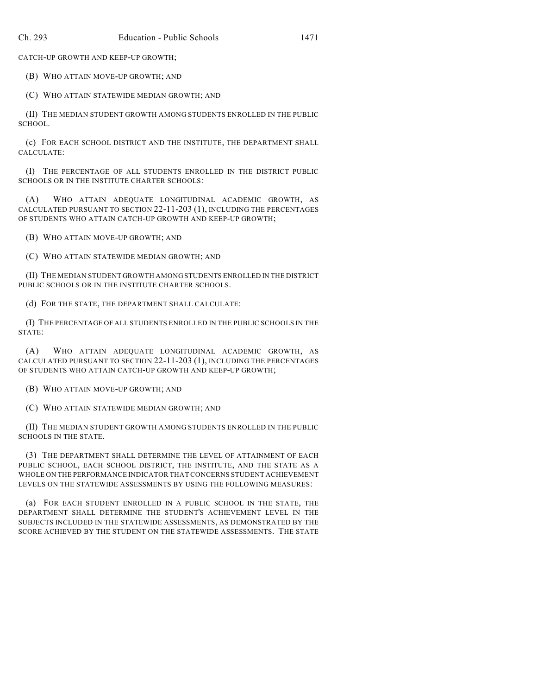CATCH-UP GROWTH AND KEEP-UP GROWTH;

(B) WHO ATTAIN MOVE-UP GROWTH; AND

(C) WHO ATTAIN STATEWIDE MEDIAN GROWTH; AND

(II) THE MEDIAN STUDENT GROWTH AMONG STUDENTS ENROLLED IN THE PUBLIC SCHOOL.

(c) FOR EACH SCHOOL DISTRICT AND THE INSTITUTE, THE DEPARTMENT SHALL CALCULATE:

(I) THE PERCENTAGE OF ALL STUDENTS ENROLLED IN THE DISTRICT PUBLIC SCHOOLS OR IN THE INSTITUTE CHARTER SCHOOLS:

(A) WHO ATTAIN ADEQUATE LONGITUDINAL ACADEMIC GROWTH, AS CALCULATED PURSUANT TO SECTION 22-11-203 (1), INCLUDING THE PERCENTAGES OF STUDENTS WHO ATTAIN CATCH-UP GROWTH AND KEEP-UP GROWTH;

(B) WHO ATTAIN MOVE-UP GROWTH; AND

(C) WHO ATTAIN STATEWIDE MEDIAN GROWTH; AND

(II) THE MEDIAN STUDENT GROWTH AMONG STUDENTS ENROLLED IN THE DISTRICT PUBLIC SCHOOLS OR IN THE INSTITUTE CHARTER SCHOOLS.

(d) FOR THE STATE, THE DEPARTMENT SHALL CALCULATE:

(I) THE PERCENTAGE OF ALL STUDENTS ENROLLED IN THE PUBLIC SCHOOLS IN THE STATE:

(A) WHO ATTAIN ADEQUATE LONGITUDINAL ACADEMIC GROWTH, AS CALCULATED PURSUANT TO SECTION 22-11-203 (1), INCLUDING THE PERCENTAGES OF STUDENTS WHO ATTAIN CATCH-UP GROWTH AND KEEP-UP GROWTH;

(B) WHO ATTAIN MOVE-UP GROWTH; AND

(C) WHO ATTAIN STATEWIDE MEDIAN GROWTH; AND

(II) THE MEDIAN STUDENT GROWTH AMONG STUDENTS ENROLLED IN THE PUBLIC SCHOOLS IN THE STATE.

(3) THE DEPARTMENT SHALL DETERMINE THE LEVEL OF ATTAINMENT OF EACH PUBLIC SCHOOL, EACH SCHOOL DISTRICT, THE INSTITUTE, AND THE STATE AS A WHOLE ON THE PERFORMANCE INDICATOR THAT CONCERNS STUDENT ACHIEVEMENT LEVELS ON THE STATEWIDE ASSESSMENTS BY USING THE FOLLOWING MEASURES:

(a) FOR EACH STUDENT ENROLLED IN A PUBLIC SCHOOL IN THE STATE, THE DEPARTMENT SHALL DETERMINE THE STUDENT'S ACHIEVEMENT LEVEL IN THE SUBJECTS INCLUDED IN THE STATEWIDE ASSESSMENTS, AS DEMONSTRATED BY THE SCORE ACHIEVED BY THE STUDENT ON THE STATEWIDE ASSESSMENTS. THE STATE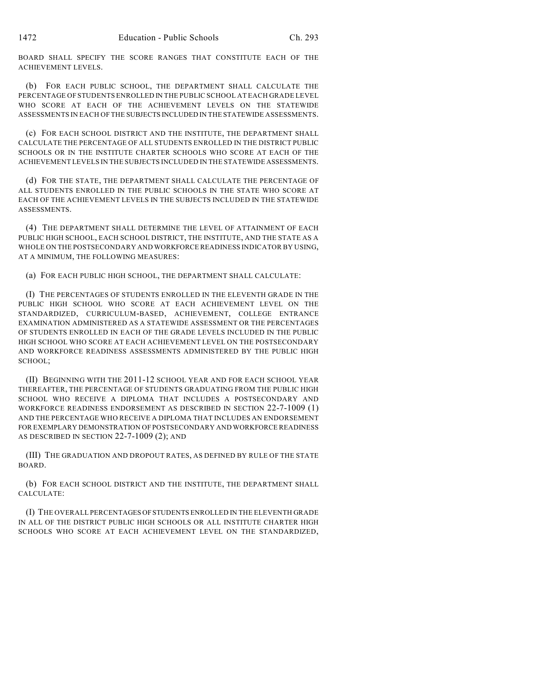BOARD SHALL SPECIFY THE SCORE RANGES THAT CONSTITUTE EACH OF THE ACHIEVEMENT LEVELS.

(b) FOR EACH PUBLIC SCHOOL, THE DEPARTMENT SHALL CALCULATE THE PERCENTAGE OF STUDENTS ENROLLED IN THE PUBLIC SCHOOL AT EACH GRADE LEVEL WHO SCORE AT EACH OF THE ACHIEVEMENT LEVELS ON THE STATEWIDE ASSESSMENTS IN EACH OF THE SUBJECTS INCLUDED IN THE STATEWIDE ASSESSMENTS.

(c) FOR EACH SCHOOL DISTRICT AND THE INSTITUTE, THE DEPARTMENT SHALL CALCULATE THE PERCENTAGE OF ALL STUDENTS ENROLLED IN THE DISTRICT PUBLIC SCHOOLS OR IN THE INSTITUTE CHARTER SCHOOLS WHO SCORE AT EACH OF THE ACHIEVEMENT LEVELS IN THE SUBJECTS INCLUDED IN THE STATEWIDE ASSESSMENTS.

(d) FOR THE STATE, THE DEPARTMENT SHALL CALCULATE THE PERCENTAGE OF ALL STUDENTS ENROLLED IN THE PUBLIC SCHOOLS IN THE STATE WHO SCORE AT EACH OF THE ACHIEVEMENT LEVELS IN THE SUBJECTS INCLUDED IN THE STATEWIDE ASSESSMENTS.

(4) THE DEPARTMENT SHALL DETERMINE THE LEVEL OF ATTAINMENT OF EACH PUBLIC HIGH SCHOOL, EACH SCHOOL DISTRICT, THE INSTITUTE, AND THE STATE AS A WHOLE ON THE POSTSECONDARY AND WORKFORCE READINESS INDICATOR BY USING, AT A MINIMUM, THE FOLLOWING MEASURES:

(a) FOR EACH PUBLIC HIGH SCHOOL, THE DEPARTMENT SHALL CALCULATE:

(I) THE PERCENTAGES OF STUDENTS ENROLLED IN THE ELEVENTH GRADE IN THE PUBLIC HIGH SCHOOL WHO SCORE AT EACH ACHIEVEMENT LEVEL ON THE STANDARDIZED, CURRICULUM-BASED, ACHIEVEMENT, COLLEGE ENTRANCE EXAMINATION ADMINISTERED AS A STATEWIDE ASSESSMENT OR THE PERCENTAGES OF STUDENTS ENROLLED IN EACH OF THE GRADE LEVELS INCLUDED IN THE PUBLIC HIGH SCHOOL WHO SCORE AT EACH ACHIEVEMENT LEVEL ON THE POSTSECONDARY AND WORKFORCE READINESS ASSESSMENTS ADMINISTERED BY THE PUBLIC HIGH SCHOOL;

(II) BEGINNING WITH THE 2011-12 SCHOOL YEAR AND FOR EACH SCHOOL YEAR THEREAFTER, THE PERCENTAGE OF STUDENTS GRADUATING FROM THE PUBLIC HIGH SCHOOL WHO RECEIVE A DIPLOMA THAT INCLUDES A POSTSECONDARY AND WORKFORCE READINESS ENDORSEMENT AS DESCRIBED IN SECTION 22-7-1009 (1) AND THE PERCENTAGE WHO RECEIVE A DIPLOMA THAT INCLUDES AN ENDORSEMENT FOR EXEMPLARY DEMONSTRATION OF POSTSECONDARY AND WORKFORCE READINESS AS DESCRIBED IN SECTION 22-7-1009 (2); AND

(III) THE GRADUATION AND DROPOUT RATES, AS DEFINED BY RULE OF THE STATE BOARD.

(b) FOR EACH SCHOOL DISTRICT AND THE INSTITUTE, THE DEPARTMENT SHALL CALCULATE:

(I) THE OVERALL PERCENTAGES OF STUDENTS ENROLLED IN THE ELEVENTH GRADE IN ALL OF THE DISTRICT PUBLIC HIGH SCHOOLS OR ALL INSTITUTE CHARTER HIGH SCHOOLS WHO SCORE AT EACH ACHIEVEMENT LEVEL ON THE STANDARDIZED,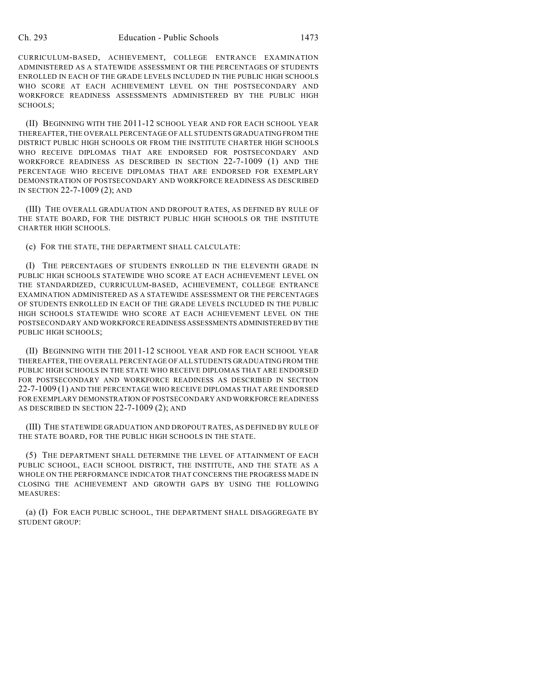CURRICULUM-BASED, ACHIEVEMENT, COLLEGE ENTRANCE EXAMINATION ADMINISTERED AS A STATEWIDE ASSESSMENT OR THE PERCENTAGES OF STUDENTS ENROLLED IN EACH OF THE GRADE LEVELS INCLUDED IN THE PUBLIC HIGH SCHOOLS WHO SCORE AT EACH ACHIEVEMENT LEVEL ON THE POSTSECONDARY AND WORKFORCE READINESS ASSESSMENTS ADMINISTERED BY THE PUBLIC HIGH SCHOOLS;

(II) BEGINNING WITH THE 2011-12 SCHOOL YEAR AND FOR EACH SCHOOL YEAR THEREAFTER, THE OVERALL PERCENTAGE OF ALL STUDENTS GRADUATING FROM THE DISTRICT PUBLIC HIGH SCHOOLS OR FROM THE INSTITUTE CHARTER HIGH SCHOOLS WHO RECEIVE DIPLOMAS THAT ARE ENDORSED FOR POSTSECONDARY AND WORKFORCE READINESS AS DESCRIBED IN SECTION 22-7-1009 (1) AND THE PERCENTAGE WHO RECEIVE DIPLOMAS THAT ARE ENDORSED FOR EXEMPLARY DEMONSTRATION OF POSTSECONDARY AND WORKFORCE READINESS AS DESCRIBED IN SECTION 22-7-1009 (2); AND

(III) THE OVERALL GRADUATION AND DROPOUT RATES, AS DEFINED BY RULE OF THE STATE BOARD, FOR THE DISTRICT PUBLIC HIGH SCHOOLS OR THE INSTITUTE CHARTER HIGH SCHOOLS.

(c) FOR THE STATE, THE DEPARTMENT SHALL CALCULATE:

(I) THE PERCENTAGES OF STUDENTS ENROLLED IN THE ELEVENTH GRADE IN PUBLIC HIGH SCHOOLS STATEWIDE WHO SCORE AT EACH ACHIEVEMENT LEVEL ON THE STANDARDIZED, CURRICULUM-BASED, ACHIEVEMENT, COLLEGE ENTRANCE EXAMINATION ADMINISTERED AS A STATEWIDE ASSESSMENT OR THE PERCENTAGES OF STUDENTS ENROLLED IN EACH OF THE GRADE LEVELS INCLUDED IN THE PUBLIC HIGH SCHOOLS STATEWIDE WHO SCORE AT EACH ACHIEVEMENT LEVEL ON THE POSTSECONDARY AND WORKFORCE READINESS ASSESSMENTS ADMINISTERED BY THE PUBLIC HIGH SCHOOLS;

(II) BEGINNING WITH THE 2011-12 SCHOOL YEAR AND FOR EACH SCHOOL YEAR THEREAFTER, THE OVERALL PERCENTAGE OF ALL STUDENTS GRADUATING FROM THE PUBLIC HIGH SCHOOLS IN THE STATE WHO RECEIVE DIPLOMAS THAT ARE ENDORSED FOR POSTSECONDARY AND WORKFORCE READINESS AS DESCRIBED IN SECTION 22-7-1009 (1) AND THE PERCENTAGE WHO RECEIVE DIPLOMAS THAT ARE ENDORSED FOR EXEMPLARY DEMONSTRATION OF POSTSECONDARY AND WORKFORCE READINESS AS DESCRIBED IN SECTION 22-7-1009 (2); AND

(III) THE STATEWIDE GRADUATION AND DROPOUT RATES, AS DEFINED BY RULE OF THE STATE BOARD, FOR THE PUBLIC HIGH SCHOOLS IN THE STATE.

(5) THE DEPARTMENT SHALL DETERMINE THE LEVEL OF ATTAINMENT OF EACH PUBLIC SCHOOL, EACH SCHOOL DISTRICT, THE INSTITUTE, AND THE STATE AS A WHOLE ON THE PERFORMANCE INDICATOR THAT CONCERNS THE PROGRESS MADE IN CLOSING THE ACHIEVEMENT AND GROWTH GAPS BY USING THE FOLLOWING MEASURES:

(a) (I) FOR EACH PUBLIC SCHOOL, THE DEPARTMENT SHALL DISAGGREGATE BY STUDENT GROUP: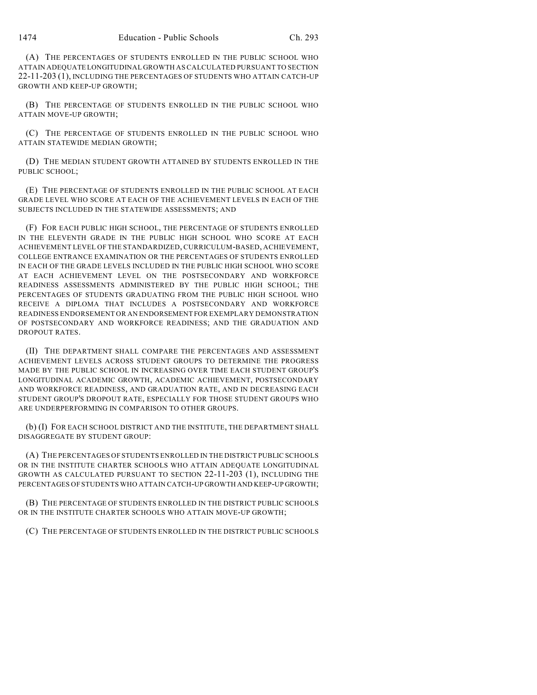(A) THE PERCENTAGES OF STUDENTS ENROLLED IN THE PUBLIC SCHOOL WHO ATTAIN ADEQUATE LONGITUDINAL GROWTH AS CALCULATED PURSUANT TO SECTION 22-11-203 (1), INCLUDING THE PERCENTAGES OF STUDENTS WHO ATTAIN CATCH-UP GROWTH AND KEEP-UP GROWTH;

(B) THE PERCENTAGE OF STUDENTS ENROLLED IN THE PUBLIC SCHOOL WHO ATTAIN MOVE-UP GROWTH;

(C) THE PERCENTAGE OF STUDENTS ENROLLED IN THE PUBLIC SCHOOL WHO ATTAIN STATEWIDE MEDIAN GROWTH;

(D) THE MEDIAN STUDENT GROWTH ATTAINED BY STUDENTS ENROLLED IN THE PUBLIC SCHOOL;

(E) THE PERCENTAGE OF STUDENTS ENROLLED IN THE PUBLIC SCHOOL AT EACH GRADE LEVEL WHO SCORE AT EACH OF THE ACHIEVEMENT LEVELS IN EACH OF THE SUBJECTS INCLUDED IN THE STATEWIDE ASSESSMENTS; AND

(F) FOR EACH PUBLIC HIGH SCHOOL, THE PERCENTAGE OF STUDENTS ENROLLED IN THE ELEVENTH GRADE IN THE PUBLIC HIGH SCHOOL WHO SCORE AT EACH ACHIEVEMENT LEVEL OF THE STANDARDIZED, CURRICULUM-BASED, ACHIEVEMENT, COLLEGE ENTRANCE EXAMINATION OR THE PERCENTAGES OF STUDENTS ENROLLED IN EACH OF THE GRADE LEVELS INCLUDED IN THE PUBLIC HIGH SCHOOL WHO SCORE AT EACH ACHIEVEMENT LEVEL ON THE POSTSECONDARY AND WORKFORCE READINESS ASSESSMENTS ADMINISTERED BY THE PUBLIC HIGH SCHOOL; THE PERCENTAGES OF STUDENTS GRADUATING FROM THE PUBLIC HIGH SCHOOL WHO RECEIVE A DIPLOMA THAT INCLUDES A POSTSECONDARY AND WORKFORCE READINESS ENDORSEMENT OR AN ENDORSEMENT FOR EXEMPLARY DEMONSTRATION OF POSTSECONDARY AND WORKFORCE READINESS; AND THE GRADUATION AND DROPOUT RATES.

(II) THE DEPARTMENT SHALL COMPARE THE PERCENTAGES AND ASSESSMENT ACHIEVEMENT LEVELS ACROSS STUDENT GROUPS TO DETERMINE THE PROGRESS MADE BY THE PUBLIC SCHOOL IN INCREASING OVER TIME EACH STUDENT GROUP'S LONGITUDINAL ACADEMIC GROWTH, ACADEMIC ACHIEVEMENT, POSTSECONDARY AND WORKFORCE READINESS, AND GRADUATION RATE, AND IN DECREASING EACH STUDENT GROUP'S DROPOUT RATE, ESPECIALLY FOR THOSE STUDENT GROUPS WHO ARE UNDERPERFORMING IN COMPARISON TO OTHER GROUPS.

(b) (I) FOR EACH SCHOOL DISTRICT AND THE INSTITUTE, THE DEPARTMENT SHALL DISAGGREGATE BY STUDENT GROUP:

(A) THE PERCENTAGES OF STUDENTS ENROLLED IN THE DISTRICT PUBLIC SCHOOLS OR IN THE INSTITUTE CHARTER SCHOOLS WHO ATTAIN ADEQUATE LONGITUDINAL GROWTH AS CALCULATED PURSUANT TO SECTION 22-11-203 (1), INCLUDING THE PERCENTAGES OF STUDENTS WHO ATTAIN CATCH-UP GROWTH AND KEEP-UP GROWTH;

(B) THE PERCENTAGE OF STUDENTS ENROLLED IN THE DISTRICT PUBLIC SCHOOLS OR IN THE INSTITUTE CHARTER SCHOOLS WHO ATTAIN MOVE-UP GROWTH;

(C) THE PERCENTAGE OF STUDENTS ENROLLED IN THE DISTRICT PUBLIC SCHOOLS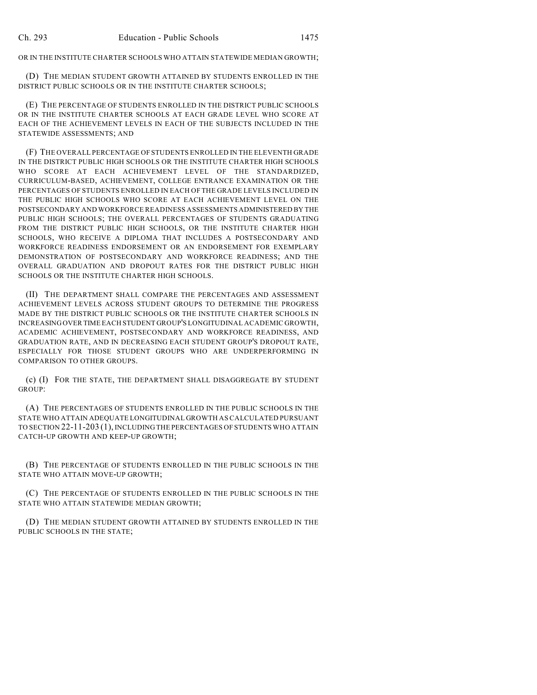OR IN THE INSTITUTE CHARTER SCHOOLS WHO ATTAIN STATEWIDE MEDIAN GROWTH;

(D) THE MEDIAN STUDENT GROWTH ATTAINED BY STUDENTS ENROLLED IN THE DISTRICT PUBLIC SCHOOLS OR IN THE INSTITUTE CHARTER SCHOOLS;

(E) THE PERCENTAGE OF STUDENTS ENROLLED IN THE DISTRICT PUBLIC SCHOOLS OR IN THE INSTITUTE CHARTER SCHOOLS AT EACH GRADE LEVEL WHO SCORE AT EACH OF THE ACHIEVEMENT LEVELS IN EACH OF THE SUBJECTS INCLUDED IN THE STATEWIDE ASSESSMENTS; AND

(F) THE OVERALL PERCENTAGE OF STUDENTS ENROLLED IN THE ELEVENTH GRADE IN THE DISTRICT PUBLIC HIGH SCHOOLS OR THE INSTITUTE CHARTER HIGH SCHOOLS WHO SCORE AT EACH ACHIEVEMENT LEVEL OF THE STANDARDIZED, CURRICULUM-BASED, ACHIEVEMENT, COLLEGE ENTRANCE EXAMINATION OR THE PERCENTAGES OF STUDENTS ENROLLED IN EACH OF THE GRADE LEVELS INCLUDED IN THE PUBLIC HIGH SCHOOLS WHO SCORE AT EACH ACHIEVEMENT LEVEL ON THE POSTSECONDARY AND WORKFORCE READINESS ASSESSMENTS ADMINISTERED BY THE PUBLIC HIGH SCHOOLS; THE OVERALL PERCENTAGES OF STUDENTS GRADUATING FROM THE DISTRICT PUBLIC HIGH SCHOOLS, OR THE INSTITUTE CHARTER HIGH SCHOOLS, WHO RECEIVE A DIPLOMA THAT INCLUDES A POSTSECONDARY AND WORKFORCE READINESS ENDORSEMENT OR AN ENDORSEMENT FOR EXEMPLARY DEMONSTRATION OF POSTSECONDARY AND WORKFORCE READINESS; AND THE OVERALL GRADUATION AND DROPOUT RATES FOR THE DISTRICT PUBLIC HIGH SCHOOLS OR THE INSTITUTE CHARTER HIGH SCHOOLS.

(II) THE DEPARTMENT SHALL COMPARE THE PERCENTAGES AND ASSESSMENT ACHIEVEMENT LEVELS ACROSS STUDENT GROUPS TO DETERMINE THE PROGRESS MADE BY THE DISTRICT PUBLIC SCHOOLS OR THE INSTITUTE CHARTER SCHOOLS IN INCREASING OVER TIME EACH STUDENT GROUP'S LONGITUDINAL ACADEMIC GROWTH, ACADEMIC ACHIEVEMENT, POSTSECONDARY AND WORKFORCE READINESS, AND GRADUATION RATE, AND IN DECREASING EACH STUDENT GROUP'S DROPOUT RATE, ESPECIALLY FOR THOSE STUDENT GROUPS WHO ARE UNDERPERFORMING IN COMPARISON TO OTHER GROUPS.

(c) (I) FOR THE STATE, THE DEPARTMENT SHALL DISAGGREGATE BY STUDENT GROUP:

(A) THE PERCENTAGES OF STUDENTS ENROLLED IN THE PUBLIC SCHOOLS IN THE STATE WHO ATTAIN ADEQUATE LONGITUDINAL GROWTH AS CALCULATED PURSUANT TO SECTION 22-11-203 (1), INCLUDING THE PERCENTAGES OF STUDENTS WHO ATTAIN CATCH-UP GROWTH AND KEEP-UP GROWTH;

(B) THE PERCENTAGE OF STUDENTS ENROLLED IN THE PUBLIC SCHOOLS IN THE STATE WHO ATTAIN MOVE-UP GROWTH;

(C) THE PERCENTAGE OF STUDENTS ENROLLED IN THE PUBLIC SCHOOLS IN THE STATE WHO ATTAIN STATEWIDE MEDIAN GROWTH;

(D) THE MEDIAN STUDENT GROWTH ATTAINED BY STUDENTS ENROLLED IN THE PUBLIC SCHOOLS IN THE STATE;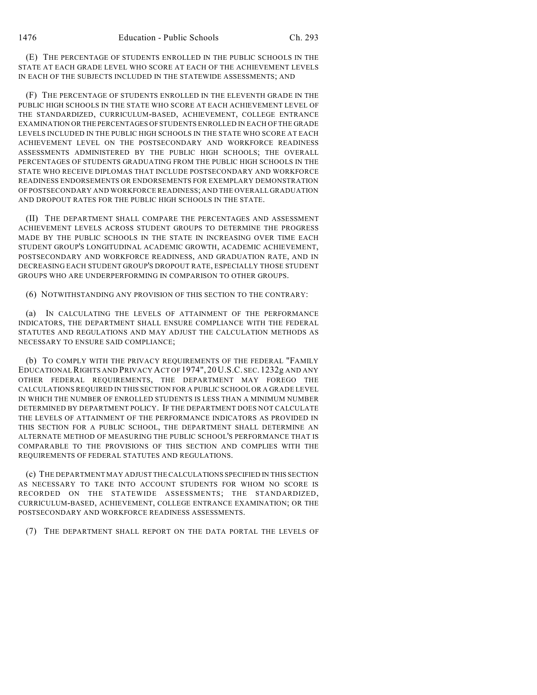(E) THE PERCENTAGE OF STUDENTS ENROLLED IN THE PUBLIC SCHOOLS IN THE STATE AT EACH GRADE LEVEL WHO SCORE AT EACH OF THE ACHIEVEMENT LEVELS IN EACH OF THE SUBJECTS INCLUDED IN THE STATEWIDE ASSESSMENTS; AND

(F) THE PERCENTAGE OF STUDENTS ENROLLED IN THE ELEVENTH GRADE IN THE PUBLIC HIGH SCHOOLS IN THE STATE WHO SCORE AT EACH ACHIEVEMENT LEVEL OF THE STANDARDIZED, CURRICULUM-BASED, ACHIEVEMENT, COLLEGE ENTRANCE EXAMINATION OR THE PERCENTAGES OF STUDENTS ENROLLED IN EACH OF THE GRADE LEVELS INCLUDED IN THE PUBLIC HIGH SCHOOLS IN THE STATE WHO SCORE AT EACH ACHIEVEMENT LEVEL ON THE POSTSECONDARY AND WORKFORCE READINESS ASSESSMENTS ADMINISTERED BY THE PUBLIC HIGH SCHOOLS; THE OVERALL PERCENTAGES OF STUDENTS GRADUATING FROM THE PUBLIC HIGH SCHOOLS IN THE STATE WHO RECEIVE DIPLOMAS THAT INCLUDE POSTSECONDARY AND WORKFORCE READINESS ENDORSEMENTS OR ENDORSEMENTS FOR EXEMPLARY DEMONSTRATION OF POSTSECONDARY AND WORKFORCE READINESS; AND THE OVERALL GRADUATION AND DROPOUT RATES FOR THE PUBLIC HIGH SCHOOLS IN THE STATE.

(II) THE DEPARTMENT SHALL COMPARE THE PERCENTAGES AND ASSESSMENT ACHIEVEMENT LEVELS ACROSS STUDENT GROUPS TO DETERMINE THE PROGRESS MADE BY THE PUBLIC SCHOOLS IN THE STATE IN INCREASING OVER TIME EACH STUDENT GROUP'S LONGITUDINAL ACADEMIC GROWTH, ACADEMIC ACHIEVEMENT, POSTSECONDARY AND WORKFORCE READINESS, AND GRADUATION RATE, AND IN DECREASING EACH STUDENT GROUP'S DROPOUT RATE, ESPECIALLY THOSE STUDENT GROUPS WHO ARE UNDERPERFORMING IN COMPARISON TO OTHER GROUPS.

(6) NOTWITHSTANDING ANY PROVISION OF THIS SECTION TO THE CONTRARY:

(a) IN CALCULATING THE LEVELS OF ATTAINMENT OF THE PERFORMANCE INDICATORS, THE DEPARTMENT SHALL ENSURE COMPLIANCE WITH THE FEDERAL STATUTES AND REGULATIONS AND MAY ADJUST THE CALCULATION METHODS AS NECESSARY TO ENSURE SAID COMPLIANCE;

(b) TO COMPLY WITH THE PRIVACY REQUIREMENTS OF THE FEDERAL "FAMILY EDUCATIONAL RIGHTS AND PRIVACY ACT OF 1974", 20 U.S.C. SEC. 1232g AND ANY OTHER FEDERAL REQUIREMENTS, THE DEPARTMENT MAY FOREGO THE CALCULATIONS REQUIRED IN THIS SECTION FOR A PUBLIC SCHOOL OR A GRADE LEVEL IN WHICH THE NUMBER OF ENROLLED STUDENTS IS LESS THAN A MINIMUM NUMBER DETERMINED BY DEPARTMENT POLICY. IF THE DEPARTMENT DOES NOT CALCULATE THE LEVELS OF ATTAINMENT OF THE PERFORMANCE INDICATORS AS PROVIDED IN THIS SECTION FOR A PUBLIC SCHOOL, THE DEPARTMENT SHALL DETERMINE AN ALTERNATE METHOD OF MEASURING THE PUBLIC SCHOOL'S PERFORMANCE THAT IS COMPARABLE TO THE PROVISIONS OF THIS SECTION AND COMPLIES WITH THE REQUIREMENTS OF FEDERAL STATUTES AND REGULATIONS.

(c) THE DEPARTMENT MAY ADJUST THE CALCULATIONS SPECIFIED IN THIS SECTION AS NECESSARY TO TAKE INTO ACCOUNT STUDENTS FOR WHOM NO SCORE IS RECORDED ON THE STATEWIDE ASSESSMENTS; THE STANDARDIZED, CURRICULUM-BASED, ACHIEVEMENT, COLLEGE ENTRANCE EXAMINATION; OR THE POSTSECONDARY AND WORKFORCE READINESS ASSESSMENTS.

(7) THE DEPARTMENT SHALL REPORT ON THE DATA PORTAL THE LEVELS OF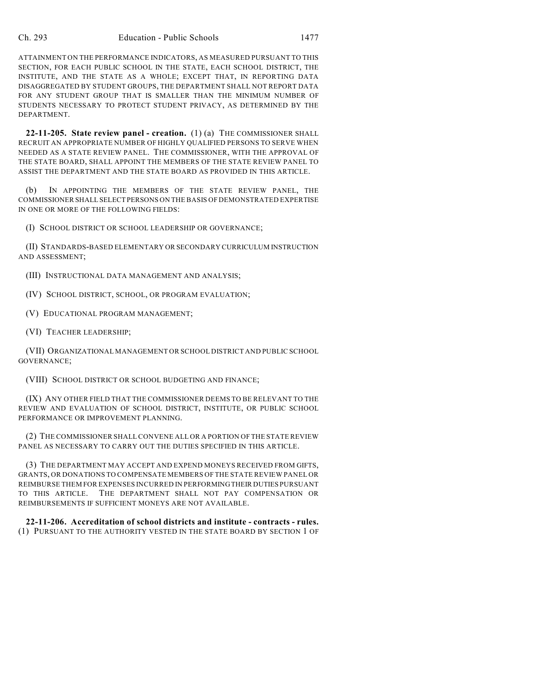ATTAINMENT ON THE PERFORMANCE INDICATORS, AS MEASURED PURSUANT TO THIS SECTION, FOR EACH PUBLIC SCHOOL IN THE STATE, EACH SCHOOL DISTRICT, THE INSTITUTE, AND THE STATE AS A WHOLE; EXCEPT THAT, IN REPORTING DATA DISAGGREGATED BY STUDENT GROUPS, THE DEPARTMENT SHALL NOT REPORT DATA FOR ANY STUDENT GROUP THAT IS SMALLER THAN THE MINIMUM NUMBER OF STUDENTS NECESSARY TO PROTECT STUDENT PRIVACY, AS DETERMINED BY THE DEPARTMENT.

**22-11-205. State review panel - creation.** (1) (a) THE COMMISSIONER SHALL RECRUIT AN APPROPRIATE NUMBER OF HIGHLY QUALIFIED PERSONS TO SERVE WHEN NEEDED AS A STATE REVIEW PANEL. THE COMMISSIONER, WITH THE APPROVAL OF THE STATE BOARD, SHALL APPOINT THE MEMBERS OF THE STATE REVIEW PANEL TO ASSIST THE DEPARTMENT AND THE STATE BOARD AS PROVIDED IN THIS ARTICLE.

(b) IN APPOINTING THE MEMBERS OF THE STATE REVIEW PANEL, THE COMMISSIONER SHALL SELECT PERSONS ON THE BASIS OF DEMONSTRATED EXPERTISE IN ONE OR MORE OF THE FOLLOWING FIELDS:

(I) SCHOOL DISTRICT OR SCHOOL LEADERSHIP OR GOVERNANCE;

(II) STANDARDS-BASED ELEMENTARY OR SECONDARY CURRICULUM INSTRUCTION AND ASSESSMENT;

(III) INSTRUCTIONAL DATA MANAGEMENT AND ANALYSIS;

(IV) SCHOOL DISTRICT, SCHOOL, OR PROGRAM EVALUATION;

(V) EDUCATIONAL PROGRAM MANAGEMENT;

(VI) TEACHER LEADERSHIP;

(VII) ORGANIZATIONAL MANAGEMENT OR SCHOOL DISTRICT AND PUBLIC SCHOOL GOVERNANCE;

(VIII) SCHOOL DISTRICT OR SCHOOL BUDGETING AND FINANCE;

(IX) ANY OTHER FIELD THAT THE COMMISSIONER DEEMS TO BE RELEVANT TO THE REVIEW AND EVALUATION OF SCHOOL DISTRICT, INSTITUTE, OR PUBLIC SCHOOL PERFORMANCE OR IMPROVEMENT PLANNING.

(2) THE COMMISSIONER SHALL CONVENE ALL OR A PORTION OF THE STATE REVIEW PANEL AS NECESSARY TO CARRY OUT THE DUTIES SPECIFIED IN THIS ARTICLE.

(3) THE DEPARTMENT MAY ACCEPT AND EXPEND MONEYS RECEIVED FROM GIFTS, GRANTS, OR DONATIONS TO COMPENSATE MEMBERS OF THE STATE REVIEW PANEL OR REIMBURSE THEM FOR EXPENSES INCURRED IN PERFORMING THEIR DUTIES PURSUANT TO THIS ARTICLE. THE DEPARTMENT SHALL NOT PAY COMPENSATION OR REIMBURSEMENTS IF SUFFICIENT MONEYS ARE NOT AVAILABLE.

**22-11-206. Accreditation of school districts and institute - contracts - rules.** (1) PURSUANT TO THE AUTHORITY VESTED IN THE STATE BOARD BY SECTION 1 OF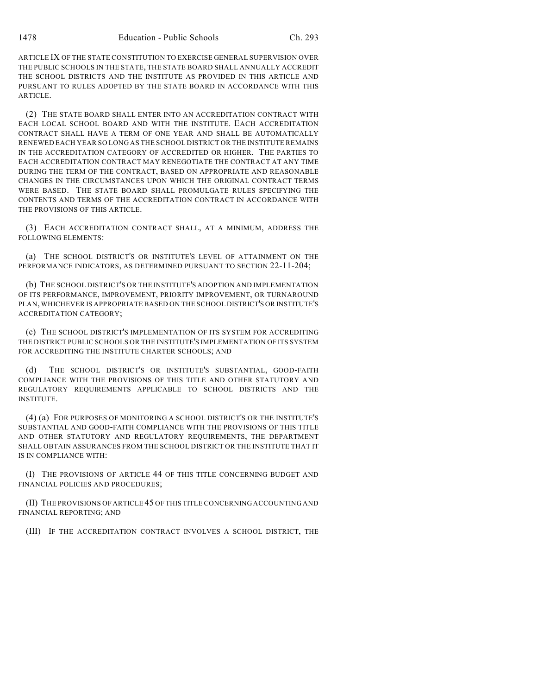ARTICLE IX OF THE STATE CONSTITUTION TO EXERCISE GENERAL SUPERVISION OVER THE PUBLIC SCHOOLS IN THE STATE, THE STATE BOARD SHALL ANNUALLY ACCREDIT THE SCHOOL DISTRICTS AND THE INSTITUTE AS PROVIDED IN THIS ARTICLE AND PURSUANT TO RULES ADOPTED BY THE STATE BOARD IN ACCORDANCE WITH THIS ARTICLE.

(2) THE STATE BOARD SHALL ENTER INTO AN ACCREDITATION CONTRACT WITH EACH LOCAL SCHOOL BOARD AND WITH THE INSTITUTE. EACH ACCREDITATION CONTRACT SHALL HAVE A TERM OF ONE YEAR AND SHALL BE AUTOMATICALLY RENEWED EACH YEAR SO LONG AS THE SCHOOL DISTRICT OR THE INSTITUTE REMAINS IN THE ACCREDITATION CATEGORY OF ACCREDITED OR HIGHER. THE PARTIES TO EACH ACCREDITATION CONTRACT MAY RENEGOTIATE THE CONTRACT AT ANY TIME DURING THE TERM OF THE CONTRACT, BASED ON APPROPRIATE AND REASONABLE CHANGES IN THE CIRCUMSTANCES UPON WHICH THE ORIGINAL CONTRACT TERMS WERE BASED. THE STATE BOARD SHALL PROMULGATE RULES SPECIFYING THE CONTENTS AND TERMS OF THE ACCREDITATION CONTRACT IN ACCORDANCE WITH THE PROVISIONS OF THIS ARTICLE.

(3) EACH ACCREDITATION CONTRACT SHALL, AT A MINIMUM, ADDRESS THE FOLLOWING ELEMENTS:

(a) THE SCHOOL DISTRICT'S OR INSTITUTE'S LEVEL OF ATTAINMENT ON THE PERFORMANCE INDICATORS, AS DETERMINED PURSUANT TO SECTION 22-11-204;

(b) THE SCHOOL DISTRICT'S OR THE INSTITUTE'S ADOPTION AND IMPLEMENTATION OF ITS PERFORMANCE, IMPROVEMENT, PRIORITY IMPROVEMENT, OR TURNAROUND PLAN, WHICHEVER IS APPROPRIATE BASED ON THE SCHOOL DISTRICT'S OR INSTITUTE'S ACCREDITATION CATEGORY;

(c) THE SCHOOL DISTRICT'S IMPLEMENTATION OF ITS SYSTEM FOR ACCREDITING THE DISTRICT PUBLIC SCHOOLS OR THE INSTITUTE'S IMPLEMENTATION OF ITS SYSTEM FOR ACCREDITING THE INSTITUTE CHARTER SCHOOLS; AND

THE SCHOOL DISTRICT'S OR INSTITUTE'S SUBSTANTIAL, GOOD-FAITH COMPLIANCE WITH THE PROVISIONS OF THIS TITLE AND OTHER STATUTORY AND REGULATORY REQUIREMENTS APPLICABLE TO SCHOOL DISTRICTS AND THE INSTITUTE.

(4) (a) FOR PURPOSES OF MONITORING A SCHOOL DISTRICT'S OR THE INSTITUTE'S SUBSTANTIAL AND GOOD-FAITH COMPLIANCE WITH THE PROVISIONS OF THIS TITLE AND OTHER STATUTORY AND REGULATORY REQUIREMENTS, THE DEPARTMENT SHALL OBTAIN ASSURANCES FROM THE SCHOOL DISTRICT OR THE INSTITUTE THAT IT IS IN COMPLIANCE WITH:

(I) THE PROVISIONS OF ARTICLE 44 OF THIS TITLE CONCERNING BUDGET AND FINANCIAL POLICIES AND PROCEDURES;

(II) THE PROVISIONS OF ARTICLE 45 OF THIS TITLE CONCERNING ACCOUNTING AND FINANCIAL REPORTING; AND

(III) IF THE ACCREDITATION CONTRACT INVOLVES A SCHOOL DISTRICT, THE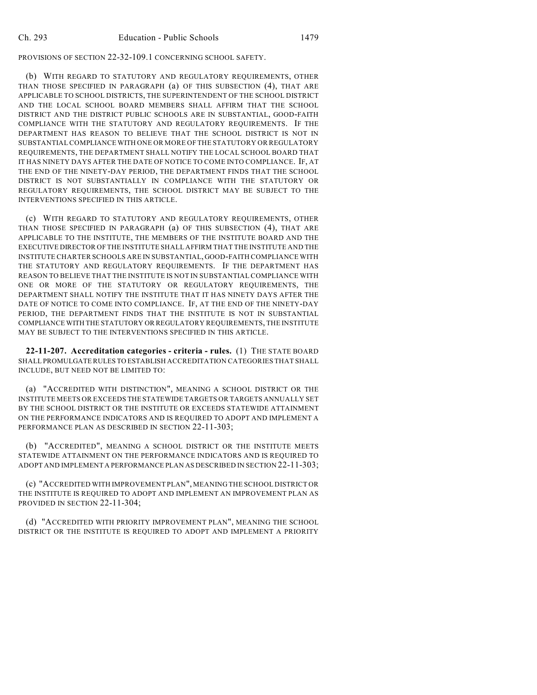PROVISIONS OF SECTION 22-32-109.1 CONCERNING SCHOOL SAFETY.

(b) WITH REGARD TO STATUTORY AND REGULATORY REQUIREMENTS, OTHER THAN THOSE SPECIFIED IN PARAGRAPH (a) OF THIS SUBSECTION (4), THAT ARE APPLICABLE TO SCHOOL DISTRICTS, THE SUPERINTENDENT OF THE SCHOOL DISTRICT AND THE LOCAL SCHOOL BOARD MEMBERS SHALL AFFIRM THAT THE SCHOOL DISTRICT AND THE DISTRICT PUBLIC SCHOOLS ARE IN SUBSTANTIAL, GOOD-FAITH COMPLIANCE WITH THE STATUTORY AND REGULATORY REQUIREMENTS. IF THE DEPARTMENT HAS REASON TO BELIEVE THAT THE SCHOOL DISTRICT IS NOT IN SUBSTANTIAL COMPLIANCE WITH ONE OR MORE OF THE STATUTORY OR REGULATORY REQUIREMENTS, THE DEPARTMENT SHALL NOTIFY THE LOCAL SCHOOL BOARD THAT IT HAS NINETY DAYS AFTER THE DATE OF NOTICE TO COME INTO COMPLIANCE. IF, AT THE END OF THE NINETY-DAY PERIOD, THE DEPARTMENT FINDS THAT THE SCHOOL DISTRICT IS NOT SUBSTANTIALLY IN COMPLIANCE WITH THE STATUTORY OR REGULATORY REQUIREMENTS, THE SCHOOL DISTRICT MAY BE SUBJECT TO THE INTERVENTIONS SPECIFIED IN THIS ARTICLE.

(c) WITH REGARD TO STATUTORY AND REGULATORY REQUIREMENTS, OTHER THAN THOSE SPECIFIED IN PARAGRAPH (a) OF THIS SUBSECTION (4), THAT ARE APPLICABLE TO THE INSTITUTE, THE MEMBERS OF THE INSTITUTE BOARD AND THE EXECUTIVE DIRECTOR OF THE INSTITUTE SHALL AFFIRM THAT THE INSTITUTE AND THE INSTITUTE CHARTER SCHOOLS ARE IN SUBSTANTIAL, GOOD-FAITH COMPLIANCE WITH THE STATUTORY AND REGULATORY REQUIREMENTS. IF THE DEPARTMENT HAS REASON TO BELIEVE THAT THE INSTITUTE IS NOT IN SUBSTANTIAL COMPLIANCE WITH ONE OR MORE OF THE STATUTORY OR REGULATORY REQUIREMENTS, THE DEPARTMENT SHALL NOTIFY THE INSTITUTE THAT IT HAS NINETY DAYS AFTER THE DATE OF NOTICE TO COME INTO COMPLIANCE. IF, AT THE END OF THE NINETY-DAY PERIOD, THE DEPARTMENT FINDS THAT THE INSTITUTE IS NOT IN SUBSTANTIAL COMPLIANCE WITH THE STATUTORY OR REGULATORY REQUIREMENTS, THE INSTITUTE MAY BE SUBJECT TO THE INTERVENTIONS SPECIFIED IN THIS ARTICLE.

**22-11-207. Accreditation categories - criteria - rules.** (1) THE STATE BOARD SHALL PROMULGATE RULES TO ESTABLISH ACCREDITATION CATEGORIES THAT SHALL INCLUDE, BUT NEED NOT BE LIMITED TO:

(a) "ACCREDITED WITH DISTINCTION", MEANING A SCHOOL DISTRICT OR THE INSTITUTE MEETS OR EXCEEDS THE STATEWIDE TARGETS OR TARGETS ANNUALLY SET BY THE SCHOOL DISTRICT OR THE INSTITUTE OR EXCEEDS STATEWIDE ATTAINMENT ON THE PERFORMANCE INDICATORS AND IS REQUIRED TO ADOPT AND IMPLEMENT A PERFORMANCE PLAN AS DESCRIBED IN SECTION 22-11-303;

(b) "ACCREDITED", MEANING A SCHOOL DISTRICT OR THE INSTITUTE MEETS STATEWIDE ATTAINMENT ON THE PERFORMANCE INDICATORS AND IS REQUIRED TO ADOPT AND IMPLEMENT A PERFORMANCE PLAN AS DESCRIBED IN SECTION 22-11-303;

(c) "ACCREDITED WITH IMPROVEMENT PLAN", MEANING THE SCHOOL DISTRICT OR THE INSTITUTE IS REQUIRED TO ADOPT AND IMPLEMENT AN IMPROVEMENT PLAN AS PROVIDED IN SECTION 22-11-304;

(d) "ACCREDITED WITH PRIORITY IMPROVEMENT PLAN", MEANING THE SCHOOL DISTRICT OR THE INSTITUTE IS REQUIRED TO ADOPT AND IMPLEMENT A PRIORITY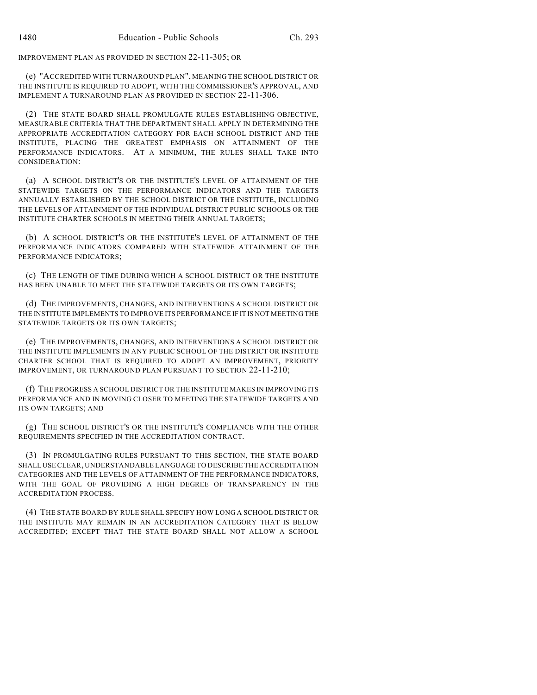IMPROVEMENT PLAN AS PROVIDED IN SECTION 22-11-305; OR

(e) "ACCREDITED WITH TURNAROUND PLAN", MEANING THE SCHOOL DISTRICT OR THE INSTITUTE IS REQUIRED TO ADOPT, WITH THE COMMISSIONER'S APPROVAL, AND IMPLEMENT A TURNAROUND PLAN AS PROVIDED IN SECTION 22-11-306.

(2) THE STATE BOARD SHALL PROMULGATE RULES ESTABLISHING OBJECTIVE, MEASURABLE CRITERIA THAT THE DEPARTMENT SHALL APPLY IN DETERMINING THE APPROPRIATE ACCREDITATION CATEGORY FOR EACH SCHOOL DISTRICT AND THE INSTITUTE, PLACING THE GREATEST EMPHASIS ON ATTAINMENT OF THE PERFORMANCE INDICATORS. AT A MINIMUM, THE RULES SHALL TAKE INTO CONSIDERATION:

(a) A SCHOOL DISTRICT'S OR THE INSTITUTE'S LEVEL OF ATTAINMENT OF THE STATEWIDE TARGETS ON THE PERFORMANCE INDICATORS AND THE TARGETS ANNUALLY ESTABLISHED BY THE SCHOOL DISTRICT OR THE INSTITUTE, INCLUDING THE LEVELS OF ATTAINMENT OF THE INDIVIDUAL DISTRICT PUBLIC SCHOOLS OR THE INSTITUTE CHARTER SCHOOLS IN MEETING THEIR ANNUAL TARGETS;

(b) A SCHOOL DISTRICT'S OR THE INSTITUTE'S LEVEL OF ATTAINMENT OF THE PERFORMANCE INDICATORS COMPARED WITH STATEWIDE ATTAINMENT OF THE PERFORMANCE INDICATORS;

(c) THE LENGTH OF TIME DURING WHICH A SCHOOL DISTRICT OR THE INSTITUTE HAS BEEN UNABLE TO MEET THE STATEWIDE TARGETS OR ITS OWN TARGETS;

(d) THE IMPROVEMENTS, CHANGES, AND INTERVENTIONS A SCHOOL DISTRICT OR THE INSTITUTE IMPLEMENTS TO IMPROVE ITS PERFORMANCE IF IT IS NOT MEETING THE STATEWIDE TARGETS OR ITS OWN TARGETS;

(e) THE IMPROVEMENTS, CHANGES, AND INTERVENTIONS A SCHOOL DISTRICT OR THE INSTITUTE IMPLEMENTS IN ANY PUBLIC SCHOOL OF THE DISTRICT OR INSTITUTE CHARTER SCHOOL THAT IS REQUIRED TO ADOPT AN IMPROVEMENT, PRIORITY IMPROVEMENT, OR TURNAROUND PLAN PURSUANT TO SECTION 22-11-210;

(f) THE PROGRESS A SCHOOL DISTRICT OR THE INSTITUTE MAKES IN IMPROVING ITS PERFORMANCE AND IN MOVING CLOSER TO MEETING THE STATEWIDE TARGETS AND ITS OWN TARGETS; AND

(g) THE SCHOOL DISTRICT'S OR THE INSTITUTE'S COMPLIANCE WITH THE OTHER REQUIREMENTS SPECIFIED IN THE ACCREDITATION CONTRACT.

(3) IN PROMULGATING RULES PURSUANT TO THIS SECTION, THE STATE BOARD SHALL USE CLEAR, UNDERSTANDABLE LANGUAGE TO DESCRIBE THE ACCREDITATION CATEGORIES AND THE LEVELS OF ATTAINMENT OF THE PERFORMANCE INDICATORS, WITH THE GOAL OF PROVIDING A HIGH DEGREE OF TRANSPARENCY IN THE ACCREDITATION PROCESS.

(4) THE STATE BOARD BY RULE SHALL SPECIFY HOW LONG A SCHOOL DISTRICT OR THE INSTITUTE MAY REMAIN IN AN ACCREDITATION CATEGORY THAT IS BELOW ACCREDITED; EXCEPT THAT THE STATE BOARD SHALL NOT ALLOW A SCHOOL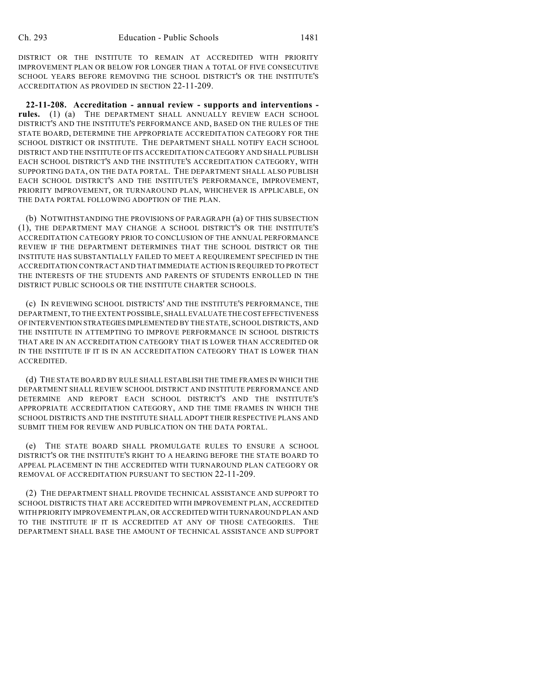DISTRICT OR THE INSTITUTE TO REMAIN AT ACCREDITED WITH PRIORITY IMPROVEMENT PLAN OR BELOW FOR LONGER THAN A TOTAL OF FIVE CONSECUTIVE SCHOOL YEARS BEFORE REMOVING THE SCHOOL DISTRICT'S OR THE INSTITUTE'S ACCREDITATION AS PROVIDED IN SECTION 22-11-209.

**22-11-208. Accreditation - annual review - supports and interventions rules.** (1) (a) THE DEPARTMENT SHALL ANNUALLY REVIEW EACH SCHOOL DISTRICT'S AND THE INSTITUTE'S PERFORMANCE AND, BASED ON THE RULES OF THE STATE BOARD, DETERMINE THE APPROPRIATE ACCREDITATION CATEGORY FOR THE SCHOOL DISTRICT OR INSTITUTE. THE DEPARTMENT SHALL NOTIFY EACH SCHOOL DISTRICT AND THE INSTITUTE OF ITS ACCREDITATION CATEGORY AND SHALL PUBLISH EACH SCHOOL DISTRICT'S AND THE INSTITUTE'S ACCREDITATION CATEGORY, WITH SUPPORTING DATA, ON THE DATA PORTAL. THE DEPARTMENT SHALL ALSO PUBLISH EACH SCHOOL DISTRICT'S AND THE INSTITUTE'S PERFORMANCE, IMPROVEMENT, PRIORITY IMPROVEMENT, OR TURNAROUND PLAN, WHICHEVER IS APPLICABLE, ON THE DATA PORTAL FOLLOWING ADOPTION OF THE PLAN.

(b) NOTWITHSTANDING THE PROVISIONS OF PARAGRAPH (a) OF THIS SUBSECTION (1), THE DEPARTMENT MAY CHANGE A SCHOOL DISTRICT'S OR THE INSTITUTE'S ACCREDITATION CATEGORY PRIOR TO CONCLUSION OF THE ANNUAL PERFORMANCE REVIEW IF THE DEPARTMENT DETERMINES THAT THE SCHOOL DISTRICT OR THE INSTITUTE HAS SUBSTANTIALLY FAILED TO MEET A REQUIREMENT SPECIFIED IN THE ACCREDITATION CONTRACT AND THAT IMMEDIATE ACTION IS REQUIRED TO PROTECT THE INTERESTS OF THE STUDENTS AND PARENTS OF STUDENTS ENROLLED IN THE DISTRICT PUBLIC SCHOOLS OR THE INSTITUTE CHARTER SCHOOLS.

(c) IN REVIEWING SCHOOL DISTRICTS' AND THE INSTITUTE'S PERFORMANCE, THE DEPARTMENT, TO THE EXTENT POSSIBLE, SHALL EVALUATE THE COST EFFECTIVENESS OF INTERVENTION STRATEGIES IMPLEMENTED BY THE STATE, SCHOOL DISTRICTS, AND THE INSTITUTE IN ATTEMPTING TO IMPROVE PERFORMANCE IN SCHOOL DISTRICTS THAT ARE IN AN ACCREDITATION CATEGORY THAT IS LOWER THAN ACCREDITED OR IN THE INSTITUTE IF IT IS IN AN ACCREDITATION CATEGORY THAT IS LOWER THAN ACCREDITED.

(d) THE STATE BOARD BY RULE SHALL ESTABLISH THE TIME FRAMES IN WHICH THE DEPARTMENT SHALL REVIEW SCHOOL DISTRICT AND INSTITUTE PERFORMANCE AND DETERMINE AND REPORT EACH SCHOOL DISTRICT'S AND THE INSTITUTE'S APPROPRIATE ACCREDITATION CATEGORY, AND THE TIME FRAMES IN WHICH THE SCHOOL DISTRICTS AND THE INSTITUTE SHALL ADOPT THEIR RESPECTIVE PLANS AND SUBMIT THEM FOR REVIEW AND PUBLICATION ON THE DATA PORTAL.

(e) THE STATE BOARD SHALL PROMULGATE RULES TO ENSURE A SCHOOL DISTRICT'S OR THE INSTITUTE'S RIGHT TO A HEARING BEFORE THE STATE BOARD TO APPEAL PLACEMENT IN THE ACCREDITED WITH TURNAROUND PLAN CATEGORY OR REMOVAL OF ACCREDITATION PURSUANT TO SECTION 22-11-209.

(2) THE DEPARTMENT SHALL PROVIDE TECHNICAL ASSISTANCE AND SUPPORT TO SCHOOL DISTRICTS THAT ARE ACCREDITED WITH IMPROVEMENT PLAN, ACCREDITED WITH PRIORITY IMPROVEMENT PLAN, OR ACCREDITED WITH TURNAROUND PLAN AND TO THE INSTITUTE IF IT IS ACCREDITED AT ANY OF THOSE CATEGORIES. THE DEPARTMENT SHALL BASE THE AMOUNT OF TECHNICAL ASSISTANCE AND SUPPORT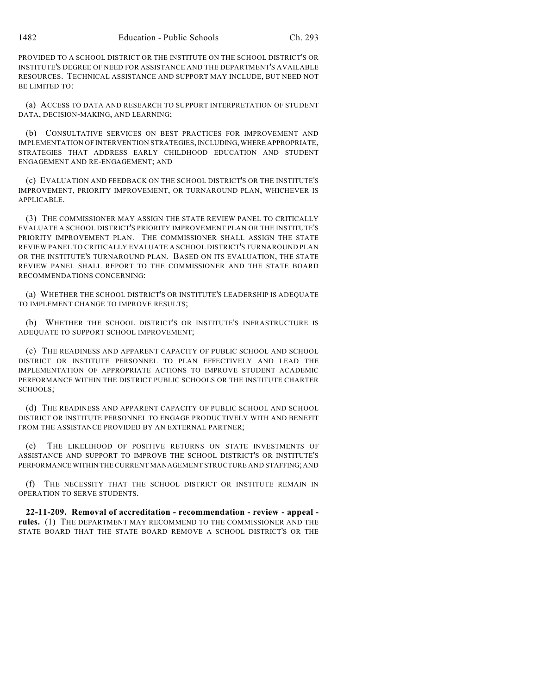PROVIDED TO A SCHOOL DISTRICT OR THE INSTITUTE ON THE SCHOOL DISTRICT'S OR INSTITUTE'S DEGREE OF NEED FOR ASSISTANCE AND THE DEPARTMENT'S AVAILABLE RESOURCES. TECHNICAL ASSISTANCE AND SUPPORT MAY INCLUDE, BUT NEED NOT BE LIMITED TO:

(a) ACCESS TO DATA AND RESEARCH TO SUPPORT INTERPRETATION OF STUDENT DATA, DECISION-MAKING, AND LEARNING;

(b) CONSULTATIVE SERVICES ON BEST PRACTICES FOR IMPROVEMENT AND IMPLEMENTATION OF INTERVENTION STRATEGIES, INCLUDING, WHERE APPROPRIATE, STRATEGIES THAT ADDRESS EARLY CHILDHOOD EDUCATION AND STUDENT ENGAGEMENT AND RE-ENGAGEMENT; AND

(c) EVALUATION AND FEEDBACK ON THE SCHOOL DISTRICT'S OR THE INSTITUTE'S IMPROVEMENT, PRIORITY IMPROVEMENT, OR TURNAROUND PLAN, WHICHEVER IS APPLICABLE.

(3) THE COMMISSIONER MAY ASSIGN THE STATE REVIEW PANEL TO CRITICALLY EVALUATE A SCHOOL DISTRICT'S PRIORITY IMPROVEMENT PLAN OR THE INSTITUTE'S PRIORITY IMPROVEMENT PLAN. THE COMMISSIONER SHALL ASSIGN THE STATE REVIEW PANEL TO CRITICALLY EVALUATE A SCHOOL DISTRICT'S TURNAROUND PLAN OR THE INSTITUTE'S TURNAROUND PLAN. BASED ON ITS EVALUATION, THE STATE REVIEW PANEL SHALL REPORT TO THE COMMISSIONER AND THE STATE BOARD RECOMMENDATIONS CONCERNING:

(a) WHETHER THE SCHOOL DISTRICT'S OR INSTITUTE'S LEADERSHIP IS ADEQUATE TO IMPLEMENT CHANGE TO IMPROVE RESULTS;

(b) WHETHER THE SCHOOL DISTRICT'S OR INSTITUTE'S INFRASTRUCTURE IS ADEQUATE TO SUPPORT SCHOOL IMPROVEMENT;

(c) THE READINESS AND APPARENT CAPACITY OF PUBLIC SCHOOL AND SCHOOL DISTRICT OR INSTITUTE PERSONNEL TO PLAN EFFECTIVELY AND LEAD THE IMPLEMENTATION OF APPROPRIATE ACTIONS TO IMPROVE STUDENT ACADEMIC PERFORMANCE WITHIN THE DISTRICT PUBLIC SCHOOLS OR THE INSTITUTE CHARTER SCHOOLS;

(d) THE READINESS AND APPARENT CAPACITY OF PUBLIC SCHOOL AND SCHOOL DISTRICT OR INSTITUTE PERSONNEL TO ENGAGE PRODUCTIVELY WITH AND BENEFIT FROM THE ASSISTANCE PROVIDED BY AN EXTERNAL PARTNER;

(e) THE LIKELIHOOD OF POSITIVE RETURNS ON STATE INVESTMENTS OF ASSISTANCE AND SUPPORT TO IMPROVE THE SCHOOL DISTRICT'S OR INSTITUTE'S PERFORMANCE WITHIN THE CURRENT MANAGEMENT STRUCTURE AND STAFFING; AND

(f) THE NECESSITY THAT THE SCHOOL DISTRICT OR INSTITUTE REMAIN IN OPERATION TO SERVE STUDENTS.

**22-11-209. Removal of accreditation - recommendation - review - appeal rules.** (1) THE DEPARTMENT MAY RECOMMEND TO THE COMMISSIONER AND THE STATE BOARD THAT THE STATE BOARD REMOVE A SCHOOL DISTRICT'S OR THE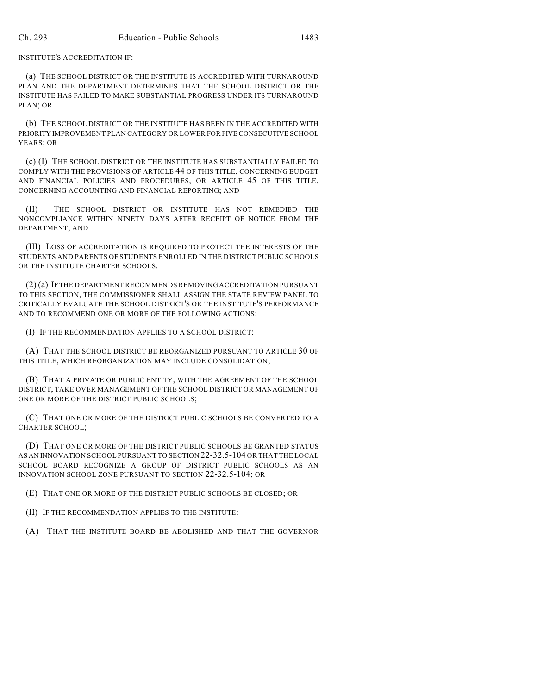INSTITUTE'S ACCREDITATION IF:

(a) THE SCHOOL DISTRICT OR THE INSTITUTE IS ACCREDITED WITH TURNAROUND PLAN AND THE DEPARTMENT DETERMINES THAT THE SCHOOL DISTRICT OR THE INSTITUTE HAS FAILED TO MAKE SUBSTANTIAL PROGRESS UNDER ITS TURNAROUND PLAN; OR

(b) THE SCHOOL DISTRICT OR THE INSTITUTE HAS BEEN IN THE ACCREDITED WITH PRIORITY IMPROVEMENT PLAN CATEGORY OR LOWER FOR FIVE CONSECUTIVE SCHOOL YEARS; OR

(c) (I) THE SCHOOL DISTRICT OR THE INSTITUTE HAS SUBSTANTIALLY FAILED TO COMPLY WITH THE PROVISIONS OF ARTICLE 44 OF THIS TITLE, CONCERNING BUDGET AND FINANCIAL POLICIES AND PROCEDURES, OR ARTICLE 45 OF THIS TITLE, CONCERNING ACCOUNTING AND FINANCIAL REPORTING; AND

(II) THE SCHOOL DISTRICT OR INSTITUTE HAS NOT REMEDIED THE NONCOMPLIANCE WITHIN NINETY DAYS AFTER RECEIPT OF NOTICE FROM THE DEPARTMENT; AND

(III) LOSS OF ACCREDITATION IS REQUIRED TO PROTECT THE INTERESTS OF THE STUDENTS AND PARENTS OF STUDENTS ENROLLED IN THE DISTRICT PUBLIC SCHOOLS OR THE INSTITUTE CHARTER SCHOOLS.

(2) (a) IF THE DEPARTMENT RECOMMENDS REMOVING ACCREDITATION PURSUANT TO THIS SECTION, THE COMMISSIONER SHALL ASSIGN THE STATE REVIEW PANEL TO CRITICALLY EVALUATE THE SCHOOL DISTRICT'S OR THE INSTITUTE'S PERFORMANCE AND TO RECOMMEND ONE OR MORE OF THE FOLLOWING ACTIONS:

(I) IF THE RECOMMENDATION APPLIES TO A SCHOOL DISTRICT:

(A) THAT THE SCHOOL DISTRICT BE REORGANIZED PURSUANT TO ARTICLE 30 OF THIS TITLE, WHICH REORGANIZATION MAY INCLUDE CONSOLIDATION;

(B) THAT A PRIVATE OR PUBLIC ENTITY, WITH THE AGREEMENT OF THE SCHOOL DISTRICT, TAKE OVER MANAGEMENT OF THE SCHOOL DISTRICT OR MANAGEMENT OF ONE OR MORE OF THE DISTRICT PUBLIC SCHOOLS;

(C) THAT ONE OR MORE OF THE DISTRICT PUBLIC SCHOOLS BE CONVERTED TO A CHARTER SCHOOL;

(D) THAT ONE OR MORE OF THE DISTRICT PUBLIC SCHOOLS BE GRANTED STATUS AS AN INNOVATION SCHOOL PURSUANT TO SECTION 22-32.5-104 OR THAT THE LOCAL SCHOOL BOARD RECOGNIZE A GROUP OF DISTRICT PUBLIC SCHOOLS AS AN INNOVATION SCHOOL ZONE PURSUANT TO SECTION 22-32.5-104; OR

(E) THAT ONE OR MORE OF THE DISTRICT PUBLIC SCHOOLS BE CLOSED; OR

(II) IF THE RECOMMENDATION APPLIES TO THE INSTITUTE:

(A) THAT THE INSTITUTE BOARD BE ABOLISHED AND THAT THE GOVERNOR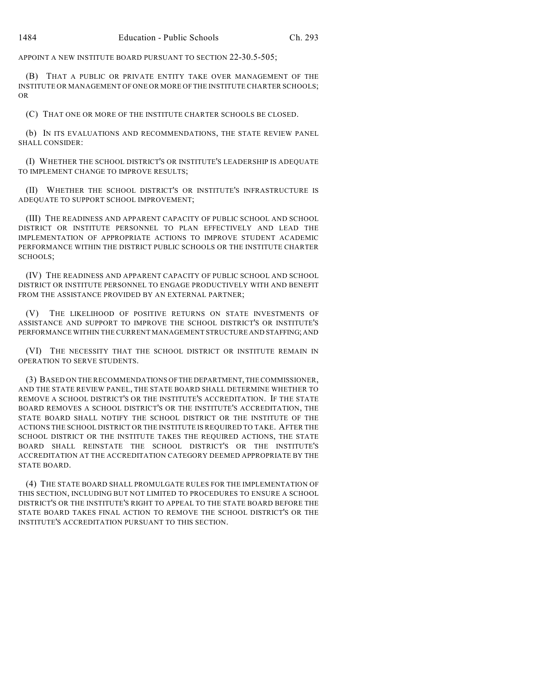APPOINT A NEW INSTITUTE BOARD PURSUANT TO SECTION 22-30.5-505;

(B) THAT A PUBLIC OR PRIVATE ENTITY TAKE OVER MANAGEMENT OF THE INSTITUTE OR MANAGEMENT OF ONE OR MORE OFTHE INSTITUTE CHARTER SCHOOLS; OR

(C) THAT ONE OR MORE OF THE INSTITUTE CHARTER SCHOOLS BE CLOSED.

(b) IN ITS EVALUATIONS AND RECOMMENDATIONS, THE STATE REVIEW PANEL SHALL CONSIDER:

(I) WHETHER THE SCHOOL DISTRICT'S OR INSTITUTE'S LEADERSHIP IS ADEQUATE TO IMPLEMENT CHANGE TO IMPROVE RESULTS;

(II) WHETHER THE SCHOOL DISTRICT'S OR INSTITUTE'S INFRASTRUCTURE IS ADEQUATE TO SUPPORT SCHOOL IMPROVEMENT;

(III) THE READINESS AND APPARENT CAPACITY OF PUBLIC SCHOOL AND SCHOOL DISTRICT OR INSTITUTE PERSONNEL TO PLAN EFFECTIVELY AND LEAD THE IMPLEMENTATION OF APPROPRIATE ACTIONS TO IMPROVE STUDENT ACADEMIC PERFORMANCE WITHIN THE DISTRICT PUBLIC SCHOOLS OR THE INSTITUTE CHARTER SCHOOLS;

(IV) THE READINESS AND APPARENT CAPACITY OF PUBLIC SCHOOL AND SCHOOL DISTRICT OR INSTITUTE PERSONNEL TO ENGAGE PRODUCTIVELY WITH AND BENEFIT FROM THE ASSISTANCE PROVIDED BY AN EXTERNAL PARTNER;

(V) THE LIKELIHOOD OF POSITIVE RETURNS ON STATE INVESTMENTS OF ASSISTANCE AND SUPPORT TO IMPROVE THE SCHOOL DISTRICT'S OR INSTITUTE'S PERFORMANCE WITHIN THE CURRENT MANAGEMENT STRUCTURE AND STAFFING; AND

(VI) THE NECESSITY THAT THE SCHOOL DISTRICT OR INSTITUTE REMAIN IN OPERATION TO SERVE STUDENTS.

(3) BASED ON THE RECOMMENDATIONS OF THE DEPARTMENT, THE COMMISSIONER, AND THE STATE REVIEW PANEL, THE STATE BOARD SHALL DETERMINE WHETHER TO REMOVE A SCHOOL DISTRICT'S OR THE INSTITUTE'S ACCREDITATION. IF THE STATE BOARD REMOVES A SCHOOL DISTRICT'S OR THE INSTITUTE'S ACCREDITATION, THE STATE BOARD SHALL NOTIFY THE SCHOOL DISTRICT OR THE INSTITUTE OF THE ACTIONS THE SCHOOL DISTRICT OR THE INSTITUTE IS REQUIRED TO TAKE. AFTER THE SCHOOL DISTRICT OR THE INSTITUTE TAKES THE REQUIRED ACTIONS, THE STATE BOARD SHALL REINSTATE THE SCHOOL DISTRICT'S OR THE INSTITUTE'S ACCREDITATION AT THE ACCREDITATION CATEGORY DEEMED APPROPRIATE BY THE STATE BOARD.

(4) THE STATE BOARD SHALL PROMULGATE RULES FOR THE IMPLEMENTATION OF THIS SECTION, INCLUDING BUT NOT LIMITED TO PROCEDURES TO ENSURE A SCHOOL DISTRICT'S OR THE INSTITUTE'S RIGHT TO APPEAL TO THE STATE BOARD BEFORE THE STATE BOARD TAKES FINAL ACTION TO REMOVE THE SCHOOL DISTRICT'S OR THE INSTITUTE'S ACCREDITATION PURSUANT TO THIS SECTION.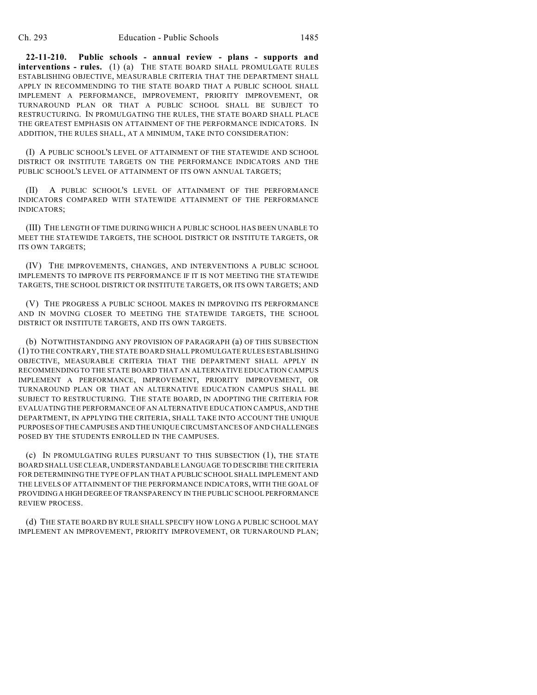**22-11-210. Public schools - annual review - plans - supports and interventions - rules.** (1) (a) THE STATE BOARD SHALL PROMULGATE RULES ESTABLISHING OBJECTIVE, MEASURABLE CRITERIA THAT THE DEPARTMENT SHALL APPLY IN RECOMMENDING TO THE STATE BOARD THAT A PUBLIC SCHOOL SHALL IMPLEMENT A PERFORMANCE, IMPROVEMENT, PRIORITY IMPROVEMENT, OR TURNAROUND PLAN OR THAT A PUBLIC SCHOOL SHALL BE SUBJECT TO RESTRUCTURING. IN PROMULGATING THE RULES, THE STATE BOARD SHALL PLACE THE GREATEST EMPHASIS ON ATTAINMENT OF THE PERFORMANCE INDICATORS. IN ADDITION, THE RULES SHALL, AT A MINIMUM, TAKE INTO CONSIDERATION:

(I) A PUBLIC SCHOOL'S LEVEL OF ATTAINMENT OF THE STATEWIDE AND SCHOOL DISTRICT OR INSTITUTE TARGETS ON THE PERFORMANCE INDICATORS AND THE PUBLIC SCHOOL'S LEVEL OF ATTAINMENT OF ITS OWN ANNUAL TARGETS;

(II) A PUBLIC SCHOOL'S LEVEL OF ATTAINMENT OF THE PERFORMANCE INDICATORS COMPARED WITH STATEWIDE ATTAINMENT OF THE PERFORMANCE INDICATORS;

(III) THE LENGTH OF TIME DURING WHICH A PUBLIC SCHOOL HAS BEEN UNABLE TO MEET THE STATEWIDE TARGETS, THE SCHOOL DISTRICT OR INSTITUTE TARGETS, OR ITS OWN TARGETS;

(IV) THE IMPROVEMENTS, CHANGES, AND INTERVENTIONS A PUBLIC SCHOOL IMPLEMENTS TO IMPROVE ITS PERFORMANCE IF IT IS NOT MEETING THE STATEWIDE TARGETS, THE SCHOOL DISTRICT OR INSTITUTE TARGETS, OR ITS OWN TARGETS; AND

(V) THE PROGRESS A PUBLIC SCHOOL MAKES IN IMPROVING ITS PERFORMANCE AND IN MOVING CLOSER TO MEETING THE STATEWIDE TARGETS, THE SCHOOL DISTRICT OR INSTITUTE TARGETS, AND ITS OWN TARGETS.

(b) NOTWITHSTANDING ANY PROVISION OF PARAGRAPH (a) OF THIS SUBSECTION (1) TO THE CONTRARY, THE STATE BOARD SHALL PROMULGATE RULES ESTABLISHING OBJECTIVE, MEASURABLE CRITERIA THAT THE DEPARTMENT SHALL APPLY IN RECOMMENDING TO THE STATE BOARD THAT AN ALTERNATIVE EDUCATION CAMPUS IMPLEMENT A PERFORMANCE, IMPROVEMENT, PRIORITY IMPROVEMENT, OR TURNAROUND PLAN OR THAT AN ALTERNATIVE EDUCATION CAMPUS SHALL BE SUBJECT TO RESTRUCTURING. THE STATE BOARD, IN ADOPTING THE CRITERIA FOR EVALUATING THE PERFORMANCE OF AN ALTERNATIVE EDUCATION CAMPUS, AND THE DEPARTMENT, IN APPLYING THE CRITERIA, SHALL TAKE INTO ACCOUNT THE UNIQUE PURPOSES OF THE CAMPUSES AND THE UNIQUE CIRCUMSTANCES OF AND CHALLENGES POSED BY THE STUDENTS ENROLLED IN THE CAMPUSES.

(c) IN PROMULGATING RULES PURSUANT TO THIS SUBSECTION (1), THE STATE BOARD SHALL USE CLEAR, UNDERSTANDABLE LANGUAGE TO DESCRIBE THE CRITERIA FOR DETERMINING THE TYPE OF PLAN THAT A PUBLIC SCHOOL SHALL IMPLEMENT AND THE LEVELS OF ATTAINMENT OF THE PERFORMANCE INDICATORS, WITH THE GOAL OF PROVIDING A HIGH DEGREE OF TRANSPARENCY IN THE PUBLIC SCHOOL PERFORMANCE REVIEW PROCESS.

(d) THE STATE BOARD BY RULE SHALL SPECIFY HOW LONG A PUBLIC SCHOOL MAY IMPLEMENT AN IMPROVEMENT, PRIORITY IMPROVEMENT, OR TURNAROUND PLAN;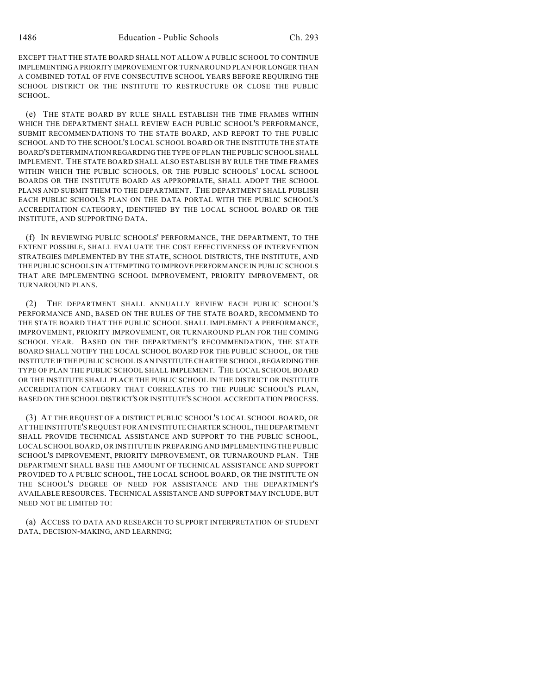EXCEPT THAT THE STATE BOARD SHALL NOT ALLOW A PUBLIC SCHOOL TO CONTINUE IMPLEMENTING A PRIORITY IMPROVEMENT OR TURNAROUND PLAN FOR LONGER THAN A COMBINED TOTAL OF FIVE CONSECUTIVE SCHOOL YEARS BEFORE REQUIRING THE SCHOOL DISTRICT OR THE INSTITUTE TO RESTRUCTURE OR CLOSE THE PUBLIC SCHOOL.

(e) THE STATE BOARD BY RULE SHALL ESTABLISH THE TIME FRAMES WITHIN WHICH THE DEPARTMENT SHALL REVIEW EACH PUBLIC SCHOOL'S PERFORMANCE, SUBMIT RECOMMENDATIONS TO THE STATE BOARD, AND REPORT TO THE PUBLIC SCHOOL AND TO THE SCHOOL'S LOCAL SCHOOL BOARD OR THE INSTITUTE THE STATE BOARD'S DETERMINATION REGARDING THE TYPE OF PLAN THE PUBLIC SCHOOL SHALL IMPLEMENT. THE STATE BOARD SHALL ALSO ESTABLISH BY RULE THE TIME FRAMES WITHIN WHICH THE PUBLIC SCHOOLS, OR THE PUBLIC SCHOOLS' LOCAL SCHOOL BOARDS OR THE INSTITUTE BOARD AS APPROPRIATE, SHALL ADOPT THE SCHOOL PLANS AND SUBMIT THEM TO THE DEPARTMENT. THE DEPARTMENT SHALL PUBLISH EACH PUBLIC SCHOOL'S PLAN ON THE DATA PORTAL WITH THE PUBLIC SCHOOL'S ACCREDITATION CATEGORY, IDENTIFIED BY THE LOCAL SCHOOL BOARD OR THE INSTITUTE, AND SUPPORTING DATA.

(f) IN REVIEWING PUBLIC SCHOOLS' PERFORMANCE, THE DEPARTMENT, TO THE EXTENT POSSIBLE, SHALL EVALUATE THE COST EFFECTIVENESS OF INTERVENTION STRATEGIES IMPLEMENTED BY THE STATE, SCHOOL DISTRICTS, THE INSTITUTE, AND THE PUBLIC SCHOOLS IN ATTEMPTING TO IMPROVE PERFORMANCE IN PUBLIC SCHOOLS THAT ARE IMPLEMENTING SCHOOL IMPROVEMENT, PRIORITY IMPROVEMENT, OR TURNAROUND PLANS.

(2) THE DEPARTMENT SHALL ANNUALLY REVIEW EACH PUBLIC SCHOOL'S PERFORMANCE AND, BASED ON THE RULES OF THE STATE BOARD, RECOMMEND TO THE STATE BOARD THAT THE PUBLIC SCHOOL SHALL IMPLEMENT A PERFORMANCE, IMPROVEMENT, PRIORITY IMPROVEMENT, OR TURNAROUND PLAN FOR THE COMING SCHOOL YEAR. BASED ON THE DEPARTMENT'S RECOMMENDATION, THE STATE BOARD SHALL NOTIFY THE LOCAL SCHOOL BOARD FOR THE PUBLIC SCHOOL, OR THE INSTITUTE IF THE PUBLIC SCHOOL IS AN INSTITUTE CHARTER SCHOOL, REGARDING THE TYPE OF PLAN THE PUBLIC SCHOOL SHALL IMPLEMENT. THE LOCAL SCHOOL BOARD OR THE INSTITUTE SHALL PLACE THE PUBLIC SCHOOL IN THE DISTRICT OR INSTITUTE ACCREDITATION CATEGORY THAT CORRELATES TO THE PUBLIC SCHOOL'S PLAN, BASED ON THE SCHOOL DISTRICT'S OR INSTITUTE'S SCHOOL ACCREDITATION PROCESS.

(3) AT THE REQUEST OF A DISTRICT PUBLIC SCHOOL'S LOCAL SCHOOL BOARD, OR AT THE INSTITUTE'S REQUEST FOR AN INSTITUTE CHARTER SCHOOL, THE DEPARTMENT SHALL PROVIDE TECHNICAL ASSISTANCE AND SUPPORT TO THE PUBLIC SCHOOL, LOCAL SCHOOL BOARD, OR INSTITUTE IN PREPARING AND IMPLEMENTING THE PUBLIC SCHOOL'S IMPROVEMENT, PRIORITY IMPROVEMENT, OR TURNAROUND PLAN. THE DEPARTMENT SHALL BASE THE AMOUNT OF TECHNICAL ASSISTANCE AND SUPPORT PROVIDED TO A PUBLIC SCHOOL, THE LOCAL SCHOOL BOARD, OR THE INSTITUTE ON THE SCHOOL'S DEGREE OF NEED FOR ASSISTANCE AND THE DEPARTMENT'S AVAILABLE RESOURCES. TECHNICAL ASSISTANCE AND SUPPORT MAY INCLUDE, BUT NEED NOT BE LIMITED TO:

(a) ACCESS TO DATA AND RESEARCH TO SUPPORT INTERPRETATION OF STUDENT DATA, DECISION-MAKING, AND LEARNING;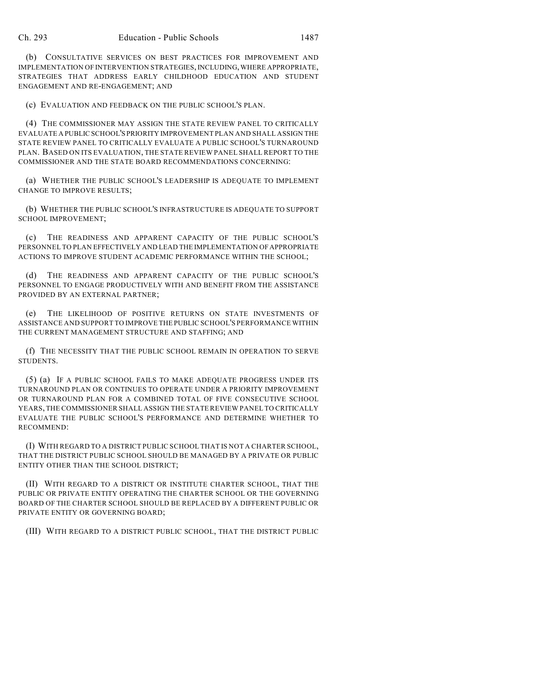(b) CONSULTATIVE SERVICES ON BEST PRACTICES FOR IMPROVEMENT AND IMPLEMENTATION OF INTERVENTION STRATEGIES, INCLUDING, WHERE APPROPRIATE, STRATEGIES THAT ADDRESS EARLY CHILDHOOD EDUCATION AND STUDENT ENGAGEMENT AND RE-ENGAGEMENT; AND

(c) EVALUATION AND FEEDBACK ON THE PUBLIC SCHOOL'S PLAN.

(4) THE COMMISSIONER MAY ASSIGN THE STATE REVIEW PANEL TO CRITICALLY EVALUATE A PUBLIC SCHOOL'S PRIORITY IMPROVEMENT PLAN AND SHALL ASSIGN THE STATE REVIEW PANEL TO CRITICALLY EVALUATE A PUBLIC SCHOOL'S TURNAROUND PLAN. BASED ON ITS EVALUATION, THE STATE REVIEW PANEL SHALL REPORT TO THE COMMISSIONER AND THE STATE BOARD RECOMMENDATIONS CONCERNING:

(a) WHETHER THE PUBLIC SCHOOL'S LEADERSHIP IS ADEQUATE TO IMPLEMENT CHANGE TO IMPROVE RESULTS;

(b) WHETHER THE PUBLIC SCHOOL'S INFRASTRUCTURE IS ADEQUATE TO SUPPORT SCHOOL IMPROVEMENT;

(c) THE READINESS AND APPARENT CAPACITY OF THE PUBLIC SCHOOL'S PERSONNEL TO PLAN EFFECTIVELY AND LEAD THE IMPLEMENTATION OF APPROPRIATE ACTIONS TO IMPROVE STUDENT ACADEMIC PERFORMANCE WITHIN THE SCHOOL;

(d) THE READINESS AND APPARENT CAPACITY OF THE PUBLIC SCHOOL'S PERSONNEL TO ENGAGE PRODUCTIVELY WITH AND BENEFIT FROM THE ASSISTANCE PROVIDED BY AN EXTERNAL PARTNER;

(e) THE LIKELIHOOD OF POSITIVE RETURNS ON STATE INVESTMENTS OF ASSISTANCE AND SUPPORT TO IMPROVE THE PUBLIC SCHOOL'S PERFORMANCE WITHIN THE CURRENT MANAGEMENT STRUCTURE AND STAFFING; AND

(f) THE NECESSITY THAT THE PUBLIC SCHOOL REMAIN IN OPERATION TO SERVE STUDENTS.

(5) (a) IF A PUBLIC SCHOOL FAILS TO MAKE ADEQUATE PROGRESS UNDER ITS TURNAROUND PLAN OR CONTINUES TO OPERATE UNDER A PRIORITY IMPROVEMENT OR TURNAROUND PLAN FOR A COMBINED TOTAL OF FIVE CONSECUTIVE SCHOOL YEARS, THE COMMISSIONER SHALL ASSIGN THE STATE REVIEW PANEL TO CRITICALLY EVALUATE THE PUBLIC SCHOOL'S PERFORMANCE AND DETERMINE WHETHER TO RECOMMEND:

(I) WITH REGARD TO A DISTRICT PUBLIC SCHOOL THAT IS NOT A CHARTER SCHOOL, THAT THE DISTRICT PUBLIC SCHOOL SHOULD BE MANAGED BY A PRIVATE OR PUBLIC ENTITY OTHER THAN THE SCHOOL DISTRICT;

(II) WITH REGARD TO A DISTRICT OR INSTITUTE CHARTER SCHOOL, THAT THE PUBLIC OR PRIVATE ENTITY OPERATING THE CHARTER SCHOOL OR THE GOVERNING BOARD OF THE CHARTER SCHOOL SHOULD BE REPLACED BY A DIFFERENT PUBLIC OR PRIVATE ENTITY OR GOVERNING BOARD;

(III) WITH REGARD TO A DISTRICT PUBLIC SCHOOL, THAT THE DISTRICT PUBLIC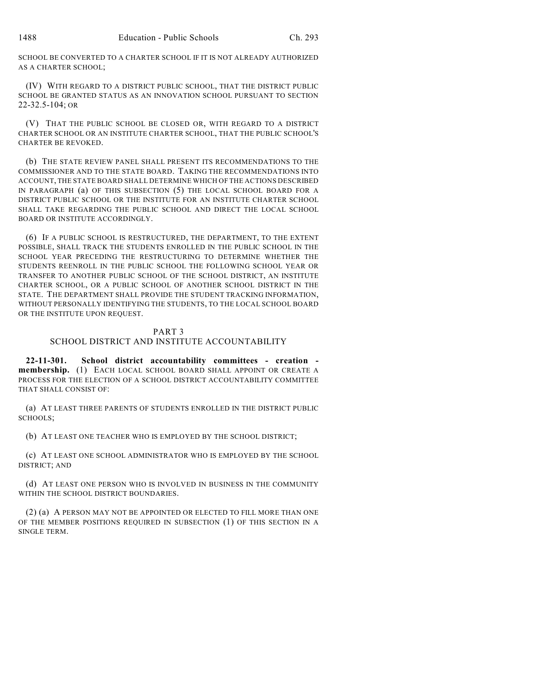SCHOOL BE CONVERTED TO A CHARTER SCHOOL IF IT IS NOT ALREADY AUTHORIZED AS A CHARTER SCHOOL;

(IV) WITH REGARD TO A DISTRICT PUBLIC SCHOOL, THAT THE DISTRICT PUBLIC SCHOOL BE GRANTED STATUS AS AN INNOVATION SCHOOL PURSUANT TO SECTION 22-32.5-104; OR

(V) THAT THE PUBLIC SCHOOL BE CLOSED OR, WITH REGARD TO A DISTRICT CHARTER SCHOOL OR AN INSTITUTE CHARTER SCHOOL, THAT THE PUBLIC SCHOOL'S CHARTER BE REVOKED.

(b) THE STATE REVIEW PANEL SHALL PRESENT ITS RECOMMENDATIONS TO THE COMMISSIONER AND TO THE STATE BOARD. TAKING THE RECOMMENDATIONS INTO ACCOUNT, THE STATE BOARD SHALL DETERMINE WHICH OF THE ACTIONS DESCRIBED IN PARAGRAPH (a) OF THIS SUBSECTION (5) THE LOCAL SCHOOL BOARD FOR A DISTRICT PUBLIC SCHOOL OR THE INSTITUTE FOR AN INSTITUTE CHARTER SCHOOL SHALL TAKE REGARDING THE PUBLIC SCHOOL AND DIRECT THE LOCAL SCHOOL BOARD OR INSTITUTE ACCORDINGLY.

(6) IF A PUBLIC SCHOOL IS RESTRUCTURED, THE DEPARTMENT, TO THE EXTENT POSSIBLE, SHALL TRACK THE STUDENTS ENROLLED IN THE PUBLIC SCHOOL IN THE SCHOOL YEAR PRECEDING THE RESTRUCTURING TO DETERMINE WHETHER THE STUDENTS REENROLL IN THE PUBLIC SCHOOL THE FOLLOWING SCHOOL YEAR OR TRANSFER TO ANOTHER PUBLIC SCHOOL OF THE SCHOOL DISTRICT, AN INSTITUTE CHARTER SCHOOL, OR A PUBLIC SCHOOL OF ANOTHER SCHOOL DISTRICT IN THE STATE. THE DEPARTMENT SHALL PROVIDE THE STUDENT TRACKING INFORMATION, WITHOUT PERSONALLY IDENTIFYING THE STUDENTS, TO THE LOCAL SCHOOL BOARD OR THE INSTITUTE UPON REQUEST.

### PART 3

## SCHOOL DISTRICT AND INSTITUTE ACCOUNTABILITY

**22-11-301. School district accountability committees - creation membership.** (1) EACH LOCAL SCHOOL BOARD SHALL APPOINT OR CREATE A PROCESS FOR THE ELECTION OF A SCHOOL DISTRICT ACCOUNTABILITY COMMITTEE THAT SHALL CONSIST OF:

(a) AT LEAST THREE PARENTS OF STUDENTS ENROLLED IN THE DISTRICT PUBLIC SCHOOLS;

(b) AT LEAST ONE TEACHER WHO IS EMPLOYED BY THE SCHOOL DISTRICT;

(c) AT LEAST ONE SCHOOL ADMINISTRATOR WHO IS EMPLOYED BY THE SCHOOL DISTRICT; AND

(d) AT LEAST ONE PERSON WHO IS INVOLVED IN BUSINESS IN THE COMMUNITY WITHIN THE SCHOOL DISTRICT BOUNDARIES.

(2) (a) A PERSON MAY NOT BE APPOINTED OR ELECTED TO FILL MORE THAN ONE OF THE MEMBER POSITIONS REQUIRED IN SUBSECTION (1) OF THIS SECTION IN A SINGLE TERM.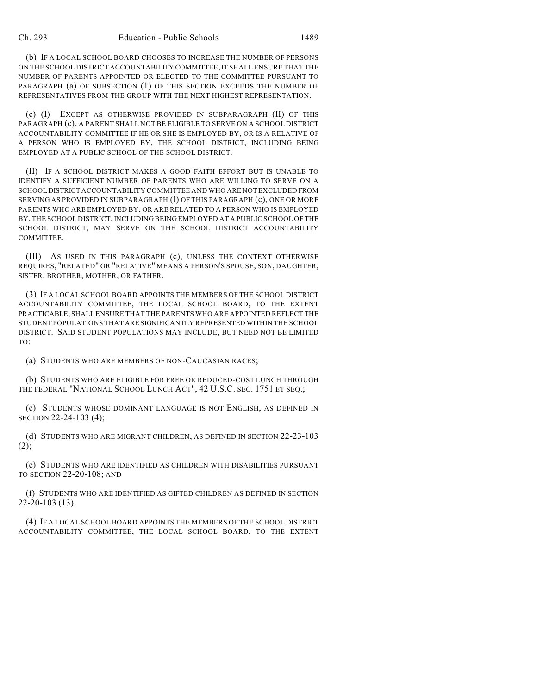(b) IF A LOCAL SCHOOL BOARD CHOOSES TO INCREASE THE NUMBER OF PERSONS ON THE SCHOOL DISTRICT ACCOUNTABILITY COMMITTEE, IT SHALL ENSURE THAT THE NUMBER OF PARENTS APPOINTED OR ELECTED TO THE COMMITTEE PURSUANT TO PARAGRAPH (a) OF SUBSECTION (1) OF THIS SECTION EXCEEDS THE NUMBER OF REPRESENTATIVES FROM THE GROUP WITH THE NEXT HIGHEST REPRESENTATION.

(c) (I) EXCEPT AS OTHERWISE PROVIDED IN SUBPARAGRAPH (II) OF THIS PARAGRAPH (c), A PARENT SHALL NOT BE ELIGIBLE TO SERVE ON A SCHOOL DISTRICT ACCOUNTABILITY COMMITTEE IF HE OR SHE IS EMPLOYED BY, OR IS A RELATIVE OF A PERSON WHO IS EMPLOYED BY, THE SCHOOL DISTRICT, INCLUDING BEING EMPLOYED AT A PUBLIC SCHOOL OF THE SCHOOL DISTRICT.

(II) IF A SCHOOL DISTRICT MAKES A GOOD FAITH EFFORT BUT IS UNABLE TO IDENTIFY A SUFFICIENT NUMBER OF PARENTS WHO ARE WILLING TO SERVE ON A SCHOOL DISTRICT ACCOUNTABILITY COMMITTEE AND WHO ARE NOT EXCLUDED FROM SERVING AS PROVIDED IN SUBPARAGRAPH (I) OF THIS PARAGRAPH (c), ONE OR MORE PARENTS WHO ARE EMPLOYED BY, OR ARE RELATED TO A PERSON WHO IS EMPLOYED BY, THE SCHOOL DISTRICT, INCLUDING BEING EMPLOYED AT A PUBLIC SCHOOL OF THE SCHOOL DISTRICT, MAY SERVE ON THE SCHOOL DISTRICT ACCOUNTABILITY COMMITTEE.

(III) AS USED IN THIS PARAGRAPH (c), UNLESS THE CONTEXT OTHERWISE REQUIRES, "RELATED" OR "RELATIVE" MEANS A PERSON'S SPOUSE, SON, DAUGHTER, SISTER, BROTHER, MOTHER, OR FATHER.

(3) IF A LOCAL SCHOOL BOARD APPOINTS THE MEMBERS OF THE SCHOOL DISTRICT ACCOUNTABILITY COMMITTEE, THE LOCAL SCHOOL BOARD, TO THE EXTENT PRACTICABLE, SHALL ENSURE THAT THE PARENTS WHO ARE APPOINTED REFLECT THE STUDENT POPULATIONS THAT ARE SIGNIFICANTLY REPRESENTED WITHIN THE SCHOOL DISTRICT. SAID STUDENT POPULATIONS MAY INCLUDE, BUT NEED NOT BE LIMITED TO:

(a) STUDENTS WHO ARE MEMBERS OF NON-CAUCASIAN RACES;

(b) STUDENTS WHO ARE ELIGIBLE FOR FREE OR REDUCED-COST LUNCH THROUGH THE FEDERAL "NATIONAL SCHOOL LUNCH ACT", 42 U.S.C. SEC. 1751 ET SEQ.;

(c) STUDENTS WHOSE DOMINANT LANGUAGE IS NOT ENGLISH, AS DEFINED IN SECTION 22-24-103 (4);

(d) STUDENTS WHO ARE MIGRANT CHILDREN, AS DEFINED IN SECTION 22-23-103  $(2);$ 

(e) STUDENTS WHO ARE IDENTIFIED AS CHILDREN WITH DISABILITIES PURSUANT TO SECTION 22-20-108; AND

(f) STUDENTS WHO ARE IDENTIFIED AS GIFTED CHILDREN AS DEFINED IN SECTION 22-20-103 (13).

(4) IF A LOCAL SCHOOL BOARD APPOINTS THE MEMBERS OF THE SCHOOL DISTRICT ACCOUNTABILITY COMMITTEE, THE LOCAL SCHOOL BOARD, TO THE EXTENT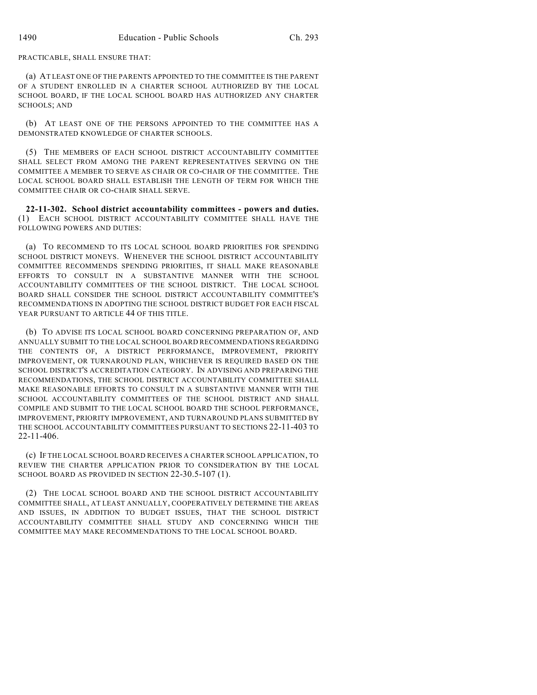PRACTICABLE, SHALL ENSURE THAT:

(a) AT LEAST ONE OF THE PARENTS APPOINTED TO THE COMMITTEE IS THE PARENT OF A STUDENT ENROLLED IN A CHARTER SCHOOL AUTHORIZED BY THE LOCAL SCHOOL BOARD, IF THE LOCAL SCHOOL BOARD HAS AUTHORIZED ANY CHARTER SCHOOLS; AND

(b) AT LEAST ONE OF THE PERSONS APPOINTED TO THE COMMITTEE HAS A DEMONSTRATED KNOWLEDGE OF CHARTER SCHOOLS.

(5) THE MEMBERS OF EACH SCHOOL DISTRICT ACCOUNTABILITY COMMITTEE SHALL SELECT FROM AMONG THE PARENT REPRESENTATIVES SERVING ON THE COMMITTEE A MEMBER TO SERVE AS CHAIR OR CO-CHAIR OF THE COMMITTEE. THE LOCAL SCHOOL BOARD SHALL ESTABLISH THE LENGTH OF TERM FOR WHICH THE COMMITTEE CHAIR OR CO-CHAIR SHALL SERVE.

**22-11-302. School district accountability committees - powers and duties.** (1) EACH SCHOOL DISTRICT ACCOUNTABILITY COMMITTEE SHALL HAVE THE FOLLOWING POWERS AND DUTIES:

(a) TO RECOMMEND TO ITS LOCAL SCHOOL BOARD PRIORITIES FOR SPENDING SCHOOL DISTRICT MONEYS. WHENEVER THE SCHOOL DISTRICT ACCOUNTABILITY COMMITTEE RECOMMENDS SPENDING PRIORITIES, IT SHALL MAKE REASONABLE EFFORTS TO CONSULT IN A SUBSTANTIVE MANNER WITH THE SCHOOL ACCOUNTABILITY COMMITTEES OF THE SCHOOL DISTRICT. THE LOCAL SCHOOL BOARD SHALL CONSIDER THE SCHOOL DISTRICT ACCOUNTABILITY COMMITTEE'S RECOMMENDATIONS IN ADOPTING THE SCHOOL DISTRICT BUDGET FOR EACH FISCAL YEAR PURSUANT TO ARTICLE 44 OF THIS TITLE.

(b) TO ADVISE ITS LOCAL SCHOOL BOARD CONCERNING PREPARATION OF, AND ANNUALLY SUBMIT TO THE LOCAL SCHOOL BOARD RECOMMENDATIONS REGARDING THE CONTENTS OF, A DISTRICT PERFORMANCE, IMPROVEMENT, PRIORITY IMPROVEMENT, OR TURNAROUND PLAN, WHICHEVER IS REQUIRED BASED ON THE SCHOOL DISTRICT'S ACCREDITATION CATEGORY. IN ADVISING AND PREPARING THE RECOMMENDATIONS, THE SCHOOL DISTRICT ACCOUNTABILITY COMMITTEE SHALL MAKE REASONABLE EFFORTS TO CONSULT IN A SUBSTANTIVE MANNER WITH THE SCHOOL ACCOUNTABILITY COMMITTEES OF THE SCHOOL DISTRICT AND SHALL COMPILE AND SUBMIT TO THE LOCAL SCHOOL BOARD THE SCHOOL PERFORMANCE, IMPROVEMENT, PRIORITY IMPROVEMENT, AND TURNAROUND PLANS SUBMITTED BY THE SCHOOL ACCOUNTABILITY COMMITTEES PURSUANT TO SECTIONS 22-11-403 TO 22-11-406.

(c) IF THE LOCAL SCHOOL BOARD RECEIVES A CHARTER SCHOOL APPLICATION, TO REVIEW THE CHARTER APPLICATION PRIOR TO CONSIDERATION BY THE LOCAL SCHOOL BOARD AS PROVIDED IN SECTION 22-30.5-107 (1).

(2) THE LOCAL SCHOOL BOARD AND THE SCHOOL DISTRICT ACCOUNTABILITY COMMITTEE SHALL, AT LEAST ANNUALLY, COOPERATIVELY DETERMINE THE AREAS AND ISSUES, IN ADDITION TO BUDGET ISSUES, THAT THE SCHOOL DISTRICT ACCOUNTABILITY COMMITTEE SHALL STUDY AND CONCERNING WHICH THE COMMITTEE MAY MAKE RECOMMENDATIONS TO THE LOCAL SCHOOL BOARD.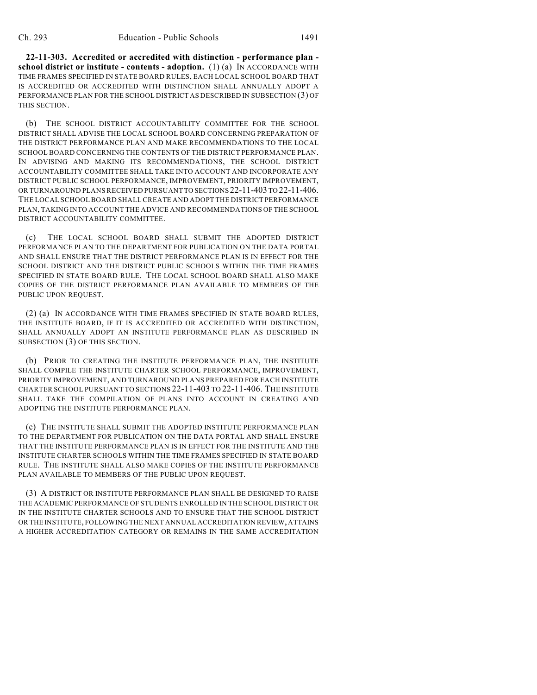**22-11-303. Accredited or accredited with distinction - performance plan school district or institute - contents - adoption.** (1) (a) IN ACCORDANCE WITH TIME FRAMES SPECIFIED IN STATE BOARD RULES, EACH LOCAL SCHOOL BOARD THAT IS ACCREDITED OR ACCREDITED WITH DISTINCTION SHALL ANNUALLY ADOPT A PERFORMANCE PLAN FOR THE SCHOOL DISTRICT AS DESCRIBED IN SUBSECTION (3) OF THIS SECTION.

(b) THE SCHOOL DISTRICT ACCOUNTABILITY COMMITTEE FOR THE SCHOOL DISTRICT SHALL ADVISE THE LOCAL SCHOOL BOARD CONCERNING PREPARATION OF THE DISTRICT PERFORMANCE PLAN AND MAKE RECOMMENDATIONS TO THE LOCAL SCHOOL BOARD CONCERNING THE CONTENTS OF THE DISTRICT PERFORMANCE PLAN. IN ADVISING AND MAKING ITS RECOMMENDATIONS, THE SCHOOL DISTRICT ACCOUNTABILITY COMMITTEE SHALL TAKE INTO ACCOUNT AND INCORPORATE ANY DISTRICT PUBLIC SCHOOL PERFORMANCE, IMPROVEMENT, PRIORITY IMPROVEMENT, OR TURNAROUND PLANS RECEIVED PURSUANT TO SECTIONS 22-11-403 TO 22-11-406. THE LOCAL SCHOOL BOARD SHALL CREATE AND ADOPT THE DISTRICT PERFORMANCE PLAN, TAKING INTO ACCOUNT THE ADVICE AND RECOMMENDATIONS OF THE SCHOOL DISTRICT ACCOUNTABILITY COMMITTEE.

(c) THE LOCAL SCHOOL BOARD SHALL SUBMIT THE ADOPTED DISTRICT PERFORMANCE PLAN TO THE DEPARTMENT FOR PUBLICATION ON THE DATA PORTAL AND SHALL ENSURE THAT THE DISTRICT PERFORMANCE PLAN IS IN EFFECT FOR THE SCHOOL DISTRICT AND THE DISTRICT PUBLIC SCHOOLS WITHIN THE TIME FRAMES SPECIFIED IN STATE BOARD RULE. THE LOCAL SCHOOL BOARD SHALL ALSO MAKE COPIES OF THE DISTRICT PERFORMANCE PLAN AVAILABLE TO MEMBERS OF THE PUBLIC UPON REQUEST.

(2) (a) IN ACCORDANCE WITH TIME FRAMES SPECIFIED IN STATE BOARD RULES, THE INSTITUTE BOARD, IF IT IS ACCREDITED OR ACCREDITED WITH DISTINCTION, SHALL ANNUALLY ADOPT AN INSTITUTE PERFORMANCE PLAN AS DESCRIBED IN SUBSECTION (3) OF THIS SECTION.

(b) PRIOR TO CREATING THE INSTITUTE PERFORMANCE PLAN, THE INSTITUTE SHALL COMPILE THE INSTITUTE CHARTER SCHOOL PERFORMANCE, IMPROVEMENT, PRIORITY IMPROVEMENT, AND TURNAROUND PLANS PREPARED FOR EACH INSTITUTE CHARTER SCHOOL PURSUANT TO SECTIONS 22-11-403 TO 22-11-406. THE INSTITUTE SHALL TAKE THE COMPILATION OF PLANS INTO ACCOUNT IN CREATING AND ADOPTING THE INSTITUTE PERFORMANCE PLAN.

(c) THE INSTITUTE SHALL SUBMIT THE ADOPTED INSTITUTE PERFORMANCE PLAN TO THE DEPARTMENT FOR PUBLICATION ON THE DATA PORTAL AND SHALL ENSURE THAT THE INSTITUTE PERFORMANCE PLAN IS IN EFFECT FOR THE INSTITUTE AND THE INSTITUTE CHARTER SCHOOLS WITHIN THE TIME FRAMES SPECIFIED IN STATE BOARD RULE. THE INSTITUTE SHALL ALSO MAKE COPIES OF THE INSTITUTE PERFORMANCE PLAN AVAILABLE TO MEMBERS OF THE PUBLIC UPON REQUEST.

(3) A DISTRICT OR INSTITUTE PERFORMANCE PLAN SHALL BE DESIGNED TO RAISE THE ACADEMIC PERFORMANCE OF STUDENTS ENROLLED IN THE SCHOOL DISTRICT OR IN THE INSTITUTE CHARTER SCHOOLS AND TO ENSURE THAT THE SCHOOL DISTRICT OR THE INSTITUTE, FOLLOWING THE NEXT ANNUAL ACCREDITATION REVIEW, ATTAINS A HIGHER ACCREDITATION CATEGORY OR REMAINS IN THE SAME ACCREDITATION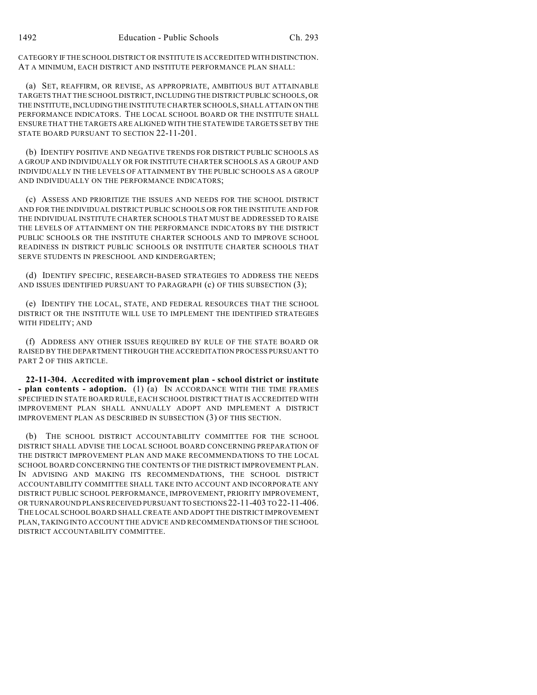CATEGORY IF THE SCHOOL DISTRICT OR INSTITUTE IS ACCREDITED WITH DISTINCTION. AT A MINIMUM, EACH DISTRICT AND INSTITUTE PERFORMANCE PLAN SHALL:

(a) SET, REAFFIRM, OR REVISE, AS APPROPRIATE, AMBITIOUS BUT ATTAINABLE TARGETS THAT THE SCHOOL DISTRICT, INCLUDING THE DISTRICT PUBLIC SCHOOLS, OR THE INSTITUTE, INCLUDING THE INSTITUTE CHARTER SCHOOLS, SHALL ATTAIN ON THE PERFORMANCE INDICATORS. THE LOCAL SCHOOL BOARD OR THE INSTITUTE SHALL ENSURE THAT THE TARGETS ARE ALIGNED WITH THE STATEWIDE TARGETS SET BY THE STATE BOARD PURSUANT TO SECTION 22-11-201.

(b) IDENTIFY POSITIVE AND NEGATIVE TRENDS FOR DISTRICT PUBLIC SCHOOLS AS A GROUP AND INDIVIDUALLY OR FOR INSTITUTE CHARTER SCHOOLS AS A GROUP AND INDIVIDUALLY IN THE LEVELS OF ATTAINMENT BY THE PUBLIC SCHOOLS AS A GROUP AND INDIVIDUALLY ON THE PERFORMANCE INDICATORS;

(c) ASSESS AND PRIORITIZE THE ISSUES AND NEEDS FOR THE SCHOOL DISTRICT AND FOR THE INDIVIDUAL DISTRICT PUBLIC SCHOOLS OR FOR THE INSTITUTE AND FOR THE INDIVIDUAL INSTITUTE CHARTER SCHOOLS THAT MUST BE ADDRESSED TO RAISE THE LEVELS OF ATTAINMENT ON THE PERFORMANCE INDICATORS BY THE DISTRICT PUBLIC SCHOOLS OR THE INSTITUTE CHARTER SCHOOLS AND TO IMPROVE SCHOOL READINESS IN DISTRICT PUBLIC SCHOOLS OR INSTITUTE CHARTER SCHOOLS THAT SERVE STUDENTS IN PRESCHOOL AND KINDERGARTEN;

(d) IDENTIFY SPECIFIC, RESEARCH-BASED STRATEGIES TO ADDRESS THE NEEDS AND ISSUES IDENTIFIED PURSUANT TO PARAGRAPH (c) OF THIS SUBSECTION (3);

(e) IDENTIFY THE LOCAL, STATE, AND FEDERAL RESOURCES THAT THE SCHOOL DISTRICT OR THE INSTITUTE WILL USE TO IMPLEMENT THE IDENTIFIED STRATEGIES WITH FIDELITY; AND

(f) ADDRESS ANY OTHER ISSUES REQUIRED BY RULE OF THE STATE BOARD OR RAISED BY THE DEPARTMENT THROUGH THE ACCREDITATION PROCESS PURSUANT TO PART 2 OF THIS ARTICLE.

**22-11-304. Accredited with improvement plan - school district or institute - plan contents - adoption.** (1) (a) IN ACCORDANCE WITH THE TIME FRAMES SPECIFIED IN STATE BOARD RULE, EACH SCHOOL DISTRICT THAT IS ACCREDITED WITH IMPROVEMENT PLAN SHALL ANNUALLY ADOPT AND IMPLEMENT A DISTRICT IMPROVEMENT PLAN AS DESCRIBED IN SUBSECTION (3) OF THIS SECTION.

(b) THE SCHOOL DISTRICT ACCOUNTABILITY COMMITTEE FOR THE SCHOOL DISTRICT SHALL ADVISE THE LOCAL SCHOOL BOARD CONCERNING PREPARATION OF THE DISTRICT IMPROVEMENT PLAN AND MAKE RECOMMENDATIONS TO THE LOCAL SCHOOL BOARD CONCERNING THE CONTENTS OF THE DISTRICT IMPROVEMENT PLAN. IN ADVISING AND MAKING ITS RECOMMENDATIONS, THE SCHOOL DISTRICT ACCOUNTABILITY COMMITTEE SHALL TAKE INTO ACCOUNT AND INCORPORATE ANY DISTRICT PUBLIC SCHOOL PERFORMANCE, IMPROVEMENT, PRIORITY IMPROVEMENT, OR TURNAROUND PLANS RECEIVED PURSUANT TO SECTIONS 22-11-403 TO 22-11-406. THE LOCAL SCHOOL BOARD SHALL CREATE AND ADOPT THE DISTRICT IMPROVEMENT PLAN, TAKING INTO ACCOUNT THE ADVICE AND RECOMMENDATIONS OF THE SCHOOL DISTRICT ACCOUNTABILITY COMMITTEE.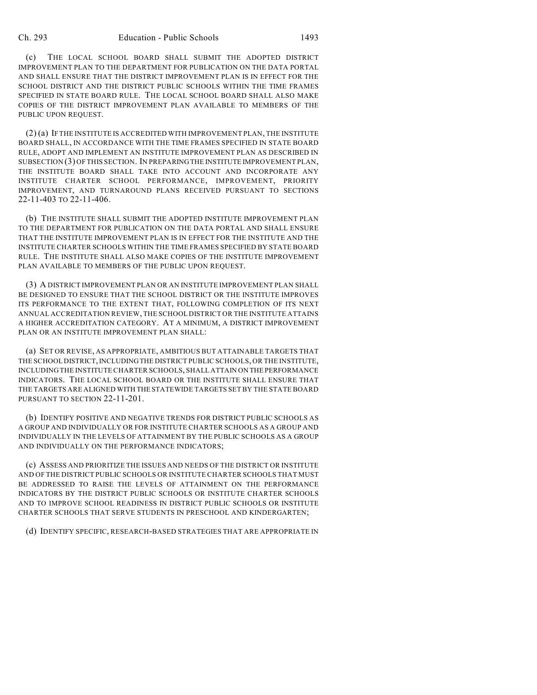(c) THE LOCAL SCHOOL BOARD SHALL SUBMIT THE ADOPTED DISTRICT IMPROVEMENT PLAN TO THE DEPARTMENT FOR PUBLICATION ON THE DATA PORTAL AND SHALL ENSURE THAT THE DISTRICT IMPROVEMENT PLAN IS IN EFFECT FOR THE SCHOOL DISTRICT AND THE DISTRICT PUBLIC SCHOOLS WITHIN THE TIME FRAMES SPECIFIED IN STATE BOARD RULE. THE LOCAL SCHOOL BOARD SHALL ALSO MAKE COPIES OF THE DISTRICT IMPROVEMENT PLAN AVAILABLE TO MEMBERS OF THE PUBLIC UPON REQUEST.

(2) (a) IFTHE INSTITUTE IS ACCREDITED WITH IMPROVEMENT PLAN, THE INSTITUTE BOARD SHALL, IN ACCORDANCE WITH THE TIME FRAMES SPECIFIED IN STATE BOARD RULE, ADOPT AND IMPLEMENT AN INSTITUTE IMPROVEMENT PLAN AS DESCRIBED IN SUBSECTION (3) OF THIS SECTION. IN PREPARING THE INSTITUTE IMPROVEMENT PLAN, THE INSTITUTE BOARD SHALL TAKE INTO ACCOUNT AND INCORPORATE ANY INSTITUTE CHARTER SCHOOL PERFORMANCE, IMPROVEMENT, PRIORITY IMPROVEMENT, AND TURNAROUND PLANS RECEIVED PURSUANT TO SECTIONS 22-11-403 TO 22-11-406.

(b) THE INSTITUTE SHALL SUBMIT THE ADOPTED INSTITUTE IMPROVEMENT PLAN TO THE DEPARTMENT FOR PUBLICATION ON THE DATA PORTAL AND SHALL ENSURE THAT THE INSTITUTE IMPROVEMENT PLAN IS IN EFFECT FOR THE INSTITUTE AND THE INSTITUTE CHARTER SCHOOLS WITHIN THE TIME FRAMES SPECIFIED BY STATE BOARD RULE. THE INSTITUTE SHALL ALSO MAKE COPIES OF THE INSTITUTE IMPROVEMENT PLAN AVAILABLE TO MEMBERS OF THE PUBLIC UPON REQUEST.

(3) A DISTRICT IMPROVEMENT PLAN OR AN INSTITUTE IMPROVEMENT PLAN SHALL BE DESIGNED TO ENSURE THAT THE SCHOOL DISTRICT OR THE INSTITUTE IMPROVES ITS PERFORMANCE TO THE EXTENT THAT, FOLLOWING COMPLETION OF ITS NEXT ANNUAL ACCREDITATION REVIEW, THE SCHOOL DISTRICT OR THE INSTITUTE ATTAINS A HIGHER ACCREDITATION CATEGORY. AT A MINIMUM, A DISTRICT IMPROVEMENT PLAN OR AN INSTITUTE IMPROVEMENT PLAN SHALL:

(a) SET OR REVISE, AS APPROPRIATE, AMBITIOUS BUT ATTAINABLE TARGETS THAT THE SCHOOL DISTRICT, INCLUDING THE DISTRICT PUBLIC SCHOOLS, OR THE INSTITUTE, INCLUDING THE INSTITUTE CHARTER SCHOOLS, SHALL ATTAIN ON THE PERFORMANCE INDICATORS. THE LOCAL SCHOOL BOARD OR THE INSTITUTE SHALL ENSURE THAT THE TARGETS ARE ALIGNED WITH THE STATEWIDE TARGETS SET BY THE STATE BOARD PURSUANT TO SECTION 22-11-201.

(b) IDENTIFY POSITIVE AND NEGATIVE TRENDS FOR DISTRICT PUBLIC SCHOOLS AS A GROUP AND INDIVIDUALLY OR FOR INSTITUTE CHARTER SCHOOLS AS A GROUP AND INDIVIDUALLY IN THE LEVELS OF ATTAINMENT BY THE PUBLIC SCHOOLS AS A GROUP AND INDIVIDUALLY ON THE PERFORMANCE INDICATORS;

(c) ASSESS AND PRIORITIZE THE ISSUES AND NEEDS OF THE DISTRICT OR INSTITUTE AND OF THE DISTRICT PUBLIC SCHOOLS OR INSTITUTE CHARTER SCHOOLS THAT MUST BE ADDRESSED TO RAISE THE LEVELS OF ATTAINMENT ON THE PERFORMANCE INDICATORS BY THE DISTRICT PUBLIC SCHOOLS OR INSTITUTE CHARTER SCHOOLS AND TO IMPROVE SCHOOL READINESS IN DISTRICT PUBLIC SCHOOLS OR INSTITUTE CHARTER SCHOOLS THAT SERVE STUDENTS IN PRESCHOOL AND KINDERGARTEN;

(d) IDENTIFY SPECIFIC, RESEARCH-BASED STRATEGIES THAT ARE APPROPRIATE IN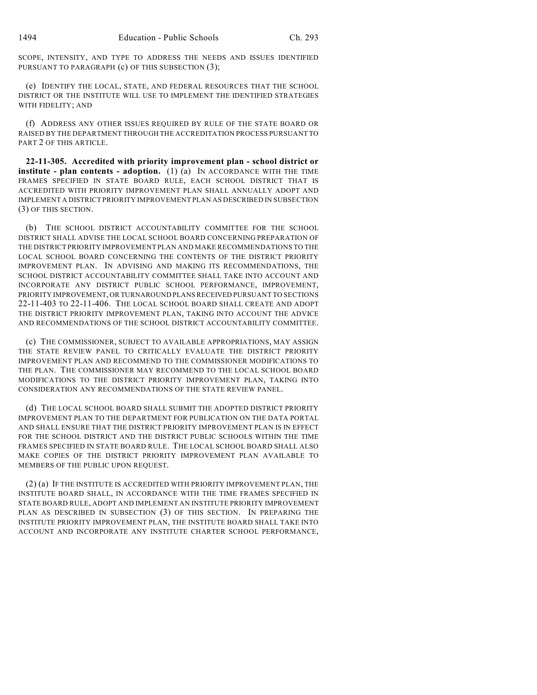SCOPE, INTENSITY, AND TYPE TO ADDRESS THE NEEDS AND ISSUES IDENTIFIED PURSUANT TO PARAGRAPH (c) OF THIS SUBSECTION (3);

(e) IDENTIFY THE LOCAL, STATE, AND FEDERAL RESOURCES THAT THE SCHOOL DISTRICT OR THE INSTITUTE WILL USE TO IMPLEMENT THE IDENTIFIED STRATEGIES WITH FIDELITY; AND

(f) ADDRESS ANY OTHER ISSUES REQUIRED BY RULE OF THE STATE BOARD OR RAISED BY THE DEPARTMENT THROUGH THE ACCREDITATION PROCESS PURSUANT TO PART 2 OF THIS ARTICLE.

**22-11-305. Accredited with priority improvement plan - school district or institute - plan contents - adoption.** (1) (a) IN ACCORDANCE WITH THE TIME FRAMES SPECIFIED IN STATE BOARD RULE, EACH SCHOOL DISTRICT THAT IS ACCREDITED WITH PRIORITY IMPROVEMENT PLAN SHALL ANNUALLY ADOPT AND IMPLEMENT A DISTRICT PRIORITY IMPROVEMENT PLAN AS DESCRIBED IN SUBSECTION (3) OF THIS SECTION.

(b) THE SCHOOL DISTRICT ACCOUNTABILITY COMMITTEE FOR THE SCHOOL DISTRICT SHALL ADVISE THE LOCAL SCHOOL BOARD CONCERNING PREPARATION OF THE DISTRICT PRIORITY IMPROVEMENT PLAN AND MAKE RECOMMENDATIONS TO THE LOCAL SCHOOL BOARD CONCERNING THE CONTENTS OF THE DISTRICT PRIORITY IMPROVEMENT PLAN. IN ADVISING AND MAKING ITS RECOMMENDATIONS, THE SCHOOL DISTRICT ACCOUNTABILITY COMMITTEE SHALL TAKE INTO ACCOUNT AND INCORPORATE ANY DISTRICT PUBLIC SCHOOL PERFORMANCE, IMPROVEMENT, PRIORITY IMPROVEMENT, OR TURNAROUND PLANS RECEIVED PURSUANT TO SECTIONS 22-11-403 TO 22-11-406. THE LOCAL SCHOOL BOARD SHALL CREATE AND ADOPT THE DISTRICT PRIORITY IMPROVEMENT PLAN, TAKING INTO ACCOUNT THE ADVICE AND RECOMMENDATIONS OF THE SCHOOL DISTRICT ACCOUNTABILITY COMMITTEE.

(c) THE COMMISSIONER, SUBJECT TO AVAILABLE APPROPRIATIONS, MAY ASSIGN THE STATE REVIEW PANEL TO CRITICALLY EVALUATE THE DISTRICT PRIORITY IMPROVEMENT PLAN AND RECOMMEND TO THE COMMISSIONER MODIFICATIONS TO THE PLAN. THE COMMISSIONER MAY RECOMMEND TO THE LOCAL SCHOOL BOARD MODIFICATIONS TO THE DISTRICT PRIORITY IMPROVEMENT PLAN, TAKING INTO CONSIDERATION ANY RECOMMENDATIONS OF THE STATE REVIEW PANEL.

(d) THE LOCAL SCHOOL BOARD SHALL SUBMIT THE ADOPTED DISTRICT PRIORITY IMPROVEMENT PLAN TO THE DEPARTMENT FOR PUBLICATION ON THE DATA PORTAL AND SHALL ENSURE THAT THE DISTRICT PRIORITY IMPROVEMENT PLAN IS IN EFFECT FOR THE SCHOOL DISTRICT AND THE DISTRICT PUBLIC SCHOOLS WITHIN THE TIME FRAMES SPECIFIED IN STATE BOARD RULE. THE LOCAL SCHOOL BOARD SHALL ALSO MAKE COPIES OF THE DISTRICT PRIORITY IMPROVEMENT PLAN AVAILABLE TO MEMBERS OF THE PUBLIC UPON REQUEST.

(2) (a) IF THE INSTITUTE IS ACCREDITED WITH PRIORITY IMPROVEMENT PLAN, THE INSTITUTE BOARD SHALL, IN ACCORDANCE WITH THE TIME FRAMES SPECIFIED IN STATE BOARD RULE, ADOPT AND IMPLEMENT AN INSTITUTE PRIORITY IMPROVEMENT PLAN AS DESCRIBED IN SUBSECTION (3) OF THIS SECTION. IN PREPARING THE INSTITUTE PRIORITY IMPROVEMENT PLAN, THE INSTITUTE BOARD SHALL TAKE INTO ACCOUNT AND INCORPORATE ANY INSTITUTE CHARTER SCHOOL PERFORMANCE,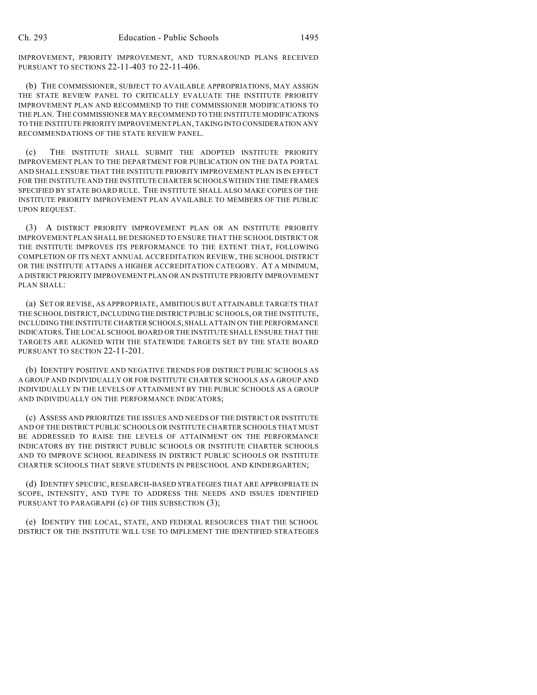IMPROVEMENT, PRIORITY IMPROVEMENT, AND TURNAROUND PLANS RECEIVED PURSUANT TO SECTIONS 22-11-403 TO 22-11-406.

(b) THE COMMISSIONER, SUBJECT TO AVAILABLE APPROPRIATIONS, MAY ASSIGN THE STATE REVIEW PANEL TO CRITICALLY EVALUATE THE INSTITUTE PRIORITY IMPROVEMENT PLAN AND RECOMMEND TO THE COMMISSIONER MODIFICATIONS TO THE PLAN. THE COMMISSIONER MAY RECOMMEND TO THE INSTITUTE MODIFICATIONS TO THE INSTITUTE PRIORITY IMPROVEMENT PLAN, TAKING INTO CONSIDERATION ANY RECOMMENDATIONS OF THE STATE REVIEW PANEL.

(c) THE INSTITUTE SHALL SUBMIT THE ADOPTED INSTITUTE PRIORITY IMPROVEMENT PLAN TO THE DEPARTMENT FOR PUBLICATION ON THE DATA PORTAL AND SHALL ENSURE THAT THE INSTITUTE PRIORITY IMPROVEMENT PLAN IS IN EFFECT FOR THE INSTITUTE AND THE INSTITUTE CHARTER SCHOOLS WITHIN THE TIME FRAMES SPECIFIED BY STATE BOARD RULE. THE INSTITUTE SHALL ALSO MAKE COPIES OF THE INSTITUTE PRIORITY IMPROVEMENT PLAN AVAILABLE TO MEMBERS OF THE PUBLIC UPON REQUEST.

(3) A DISTRICT PRIORITY IMPROVEMENT PLAN OR AN INSTITUTE PRIORITY IMPROVEMENT PLAN SHALL BE DESIGNED TO ENSURE THAT THE SCHOOL DISTRICT OR THE INSTITUTE IMPROVES ITS PERFORMANCE TO THE EXTENT THAT, FOLLOWING COMPLETION OF ITS NEXT ANNUAL ACCREDITATION REVIEW, THE SCHOOL DISTRICT OR THE INSTITUTE ATTAINS A HIGHER ACCREDITATION CATEGORY. AT A MINIMUM, A DISTRICT PRIORITY IMPROVEMENT PLAN OR AN INSTITUTE PRIORITY IMPROVEMENT PLAN SHALL:

(a) SET OR REVISE, AS APPROPRIATE, AMBITIOUS BUT ATTAINABLE TARGETS THAT THE SCHOOL DISTRICT, INCLUDING THE DISTRICT PUBLIC SCHOOLS, OR THE INSTITUTE, INCLUDING THE INSTITUTE CHARTER SCHOOLS, SHALL ATTAIN ON THE PERFORMANCE INDICATORS.THE LOCAL SCHOOL BOARD OR THE INSTITUTE SHALL ENSURE THAT THE TARGETS ARE ALIGNED WITH THE STATEWIDE TARGETS SET BY THE STATE BOARD PURSUANT TO SECTION 22-11-201.

(b) IDENTIFY POSITIVE AND NEGATIVE TRENDS FOR DISTRICT PUBLIC SCHOOLS AS A GROUP AND INDIVIDUALLY OR FOR INSTITUTE CHARTER SCHOOLS AS A GROUP AND INDIVIDUALLY IN THE LEVELS OF ATTAINMENT BY THE PUBLIC SCHOOLS AS A GROUP AND INDIVIDUALLY ON THE PERFORMANCE INDICATORS;

(c) ASSESS AND PRIORITIZE THE ISSUES AND NEEDS OF THE DISTRICT OR INSTITUTE AND OF THE DISTRICT PUBLIC SCHOOLS OR INSTITUTE CHARTER SCHOOLS THAT MUST BE ADDRESSED TO RAISE THE LEVELS OF ATTAINMENT ON THE PERFORMANCE INDICATORS BY THE DISTRICT PUBLIC SCHOOLS OR INSTITUTE CHARTER SCHOOLS AND TO IMPROVE SCHOOL READINESS IN DISTRICT PUBLIC SCHOOLS OR INSTITUTE CHARTER SCHOOLS THAT SERVE STUDENTS IN PRESCHOOL AND KINDERGARTEN;

(d) IDENTIFY SPECIFIC, RESEARCH-BASED STRATEGIES THAT ARE APPROPRIATE IN SCOPE, INTENSITY, AND TYPE TO ADDRESS THE NEEDS AND ISSUES IDENTIFIED PURSUANT TO PARAGRAPH (c) OF THIS SUBSECTION (3);

(e) IDENTIFY THE LOCAL, STATE, AND FEDERAL RESOURCES THAT THE SCHOOL DISTRICT OR THE INSTITUTE WILL USE TO IMPLEMENT THE IDENTIFIED STRATEGIES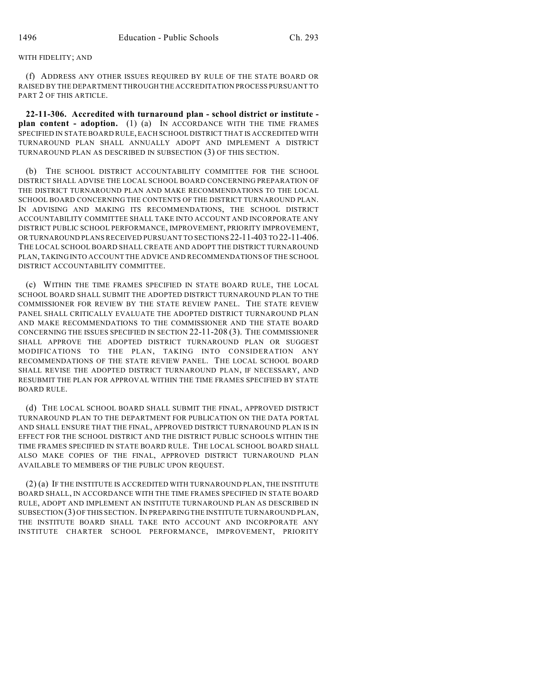### WITH FIDELITY; AND

(f) ADDRESS ANY OTHER ISSUES REQUIRED BY RULE OF THE STATE BOARD OR RAISED BY THE DEPARTMENT THROUGH THE ACCREDITATION PROCESS PURSUANT TO PART 2 OF THIS ARTICLE.

**22-11-306. Accredited with turnaround plan - school district or institute plan content - adoption.** (1) (a) IN ACCORDANCE WITH THE TIME FRAMES SPECIFIED IN STATE BOARD RULE, EACH SCHOOL DISTRICT THAT IS ACCREDITED WITH TURNAROUND PLAN SHALL ANNUALLY ADOPT AND IMPLEMENT A DISTRICT TURNAROUND PLAN AS DESCRIBED IN SUBSECTION (3) OF THIS SECTION.

(b) THE SCHOOL DISTRICT ACCOUNTABILITY COMMITTEE FOR THE SCHOOL DISTRICT SHALL ADVISE THE LOCAL SCHOOL BOARD CONCERNING PREPARATION OF THE DISTRICT TURNAROUND PLAN AND MAKE RECOMMENDATIONS TO THE LOCAL SCHOOL BOARD CONCERNING THE CONTENTS OF THE DISTRICT TURNAROUND PLAN. IN ADVISING AND MAKING ITS RECOMMENDATIONS, THE SCHOOL DISTRICT ACCOUNTABILITY COMMITTEE SHALL TAKE INTO ACCOUNT AND INCORPORATE ANY DISTRICT PUBLIC SCHOOL PERFORMANCE, IMPROVEMENT, PRIORITY IMPROVEMENT, OR TURNAROUND PLANS RECEIVED PURSUANT TO SECTIONS 22-11-403 TO 22-11-406. THE LOCAL SCHOOL BOARD SHALL CREATE AND ADOPT THE DISTRICT TURNAROUND PLAN, TAKING INTO ACCOUNT THE ADVICE AND RECOMMENDATIONS OF THE SCHOOL DISTRICT ACCOUNTABILITY COMMITTEE.

(c) WITHIN THE TIME FRAMES SPECIFIED IN STATE BOARD RULE, THE LOCAL SCHOOL BOARD SHALL SUBMIT THE ADOPTED DISTRICT TURNAROUND PLAN TO THE COMMISSIONER FOR REVIEW BY THE STATE REVIEW PANEL. THE STATE REVIEW PANEL SHALL CRITICALLY EVALUATE THE ADOPTED DISTRICT TURNAROUND PLAN AND MAKE RECOMMENDATIONS TO THE COMMISSIONER AND THE STATE BOARD CONCERNING THE ISSUES SPECIFIED IN SECTION 22-11-208 (3). THE COMMISSIONER SHALL APPROVE THE ADOPTED DISTRICT TURNAROUND PLAN OR SUGGEST MODIFICATIONS TO THE PLAN, TAKING INTO CONSIDERATION ANY RECOMMENDATIONS OF THE STATE REVIEW PANEL. THE LOCAL SCHOOL BOARD SHALL REVISE THE ADOPTED DISTRICT TURNAROUND PLAN, IF NECESSARY, AND RESUBMIT THE PLAN FOR APPROVAL WITHIN THE TIME FRAMES SPECIFIED BY STATE BOARD RULE.

(d) THE LOCAL SCHOOL BOARD SHALL SUBMIT THE FINAL, APPROVED DISTRICT TURNAROUND PLAN TO THE DEPARTMENT FOR PUBLICATION ON THE DATA PORTAL AND SHALL ENSURE THAT THE FINAL, APPROVED DISTRICT TURNAROUND PLAN IS IN EFFECT FOR THE SCHOOL DISTRICT AND THE DISTRICT PUBLIC SCHOOLS WITHIN THE TIME FRAMES SPECIFIED IN STATE BOARD RULE. THE LOCAL SCHOOL BOARD SHALL ALSO MAKE COPIES OF THE FINAL, APPROVED DISTRICT TURNAROUND PLAN AVAILABLE TO MEMBERS OF THE PUBLIC UPON REQUEST.

(2) (a) IF THE INSTITUTE IS ACCREDITED WITH TURNAROUND PLAN, THE INSTITUTE BOARD SHALL, IN ACCORDANCE WITH THE TIME FRAMES SPECIFIED IN STATE BOARD RULE, ADOPT AND IMPLEMENT AN INSTITUTE TURNAROUND PLAN AS DESCRIBED IN SUBSECTION (3) OF THIS SECTION. IN PREPARING THE INSTITUTE TURNAROUND PLAN, THE INSTITUTE BOARD SHALL TAKE INTO ACCOUNT AND INCORPORATE ANY INSTITUTE CHARTER SCHOOL PERFORMANCE, IMPROVEMENT, PRIORITY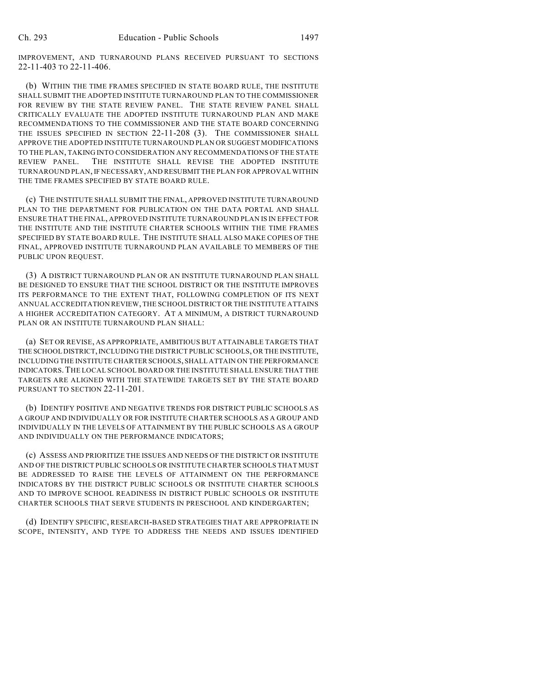IMPROVEMENT, AND TURNAROUND PLANS RECEIVED PURSUANT TO SECTIONS 22-11-403 TO 22-11-406.

(b) WITHIN THE TIME FRAMES SPECIFIED IN STATE BOARD RULE, THE INSTITUTE SHALL SUBMIT THE ADOPTED INSTITUTE TURNAROUND PLAN TO THE COMMISSIONER FOR REVIEW BY THE STATE REVIEW PANEL. THE STATE REVIEW PANEL SHALL CRITICALLY EVALUATE THE ADOPTED INSTITUTE TURNAROUND PLAN AND MAKE RECOMMENDATIONS TO THE COMMISSIONER AND THE STATE BOARD CONCERNING THE ISSUES SPECIFIED IN SECTION 22-11-208 (3). THE COMMISSIONER SHALL APPROVE THE ADOPTED INSTITUTE TURNAROUND PLAN OR SUGGEST MODIFICATIONS TO THE PLAN, TAKING INTO CONSIDERATION ANY RECOMMENDATIONS OF THE STATE REVIEW PANEL. THE INSTITUTE SHALL REVISE THE ADOPTED INSTITUTE TURNAROUND PLAN, IF NECESSARY, AND RESUBMIT THE PLAN FOR APPROVAL WITHIN THE TIME FRAMES SPECIFIED BY STATE BOARD RULE.

(c) THE INSTITUTE SHALL SUBMIT THE FINAL, APPROVED INSTITUTE TURNAROUND PLAN TO THE DEPARTMENT FOR PUBLICATION ON THE DATA PORTAL AND SHALL ENSURE THAT THE FINAL, APPROVED INSTITUTE TURNAROUND PLAN IS IN EFFECT FOR THE INSTITUTE AND THE INSTITUTE CHARTER SCHOOLS WITHIN THE TIME FRAMES SPECIFIED BY STATE BOARD RULE. THE INSTITUTE SHALL ALSO MAKE COPIES OF THE FINAL, APPROVED INSTITUTE TURNAROUND PLAN AVAILABLE TO MEMBERS OF THE PUBLIC UPON REQUEST.

(3) A DISTRICT TURNAROUND PLAN OR AN INSTITUTE TURNAROUND PLAN SHALL BE DESIGNED TO ENSURE THAT THE SCHOOL DISTRICT OR THE INSTITUTE IMPROVES ITS PERFORMANCE TO THE EXTENT THAT, FOLLOWING COMPLETION OF ITS NEXT ANNUAL ACCREDITATION REVIEW, THE SCHOOL DISTRICT OR THE INSTITUTE ATTAINS A HIGHER ACCREDITATION CATEGORY. AT A MINIMUM, A DISTRICT TURNAROUND PLAN OR AN INSTITUTE TURNAROUND PLAN SHALL:

(a) SET OR REVISE, AS APPROPRIATE, AMBITIOUS BUT ATTAINABLE TARGETS THAT THE SCHOOL DISTRICT, INCLUDING THE DISTRICT PUBLIC SCHOOLS, OR THE INSTITUTE, INCLUDING THE INSTITUTE CHARTER SCHOOLS, SHALL ATTAIN ON THE PERFORMANCE INDICATORS.THE LOCAL SCHOOL BOARD OR THE INSTITUTE SHALL ENSURE THAT THE TARGETS ARE ALIGNED WITH THE STATEWIDE TARGETS SET BY THE STATE BOARD PURSUANT TO SECTION 22-11-201.

(b) IDENTIFY POSITIVE AND NEGATIVE TRENDS FOR DISTRICT PUBLIC SCHOOLS AS A GROUP AND INDIVIDUALLY OR FOR INSTITUTE CHARTER SCHOOLS AS A GROUP AND INDIVIDUALLY IN THE LEVELS OF ATTAINMENT BY THE PUBLIC SCHOOLS AS A GROUP AND INDIVIDUALLY ON THE PERFORMANCE INDICATORS;

(c) ASSESS AND PRIORITIZE THE ISSUES AND NEEDS OF THE DISTRICT OR INSTITUTE AND OF THE DISTRICT PUBLIC SCHOOLS OR INSTITUTE CHARTER SCHOOLS THAT MUST BE ADDRESSED TO RAISE THE LEVELS OF ATTAINMENT ON THE PERFORMANCE INDICATORS BY THE DISTRICT PUBLIC SCHOOLS OR INSTITUTE CHARTER SCHOOLS AND TO IMPROVE SCHOOL READINESS IN DISTRICT PUBLIC SCHOOLS OR INSTITUTE CHARTER SCHOOLS THAT SERVE STUDENTS IN PRESCHOOL AND KINDERGARTEN;

(d) IDENTIFY SPECIFIC, RESEARCH-BASED STRATEGIES THAT ARE APPROPRIATE IN SCOPE, INTENSITY, AND TYPE TO ADDRESS THE NEEDS AND ISSUES IDENTIFIED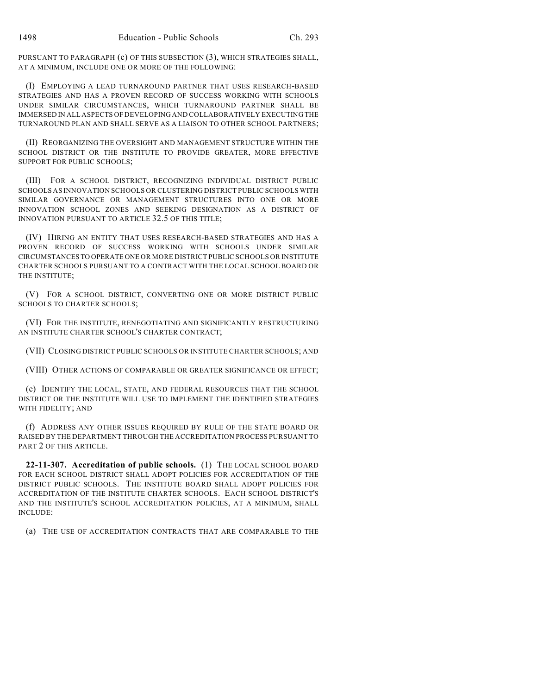PURSUANT TO PARAGRAPH (c) OF THIS SUBSECTION (3), WHICH STRATEGIES SHALL, AT A MINIMUM, INCLUDE ONE OR MORE OF THE FOLLOWING:

(I) EMPLOYING A LEAD TURNAROUND PARTNER THAT USES RESEARCH-BASED STRATEGIES AND HAS A PROVEN RECORD OF SUCCESS WORKING WITH SCHOOLS UNDER SIMILAR CIRCUMSTANCES, WHICH TURNAROUND PARTNER SHALL BE IMMERSED IN ALL ASPECTS OF DEVELOPING AND COLLABORATIVELY EXECUTING THE TURNAROUND PLAN AND SHALL SERVE AS A LIAISON TO OTHER SCHOOL PARTNERS;

(II) REORGANIZING THE OVERSIGHT AND MANAGEMENT STRUCTURE WITHIN THE SCHOOL DISTRICT OR THE INSTITUTE TO PROVIDE GREATER, MORE EFFECTIVE SUPPORT FOR PUBLIC SCHOOLS;

(III) FOR A SCHOOL DISTRICT, RECOGNIZING INDIVIDUAL DISTRICT PUBLIC SCHOOLS AS INNOVATION SCHOOLS OR CLUSTERING DISTRICT PUBLIC SCHOOLS WITH SIMILAR GOVERNANCE OR MANAGEMENT STRUCTURES INTO ONE OR MORE INNOVATION SCHOOL ZONES AND SEEKING DESIGNATION AS A DISTRICT OF INNOVATION PURSUANT TO ARTICLE 32.5 OF THIS TITLE;

(IV) HIRING AN ENTITY THAT USES RESEARCH-BASED STRATEGIES AND HAS A PROVEN RECORD OF SUCCESS WORKING WITH SCHOOLS UNDER SIMILAR CIRCUMSTANCES TO OPERATE ONE OR MORE DISTRICT PUBLIC SCHOOLS OR INSTITUTE CHARTER SCHOOLS PURSUANT TO A CONTRACT WITH THE LOCAL SCHOOL BOARD OR THE INSTITUTE;

(V) FOR A SCHOOL DISTRICT, CONVERTING ONE OR MORE DISTRICT PUBLIC SCHOOLS TO CHARTER SCHOOLS;

(VI) FOR THE INSTITUTE, RENEGOTIATING AND SIGNIFICANTLY RESTRUCTURING AN INSTITUTE CHARTER SCHOOL'S CHARTER CONTRACT;

(VII) CLOSING DISTRICT PUBLIC SCHOOLS OR INSTITUTE CHARTER SCHOOLS; AND

(VIII) OTHER ACTIONS OF COMPARABLE OR GREATER SIGNIFICANCE OR EFFECT;

(e) IDENTIFY THE LOCAL, STATE, AND FEDERAL RESOURCES THAT THE SCHOOL DISTRICT OR THE INSTITUTE WILL USE TO IMPLEMENT THE IDENTIFIED STRATEGIES WITH FIDELITY; AND

(f) ADDRESS ANY OTHER ISSUES REQUIRED BY RULE OF THE STATE BOARD OR RAISED BY THE DEPARTMENT THROUGH THE ACCREDITATION PROCESS PURSUANT TO PART 2 OF THIS ARTICLE.

**22-11-307. Accreditation of public schools.** (1) THE LOCAL SCHOOL BOARD FOR EACH SCHOOL DISTRICT SHALL ADOPT POLICIES FOR ACCREDITATION OF THE DISTRICT PUBLIC SCHOOLS. THE INSTITUTE BOARD SHALL ADOPT POLICIES FOR ACCREDITATION OF THE INSTITUTE CHARTER SCHOOLS. EACH SCHOOL DISTRICT'S AND THE INSTITUTE'S SCHOOL ACCREDITATION POLICIES, AT A MINIMUM, SHALL INCLUDE:

(a) THE USE OF ACCREDITATION CONTRACTS THAT ARE COMPARABLE TO THE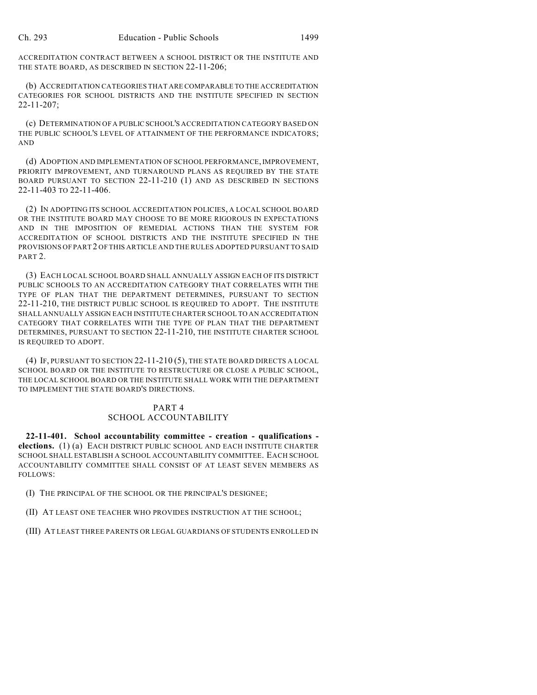ACCREDITATION CONTRACT BETWEEN A SCHOOL DISTRICT OR THE INSTITUTE AND THE STATE BOARD, AS DESCRIBED IN SECTION 22-11-206;

(b) ACCREDITATION CATEGORIES THAT ARE COMPARABLE TO THE ACCREDITATION CATEGORIES FOR SCHOOL DISTRICTS AND THE INSTITUTE SPECIFIED IN SECTION 22-11-207;

(c) DETERMINATION OF A PUBLIC SCHOOL'S ACCREDITATION CATEGORY BASED ON THE PUBLIC SCHOOL'S LEVEL OF ATTAINMENT OF THE PERFORMANCE INDICATORS; AND

(d) ADOPTION AND IMPLEMENTATION OF SCHOOL PERFORMANCE, IMPROVEMENT, PRIORITY IMPROVEMENT, AND TURNAROUND PLANS AS REQUIRED BY THE STATE BOARD PURSUANT TO SECTION 22-11-210 (1) AND AS DESCRIBED IN SECTIONS 22-11-403 TO 22-11-406.

(2) IN ADOPTING ITS SCHOOL ACCREDITATION POLICIES, A LOCAL SCHOOL BOARD OR THE INSTITUTE BOARD MAY CHOOSE TO BE MORE RIGOROUS IN EXPECTATIONS AND IN THE IMPOSITION OF REMEDIAL ACTIONS THAN THE SYSTEM FOR ACCREDITATION OF SCHOOL DISTRICTS AND THE INSTITUTE SPECIFIED IN THE PROVISIONS OF PART 2 OF THIS ARTICLE AND THE RULES ADOPTED PURSUANT TO SAID PART<sub>2</sub>.

(3) EACH LOCAL SCHOOL BOARD SHALL ANNUALLY ASSIGN EACH OF ITS DISTRICT PUBLIC SCHOOLS TO AN ACCREDITATION CATEGORY THAT CORRELATES WITH THE TYPE OF PLAN THAT THE DEPARTMENT DETERMINES, PURSUANT TO SECTION 22-11-210, THE DISTRICT PUBLIC SCHOOL IS REQUIRED TO ADOPT. THE INSTITUTE SHALL ANNUALLY ASSIGN EACH INSTITUTE CHARTER SCHOOL TO AN ACCREDITATION CATEGORY THAT CORRELATES WITH THE TYPE OF PLAN THAT THE DEPARTMENT DETERMINES, PURSUANT TO SECTION 22-11-210, THE INSTITUTE CHARTER SCHOOL IS REQUIRED TO ADOPT.

(4) IF, PURSUANT TO SECTION 22-11-210 (5), THE STATE BOARD DIRECTS A LOCAL SCHOOL BOARD OR THE INSTITUTE TO RESTRUCTURE OR CLOSE A PUBLIC SCHOOL, THE LOCAL SCHOOL BOARD OR THE INSTITUTE SHALL WORK WITH THE DEPARTMENT TO IMPLEMENT THE STATE BOARD'S DIRECTIONS.

# PART 4 SCHOOL ACCOUNTABILITY

**22-11-401. School accountability committee - creation - qualifications elections.** (1) (a) EACH DISTRICT PUBLIC SCHOOL AND EACH INSTITUTE CHARTER SCHOOL SHALL ESTABLISH A SCHOOL ACCOUNTABILITY COMMITTEE. EACH SCHOOL ACCOUNTABILITY COMMITTEE SHALL CONSIST OF AT LEAST SEVEN MEMBERS AS FOLLOWS:

(I) THE PRINCIPAL OF THE SCHOOL OR THE PRINCIPAL'S DESIGNEE;

(II) AT LEAST ONE TEACHER WHO PROVIDES INSTRUCTION AT THE SCHOOL;

(III) AT LEAST THREE PARENTS OR LEGAL GUARDIANS OF STUDENTS ENROLLED IN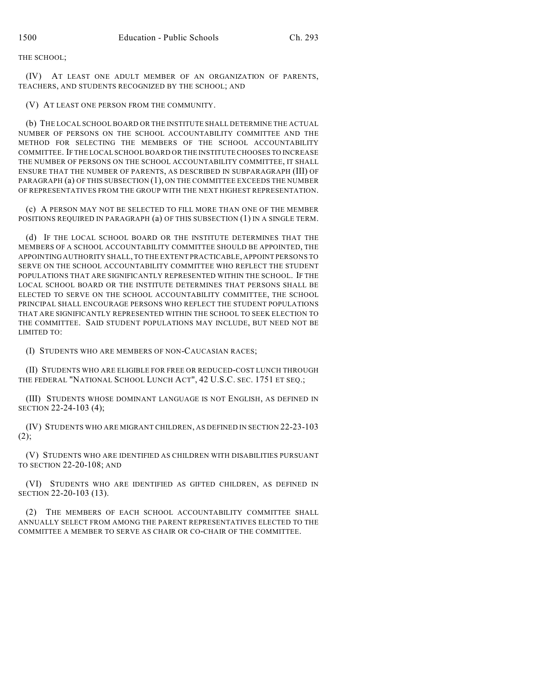THE SCHOOL;

(IV) AT LEAST ONE ADULT MEMBER OF AN ORGANIZATION OF PARENTS, TEACHERS, AND STUDENTS RECOGNIZED BY THE SCHOOL; AND

(V) AT LEAST ONE PERSON FROM THE COMMUNITY.

(b) THE LOCAL SCHOOL BOARD OR THE INSTITUTE SHALL DETERMINE THE ACTUAL NUMBER OF PERSONS ON THE SCHOOL ACCOUNTABILITY COMMITTEE AND THE METHOD FOR SELECTING THE MEMBERS OF THE SCHOOL ACCOUNTABILITY COMMITTEE. IF THE LOCAL SCHOOL BOARD OR THE INSTITUTE CHOOSES TO INCREASE THE NUMBER OF PERSONS ON THE SCHOOL ACCOUNTABILITY COMMITTEE, IT SHALL ENSURE THAT THE NUMBER OF PARENTS, AS DESCRIBED IN SUBPARAGRAPH (III) OF PARAGRAPH (a) OF THIS SUBSECTION (1), ON THE COMMITTEE EXCEEDS THE NUMBER OF REPRESENTATIVES FROM THE GROUP WITH THE NEXT HIGHEST REPRESENTATION.

(c) A PERSON MAY NOT BE SELECTED TO FILL MORE THAN ONE OF THE MEMBER POSITIONS REQUIRED IN PARAGRAPH (a) OF THIS SUBSECTION (1) IN A SINGLE TERM.

(d) IF THE LOCAL SCHOOL BOARD OR THE INSTITUTE DETERMINES THAT THE MEMBERS OF A SCHOOL ACCOUNTABILITY COMMITTEE SHOULD BE APPOINTED, THE APPOINTING AUTHORITY SHALL, TO THE EXTENT PRACTICABLE, APPOINT PERSONS TO SERVE ON THE SCHOOL ACCOUNTABILITY COMMITTEE WHO REFLECT THE STUDENT POPULATIONS THAT ARE SIGNIFICANTLY REPRESENTED WITHIN THE SCHOOL. IF THE LOCAL SCHOOL BOARD OR THE INSTITUTE DETERMINES THAT PERSONS SHALL BE ELECTED TO SERVE ON THE SCHOOL ACCOUNTABILITY COMMITTEE, THE SCHOOL PRINCIPAL SHALL ENCOURAGE PERSONS WHO REFLECT THE STUDENT POPULATIONS THAT ARE SIGNIFICANTLY REPRESENTED WITHIN THE SCHOOL TO SEEK ELECTION TO THE COMMITTEE. SAID STUDENT POPULATIONS MAY INCLUDE, BUT NEED NOT BE LIMITED TO:

(I) STUDENTS WHO ARE MEMBERS OF NON-CAUCASIAN RACES;

(II) STUDENTS WHO ARE ELIGIBLE FOR FREE OR REDUCED-COST LUNCH THROUGH THE FEDERAL "NATIONAL SCHOOL LUNCH ACT", 42 U.S.C. SEC. 1751 ET SEQ.;

(III) STUDENTS WHOSE DOMINANT LANGUAGE IS NOT ENGLISH, AS DEFINED IN SECTION 22-24-103 (4);

(IV) STUDENTS WHO ARE MIGRANT CHILDREN, AS DEFINED IN SECTION 22-23-103  $(2)$ ;

(V) STUDENTS WHO ARE IDENTIFIED AS CHILDREN WITH DISABILITIES PURSUANT TO SECTION 22-20-108; AND

(VI) STUDENTS WHO ARE IDENTIFIED AS GIFTED CHILDREN, AS DEFINED IN SECTION 22-20-103 (13).

(2) THE MEMBERS OF EACH SCHOOL ACCOUNTABILITY COMMITTEE SHALL ANNUALLY SELECT FROM AMONG THE PARENT REPRESENTATIVES ELECTED TO THE COMMITTEE A MEMBER TO SERVE AS CHAIR OR CO-CHAIR OF THE COMMITTEE.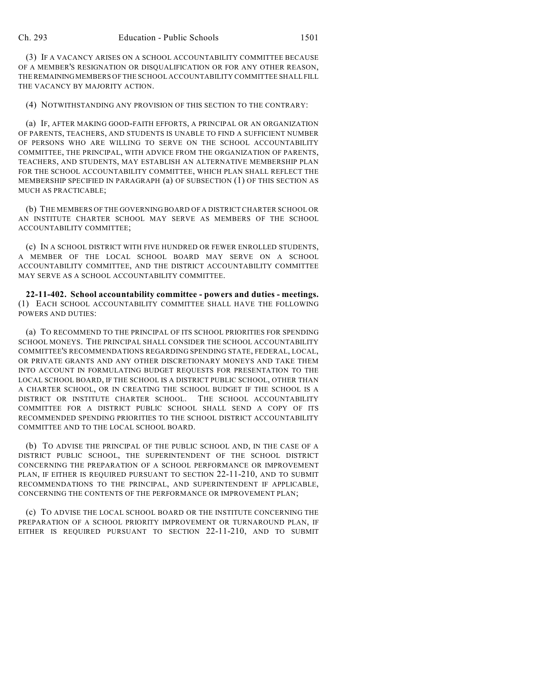(3) IF A VACANCY ARISES ON A SCHOOL ACCOUNTABILITY COMMITTEE BECAUSE OF A MEMBER'S RESIGNATION OR DISQUALIFICATION OR FOR ANY OTHER REASON, THE REMAINING MEMBERS OF THE SCHOOL ACCOUNTABILITY COMMITTEE SHALL FILL THE VACANCY BY MAJORITY ACTION.

(4) NOTWITHSTANDING ANY PROVISION OF THIS SECTION TO THE CONTRARY:

(a) IF, AFTER MAKING GOOD-FAITH EFFORTS, A PRINCIPAL OR AN ORGANIZATION OF PARENTS, TEACHERS, AND STUDENTS IS UNABLE TO FIND A SUFFICIENT NUMBER OF PERSONS WHO ARE WILLING TO SERVE ON THE SCHOOL ACCOUNTABILITY COMMITTEE, THE PRINCIPAL, WITH ADVICE FROM THE ORGANIZATION OF PARENTS, TEACHERS, AND STUDENTS, MAY ESTABLISH AN ALTERNATIVE MEMBERSHIP PLAN FOR THE SCHOOL ACCOUNTABILITY COMMITTEE, WHICH PLAN SHALL REFLECT THE MEMBERSHIP SPECIFIED IN PARAGRAPH (a) OF SUBSECTION (1) OF THIS SECTION AS MUCH AS PRACTICABLE;

(b) THE MEMBERS OF THE GOVERNING BOARD OF A DISTRICT CHARTER SCHOOL OR AN INSTITUTE CHARTER SCHOOL MAY SERVE AS MEMBERS OF THE SCHOOL ACCOUNTABILITY COMMITTEE;

(c) IN A SCHOOL DISTRICT WITH FIVE HUNDRED OR FEWER ENROLLED STUDENTS, A MEMBER OF THE LOCAL SCHOOL BOARD MAY SERVE ON A SCHOOL ACCOUNTABILITY COMMITTEE, AND THE DISTRICT ACCOUNTABILITY COMMITTEE MAY SERVE AS A SCHOOL ACCOUNTABILITY COMMITTEE.

**22-11-402. School accountability committee - powers and duties - meetings.** (1) EACH SCHOOL ACCOUNTABILITY COMMITTEE SHALL HAVE THE FOLLOWING POWERS AND DUTIES:

(a) TO RECOMMEND TO THE PRINCIPAL OF ITS SCHOOL PRIORITIES FOR SPENDING SCHOOL MONEYS. THE PRINCIPAL SHALL CONSIDER THE SCHOOL ACCOUNTABILITY COMMITTEE'S RECOMMENDATIONS REGARDING SPENDING STATE, FEDERAL, LOCAL, OR PRIVATE GRANTS AND ANY OTHER DISCRETIONARY MONEYS AND TAKE THEM INTO ACCOUNT IN FORMULATING BUDGET REQUESTS FOR PRESENTATION TO THE LOCAL SCHOOL BOARD, IF THE SCHOOL IS A DISTRICT PUBLIC SCHOOL, OTHER THAN A CHARTER SCHOOL, OR IN CREATING THE SCHOOL BUDGET IF THE SCHOOL IS A DISTRICT OR INSTITUTE CHARTER SCHOOL. THE SCHOOL ACCOUNTABILITY COMMITTEE FOR A DISTRICT PUBLIC SCHOOL SHALL SEND A COPY OF ITS RECOMMENDED SPENDING PRIORITIES TO THE SCHOOL DISTRICT ACCOUNTABILITY COMMITTEE AND TO THE LOCAL SCHOOL BOARD.

(b) TO ADVISE THE PRINCIPAL OF THE PUBLIC SCHOOL AND, IN THE CASE OF A DISTRICT PUBLIC SCHOOL, THE SUPERINTENDENT OF THE SCHOOL DISTRICT CONCERNING THE PREPARATION OF A SCHOOL PERFORMANCE OR IMPROVEMENT PLAN, IF EITHER IS REQUIRED PURSUANT TO SECTION 22-11-210, AND TO SUBMIT RECOMMENDATIONS TO THE PRINCIPAL, AND SUPERINTENDENT IF APPLICABLE, CONCERNING THE CONTENTS OF THE PERFORMANCE OR IMPROVEMENT PLAN;

(c) TO ADVISE THE LOCAL SCHOOL BOARD OR THE INSTITUTE CONCERNING THE PREPARATION OF A SCHOOL PRIORITY IMPROVEMENT OR TURNAROUND PLAN, IF EITHER IS REQUIRED PURSUANT TO SECTION 22-11-210, AND TO SUBMIT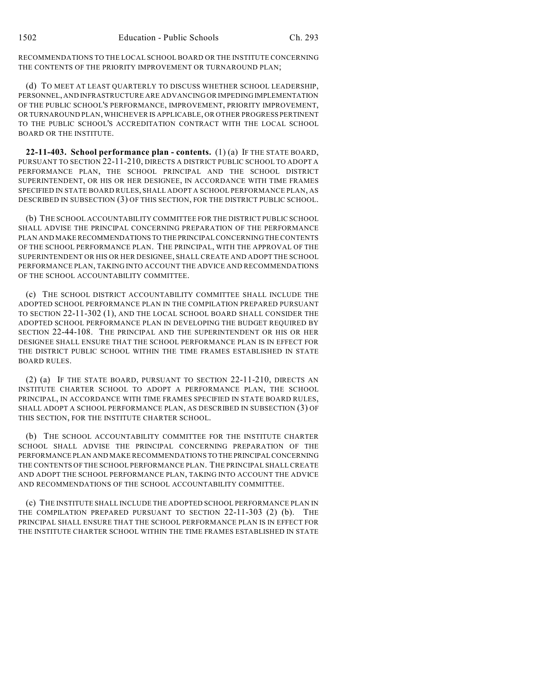RECOMMENDATIONS TO THE LOCAL SCHOOL BOARD OR THE INSTITUTE CONCERNING THE CONTENTS OF THE PRIORITY IMPROVEMENT OR TURNAROUND PLAN;

(d) TO MEET AT LEAST QUARTERLY TO DISCUSS WHETHER SCHOOL LEADERSHIP, PERSONNEL, AND INFRASTRUCTURE ARE ADVANCING OR IMPEDING IMPLEMENTATION OF THE PUBLIC SCHOOL'S PERFORMANCE, IMPROVEMENT, PRIORITY IMPROVEMENT, OR TURNAROUND PLAN, WHICHEVER IS APPLICABLE, OR OTHER PROGRESS PERTINENT TO THE PUBLIC SCHOOL'S ACCREDITATION CONTRACT WITH THE LOCAL SCHOOL BOARD OR THE INSTITUTE.

**22-11-403. School performance plan - contents.** (1) (a) IF THE STATE BOARD, PURSUANT TO SECTION 22-11-210, DIRECTS A DISTRICT PUBLIC SCHOOL TO ADOPT A PERFORMANCE PLAN, THE SCHOOL PRINCIPAL AND THE SCHOOL DISTRICT SUPERINTENDENT, OR HIS OR HER DESIGNEE, IN ACCORDANCE WITH TIME FRAMES SPECIFIED IN STATE BOARD RULES, SHALL ADOPT A SCHOOL PERFORMANCE PLAN, AS DESCRIBED IN SUBSECTION (3) OF THIS SECTION, FOR THE DISTRICT PUBLIC SCHOOL.

(b) THE SCHOOL ACCOUNTABILITY COMMITTEE FOR THE DISTRICT PUBLIC SCHOOL SHALL ADVISE THE PRINCIPAL CONCERNING PREPARATION OF THE PERFORMANCE PLAN AND MAKE RECOMMENDATIONS TO THE PRINCIPAL CONCERNING THE CONTENTS OF THE SCHOOL PERFORMANCE PLAN. THE PRINCIPAL, WITH THE APPROVAL OF THE SUPERINTENDENT OR HIS OR HER DESIGNEE, SHALL CREATE AND ADOPT THE SCHOOL PERFORMANCE PLAN, TAKING INTO ACCOUNT THE ADVICE AND RECOMMENDATIONS OF THE SCHOOL ACCOUNTABILITY COMMITTEE.

(c) THE SCHOOL DISTRICT ACCOUNTABILITY COMMITTEE SHALL INCLUDE THE ADOPTED SCHOOL PERFORMANCE PLAN IN THE COMPILATION PREPARED PURSUANT TO SECTION 22-11-302 (1), AND THE LOCAL SCHOOL BOARD SHALL CONSIDER THE ADOPTED SCHOOL PERFORMANCE PLAN IN DEVELOPING THE BUDGET REQUIRED BY SECTION 22-44-108. THE PRINCIPAL AND THE SUPERINTENDENT OR HIS OR HER DESIGNEE SHALL ENSURE THAT THE SCHOOL PERFORMANCE PLAN IS IN EFFECT FOR THE DISTRICT PUBLIC SCHOOL WITHIN THE TIME FRAMES ESTABLISHED IN STATE BOARD RULES.

(2) (a) IF THE STATE BOARD, PURSUANT TO SECTION 22-11-210, DIRECTS AN INSTITUTE CHARTER SCHOOL TO ADOPT A PERFORMANCE PLAN, THE SCHOOL PRINCIPAL, IN ACCORDANCE WITH TIME FRAMES SPECIFIED IN STATE BOARD RULES, SHALL ADOPT A SCHOOL PERFORMANCE PLAN, AS DESCRIBED IN SUBSECTION (3) OF THIS SECTION, FOR THE INSTITUTE CHARTER SCHOOL.

(b) THE SCHOOL ACCOUNTABILITY COMMITTEE FOR THE INSTITUTE CHARTER SCHOOL SHALL ADVISE THE PRINCIPAL CONCERNING PREPARATION OF THE PERFORMANCE PLAN AND MAKE RECOMMENDATIONS TO THE PRINCIPAL CONCERNING THE CONTENTS OF THE SCHOOL PERFORMANCE PLAN. THE PRINCIPAL SHALL CREATE AND ADOPT THE SCHOOL PERFORMANCE PLAN, TAKING INTO ACCOUNT THE ADVICE AND RECOMMENDATIONS OF THE SCHOOL ACCOUNTABILITY COMMITTEE.

(c) THE INSTITUTE SHALL INCLUDE THE ADOPTED SCHOOL PERFORMANCE PLAN IN THE COMPILATION PREPARED PURSUANT TO SECTION 22-11-303 (2) (b). THE PRINCIPAL SHALL ENSURE THAT THE SCHOOL PERFORMANCE PLAN IS IN EFFECT FOR THE INSTITUTE CHARTER SCHOOL WITHIN THE TIME FRAMES ESTABLISHED IN STATE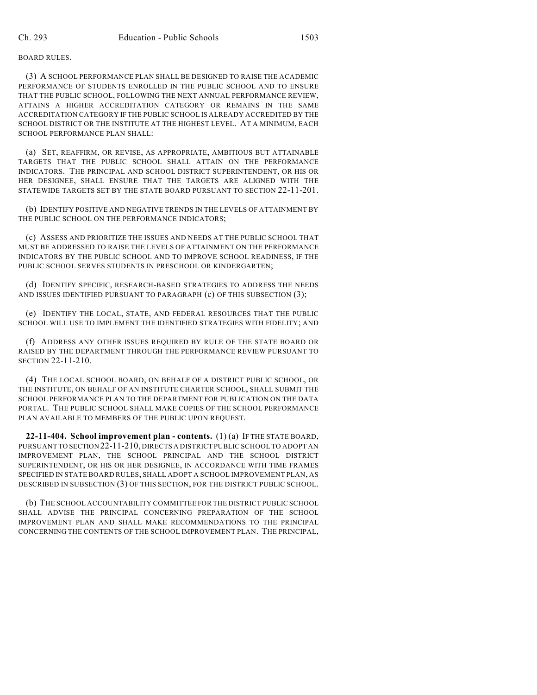#### BOARD RULES.

(3) A SCHOOL PERFORMANCE PLAN SHALL BE DESIGNED TO RAISE THE ACADEMIC PERFORMANCE OF STUDENTS ENROLLED IN THE PUBLIC SCHOOL AND TO ENSURE THAT THE PUBLIC SCHOOL, FOLLOWING THE NEXT ANNUAL PERFORMANCE REVIEW, ATTAINS A HIGHER ACCREDITATION CATEGORY OR REMAINS IN THE SAME ACCREDITATION CATEGORY IF THE PUBLIC SCHOOL IS ALREADY ACCREDITED BY THE SCHOOL DISTRICT OR THE INSTITUTE AT THE HIGHEST LEVEL. AT A MINIMUM, EACH SCHOOL PERFORMANCE PLAN SHALL:

(a) SET, REAFFIRM, OR REVISE, AS APPROPRIATE, AMBITIOUS BUT ATTAINABLE TARGETS THAT THE PUBLIC SCHOOL SHALL ATTAIN ON THE PERFORMANCE INDICATORS. THE PRINCIPAL AND SCHOOL DISTRICT SUPERINTENDENT, OR HIS OR HER DESIGNEE, SHALL ENSURE THAT THE TARGETS ARE ALIGNED WITH THE STATEWIDE TARGETS SET BY THE STATE BOARD PURSUANT TO SECTION 22-11-201.

(b) IDENTIFY POSITIVE AND NEGATIVE TRENDS IN THE LEVELS OF ATTAINMENT BY THE PUBLIC SCHOOL ON THE PERFORMANCE INDICATORS;

(c) ASSESS AND PRIORITIZE THE ISSUES AND NEEDS AT THE PUBLIC SCHOOL THAT MUST BE ADDRESSED TO RAISE THE LEVELS OF ATTAINMENT ON THE PERFORMANCE INDICATORS BY THE PUBLIC SCHOOL AND TO IMPROVE SCHOOL READINESS, IF THE PUBLIC SCHOOL SERVES STUDENTS IN PRESCHOOL OR KINDERGARTEN;

(d) IDENTIFY SPECIFIC, RESEARCH-BASED STRATEGIES TO ADDRESS THE NEEDS AND ISSUES IDENTIFIED PURSUANT TO PARAGRAPH (c) OF THIS SUBSECTION (3);

(e) IDENTIFY THE LOCAL, STATE, AND FEDERAL RESOURCES THAT THE PUBLIC SCHOOL WILL USE TO IMPLEMENT THE IDENTIFIED STRATEGIES WITH FIDELITY; AND

(f) ADDRESS ANY OTHER ISSUES REQUIRED BY RULE OF THE STATE BOARD OR RAISED BY THE DEPARTMENT THROUGH THE PERFORMANCE REVIEW PURSUANT TO SECTION 22-11-210.

(4) THE LOCAL SCHOOL BOARD, ON BEHALF OF A DISTRICT PUBLIC SCHOOL, OR THE INSTITUTE, ON BEHALF OF AN INSTITUTE CHARTER SCHOOL, SHALL SUBMIT THE SCHOOL PERFORMANCE PLAN TO THE DEPARTMENT FOR PUBLICATION ON THE DATA PORTAL. THE PUBLIC SCHOOL SHALL MAKE COPIES OF THE SCHOOL PERFORMANCE PLAN AVAILABLE TO MEMBERS OF THE PUBLIC UPON REQUEST.

**22-11-404. School improvement plan - contents.** (1) (a) IF THE STATE BOARD, PURSUANT TO SECTION 22-11-210, DIRECTS A DISTRICT PUBLIC SCHOOL TO ADOPT AN IMPROVEMENT PLAN, THE SCHOOL PRINCIPAL AND THE SCHOOL DISTRICT SUPERINTENDENT, OR HIS OR HER DESIGNEE, IN ACCORDANCE WITH TIME FRAMES SPECIFIED IN STATE BOARD RULES, SHALL ADOPT A SCHOOL IMPROVEMENT PLAN, AS DESCRIBED IN SUBSECTION (3) OF THIS SECTION, FOR THE DISTRICT PUBLIC SCHOOL.

(b) THE SCHOOL ACCOUNTABILITY COMMITTEE FOR THE DISTRICT PUBLIC SCHOOL SHALL ADVISE THE PRINCIPAL CONCERNING PREPARATION OF THE SCHOOL IMPROVEMENT PLAN AND SHALL MAKE RECOMMENDATIONS TO THE PRINCIPAL CONCERNING THE CONTENTS OF THE SCHOOL IMPROVEMENT PLAN. THE PRINCIPAL,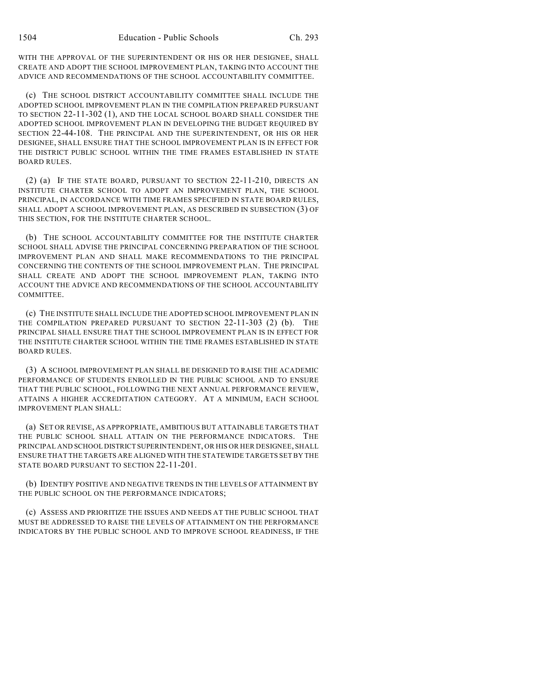WITH THE APPROVAL OF THE SUPERINTENDENT OR HIS OR HER DESIGNEE, SHALL CREATE AND ADOPT THE SCHOOL IMPROVEMENT PLAN, TAKING INTO ACCOUNT THE ADVICE AND RECOMMENDATIONS OF THE SCHOOL ACCOUNTABILITY COMMITTEE.

(c) THE SCHOOL DISTRICT ACCOUNTABILITY COMMITTEE SHALL INCLUDE THE ADOPTED SCHOOL IMPROVEMENT PLAN IN THE COMPILATION PREPARED PURSUANT TO SECTION 22-11-302 (1), AND THE LOCAL SCHOOL BOARD SHALL CONSIDER THE ADOPTED SCHOOL IMPROVEMENT PLAN IN DEVELOPING THE BUDGET REQUIRED BY SECTION 22-44-108. THE PRINCIPAL AND THE SUPERINTENDENT, OR HIS OR HER DESIGNEE, SHALL ENSURE THAT THE SCHOOL IMPROVEMENT PLAN IS IN EFFECT FOR THE DISTRICT PUBLIC SCHOOL WITHIN THE TIME FRAMES ESTABLISHED IN STATE BOARD RULES.

(2) (a) IF THE STATE BOARD, PURSUANT TO SECTION 22-11-210, DIRECTS AN INSTITUTE CHARTER SCHOOL TO ADOPT AN IMPROVEMENT PLAN, THE SCHOOL PRINCIPAL, IN ACCORDANCE WITH TIME FRAMES SPECIFIED IN STATE BOARD RULES, SHALL ADOPT A SCHOOL IMPROVEMENT PLAN, AS DESCRIBED IN SUBSECTION (3) OF THIS SECTION, FOR THE INSTITUTE CHARTER SCHOOL.

(b) THE SCHOOL ACCOUNTABILITY COMMITTEE FOR THE INSTITUTE CHARTER SCHOOL SHALL ADVISE THE PRINCIPAL CONCERNING PREPARATION OF THE SCHOOL IMPROVEMENT PLAN AND SHALL MAKE RECOMMENDATIONS TO THE PRINCIPAL CONCERNING THE CONTENTS OF THE SCHOOL IMPROVEMENT PLAN. THE PRINCIPAL SHALL CREATE AND ADOPT THE SCHOOL IMPROVEMENT PLAN, TAKING INTO ACCOUNT THE ADVICE AND RECOMMENDATIONS OF THE SCHOOL ACCOUNTABILITY **COMMITTEE.** 

(c) THE INSTITUTE SHALL INCLUDE THE ADOPTED SCHOOL IMPROVEMENT PLAN IN THE COMPILATION PREPARED PURSUANT TO SECTION 22-11-303 (2) (b). THE PRINCIPAL SHALL ENSURE THAT THE SCHOOL IMPROVEMENT PLAN IS IN EFFECT FOR THE INSTITUTE CHARTER SCHOOL WITHIN THE TIME FRAMES ESTABLISHED IN STATE BOARD RULES.

(3) A SCHOOL IMPROVEMENT PLAN SHALL BE DESIGNED TO RAISE THE ACADEMIC PERFORMANCE OF STUDENTS ENROLLED IN THE PUBLIC SCHOOL AND TO ENSURE THAT THE PUBLIC SCHOOL, FOLLOWING THE NEXT ANNUAL PERFORMANCE REVIEW, ATTAINS A HIGHER ACCREDITATION CATEGORY. AT A MINIMUM, EACH SCHOOL IMPROVEMENT PLAN SHALL:

(a) SET OR REVISE, AS APPROPRIATE, AMBITIOUS BUT ATTAINABLE TARGETS THAT THE PUBLIC SCHOOL SHALL ATTAIN ON THE PERFORMANCE INDICATORS. THE PRINCIPAL AND SCHOOL DISTRICT SUPERINTENDENT, OR HIS OR HER DESIGNEE, SHALL ENSURE THAT THE TARGETS ARE ALIGNED WITH THE STATEWIDE TARGETS SET BY THE STATE BOARD PURSUANT TO SECTION 22-11-201.

(b) IDENTIFY POSITIVE AND NEGATIVE TRENDS IN THE LEVELS OF ATTAINMENT BY THE PUBLIC SCHOOL ON THE PERFORMANCE INDICATORS;

(c) ASSESS AND PRIORITIZE THE ISSUES AND NEEDS AT THE PUBLIC SCHOOL THAT MUST BE ADDRESSED TO RAISE THE LEVELS OF ATTAINMENT ON THE PERFORMANCE INDICATORS BY THE PUBLIC SCHOOL AND TO IMPROVE SCHOOL READINESS, IF THE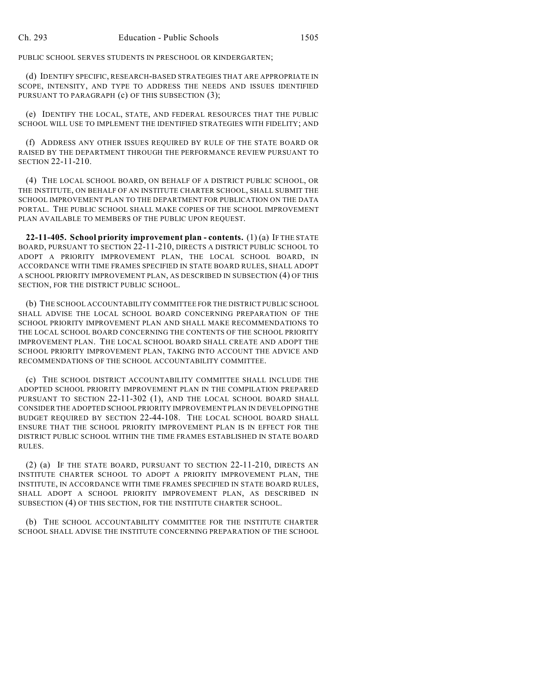PUBLIC SCHOOL SERVES STUDENTS IN PRESCHOOL OR KINDERGARTEN;

(d) IDENTIFY SPECIFIC, RESEARCH-BASED STRATEGIES THAT ARE APPROPRIATE IN SCOPE, INTENSITY, AND TYPE TO ADDRESS THE NEEDS AND ISSUES IDENTIFIED PURSUANT TO PARAGRAPH (c) OF THIS SUBSECTION (3);

(e) IDENTIFY THE LOCAL, STATE, AND FEDERAL RESOURCES THAT THE PUBLIC SCHOOL WILL USE TO IMPLEMENT THE IDENTIFIED STRATEGIES WITH FIDELITY; AND

(f) ADDRESS ANY OTHER ISSUES REQUIRED BY RULE OF THE STATE BOARD OR RAISED BY THE DEPARTMENT THROUGH THE PERFORMANCE REVIEW PURSUANT TO SECTION 22-11-210.

(4) THE LOCAL SCHOOL BOARD, ON BEHALF OF A DISTRICT PUBLIC SCHOOL, OR THE INSTITUTE, ON BEHALF OF AN INSTITUTE CHARTER SCHOOL, SHALL SUBMIT THE SCHOOL IMPROVEMENT PLAN TO THE DEPARTMENT FOR PUBLICATION ON THE DATA PORTAL. THE PUBLIC SCHOOL SHALL MAKE COPIES OF THE SCHOOL IMPROVEMENT PLAN AVAILABLE TO MEMBERS OF THE PUBLIC UPON REQUEST.

**22-11-405. School priority improvement plan - contents.** (1) (a) IF THE STATE BOARD, PURSUANT TO SECTION 22-11-210, DIRECTS A DISTRICT PUBLIC SCHOOL TO ADOPT A PRIORITY IMPROVEMENT PLAN, THE LOCAL SCHOOL BOARD, IN ACCORDANCE WITH TIME FRAMES SPECIFIED IN STATE BOARD RULES, SHALL ADOPT A SCHOOL PRIORITY IMPROVEMENT PLAN, AS DESCRIBED IN SUBSECTION (4) OF THIS SECTION, FOR THE DISTRICT PUBLIC SCHOOL.

(b) THE SCHOOL ACCOUNTABILITY COMMITTEE FOR THE DISTRICT PUBLIC SCHOOL SHALL ADVISE THE LOCAL SCHOOL BOARD CONCERNING PREPARATION OF THE SCHOOL PRIORITY IMPROVEMENT PLAN AND SHALL MAKE RECOMMENDATIONS TO THE LOCAL SCHOOL BOARD CONCERNING THE CONTENTS OF THE SCHOOL PRIORITY IMPROVEMENT PLAN. THE LOCAL SCHOOL BOARD SHALL CREATE AND ADOPT THE SCHOOL PRIORITY IMPROVEMENT PLAN, TAKING INTO ACCOUNT THE ADVICE AND RECOMMENDATIONS OF THE SCHOOL ACCOUNTABILITY COMMITTEE.

(c) THE SCHOOL DISTRICT ACCOUNTABILITY COMMITTEE SHALL INCLUDE THE ADOPTED SCHOOL PRIORITY IMPROVEMENT PLAN IN THE COMPILATION PREPARED PURSUANT TO SECTION 22-11-302 (1), AND THE LOCAL SCHOOL BOARD SHALL CONSIDER THE ADOPTED SCHOOL PRIORITY IMPROVEMENT PLAN IN DEVELOPING THE BUDGET REQUIRED BY SECTION 22-44-108. THE LOCAL SCHOOL BOARD SHALL ENSURE THAT THE SCHOOL PRIORITY IMPROVEMENT PLAN IS IN EFFECT FOR THE DISTRICT PUBLIC SCHOOL WITHIN THE TIME FRAMES ESTABLISHED IN STATE BOARD RULES.

(2) (a) IF THE STATE BOARD, PURSUANT TO SECTION 22-11-210, DIRECTS AN INSTITUTE CHARTER SCHOOL TO ADOPT A PRIORITY IMPROVEMENT PLAN, THE INSTITUTE, IN ACCORDANCE WITH TIME FRAMES SPECIFIED IN STATE BOARD RULES, SHALL ADOPT A SCHOOL PRIORITY IMPROVEMENT PLAN, AS DESCRIBED IN SUBSECTION (4) OF THIS SECTION, FOR THE INSTITUTE CHARTER SCHOOL.

(b) THE SCHOOL ACCOUNTABILITY COMMITTEE FOR THE INSTITUTE CHARTER SCHOOL SHALL ADVISE THE INSTITUTE CONCERNING PREPARATION OF THE SCHOOL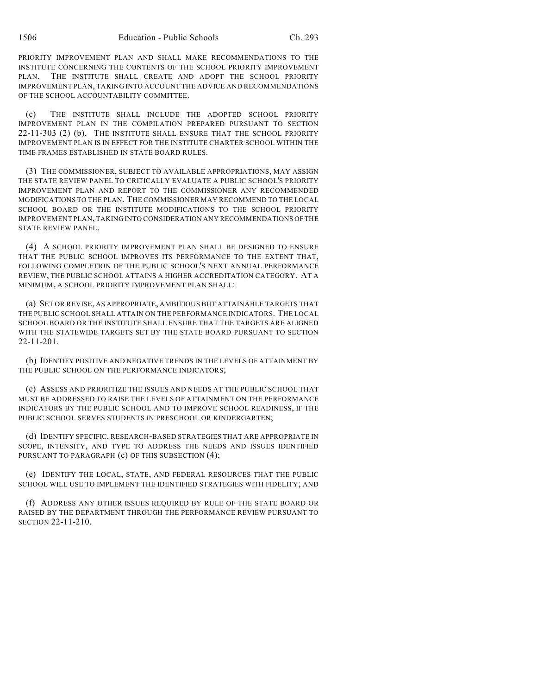PRIORITY IMPROVEMENT PLAN AND SHALL MAKE RECOMMENDATIONS TO THE INSTITUTE CONCERNING THE CONTENTS OF THE SCHOOL PRIORITY IMPROVEMENT PLAN. THE INSTITUTE SHALL CREATE AND ADOPT THE SCHOOL PRIORITY IMPROVEMENT PLAN, TAKING INTO ACCOUNT THE ADVICE AND RECOMMENDATIONS OF THE SCHOOL ACCOUNTABILITY COMMITTEE.

(c) THE INSTITUTE SHALL INCLUDE THE ADOPTED SCHOOL PRIORITY IMPROVEMENT PLAN IN THE COMPILATION PREPARED PURSUANT TO SECTION 22-11-303 (2) (b). THE INSTITUTE SHALL ENSURE THAT THE SCHOOL PRIORITY IMPROVEMENT PLAN IS IN EFFECT FOR THE INSTITUTE CHARTER SCHOOL WITHIN THE TIME FRAMES ESTABLISHED IN STATE BOARD RULES.

(3) THE COMMISSIONER, SUBJECT TO AVAILABLE APPROPRIATIONS, MAY ASSIGN THE STATE REVIEW PANEL TO CRITICALLY EVALUATE A PUBLIC SCHOOL'S PRIORITY IMPROVEMENT PLAN AND REPORT TO THE COMMISSIONER ANY RECOMMENDED MODIFICATIONS TO THE PLAN. THE COMMISSIONER MAY RECOMMEND TO THE LOCAL SCHOOL BOARD OR THE INSTITUTE MODIFICATIONS TO THE SCHOOL PRIORITY IMPROVEMENT PLAN, TAKING INTO CONSIDERATION ANY RECOMMENDATIONS OF THE STATE REVIEW PANEL.

(4) A SCHOOL PRIORITY IMPROVEMENT PLAN SHALL BE DESIGNED TO ENSURE THAT THE PUBLIC SCHOOL IMPROVES ITS PERFORMANCE TO THE EXTENT THAT, FOLLOWING COMPLETION OF THE PUBLIC SCHOOL'S NEXT ANNUAL PERFORMANCE REVIEW, THE PUBLIC SCHOOL ATTAINS A HIGHER ACCREDITATION CATEGORY. AT A MINIMUM, A SCHOOL PRIORITY IMPROVEMENT PLAN SHALL:

(a) SET OR REVISE, AS APPROPRIATE, AMBITIOUS BUT ATTAINABLE TARGETS THAT THE PUBLIC SCHOOL SHALL ATTAIN ON THE PERFORMANCE INDICATORS. THE LOCAL SCHOOL BOARD OR THE INSTITUTE SHALL ENSURE THAT THE TARGETS ARE ALIGNED WITH THE STATEWIDE TARGETS SET BY THE STATE BOARD PURSUANT TO SECTION 22-11-201.

(b) IDENTIFY POSITIVE AND NEGATIVE TRENDS IN THE LEVELS OF ATTAINMENT BY THE PUBLIC SCHOOL ON THE PERFORMANCE INDICATORS;

(c) ASSESS AND PRIORITIZE THE ISSUES AND NEEDS AT THE PUBLIC SCHOOL THAT MUST BE ADDRESSED TO RAISE THE LEVELS OF ATTAINMENT ON THE PERFORMANCE INDICATORS BY THE PUBLIC SCHOOL AND TO IMPROVE SCHOOL READINESS, IF THE PUBLIC SCHOOL SERVES STUDENTS IN PRESCHOOL OR KINDERGARTEN;

(d) IDENTIFY SPECIFIC, RESEARCH-BASED STRATEGIES THAT ARE APPROPRIATE IN SCOPE, INTENSITY, AND TYPE TO ADDRESS THE NEEDS AND ISSUES IDENTIFIED PURSUANT TO PARAGRAPH (c) OF THIS SUBSECTION (4);

(e) IDENTIFY THE LOCAL, STATE, AND FEDERAL RESOURCES THAT THE PUBLIC SCHOOL WILL USE TO IMPLEMENT THE IDENTIFIED STRATEGIES WITH FIDELITY; AND

(f) ADDRESS ANY OTHER ISSUES REQUIRED BY RULE OF THE STATE BOARD OR RAISED BY THE DEPARTMENT THROUGH THE PERFORMANCE REVIEW PURSUANT TO SECTION 22-11-210.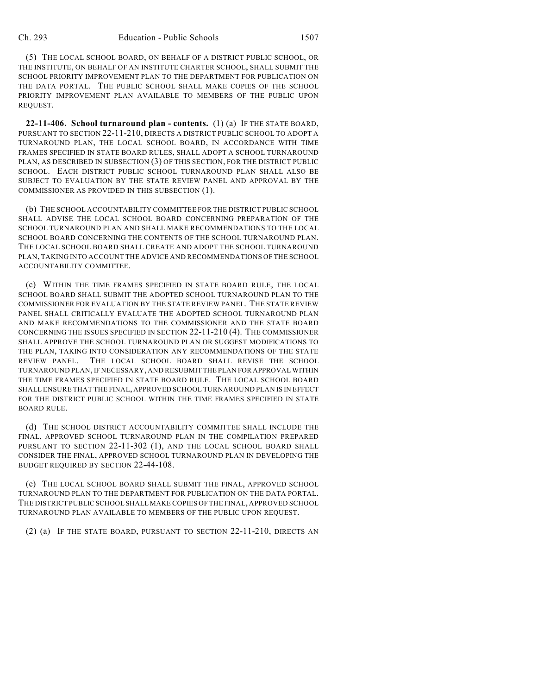(5) THE LOCAL SCHOOL BOARD, ON BEHALF OF A DISTRICT PUBLIC SCHOOL, OR THE INSTITUTE, ON BEHALF OF AN INSTITUTE CHARTER SCHOOL, SHALL SUBMIT THE SCHOOL PRIORITY IMPROVEMENT PLAN TO THE DEPARTMENT FOR PUBLICATION ON THE DATA PORTAL. THE PUBLIC SCHOOL SHALL MAKE COPIES OF THE SCHOOL PRIORITY IMPROVEMENT PLAN AVAILABLE TO MEMBERS OF THE PUBLIC UPON REQUEST.

**22-11-406. School turnaround plan - contents.** (1) (a) IF THE STATE BOARD, PURSUANT TO SECTION 22-11-210, DIRECTS A DISTRICT PUBLIC SCHOOL TO ADOPT A TURNAROUND PLAN, THE LOCAL SCHOOL BOARD, IN ACCORDANCE WITH TIME FRAMES SPECIFIED IN STATE BOARD RULES, SHALL ADOPT A SCHOOL TURNAROUND PLAN, AS DESCRIBED IN SUBSECTION (3) OF THIS SECTION, FOR THE DISTRICT PUBLIC SCHOOL. EACH DISTRICT PUBLIC SCHOOL TURNAROUND PLAN SHALL ALSO BE SUBJECT TO EVALUATION BY THE STATE REVIEW PANEL AND APPROVAL BY THE COMMISSIONER AS PROVIDED IN THIS SUBSECTION (1).

(b) THE SCHOOL ACCOUNTABILITY COMMITTEE FOR THE DISTRICT PUBLIC SCHOOL SHALL ADVISE THE LOCAL SCHOOL BOARD CONCERNING PREPARATION OF THE SCHOOL TURNAROUND PLAN AND SHALL MAKE RECOMMENDATIONS TO THE LOCAL SCHOOL BOARD CONCERNING THE CONTENTS OF THE SCHOOL TURNAROUND PLAN. THE LOCAL SCHOOL BOARD SHALL CREATE AND ADOPT THE SCHOOL TURNAROUND PLAN, TAKING INTO ACCOUNT THE ADVICE AND RECOMMENDATIONS OF THE SCHOOL ACCOUNTABILITY COMMITTEE.

(c) WITHIN THE TIME FRAMES SPECIFIED IN STATE BOARD RULE, THE LOCAL SCHOOL BOARD SHALL SUBMIT THE ADOPTED SCHOOL TURNAROUND PLAN TO THE COMMISSIONER FOR EVALUATION BY THE STATE REVIEW PANEL. THE STATE REVIEW PANEL SHALL CRITICALLY EVALUATE THE ADOPTED SCHOOL TURNAROUND PLAN AND MAKE RECOMMENDATIONS TO THE COMMISSIONER AND THE STATE BOARD CONCERNING THE ISSUES SPECIFIED IN SECTION 22-11-210 (4). THE COMMISSIONER SHALL APPROVE THE SCHOOL TURNAROUND PLAN OR SUGGEST MODIFICATIONS TO THE PLAN, TAKING INTO CONSIDERATION ANY RECOMMENDATIONS OF THE STATE REVIEW PANEL. THE LOCAL SCHOOL BOARD SHALL REVISE THE SCHOOL TURNAROUND PLAN, IF NECESSARY, AND RESUBMIT THE PLAN FOR APPROVAL WITHIN THE TIME FRAMES SPECIFIED IN STATE BOARD RULE. THE LOCAL SCHOOL BOARD SHALL ENSURE THAT THE FINAL, APPROVED SCHOOL TURNAROUND PLAN IS IN EFFECT FOR THE DISTRICT PUBLIC SCHOOL WITHIN THE TIME FRAMES SPECIFIED IN STATE BOARD RULE.

(d) THE SCHOOL DISTRICT ACCOUNTABILITY COMMITTEE SHALL INCLUDE THE FINAL, APPROVED SCHOOL TURNAROUND PLAN IN THE COMPILATION PREPARED PURSUANT TO SECTION 22-11-302 (1), AND THE LOCAL SCHOOL BOARD SHALL CONSIDER THE FINAL, APPROVED SCHOOL TURNAROUND PLAN IN DEVELOPING THE BUDGET REQUIRED BY SECTION 22-44-108.

(e) THE LOCAL SCHOOL BOARD SHALL SUBMIT THE FINAL, APPROVED SCHOOL TURNAROUND PLAN TO THE DEPARTMENT FOR PUBLICATION ON THE DATA PORTAL. THE DISTRICT PUBLIC SCHOOL SHALL MAKE COPIES OF THE FINAL, APPROVED SCHOOL TURNAROUND PLAN AVAILABLE TO MEMBERS OF THE PUBLIC UPON REQUEST.

(2) (a) IF THE STATE BOARD, PURSUANT TO SECTION 22-11-210, DIRECTS AN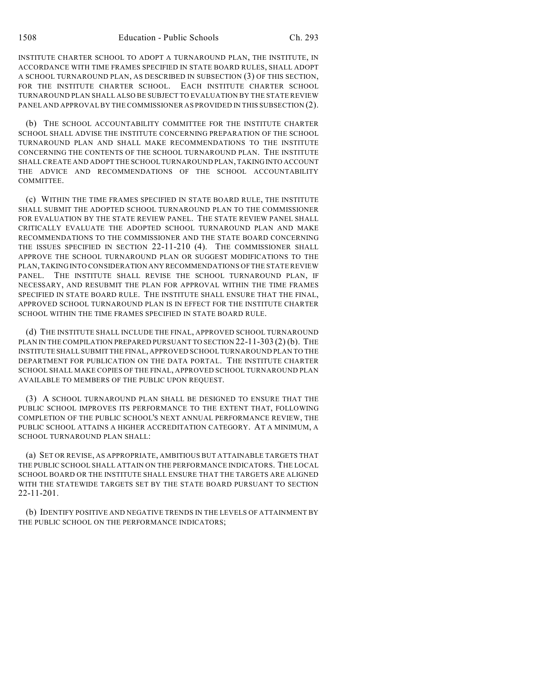INSTITUTE CHARTER SCHOOL TO ADOPT A TURNAROUND PLAN, THE INSTITUTE, IN ACCORDANCE WITH TIME FRAMES SPECIFIED IN STATE BOARD RULES, SHALL ADOPT A SCHOOL TURNAROUND PLAN, AS DESCRIBED IN SUBSECTION (3) OF THIS SECTION, FOR THE INSTITUTE CHARTER SCHOOL. EACH INSTITUTE CHARTER SCHOOL TURNAROUND PLAN SHALL ALSO BE SUBJECT TO EVALUATION BY THE STATE REVIEW PANEL AND APPROVAL BY THE COMMISSIONER AS PROVIDED IN THIS SUBSECTION (2).

(b) THE SCHOOL ACCOUNTABILITY COMMITTEE FOR THE INSTITUTE CHARTER SCHOOL SHALL ADVISE THE INSTITUTE CONCERNING PREPARATION OF THE SCHOOL TURNAROUND PLAN AND SHALL MAKE RECOMMENDATIONS TO THE INSTITUTE CONCERNING THE CONTENTS OF THE SCHOOL TURNAROUND PLAN. THE INSTITUTE SHALL CREATE AND ADOPT THE SCHOOL TURNAROUND PLAN, TAKING INTO ACCOUNT THE ADVICE AND RECOMMENDATIONS OF THE SCHOOL ACCOUNTABILITY COMMITTEE.

(c) WITHIN THE TIME FRAMES SPECIFIED IN STATE BOARD RULE, THE INSTITUTE SHALL SUBMIT THE ADOPTED SCHOOL TURNAROUND PLAN TO THE COMMISSIONER FOR EVALUATION BY THE STATE REVIEW PANEL. THE STATE REVIEW PANEL SHALL CRITICALLY EVALUATE THE ADOPTED SCHOOL TURNAROUND PLAN AND MAKE RECOMMENDATIONS TO THE COMMISSIONER AND THE STATE BOARD CONCERNING THE ISSUES SPECIFIED IN SECTION 22-11-210 (4). THE COMMISSIONER SHALL APPROVE THE SCHOOL TURNAROUND PLAN OR SUGGEST MODIFICATIONS TO THE PLAN, TAKING INTO CONSIDERATION ANY RECOMMENDATIONS OF THE STATE REVIEW PANEL. THE INSTITUTE SHALL REVISE THE SCHOOL TURNAROUND PLAN, IF NECESSARY, AND RESUBMIT THE PLAN FOR APPROVAL WITHIN THE TIME FRAMES SPECIFIED IN STATE BOARD RULE. THE INSTITUTE SHALL ENSURE THAT THE FINAL, APPROVED SCHOOL TURNAROUND PLAN IS IN EFFECT FOR THE INSTITUTE CHARTER SCHOOL WITHIN THE TIME FRAMES SPECIFIED IN STATE BOARD RULE.

(d) THE INSTITUTE SHALL INCLUDE THE FINAL, APPROVED SCHOOL TURNAROUND PLAN IN THE COMPILATION PREPARED PURSUANT TO SECTION 22-11-303 (2) (b). THE INSTITUTE SHALL SUBMIT THE FINAL, APPROVED SCHOOL TURNAROUND PLAN TO THE DEPARTMENT FOR PUBLICATION ON THE DATA PORTAL. THE INSTITUTE CHARTER SCHOOL SHALL MAKE COPIES OF THE FINAL, APPROVED SCHOOL TURNAROUND PLAN AVAILABLE TO MEMBERS OF THE PUBLIC UPON REQUEST.

(3) A SCHOOL TURNAROUND PLAN SHALL BE DESIGNED TO ENSURE THAT THE PUBLIC SCHOOL IMPROVES ITS PERFORMANCE TO THE EXTENT THAT, FOLLOWING COMPLETION OF THE PUBLIC SCHOOL'S NEXT ANNUAL PERFORMANCE REVIEW, THE PUBLIC SCHOOL ATTAINS A HIGHER ACCREDITATION CATEGORY. AT A MINIMUM, A SCHOOL TURNAROUND PLAN SHALL:

(a) SET OR REVISE, AS APPROPRIATE, AMBITIOUS BUT ATTAINABLE TARGETS THAT THE PUBLIC SCHOOL SHALL ATTAIN ON THE PERFORMANCE INDICATORS. THE LOCAL SCHOOL BOARD OR THE INSTITUTE SHALL ENSURE THAT THE TARGETS ARE ALIGNED WITH THE STATEWIDE TARGETS SET BY THE STATE BOARD PURSUANT TO SECTION 22-11-201.

(b) IDENTIFY POSITIVE AND NEGATIVE TRENDS IN THE LEVELS OF ATTAINMENT BY THE PUBLIC SCHOOL ON THE PERFORMANCE INDICATORS;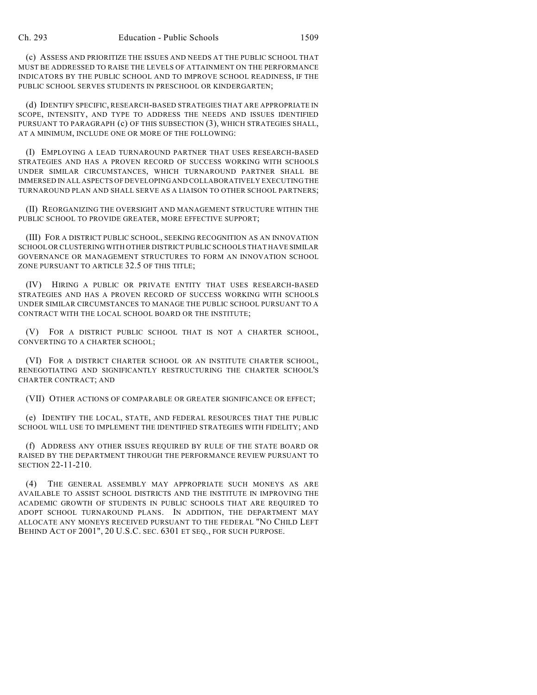(c) ASSESS AND PRIORITIZE THE ISSUES AND NEEDS AT THE PUBLIC SCHOOL THAT MUST BE ADDRESSED TO RAISE THE LEVELS OF ATTAINMENT ON THE PERFORMANCE INDICATORS BY THE PUBLIC SCHOOL AND TO IMPROVE SCHOOL READINESS, IF THE PUBLIC SCHOOL SERVES STUDENTS IN PRESCHOOL OR KINDERGARTEN;

(d) IDENTIFY SPECIFIC, RESEARCH-BASED STRATEGIES THAT ARE APPROPRIATE IN SCOPE, INTENSITY, AND TYPE TO ADDRESS THE NEEDS AND ISSUES IDENTIFIED PURSUANT TO PARAGRAPH (c) OF THIS SUBSECTION (3), WHICH STRATEGIES SHALL, AT A MINIMUM, INCLUDE ONE OR MORE OF THE FOLLOWING:

(I) EMPLOYING A LEAD TURNAROUND PARTNER THAT USES RESEARCH-BASED STRATEGIES AND HAS A PROVEN RECORD OF SUCCESS WORKING WITH SCHOOLS UNDER SIMILAR CIRCUMSTANCES, WHICH TURNAROUND PARTNER SHALL BE IMMERSED IN ALL ASPECTS OF DEVELOPING AND COLLABORATIVELY EXECUTING THE TURNAROUND PLAN AND SHALL SERVE AS A LIAISON TO OTHER SCHOOL PARTNERS;

(II) REORGANIZING THE OVERSIGHT AND MANAGEMENT STRUCTURE WITHIN THE PUBLIC SCHOOL TO PROVIDE GREATER, MORE EFFECTIVE SUPPORT;

(III) FOR A DISTRICT PUBLIC SCHOOL, SEEKING RECOGNITION AS AN INNOVATION SCHOOL OR CLUSTERING WITH OTHER DISTRICT PUBLIC SCHOOLS THAT HAVE SIMILAR GOVERNANCE OR MANAGEMENT STRUCTURES TO FORM AN INNOVATION SCHOOL ZONE PURSUANT TO ARTICLE 32.5 OF THIS TITLE;

(IV) HIRING A PUBLIC OR PRIVATE ENTITY THAT USES RESEARCH-BASED STRATEGIES AND HAS A PROVEN RECORD OF SUCCESS WORKING WITH SCHOOLS UNDER SIMILAR CIRCUMSTANCES TO MANAGE THE PUBLIC SCHOOL PURSUANT TO A CONTRACT WITH THE LOCAL SCHOOL BOARD OR THE INSTITUTE;

(V) FOR A DISTRICT PUBLIC SCHOOL THAT IS NOT A CHARTER SCHOOL, CONVERTING TO A CHARTER SCHOOL;

(VI) FOR A DISTRICT CHARTER SCHOOL OR AN INSTITUTE CHARTER SCHOOL, RENEGOTIATING AND SIGNIFICANTLY RESTRUCTURING THE CHARTER SCHOOL'S CHARTER CONTRACT; AND

(VII) OTHER ACTIONS OF COMPARABLE OR GREATER SIGNIFICANCE OR EFFECT;

(e) IDENTIFY THE LOCAL, STATE, AND FEDERAL RESOURCES THAT THE PUBLIC SCHOOL WILL USE TO IMPLEMENT THE IDENTIFIED STRATEGIES WITH FIDELITY; AND

(f) ADDRESS ANY OTHER ISSUES REQUIRED BY RULE OF THE STATE BOARD OR RAISED BY THE DEPARTMENT THROUGH THE PERFORMANCE REVIEW PURSUANT TO SECTION 22-11-210.

(4) THE GENERAL ASSEMBLY MAY APPROPRIATE SUCH MONEYS AS ARE AVAILABLE TO ASSIST SCHOOL DISTRICTS AND THE INSTITUTE IN IMPROVING THE ACADEMIC GROWTH OF STUDENTS IN PUBLIC SCHOOLS THAT ARE REQUIRED TO ADOPT SCHOOL TURNAROUND PLANS. IN ADDITION, THE DEPARTMENT MAY ALLOCATE ANY MONEYS RECEIVED PURSUANT TO THE FEDERAL "NO CHILD LEFT BEHIND ACT OF 2001", 20 U.S.C. SEC. 6301 ET SEQ., FOR SUCH PURPOSE.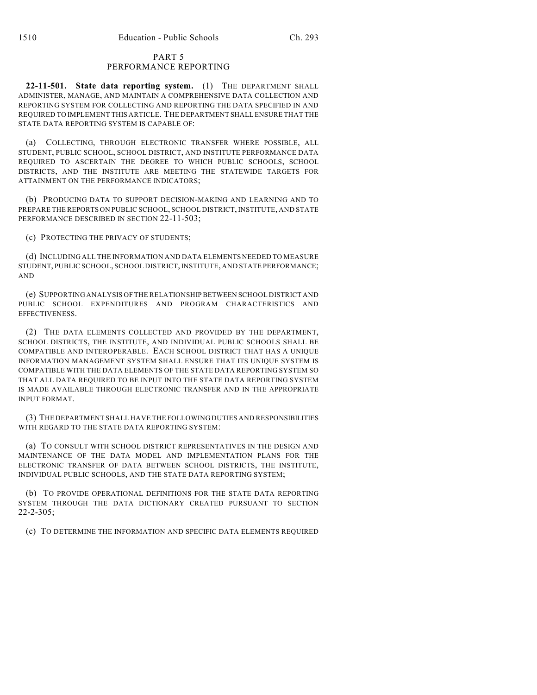# PART 5 PERFORMANCE REPORTING

**22-11-501. State data reporting system.** (1) THE DEPARTMENT SHALL ADMINISTER, MANAGE, AND MAINTAIN A COMPREHENSIVE DATA COLLECTION AND REPORTING SYSTEM FOR COLLECTING AND REPORTING THE DATA SPECIFIED IN AND REQUIRED TO IMPLEMENT THIS ARTICLE. THE DEPARTMENT SHALL ENSURE THAT THE STATE DATA REPORTING SYSTEM IS CAPABLE OF:

(a) COLLECTING, THROUGH ELECTRONIC TRANSFER WHERE POSSIBLE, ALL STUDENT, PUBLIC SCHOOL, SCHOOL DISTRICT, AND INSTITUTE PERFORMANCE DATA REQUIRED TO ASCERTAIN THE DEGREE TO WHICH PUBLIC SCHOOLS, SCHOOL DISTRICTS, AND THE INSTITUTE ARE MEETING THE STATEWIDE TARGETS FOR ATTAINMENT ON THE PERFORMANCE INDICATORS;

(b) PRODUCING DATA TO SUPPORT DECISION-MAKING AND LEARNING AND TO PREPARE THE REPORTS ON PUBLIC SCHOOL, SCHOOL DISTRICT, INSTITUTE, AND STATE PERFORMANCE DESCRIBED IN SECTION 22-11-503;

(c) PROTECTING THE PRIVACY OF STUDENTS;

(d) INCLUDING ALL THE INFORMATION AND DATA ELEMENTS NEEDED TO MEASURE STUDENT, PUBLIC SCHOOL, SCHOOL DISTRICT, INSTITUTE, AND STATE PERFORMANCE; AND

(e) SUPPORTING ANALYSIS OF THE RELATIONSHIP BETWEEN SCHOOL DISTRICT AND PUBLIC SCHOOL EXPENDITURES AND PROGRAM CHARACTERISTICS AND EFFECTIVENESS.

(2) THE DATA ELEMENTS COLLECTED AND PROVIDED BY THE DEPARTMENT, SCHOOL DISTRICTS, THE INSTITUTE, AND INDIVIDUAL PUBLIC SCHOOLS SHALL BE COMPATIBLE AND INTEROPERABLE. EACH SCHOOL DISTRICT THAT HAS A UNIQUE INFORMATION MANAGEMENT SYSTEM SHALL ENSURE THAT ITS UNIQUE SYSTEM IS COMPATIBLE WITH THE DATA ELEMENTS OF THE STATE DATA REPORTING SYSTEM SO THAT ALL DATA REQUIRED TO BE INPUT INTO THE STATE DATA REPORTING SYSTEM IS MADE AVAILABLE THROUGH ELECTRONIC TRANSFER AND IN THE APPROPRIATE INPUT FORMAT.

(3) THE DEPARTMENT SHALL HAVE THE FOLLOWING DUTIES AND RESPONSIBILITIES WITH REGARD TO THE STATE DATA REPORTING SYSTEM:

(a) TO CONSULT WITH SCHOOL DISTRICT REPRESENTATIVES IN THE DESIGN AND MAINTENANCE OF THE DATA MODEL AND IMPLEMENTATION PLANS FOR THE ELECTRONIC TRANSFER OF DATA BETWEEN SCHOOL DISTRICTS, THE INSTITUTE, INDIVIDUAL PUBLIC SCHOOLS, AND THE STATE DATA REPORTING SYSTEM;

(b) TO PROVIDE OPERATIONAL DEFINITIONS FOR THE STATE DATA REPORTING SYSTEM THROUGH THE DATA DICTIONARY CREATED PURSUANT TO SECTION 22-2-305;

(c) TO DETERMINE THE INFORMATION AND SPECIFIC DATA ELEMENTS REQUIRED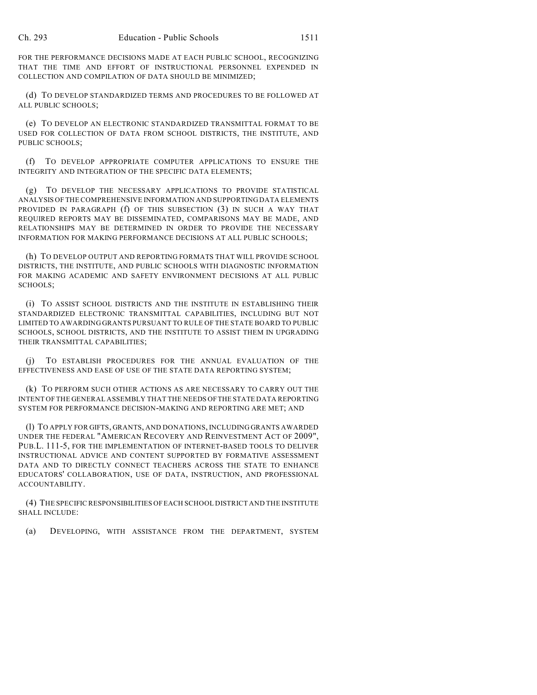FOR THE PERFORMANCE DECISIONS MADE AT EACH PUBLIC SCHOOL, RECOGNIZING THAT THE TIME AND EFFORT OF INSTRUCTIONAL PERSONNEL EXPENDED IN COLLECTION AND COMPILATION OF DATA SHOULD BE MINIMIZED;

(d) TO DEVELOP STANDARDIZED TERMS AND PROCEDURES TO BE FOLLOWED AT ALL PUBLIC SCHOOLS;

(e) TO DEVELOP AN ELECTRONIC STANDARDIZED TRANSMITTAL FORMAT TO BE USED FOR COLLECTION OF DATA FROM SCHOOL DISTRICTS, THE INSTITUTE, AND PUBLIC SCHOOLS:

(f) TO DEVELOP APPROPRIATE COMPUTER APPLICATIONS TO ENSURE THE INTEGRITY AND INTEGRATION OF THE SPECIFIC DATA ELEMENTS;

(g) TO DEVELOP THE NECESSARY APPLICATIONS TO PROVIDE STATISTICAL ANALYSIS OF THE COMPREHENSIVE INFORMATION AND SUPPORTING DATA ELEMENTS PROVIDED IN PARAGRAPH (f) OF THIS SUBSECTION (3) IN SUCH A WAY THAT REQUIRED REPORTS MAY BE DISSEMINATED, COMPARISONS MAY BE MADE, AND RELATIONSHIPS MAY BE DETERMINED IN ORDER TO PROVIDE THE NECESSARY INFORMATION FOR MAKING PERFORMANCE DECISIONS AT ALL PUBLIC SCHOOLS;

(h) TO DEVELOP OUTPUT AND REPORTING FORMATS THAT WILL PROVIDE SCHOOL DISTRICTS, THE INSTITUTE, AND PUBLIC SCHOOLS WITH DIAGNOSTIC INFORMATION FOR MAKING ACADEMIC AND SAFETY ENVIRONMENT DECISIONS AT ALL PUBLIC SCHOOLS;

(i) TO ASSIST SCHOOL DISTRICTS AND THE INSTITUTE IN ESTABLISHING THEIR STANDARDIZED ELECTRONIC TRANSMITTAL CAPABILITIES, INCLUDING BUT NOT LIMITED TO AWARDING GRANTS PURSUANT TO RULE OF THE STATE BOARD TO PUBLIC SCHOOLS, SCHOOL DISTRICTS, AND THE INSTITUTE TO ASSIST THEM IN UPGRADING THEIR TRANSMITTAL CAPABILITIES;

(j) TO ESTABLISH PROCEDURES FOR THE ANNUAL EVALUATION OF THE EFFECTIVENESS AND EASE OF USE OF THE STATE DATA REPORTING SYSTEM;

(k) TO PERFORM SUCH OTHER ACTIONS AS ARE NECESSARY TO CARRY OUT THE INTENT OF THE GENERAL ASSEMBLY THAT THE NEEDS OF THE STATE DATA REPORTING SYSTEM FOR PERFORMANCE DECISION-MAKING AND REPORTING ARE MET; AND

(l) TO APPLY FOR GIFTS, GRANTS, AND DONATIONS, INCLUDING GRANTS AWARDED UNDER THE FEDERAL "AMERICAN RECOVERY AND REINVESTMENT ACT OF 2009", PUB.L. 111-5, FOR THE IMPLEMENTATION OF INTERNET-BASED TOOLS TO DELIVER INSTRUCTIONAL ADVICE AND CONTENT SUPPORTED BY FORMATIVE ASSESSMENT DATA AND TO DIRECTLY CONNECT TEACHERS ACROSS THE STATE TO ENHANCE EDUCATORS' COLLABORATION, USE OF DATA, INSTRUCTION, AND PROFESSIONAL ACCOUNTABILITY.

(4) THE SPECIFIC RESPONSIBILITIES OF EACH SCHOOL DISTRICT AND THE INSTITUTE SHALL INCLUDE:

(a) DEVELOPING, WITH ASSISTANCE FROM THE DEPARTMENT, SYSTEM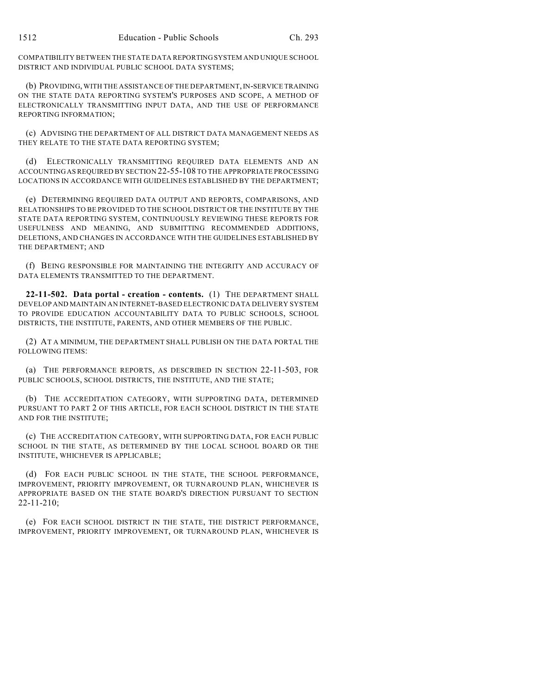COMPATIBILITY BETWEEN THE STATE DATA REPORTING SYSTEM AND UNIQUE SCHOOL DISTRICT AND INDIVIDUAL PUBLIC SCHOOL DATA SYSTEMS;

(b) PROVIDING, WITH THE ASSISTANCE OF THE DEPARTMENT, IN-SERVICE TRAINING ON THE STATE DATA REPORTING SYSTEM'S PURPOSES AND SCOPE, A METHOD OF ELECTRONICALLY TRANSMITTING INPUT DATA, AND THE USE OF PERFORMANCE REPORTING INFORMATION;

(c) ADVISING THE DEPARTMENT OF ALL DISTRICT DATA MANAGEMENT NEEDS AS THEY RELATE TO THE STATE DATA REPORTING SYSTEM;

(d) ELECTRONICALLY TRANSMITTING REQUIRED DATA ELEMENTS AND AN ACCOUNTING AS REQUIRED BY SECTION 22-55-108 TO THE APPROPRIATE PROCESSING LOCATIONS IN ACCORDANCE WITH GUIDELINES ESTABLISHED BY THE DEPARTMENT;

(e) DETERMINING REQUIRED DATA OUTPUT AND REPORTS, COMPARISONS, AND RELATIONSHIPS TO BE PROVIDED TO THE SCHOOL DISTRICT OR THE INSTITUTE BY THE STATE DATA REPORTING SYSTEM, CONTINUOUSLY REVIEWING THESE REPORTS FOR USEFULNESS AND MEANING, AND SUBMITTING RECOMMENDED ADDITIONS, DELETIONS, AND CHANGES IN ACCORDANCE WITH THE GUIDELINES ESTABLISHED BY THE DEPARTMENT; AND

(f) BEING RESPONSIBLE FOR MAINTAINING THE INTEGRITY AND ACCURACY OF DATA ELEMENTS TRANSMITTED TO THE DEPARTMENT.

**22-11-502. Data portal - creation - contents.** (1) THE DEPARTMENT SHALL DEVELOP AND MAINTAIN AN INTERNET-BASED ELECTRONIC DATA DELIVERY SYSTEM TO PROVIDE EDUCATION ACCOUNTABILITY DATA TO PUBLIC SCHOOLS, SCHOOL DISTRICTS, THE INSTITUTE, PARENTS, AND OTHER MEMBERS OF THE PUBLIC.

(2) AT A MINIMUM, THE DEPARTMENT SHALL PUBLISH ON THE DATA PORTAL THE FOLLOWING ITEMS:

(a) THE PERFORMANCE REPORTS, AS DESCRIBED IN SECTION 22-11-503, FOR PUBLIC SCHOOLS, SCHOOL DISTRICTS, THE INSTITUTE, AND THE STATE;

(b) THE ACCREDITATION CATEGORY, WITH SUPPORTING DATA, DETERMINED PURSUANT TO PART 2 OF THIS ARTICLE, FOR EACH SCHOOL DISTRICT IN THE STATE AND FOR THE INSTITUTE;

(c) THE ACCREDITATION CATEGORY, WITH SUPPORTING DATA, FOR EACH PUBLIC SCHOOL IN THE STATE, AS DETERMINED BY THE LOCAL SCHOOL BOARD OR THE INSTITUTE, WHICHEVER IS APPLICABLE;

(d) FOR EACH PUBLIC SCHOOL IN THE STATE, THE SCHOOL PERFORMANCE, IMPROVEMENT, PRIORITY IMPROVEMENT, OR TURNAROUND PLAN, WHICHEVER IS APPROPRIATE BASED ON THE STATE BOARD'S DIRECTION PURSUANT TO SECTION 22-11-210;

(e) FOR EACH SCHOOL DISTRICT IN THE STATE, THE DISTRICT PERFORMANCE, IMPROVEMENT, PRIORITY IMPROVEMENT, OR TURNAROUND PLAN, WHICHEVER IS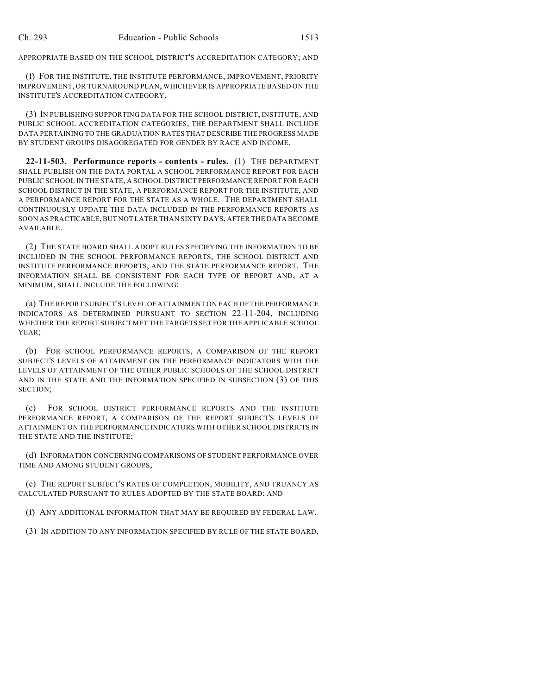APPROPRIATE BASED ON THE SCHOOL DISTRICT'S ACCREDITATION CATEGORY; AND

(f) FOR THE INSTITUTE, THE INSTITUTE PERFORMANCE, IMPROVEMENT, PRIORITY IMPROVEMENT, OR TURNAROUND PLAN, WHICHEVER IS APPROPRIATE BASED ON THE INSTITUTE'S ACCREDITATION CATEGORY.

(3) IN PUBLISHING SUPPORTING DATA FOR THE SCHOOL DISTRICT, INSTITUTE, AND PUBLIC SCHOOL ACCREDITATION CATEGORIES, THE DEPARTMENT SHALL INCLUDE DATA PERTAINING TO THE GRADUATION RATES THAT DESCRIBE THE PROGRESS MADE BY STUDENT GROUPS DISAGGREGATED FOR GENDER BY RACE AND INCOME.

**22-11-503. Performance reports - contents - rules.** (1) THE DEPARTMENT SHALL PUBLISH ON THE DATA PORTAL A SCHOOL PERFORMANCE REPORT FOR EACH PUBLIC SCHOOL IN THE STATE, A SCHOOL DISTRICT PERFORMANCE REPORT FOR EACH SCHOOL DISTRICT IN THE STATE, A PERFORMANCE REPORT FOR THE INSTITUTE, AND A PERFORMANCE REPORT FOR THE STATE AS A WHOLE. THE DEPARTMENT SHALL CONTINUOUSLY UPDATE THE DATA INCLUDED IN THE PERFORMANCE REPORTS AS SOON AS PRACTICABLE, BUT NOT LATER THAN SIXTY DAYS, AFTER THE DATA BECOME AVAILABLE.

(2) THE STATE BOARD SHALL ADOPT RULES SPECIFYING THE INFORMATION TO BE INCLUDED IN THE SCHOOL PERFORMANCE REPORTS, THE SCHOOL DISTRICT AND INSTITUTE PERFORMANCE REPORTS, AND THE STATE PERFORMANCE REPORT. THE INFORMATION SHALL BE CONSISTENT FOR EACH TYPE OF REPORT AND, AT A MINIMUM, SHALL INCLUDE THE FOLLOWING:

(a) THE REPORT SUBJECT'S LEVEL OF ATTAINMENT ON EACH OF THE PERFORMANCE INDICATORS AS DETERMINED PURSUANT TO SECTION 22-11-204, INCLUDING WHETHER THE REPORT SUBJECT MET THE TARGETS SET FOR THE APPLICABLE SCHOOL YEAR;

(b) FOR SCHOOL PERFORMANCE REPORTS, A COMPARISON OF THE REPORT SUBJECT'S LEVELS OF ATTAINMENT ON THE PERFORMANCE INDICATORS WITH THE LEVELS OF ATTAINMENT OF THE OTHER PUBLIC SCHOOLS OF THE SCHOOL DISTRICT AND IN THE STATE AND THE INFORMATION SPECIFIED IN SUBSECTION (3) OF THIS SECTION;

(c) FOR SCHOOL DISTRICT PERFORMANCE REPORTS AND THE INSTITUTE PERFORMANCE REPORT, A COMPARISON OF THE REPORT SUBJECT'S LEVELS OF ATTAINMENT ON THE PERFORMANCE INDICATORS WITH OTHER SCHOOL DISTRICTS IN THE STATE AND THE INSTITUTE;

(d) INFORMATION CONCERNING COMPARISONS OF STUDENT PERFORMANCE OVER TIME AND AMONG STUDENT GROUPS;

(e) THE REPORT SUBJECT'S RATES OF COMPLETION, MOBILITY, AND TRUANCY AS CALCULATED PURSUANT TO RULES ADOPTED BY THE STATE BOARD; AND

(f) ANY ADDITIONAL INFORMATION THAT MAY BE REQUIRED BY FEDERAL LAW.

(3) IN ADDITION TO ANY INFORMATION SPECIFIED BY RULE OF THE STATE BOARD,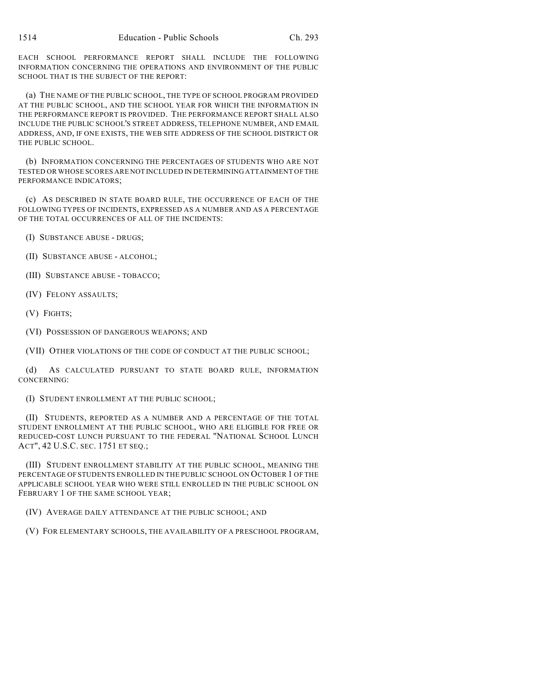EACH SCHOOL PERFORMANCE REPORT SHALL INCLUDE THE FOLLOWING INFORMATION CONCERNING THE OPERATIONS AND ENVIRONMENT OF THE PUBLIC SCHOOL THAT IS THE SUBJECT OF THE REPORT:

(a) THE NAME OF THE PUBLIC SCHOOL, THE TYPE OF SCHOOL PROGRAM PROVIDED AT THE PUBLIC SCHOOL, AND THE SCHOOL YEAR FOR WHICH THE INFORMATION IN THE PERFORMANCE REPORT IS PROVIDED. THE PERFORMANCE REPORT SHALL ALSO INCLUDE THE PUBLIC SCHOOL'S STREET ADDRESS, TELEPHONE NUMBER, AND EMAIL ADDRESS, AND, IF ONE EXISTS, THE WEB SITE ADDRESS OF THE SCHOOL DISTRICT OR THE PUBLIC SCHOOL.

(b) INFORMATION CONCERNING THE PERCENTAGES OF STUDENTS WHO ARE NOT TESTED OR WHOSE SCORES ARE NOT INCLUDED IN DETERMINING ATTAINMENT OF THE PERFORMANCE INDICATORS;

(c) AS DESCRIBED IN STATE BOARD RULE, THE OCCURRENCE OF EACH OF THE FOLLOWING TYPES OF INCIDENTS, EXPRESSED AS A NUMBER AND AS A PERCENTAGE OF THE TOTAL OCCURRENCES OF ALL OF THE INCIDENTS:

(I) SUBSTANCE ABUSE - DRUGS;

- (II) SUBSTANCE ABUSE ALCOHOL;
- (III) SUBSTANCE ABUSE TOBACCO;
- (IV) FELONY ASSAULTS;
- (V) FIGHTS;
- (VI) POSSESSION OF DANGEROUS WEAPONS; AND

(VII) OTHER VIOLATIONS OF THE CODE OF CONDUCT AT THE PUBLIC SCHOOL;

(d) AS CALCULATED PURSUANT TO STATE BOARD RULE, INFORMATION CONCERNING:

(I) STUDENT ENROLLMENT AT THE PUBLIC SCHOOL;

(II) STUDENTS, REPORTED AS A NUMBER AND A PERCENTAGE OF THE TOTAL STUDENT ENROLLMENT AT THE PUBLIC SCHOOL, WHO ARE ELIGIBLE FOR FREE OR REDUCED-COST LUNCH PURSUANT TO THE FEDERAL "NATIONAL SCHOOL LUNCH ACT", 42 U.S.C. SEC. 1751 ET SEQ.;

(III) STUDENT ENROLLMENT STABILITY AT THE PUBLIC SCHOOL, MEANING THE PERCENTAGE OF STUDENTS ENROLLED IN THE PUBLIC SCHOOL ON OCTOBER 1 OF THE APPLICABLE SCHOOL YEAR WHO WERE STILL ENROLLED IN THE PUBLIC SCHOOL ON FEBRUARY 1 OF THE SAME SCHOOL YEAR;

(IV) AVERAGE DAILY ATTENDANCE AT THE PUBLIC SCHOOL; AND

(V) FOR ELEMENTARY SCHOOLS, THE AVAILABILITY OF A PRESCHOOL PROGRAM,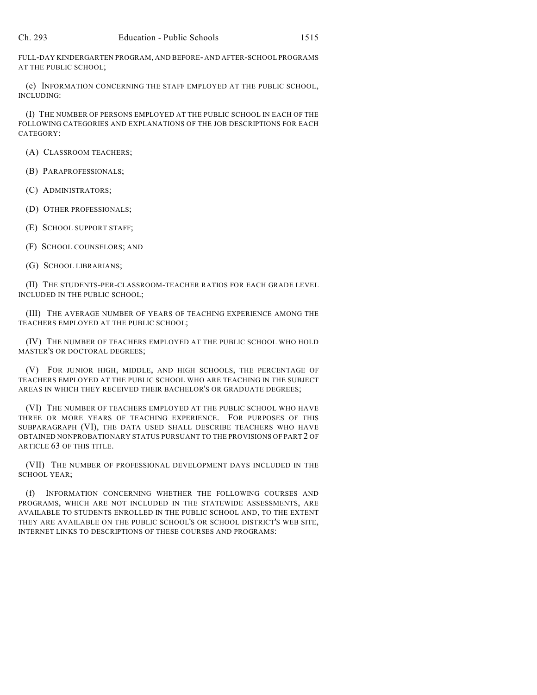FULL-DAY KINDERGARTEN PROGRAM, AND BEFORE- AND AFTER-SCHOOL PROGRAMS AT THE PUBLIC SCHOOL;

(e) INFORMATION CONCERNING THE STAFF EMPLOYED AT THE PUBLIC SCHOOL, INCLUDING:

(I) THE NUMBER OF PERSONS EMPLOYED AT THE PUBLIC SCHOOL IN EACH OF THE FOLLOWING CATEGORIES AND EXPLANATIONS OF THE JOB DESCRIPTIONS FOR EACH CATEGORY:

(A) CLASSROOM TEACHERS;

(B) PARAPROFESSIONALS;

(C) ADMINISTRATORS;

(D) OTHER PROFESSIONALS;

(E) SCHOOL SUPPORT STAFF;

(F) SCHOOL COUNSELORS; AND

(G) SCHOOL LIBRARIANS;

(II) THE STUDENTS-PER-CLASSROOM-TEACHER RATIOS FOR EACH GRADE LEVEL INCLUDED IN THE PUBLIC SCHOOL;

(III) THE AVERAGE NUMBER OF YEARS OF TEACHING EXPERIENCE AMONG THE TEACHERS EMPLOYED AT THE PUBLIC SCHOOL;

(IV) THE NUMBER OF TEACHERS EMPLOYED AT THE PUBLIC SCHOOL WHO HOLD MASTER'S OR DOCTORAL DEGREES;

(V) FOR JUNIOR HIGH, MIDDLE, AND HIGH SCHOOLS, THE PERCENTAGE OF TEACHERS EMPLOYED AT THE PUBLIC SCHOOL WHO ARE TEACHING IN THE SUBJECT AREAS IN WHICH THEY RECEIVED THEIR BACHELOR'S OR GRADUATE DEGREES;

(VI) THE NUMBER OF TEACHERS EMPLOYED AT THE PUBLIC SCHOOL WHO HAVE THREE OR MORE YEARS OF TEACHING EXPERIENCE. FOR PURPOSES OF THIS SUBPARAGRAPH (VI), THE DATA USED SHALL DESCRIBE TEACHERS WHO HAVE OBTAINED NONPROBATIONARY STATUS PURSUANT TO THE PROVISIONS OF PART 2 OF ARTICLE 63 OF THIS TITLE.

(VII) THE NUMBER OF PROFESSIONAL DEVELOPMENT DAYS INCLUDED IN THE SCHOOL YEAR;

(f) INFORMATION CONCERNING WHETHER THE FOLLOWING COURSES AND PROGRAMS, WHICH ARE NOT INCLUDED IN THE STATEWIDE ASSESSMENTS, ARE AVAILABLE TO STUDENTS ENROLLED IN THE PUBLIC SCHOOL AND, TO THE EXTENT THEY ARE AVAILABLE ON THE PUBLIC SCHOOL'S OR SCHOOL DISTRICT'S WEB SITE, INTERNET LINKS TO DESCRIPTIONS OF THESE COURSES AND PROGRAMS: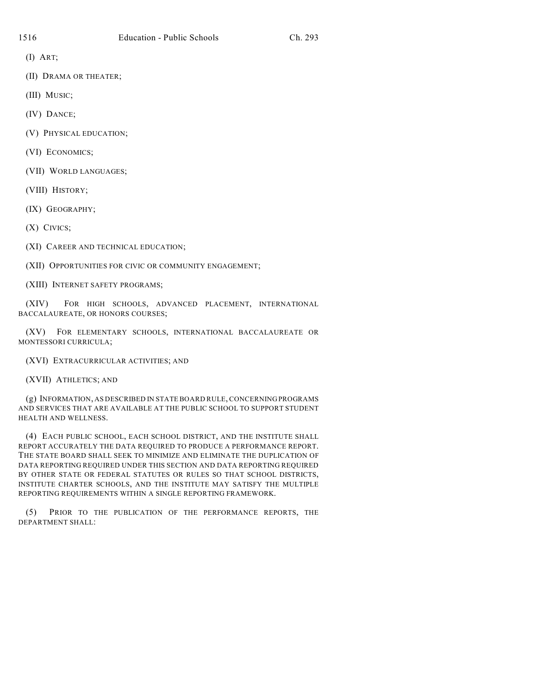(I) ART;

(II) DRAMA OR THEATER;

(III) MUSIC;

(IV) DANCE;

(V) PHYSICAL EDUCATION;

(VI) ECONOMICS;

(VII) WORLD LANGUAGES;

(VIII) HISTORY;

(IX) GEOGRAPHY;

(X) CIVICS;

(XI) CAREER AND TECHNICAL EDUCATION;

(XII) OPPORTUNITIES FOR CIVIC OR COMMUNITY ENGAGEMENT;

(XIII) INTERNET SAFETY PROGRAMS;

(XIV) FOR HIGH SCHOOLS, ADVANCED PLACEMENT, INTERNATIONAL BACCALAUREATE, OR HONORS COURSES;

(XV) FOR ELEMENTARY SCHOOLS, INTERNATIONAL BACCALAUREATE OR MONTESSORI CURRICULA;

(XVI) EXTRACURRICULAR ACTIVITIES; AND

(XVII) ATHLETICS; AND

(g) INFORMATION, AS DESCRIBED IN STATE BOARD RULE, CONCERNING PROGRAMS AND SERVICES THAT ARE AVAILABLE AT THE PUBLIC SCHOOL TO SUPPORT STUDENT HEALTH AND WELLNESS.

(4) EACH PUBLIC SCHOOL, EACH SCHOOL DISTRICT, AND THE INSTITUTE SHALL REPORT ACCURATELY THE DATA REQUIRED TO PRODUCE A PERFORMANCE REPORT. THE STATE BOARD SHALL SEEK TO MINIMIZE AND ELIMINATE THE DUPLICATION OF DATA REPORTING REQUIRED UNDER THIS SECTION AND DATA REPORTING REQUIRED BY OTHER STATE OR FEDERAL STATUTES OR RULES SO THAT SCHOOL DISTRICTS, INSTITUTE CHARTER SCHOOLS, AND THE INSTITUTE MAY SATISFY THE MULTIPLE REPORTING REQUIREMENTS WITHIN A SINGLE REPORTING FRAMEWORK.

(5) PRIOR TO THE PUBLICATION OF THE PERFORMANCE REPORTS, THE DEPARTMENT SHALL: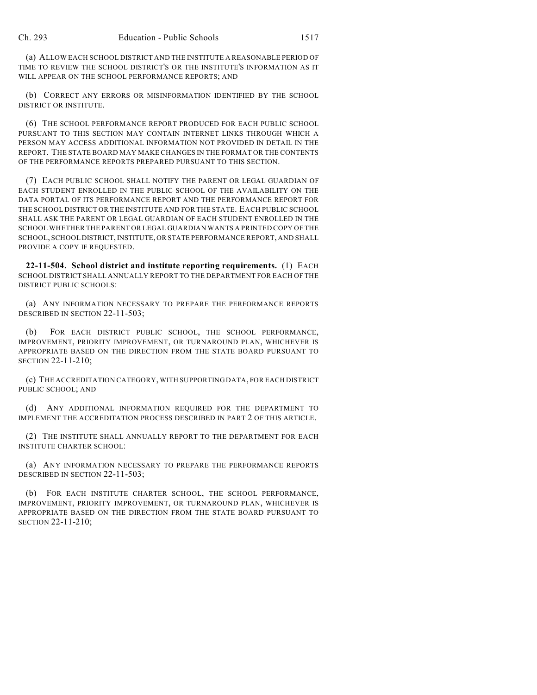(a) ALLOW EACH SCHOOL DISTRICT AND THE INSTITUTE A REASONABLE PERIOD OF TIME TO REVIEW THE SCHOOL DISTRICT'S OR THE INSTITUTE'S INFORMATION AS IT WILL APPEAR ON THE SCHOOL PERFORMANCE REPORTS; AND

(b) CORRECT ANY ERRORS OR MISINFORMATION IDENTIFIED BY THE SCHOOL DISTRICT OR INSTITUTE.

(6) THE SCHOOL PERFORMANCE REPORT PRODUCED FOR EACH PUBLIC SCHOOL PURSUANT TO THIS SECTION MAY CONTAIN INTERNET LINKS THROUGH WHICH A PERSON MAY ACCESS ADDITIONAL INFORMATION NOT PROVIDED IN DETAIL IN THE REPORT. THE STATE BOARD MAY MAKE CHANGES IN THE FORMAT OR THE CONTENTS OF THE PERFORMANCE REPORTS PREPARED PURSUANT TO THIS SECTION.

(7) EACH PUBLIC SCHOOL SHALL NOTIFY THE PARENT OR LEGAL GUARDIAN OF EACH STUDENT ENROLLED IN THE PUBLIC SCHOOL OF THE AVAILABILITY ON THE DATA PORTAL OF ITS PERFORMANCE REPORT AND THE PERFORMANCE REPORT FOR THE SCHOOL DISTRICT OR THE INSTITUTE AND FOR THE STATE. EACH PUBLIC SCHOOL SHALL ASK THE PARENT OR LEGAL GUARDIAN OF EACH STUDENT ENROLLED IN THE SCHOOL WHETHER THE PARENT OR LEGAL GUARDIAN WANTS A PRINTED COPY OF THE SCHOOL, SCHOOL DISTRICT, INSTITUTE, OR STATE PERFORMANCE REPORT, AND SHALL PROVIDE A COPY IF REQUESTED.

**22-11-504. School district and institute reporting requirements.** (1) EACH SCHOOL DISTRICT SHALL ANNUALLY REPORT TO THE DEPARTMENT FOR EACH OF THE DISTRICT PUBLIC SCHOOLS:

(a) ANY INFORMATION NECESSARY TO PREPARE THE PERFORMANCE REPORTS DESCRIBED IN SECTION 22-11-503;

(b) FOR EACH DISTRICT PUBLIC SCHOOL, THE SCHOOL PERFORMANCE, IMPROVEMENT, PRIORITY IMPROVEMENT, OR TURNAROUND PLAN, WHICHEVER IS APPROPRIATE BASED ON THE DIRECTION FROM THE STATE BOARD PURSUANT TO SECTION 22-11-210;

(c) THE ACCREDITATION CATEGORY, WITH SUPPORTING DATA, FOR EACH DISTRICT PUBLIC SCHOOL; AND

(d) ANY ADDITIONAL INFORMATION REQUIRED FOR THE DEPARTMENT TO IMPLEMENT THE ACCREDITATION PROCESS DESCRIBED IN PART 2 OF THIS ARTICLE.

(2) THE INSTITUTE SHALL ANNUALLY REPORT TO THE DEPARTMENT FOR EACH INSTITUTE CHARTER SCHOOL:

(a) ANY INFORMATION NECESSARY TO PREPARE THE PERFORMANCE REPORTS DESCRIBED IN SECTION 22-11-503;

(b) FOR EACH INSTITUTE CHARTER SCHOOL, THE SCHOOL PERFORMANCE, IMPROVEMENT, PRIORITY IMPROVEMENT, OR TURNAROUND PLAN, WHICHEVER IS APPROPRIATE BASED ON THE DIRECTION FROM THE STATE BOARD PURSUANT TO SECTION 22-11-210;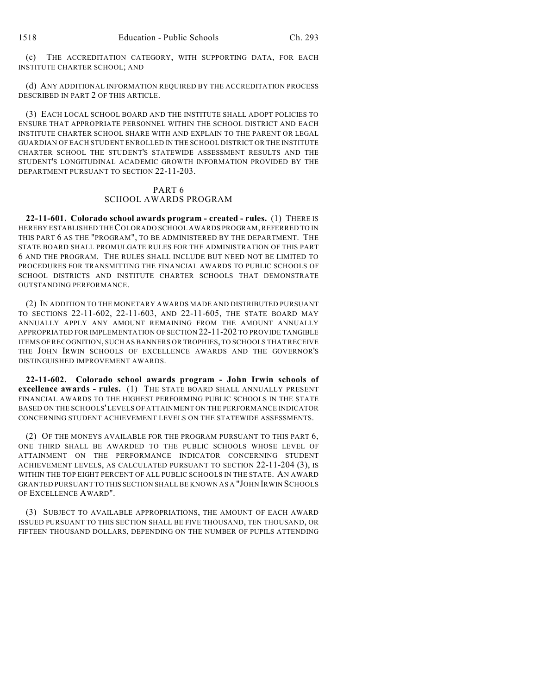(c) THE ACCREDITATION CATEGORY, WITH SUPPORTING DATA, FOR EACH INSTITUTE CHARTER SCHOOL; AND

(d) ANY ADDITIONAL INFORMATION REQUIRED BY THE ACCREDITATION PROCESS DESCRIBED IN PART 2 OF THIS ARTICLE.

(3) EACH LOCAL SCHOOL BOARD AND THE INSTITUTE SHALL ADOPT POLICIES TO ENSURE THAT APPROPRIATE PERSONNEL WITHIN THE SCHOOL DISTRICT AND EACH INSTITUTE CHARTER SCHOOL SHARE WITH AND EXPLAIN TO THE PARENT OR LEGAL GUARDIAN OF EACH STUDENT ENROLLED IN THE SCHOOL DISTRICT OR THE INSTITUTE CHARTER SCHOOL THE STUDENT'S STATEWIDE ASSESSMENT RESULTS AND THE STUDENT'S LONGITUDINAL ACADEMIC GROWTH INFORMATION PROVIDED BY THE DEPARTMENT PURSUANT TO SECTION 22-11-203.

## PART 6 SCHOOL AWARDS PROGRAM

**22-11-601. Colorado school awards program - created - rules.** (1) THERE IS HEREBY ESTABLISHED THE COLORADO SCHOOL AWARDS PROGRAM, REFERRED TO IN THIS PART 6 AS THE "PROGRAM", TO BE ADMINISTERED BY THE DEPARTMENT. THE STATE BOARD SHALL PROMULGATE RULES FOR THE ADMINISTRATION OF THIS PART 6 AND THE PROGRAM. THE RULES SHALL INCLUDE BUT NEED NOT BE LIMITED TO PROCEDURES FOR TRANSMITTING THE FINANCIAL AWARDS TO PUBLIC SCHOOLS OF SCHOOL DISTRICTS AND INSTITUTE CHARTER SCHOOLS THAT DEMONSTRATE OUTSTANDING PERFORMANCE.

(2) IN ADDITION TO THE MONETARY AWARDS MADE AND DISTRIBUTED PURSUANT TO SECTIONS 22-11-602, 22-11-603, AND 22-11-605, THE STATE BOARD MAY ANNUALLY APPLY ANY AMOUNT REMAINING FROM THE AMOUNT ANNUALLY APPROPRIATED FOR IMPLEMENTATION OF SECTION 22-11-202 TO PROVIDE TANGIBLE ITEMS OF RECOGNITION, SUCH AS BANNERS OR TROPHIES, TO SCHOOLS THAT RECEIVE THE JOHN IRWIN SCHOOLS OF EXCELLENCE AWARDS AND THE GOVERNOR'S DISTINGUISHED IMPROVEMENT AWARDS.

**22-11-602. Colorado school awards program - John Irwin schools of excellence awards - rules.** (1) THE STATE BOARD SHALL ANNUALLY PRESENT FINANCIAL AWARDS TO THE HIGHEST PERFORMING PUBLIC SCHOOLS IN THE STATE BASED ON THE SCHOOLS' LEVELS OF ATTAINMENT ON THE PERFORMANCE INDICATOR CONCERNING STUDENT ACHIEVEMENT LEVELS ON THE STATEWIDE ASSESSMENTS.

(2) OF THE MONEYS AVAILABLE FOR THE PROGRAM PURSUANT TO THIS PART 6, ONE THIRD SHALL BE AWARDED TO THE PUBLIC SCHOOLS WHOSE LEVEL OF ATTAINMENT ON THE PERFORMANCE INDICATOR CONCERNING STUDENT ACHIEVEMENT LEVELS, AS CALCULATED PURSUANT TO SECTION 22-11-204 (3), IS WITHIN THE TOP EIGHT PERCENT OF ALL PUBLIC SCHOOLS IN THE STATE. AN AWARD GRANTED PURSUANT TO THIS SECTION SHALL BE KNOWN AS A "JOHN IRWIN SCHOOLS OF EXCELLENCE AWARD".

(3) SUBJECT TO AVAILABLE APPROPRIATIONS, THE AMOUNT OF EACH AWARD ISSUED PURSUANT TO THIS SECTION SHALL BE FIVE THOUSAND, TEN THOUSAND, OR FIFTEEN THOUSAND DOLLARS, DEPENDING ON THE NUMBER OF PUPILS ATTENDING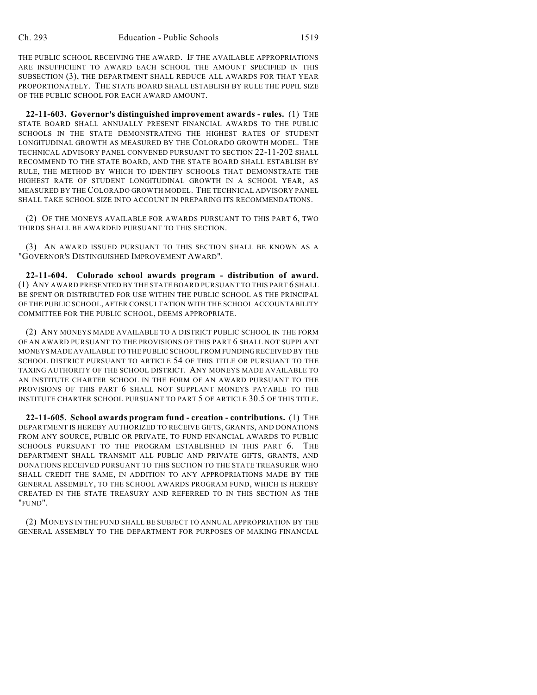THE PUBLIC SCHOOL RECEIVING THE AWARD. IF THE AVAILABLE APPROPRIATIONS ARE INSUFFICIENT TO AWARD EACH SCHOOL THE AMOUNT SPECIFIED IN THIS SUBSECTION (3), THE DEPARTMENT SHALL REDUCE ALL AWARDS FOR THAT YEAR PROPORTIONATELY. THE STATE BOARD SHALL ESTABLISH BY RULE THE PUPIL SIZE OF THE PUBLIC SCHOOL FOR EACH AWARD AMOUNT.

**22-11-603. Governor's distinguished improvement awards - rules.** (1) THE STATE BOARD SHALL ANNUALLY PRESENT FINANCIAL AWARDS TO THE PUBLIC SCHOOLS IN THE STATE DEMONSTRATING THE HIGHEST RATES OF STUDENT LONGITUDINAL GROWTH AS MEASURED BY THE COLORADO GROWTH MODEL. THE TECHNICAL ADVISORY PANEL CONVENED PURSUANT TO SECTION 22-11-202 SHALL RECOMMEND TO THE STATE BOARD, AND THE STATE BOARD SHALL ESTABLISH BY RULE, THE METHOD BY WHICH TO IDENTIFY SCHOOLS THAT DEMONSTRATE THE HIGHEST RATE OF STUDENT LONGITUDINAL GROWTH IN A SCHOOL YEAR, AS MEASURED BY THE COLORADO GROWTH MODEL. THE TECHNICAL ADVISORY PANEL SHALL TAKE SCHOOL SIZE INTO ACCOUNT IN PREPARING ITS RECOMMENDATIONS.

(2) OF THE MONEYS AVAILABLE FOR AWARDS PURSUANT TO THIS PART 6, TWO THIRDS SHALL BE AWARDED PURSUANT TO THIS SECTION.

(3) AN AWARD ISSUED PURSUANT TO THIS SECTION SHALL BE KNOWN AS A "GOVERNOR'S DISTINGUISHED IMPROVEMENT AWARD".

**22-11-604. Colorado school awards program - distribution of award.** (1) ANY AWARD PRESENTED BY THE STATE BOARD PURSUANT TO THIS PART 6 SHALL BE SPENT OR DISTRIBUTED FOR USE WITHIN THE PUBLIC SCHOOL AS THE PRINCIPAL OF THE PUBLIC SCHOOL, AFTER CONSULTATION WITH THE SCHOOL ACCOUNTABILITY COMMITTEE FOR THE PUBLIC SCHOOL, DEEMS APPROPRIATE.

(2) ANY MONEYS MADE AVAILABLE TO A DISTRICT PUBLIC SCHOOL IN THE FORM OF AN AWARD PURSUANT TO THE PROVISIONS OF THIS PART 6 SHALL NOT SUPPLANT MONEYS MADE AVAILABLE TO THE PUBLIC SCHOOL FROM FUNDING RECEIVED BY THE SCHOOL DISTRICT PURSUANT TO ARTICLE 54 OF THIS TITLE OR PURSUANT TO THE TAXING AUTHORITY OF THE SCHOOL DISTRICT. ANY MONEYS MADE AVAILABLE TO AN INSTITUTE CHARTER SCHOOL IN THE FORM OF AN AWARD PURSUANT TO THE PROVISIONS OF THIS PART 6 SHALL NOT SUPPLANT MONEYS PAYABLE TO THE INSTITUTE CHARTER SCHOOL PURSUANT TO PART 5 OF ARTICLE 30.5 OF THIS TITLE.

**22-11-605. School awards program fund - creation - contributions.** (1) THE DEPARTMENT IS HEREBY AUTHORIZED TO RECEIVE GIFTS, GRANTS, AND DONATIONS FROM ANY SOURCE, PUBLIC OR PRIVATE, TO FUND FINANCIAL AWARDS TO PUBLIC SCHOOLS PURSUANT TO THE PROGRAM ESTABLISHED IN THIS PART 6. THE DEPARTMENT SHALL TRANSMIT ALL PUBLIC AND PRIVATE GIFTS, GRANTS, AND DONATIONS RECEIVED PURSUANT TO THIS SECTION TO THE STATE TREASURER WHO SHALL CREDIT THE SAME, IN ADDITION TO ANY APPROPRIATIONS MADE BY THE GENERAL ASSEMBLY, TO THE SCHOOL AWARDS PROGRAM FUND, WHICH IS HEREBY CREATED IN THE STATE TREASURY AND REFERRED TO IN THIS SECTION AS THE "FUND".

(2) MONEYS IN THE FUND SHALL BE SUBJECT TO ANNUAL APPROPRIATION BY THE GENERAL ASSEMBLY TO THE DEPARTMENT FOR PURPOSES OF MAKING FINANCIAL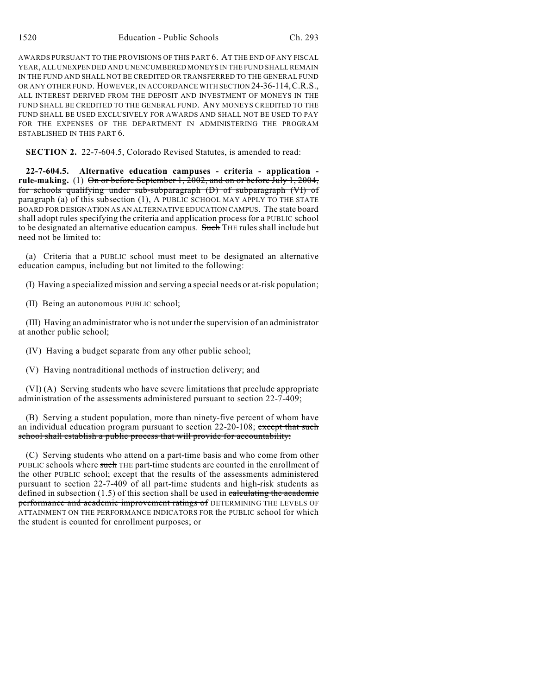AWARDS PURSUANT TO THE PROVISIONS OF THIS PART 6. AT THE END OF ANY FISCAL YEAR, ALL UNEXPENDED AND UNENCUMBERED MONEYS IN THE FUND SHALL REMAIN IN THE FUND AND SHALL NOT BE CREDITED OR TRANSFERRED TO THE GENERAL FUND OR ANY OTHER FUND. HOWEVER, IN ACCORDANCE WITH SECTION 24-36-114,C.R.S., ALL INTEREST DERIVED FROM THE DEPOSIT AND INVESTMENT OF MONEYS IN THE FUND SHALL BE CREDITED TO THE GENERAL FUND. ANY MONEYS CREDITED TO THE FUND SHALL BE USED EXCLUSIVELY FOR AWARDS AND SHALL NOT BE USED TO PAY FOR THE EXPENSES OF THE DEPARTMENT IN ADMINISTERING THE PROGRAM ESTABLISHED IN THIS PART 6.

**SECTION 2.** 22-7-604.5, Colorado Revised Statutes, is amended to read:

**22-7-604.5. Alternative education campuses - criteria - application rule-making.** (1) On or before September 1, 2002, and on or before July 1, 2004, for schools qualifying under sub-subparagraph (D) of subparagraph (VI) of  $\frac{1}{2}$  paragraph (a) of this subsection (1), A PUBLIC SCHOOL MAY APPLY TO THE STATE BOARD FOR DESIGNATION AS AN ALTERNATIVE EDUCATION CAMPUS. The state board shall adopt rules specifying the criteria and application process for a PUBLIC school to be designated an alternative education campus. Such THE rules shall include but need not be limited to:

(a) Criteria that a PUBLIC school must meet to be designated an alternative education campus, including but not limited to the following:

(I) Having a specialized mission and serving a special needs or at-risk population;

(II) Being an autonomous PUBLIC school;

(III) Having an administrator who is not under the supervision of an administrator at another public school;

(IV) Having a budget separate from any other public school;

(V) Having nontraditional methods of instruction delivery; and

(VI) (A) Serving students who have severe limitations that preclude appropriate administration of the assessments administered pursuant to section 22-7-409;

(B) Serving a student population, more than ninety-five percent of whom have an individual education program pursuant to section 22-20-108; except that such school shall establish a public process that will provide for accountability;

(C) Serving students who attend on a part-time basis and who come from other PUBLIC schools where such THE part-time students are counted in the enrollment of the other PUBLIC school; except that the results of the assessments administered pursuant to section 22-7-409 of all part-time students and high-risk students as defined in subsection  $(1.5)$  of this section shall be used in calculating the academic performance and academic improvement ratings of DETERMINING THE LEVELS OF ATTAINMENT ON THE PERFORMANCE INDICATORS FOR the PUBLIC school for which the student is counted for enrollment purposes; or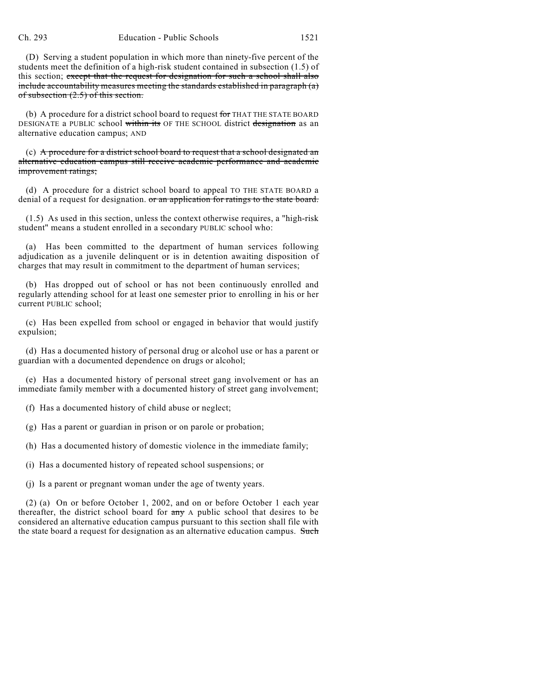(D) Serving a student population in which more than ninety-five percent of the students meet the definition of a high-risk student contained in subsection (1.5) of this section; except that the request for designation for such a school shall also include accountability measures meeting the standards established in paragraph (a) of subsection (2.5) of this section.

(b) A procedure for a district school board to request for THAT THE STATE BOARD DESIGNATE a PUBLIC school within its OF THE SCHOOL district designation as an alternative education campus; AND

(c) A procedure for a district school board to request that a school designated an alternative education campus still receive academic performance and academic improvement ratings;

(d) A procedure for a district school board to appeal TO THE STATE BOARD a denial of a request for designation. or an application for ratings to the state board.

(1.5) As used in this section, unless the context otherwise requires, a "high-risk student" means a student enrolled in a secondary PUBLIC school who:

(a) Has been committed to the department of human services following adjudication as a juvenile delinquent or is in detention awaiting disposition of charges that may result in commitment to the department of human services;

(b) Has dropped out of school or has not been continuously enrolled and regularly attending school for at least one semester prior to enrolling in his or her current PUBLIC school;

(c) Has been expelled from school or engaged in behavior that would justify expulsion;

(d) Has a documented history of personal drug or alcohol use or has a parent or guardian with a documented dependence on drugs or alcohol;

(e) Has a documented history of personal street gang involvement or has an immediate family member with a documented history of street gang involvement;

(f) Has a documented history of child abuse or neglect;

(g) Has a parent or guardian in prison or on parole or probation;

(h) Has a documented history of domestic violence in the immediate family;

(i) Has a documented history of repeated school suspensions; or

(j) Is a parent or pregnant woman under the age of twenty years.

(2) (a) On or before October 1, 2002, and on or before October 1 each year thereafter, the district school board for  $\frac{any}{ay}$  A public school that desires to be considered an alternative education campus pursuant to this section shall file with the state board a request for designation as an alternative education campus. Such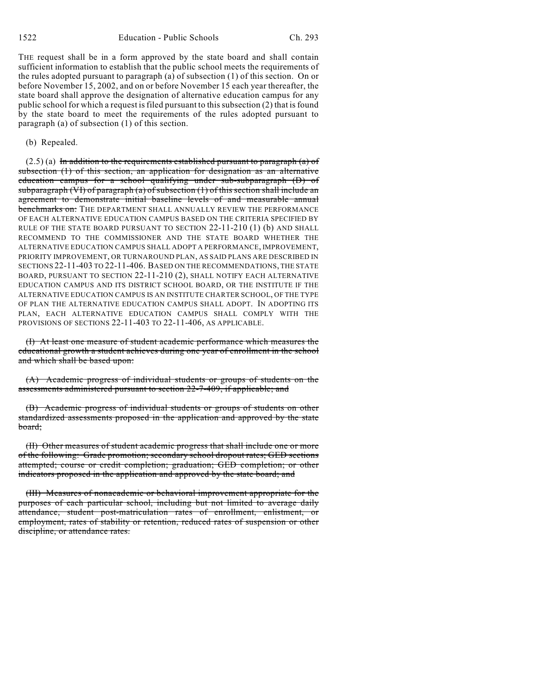THE request shall be in a form approved by the state board and shall contain sufficient information to establish that the public school meets the requirements of the rules adopted pursuant to paragraph (a) of subsection (1) of this section. On or before November 15, 2002, and on or before November 15 each year thereafter, the state board shall approve the designation of alternative education campus for any public school for which a request is filed pursuant to this subsection (2) that is found by the state board to meet the requirements of the rules adopted pursuant to paragraph (a) of subsection (1) of this section.

#### (b) Repealed.

 $(2.5)$  (a) In addition to the requirements established pursuant to paragraph (a) of subsection (1) of this section, an application for designation as an alternative education campus for a school qualifying under sub-subparagraph (D) of subparagraph (VI) of paragraph (a) of subsection  $(1)$  of this section shall include an agreement to demonstrate initial baseline levels of and measurable annual benchmarks on: THE DEPARTMENT SHALL ANNUALLY REVIEW THE PERFORMANCE OF EACH ALTERNATIVE EDUCATION CAMPUS BASED ON THE CRITERIA SPECIFIED BY RULE OF THE STATE BOARD PURSUANT TO SECTION 22-11-210 (1) (b) AND SHALL RECOMMEND TO THE COMMISSIONER AND THE STATE BOARD WHETHER THE ALTERNATIVE EDUCATION CAMPUS SHALL ADOPT A PERFORMANCE, IMPROVEMENT, PRIORITY IMPROVEMENT, OR TURNAROUND PLAN, AS SAID PLANS ARE DESCRIBED IN SECTIONS 22-11-403 TO 22-11-406. BASED ON THE RECOMMENDATIONS, THE STATE BOARD, PURSUANT TO SECTION 22-11-210 (2), SHALL NOTIFY EACH ALTERNATIVE EDUCATION CAMPUS AND ITS DISTRICT SCHOOL BOARD, OR THE INSTITUTE IF THE ALTERNATIVE EDUCATION CAMPUS IS AN INSTITUTE CHARTER SCHOOL, OF THE TYPE OF PLAN THE ALTERNATIVE EDUCATION CAMPUS SHALL ADOPT. IN ADOPTING ITS PLAN, EACH ALTERNATIVE EDUCATION CAMPUS SHALL COMPLY WITH THE PROVISIONS OF SECTIONS 22-11-403 TO 22-11-406, AS APPLICABLE.

(I) At least one measure of student academic performance which measures the educational growth a student achieves during one year of enrollment in the school and which shall be based upon:

(A) Academic progress of individual students or groups of students on the assessments administered pursuant to section 22-7-409, if applicable; and

(B) Academic progress of individual students or groups of students on other standardized assessments proposed in the application and approved by the state board;

(II) Other measures of student academic progress that shall include one or more of the following: Grade promotion; secondary school dropout rates; GED sections attempted; course or credit completion; graduation; GED completion; or other indicators proposed in the application and approved by the state board; and

(III) Measures of nonacademic or behavioral improvement appropriate for the purposes of each particular school, including but not limited to average daily attendance, student post-matriculation rates of enrollment, enlistment, or employment, rates of stability or retention, reduced rates of suspension or other discipline, or attendance rates.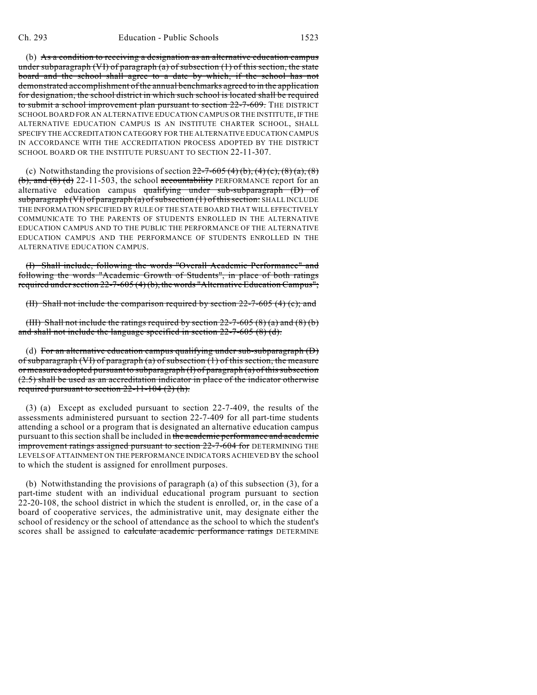(b) As a condition to receiving a designation as an alternative education campus under subparagraph (VI) of paragraph  $(a)$  of subsection  $(1)$  of this section, the state board and the school shall agree to a date by which, if the school has not demonstrated accomplishment of the annual benchmarks agreed to in the application for designation, the school district in which such school is located shall be required to submit a school improvement plan pursuant to section 22-7-609. The DISTRICT SCHOOL BOARD FOR AN ALTERNATIVE EDUCATION CAMPUS OR THE INSTITUTE, IF THE ALTERNATIVE EDUCATION CAMPUS IS AN INSTITUTE CHARTER SCHOOL, SHALL SPECIFY THE ACCREDITATION CATEGORY FOR THE ALTERNATIVE EDUCATION CAMPUS IN ACCORDANCE WITH THE ACCREDITATION PROCESS ADOPTED BY THE DISTRICT SCHOOL BOARD OR THE INSTITUTE PURSUANT TO SECTION 22-11-307.

(c) Notwithstanding the provisions of section  $22-7-605(4)$  (b),  $(4)$  (c),  $(8)$  (a),  $(8)$  $(b)$ , and  $(8)$  (d) 22-11-503, the school accountability PERFORMANCE report for an alternative education campus qualifying under sub-subparagraph (D) of subparagraph (VI) of paragraph (a) of subsection (1) of this section: SHALL INCLUDE THE INFORMATION SPECIFIED BY RULE OF THE STATE BOARD THAT WILL EFFECTIVELY COMMUNICATE TO THE PARENTS OF STUDENTS ENROLLED IN THE ALTERNATIVE EDUCATION CAMPUS AND TO THE PUBLIC THE PERFORMANCE OF THE ALTERNATIVE EDUCATION CAMPUS AND THE PERFORMANCE OF STUDENTS ENROLLED IN THE ALTERNATIVE EDUCATION CAMPUS.

(I) Shall include, following the words "Overall Academic Performance" and following the words "Academic Growth of Students", in place of both ratings required under section 22-7-605 (4) (b), the words "Alternative Education Campus";

(II) Shall not include the comparison required by section 22-7-605 (4) (c); and

(III) Shall not include the ratings required by section  $22-7-605(8)(a)$  and  $(8)(b)$ and shall not include the language specified in section 22-7-605 (8) (d).

(d) For an alternative education campus qualifying under sub-subparagraph  $(D)$ of subparagraph (VI) of paragraph (a) of subsection (1) of this section, the measure or measures adopted pursuant to subparagraph (I) of paragraph (a) of this subsection (2.5) shall be used as an accreditation indicator in place of the indicator otherwise required pursuant to section 22-11-104 (2) (h).

(3) (a) Except as excluded pursuant to section 22-7-409, the results of the assessments administered pursuant to section 22-7-409 for all part-time students attending a school or a program that is designated an alternative education campus pursuant to this section shall be included in the academic performance and academic improvement ratings assigned pursuant to section 22-7-604 for DETERMINING THE LEVELS OF ATTAINMENT ON THE PERFORMANCE INDICATORS ACHIEVED BY the school to which the student is assigned for enrollment purposes.

(b) Notwithstanding the provisions of paragraph (a) of this subsection (3), for a part-time student with an individual educational program pursuant to section 22-20-108, the school district in which the student is enrolled, or, in the case of a board of cooperative services, the administrative unit, may designate either the school of residency or the school of attendance as the school to which the student's scores shall be assigned to calculate academic performance ratings DETERMINE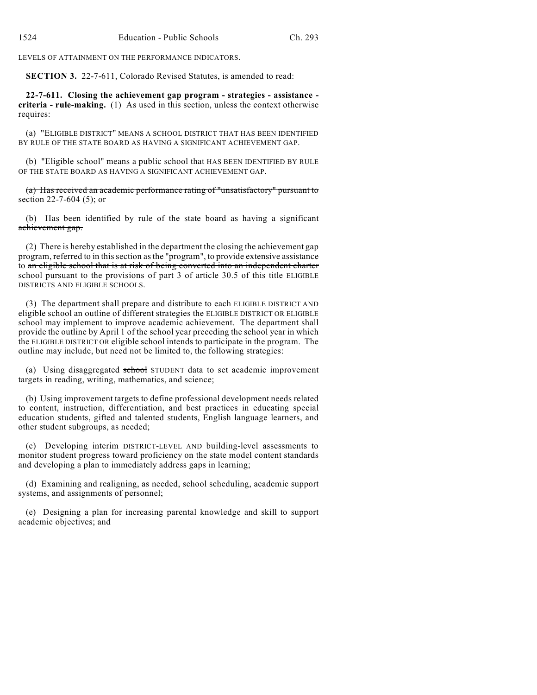LEVELS OF ATTAINMENT ON THE PERFORMANCE INDICATORS.

**SECTION 3.** 22-7-611, Colorado Revised Statutes, is amended to read:

**22-7-611. Closing the achievement gap program - strategies - assistance criteria - rule-making.** (1) As used in this section, unless the context otherwise requires:

(a) "ELIGIBLE DISTRICT" MEANS A SCHOOL DISTRICT THAT HAS BEEN IDENTIFIED BY RULE OF THE STATE BOARD AS HAVING A SIGNIFICANT ACHIEVEMENT GAP.

(b) "Eligible school" means a public school that HAS BEEN IDENTIFIED BY RULE OF THE STATE BOARD AS HAVING A SIGNIFICANT ACHIEVEMENT GAP.

(a) Has received an academic performance rating of "unsatisfactory" pursuant to section  $22 - 7 - 604$  (5); or

(b) Has been identified by rule of the state board as having a significant achievement gap.

(2) There is hereby established in the department the closing the achievement gap program, referred to in this section as the "program", to provide extensive assistance to an eligible school that is at risk of being converted into an independent charter school pursuant to the provisions of part 3 of article 30.5 of this title ELIGIBLE DISTRICTS AND ELIGIBLE SCHOOLS.

(3) The department shall prepare and distribute to each ELIGIBLE DISTRICT AND eligible school an outline of different strategies the ELIGIBLE DISTRICT OR ELIGIBLE school may implement to improve academic achievement. The department shall provide the outline by April 1 of the school year preceding the school year in which the ELIGIBLE DISTRICT OR eligible school intends to participate in the program. The outline may include, but need not be limited to, the following strategies:

(a) Using disaggregated school STUDENT data to set academic improvement targets in reading, writing, mathematics, and science;

(b) Using improvement targets to define professional development needs related to content, instruction, differentiation, and best practices in educating special education students, gifted and talented students, English language learners, and other student subgroups, as needed;

(c) Developing interim DISTRICT-LEVEL AND building-level assessments to monitor student progress toward proficiency on the state model content standards and developing a plan to immediately address gaps in learning;

(d) Examining and realigning, as needed, school scheduling, academic support systems, and assignments of personnel;

(e) Designing a plan for increasing parental knowledge and skill to support academic objectives; and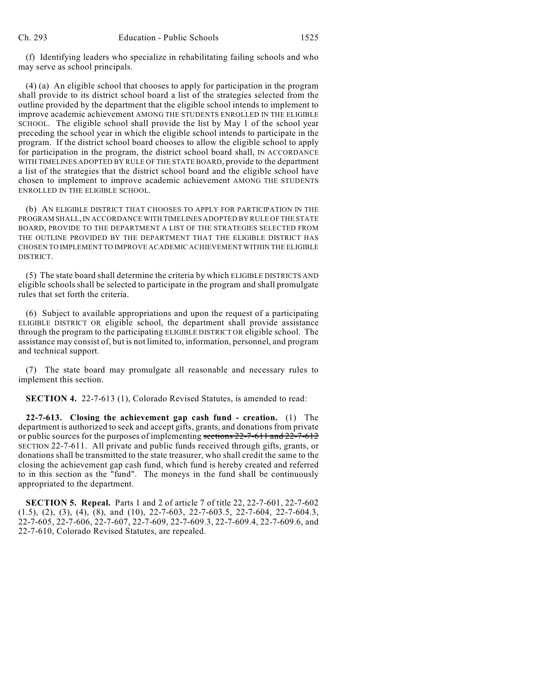(f) Identifying leaders who specialize in rehabilitating failing schools and who may serve as school principals.

(4) (a) An eligible school that chooses to apply for participation in the program shall provide to its district school board a list of the strategies selected from the outline provided by the department that the eligible school intends to implement to improve academic achievement AMONG THE STUDENTS ENROLLED IN THE ELIGIBLE SCHOOL. The eligible school shall provide the list by May 1 of the school year preceding the school year in which the eligible school intends to participate in the program. If the district school board chooses to allow the eligible school to apply for participation in the program, the district school board shall, IN ACCORDANCE WITH TIMELINES ADOPTED BY RULE OF THE STATE BOARD, provide to the department a list of the strategies that the district school board and the eligible school have chosen to implement to improve academic achievement AMONG THE STUDENTS ENROLLED IN THE ELIGIBLE SCHOOL.

(b) AN ELIGIBLE DISTRICT THAT CHOOSES TO APPLY FOR PARTICIPATION IN THE PROGRAM SHALL, IN ACCORDANCE WITH TIMELINES ADOPTED BY RULE OF THE STATE BOARD, PROVIDE TO THE DEPARTMENT A LIST OF THE STRATEGIES SELECTED FROM THE OUTLINE PROVIDED BY THE DEPARTMENT THAT THE ELIGIBLE DISTRICT HAS CHOSEN TO IMPLEMENT TO IMPROVE ACADEMIC ACHIEVEMENT WITHIN THE ELIGIBLE DISTRICT.

(5) The state board shall determine the criteria by which ELIGIBLE DISTRICTS AND eligible schools shall be selected to participate in the program and shall promulgate rules that set forth the criteria.

(6) Subject to available appropriations and upon the request of a participating ELIGIBLE DISTRICT OR eligible school, the department shall provide assistance through the program to the participating ELIGIBLE DISTRICT OR eligible school. The assistance may consist of, but is not limited to, information, personnel, and program and technical support.

(7) The state board may promulgate all reasonable and necessary rules to implement this section.

**SECTION 4.** 22-7-613 (1), Colorado Revised Statutes, is amended to read:

**22-7-613. Closing the achievement gap cash fund - creation.** (1) The department is authorized to seek and accept gifts, grants, and donations from private or public sources for the purposes of implementing sections 22-7-611 and 22-7-612 SECTION 22-7-611. All private and public funds received through gifts, grants, or donations shall be transmitted to the state treasurer, who shall credit the same to the closing the achievement gap cash fund, which fund is hereby created and referred to in this section as the "fund". The moneys in the fund shall be continuously appropriated to the department.

**SECTION 5. Repeal.** Parts 1 and 2 of article 7 of title 22, 22-7-601, 22-7-602 (1.5), (2), (3), (4), (8), and (10), 22-7-603, 22-7-603.5, 22-7-604, 22-7-604.3, 22-7-605, 22-7-606, 22-7-607, 22-7-609, 22-7-609.3, 22-7-609.4, 22-7-609.6, and 22-7-610, Colorado Revised Statutes, are repealed.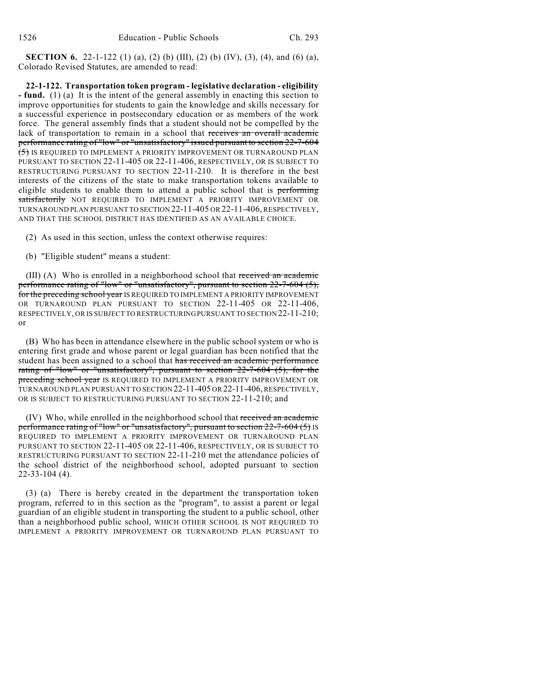**SECTION 6.** 22-1-122 (1) (a), (2) (b) (III), (2) (b) (IV), (3), (4), and (6) (a), Colorado Revised Statutes, are amended to read:

**22-1-122. Transportation token program - legislative declaration - eligibility - fund.** (1) (a) It is the intent of the general assembly in enacting this section to improve opportunities for students to gain the knowledge and skills necessary for a successful experience in postsecondary education or as members of the work force. The general assembly finds that a student should not be compelled by the lack of transportation to remain in a school that receives an overall academic performance rating of "low" or "unsatisfactory" issued pursuant to section 22-7-604 (5) IS REQUIRED TO IMPLEMENT A PRIORITY IMPROVEMENT OR TURNAROUND PLAN PURSUANT TO SECTION 22-11-405 OR 22-11-406, RESPECTIVELY, OR IS SUBJECT TO RESTRUCTURING PURSUANT TO SECTION 22-11-210. It is therefore in the best interests of the citizens of the state to make transportation tokens available to eligible students to enable them to attend a public school that is performing satisfactorily NOT REQUIRED TO IMPLEMENT A PRIORITY IMPROVEMENT OR TURNAROUND PLAN PURSUANT TO SECTION 22-11-405 OR 22-11-406, RESPECTIVELY, AND THAT THE SCHOOL DISTRICT HAS IDENTIFIED AS AN AVAILABLE CHOICE.

- (2) As used in this section, unless the context otherwise requires:
- (b) "Eligible student" means a student:

(III) (A) Who is enrolled in a neighborhood school that received an academic performance rating of "low" or "unsatisfactory", pursuant to section 22-7-604 (5), for the preceding school year IS REQUIRED TO IMPLEMENT A PRIORITY IMPROVEMENT OR TURNAROUND PLAN PURSUANT TO SECTION 22-11-405 OR 22-11-406, RESPECTIVELY, OR IS SUBJECT TO RESTRUCTURING PURSUANT TO SECTION 22-11-210; or

(B) Who has been in attendance elsewhere in the public school system or who is entering first grade and whose parent or legal guardian has been notified that the student has been assigned to a school that has received an academic performance rating of "low" or "unsatisfactory", pursuant to section 22-7-604 (5), for the preceding school year IS REQUIRED TO IMPLEMENT A PRIORITY IMPROVEMENT OR TURNAROUND PLAN PURSUANT TO SECTION 22-11-405 OR 22-11-406, RESPECTIVELY, OR IS SUBJECT TO RESTRUCTURING PURSUANT TO SECTION 22-11-210; and

(IV) Who, while enrolled in the neighborhood school that received an academic performance rating of "low" or "unsatisfactory", pursuant to section 22-7-604 (5) IS REQUIRED TO IMPLEMENT A PRIORITY IMPROVEMENT OR TURNAROUND PLAN PURSUANT TO SECTION 22-11-405 OR 22-11-406, RESPECTIVELY, OR IS SUBJECT TO RESTRUCTURING PURSUANT TO SECTION 22-11-210 met the attendance policies of the school district of the neighborhood school, adopted pursuant to section 22-33-104 (4).

(3) (a) There is hereby created in the department the transportation token program, referred to in this section as the "program", to assist a parent or legal guardian of an eligible student in transporting the student to a public school, other than a neighborhood public school, WHICH OTHER SCHOOL IS NOT REQUIRED TO IMPLEMENT A PRIORITY IMPROVEMENT OR TURNAROUND PLAN PURSUANT TO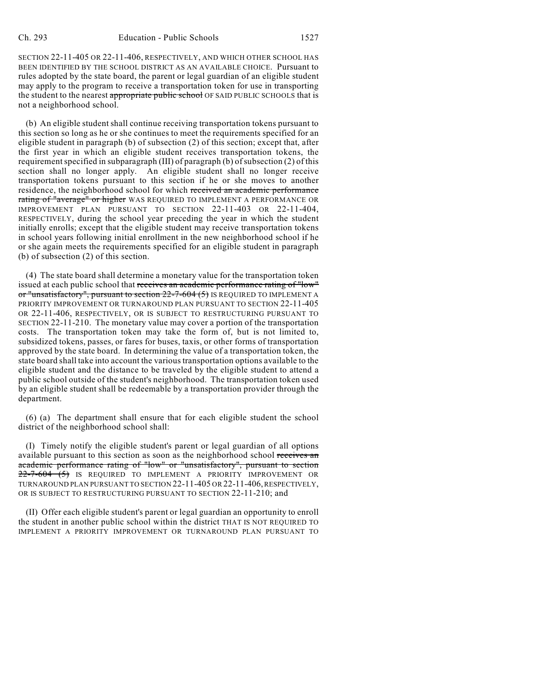SECTION 22-11-405 OR 22-11-406, RESPECTIVELY, AND WHICH OTHER SCHOOL HAS BEEN IDENTIFIED BY THE SCHOOL DISTRICT AS AN AVAILABLE CHOICE. Pursuant to rules adopted by the state board, the parent or legal guardian of an eligible student may apply to the program to receive a transportation token for use in transporting the student to the nearest appropriate public school OF SAID PUBLIC SCHOOLS that is not a neighborhood school.

(b) An eligible student shall continue receiving transportation tokens pursuant to this section so long as he or she continues to meet the requirements specified for an eligible student in paragraph (b) of subsection (2) of this section; except that, after the first year in which an eligible student receives transportation tokens, the requirement specified in subparagraph (III) of paragraph (b) of subsection (2) of this section shall no longer apply. An eligible student shall no longer receive transportation tokens pursuant to this section if he or she moves to another residence, the neighborhood school for which received an academic performance rating of "average" or higher WAS REQUIRED TO IMPLEMENT A PERFORMANCE OR IMPROVEMENT PLAN PURSUANT TO SECTION 22-11-403 OR 22-11-404, RESPECTIVELY, during the school year preceding the year in which the student initially enrolls; except that the eligible student may receive transportation tokens in school years following initial enrollment in the new neighborhood school if he or she again meets the requirements specified for an eligible student in paragraph (b) of subsection (2) of this section.

(4) The state board shall determine a monetary value for the transportation token issued at each public school that receives an academic performance rating of "low" or "unsatisfactory", pursuant to section 22-7-604 (5) IS REQUIRED TO IMPLEMENT A PRIORITY IMPROVEMENT OR TURNAROUND PLAN PURSUANT TO SECTION 22-11-405 OR 22-11-406, RESPECTIVELY, OR IS SUBJECT TO RESTRUCTURING PURSUANT TO SECTION 22-11-210. The monetary value may cover a portion of the transportation costs. The transportation token may take the form of, but is not limited to, subsidized tokens, passes, or fares for buses, taxis, or other forms of transportation approved by the state board. In determining the value of a transportation token, the state board shall take into account the various transportation options available to the eligible student and the distance to be traveled by the eligible student to attend a public school outside of the student's neighborhood. The transportation token used by an eligible student shall be redeemable by a transportation provider through the department.

(6) (a) The department shall ensure that for each eligible student the school district of the neighborhood school shall:

(I) Timely notify the eligible student's parent or legal guardian of all options available pursuant to this section as soon as the neighborhood school receives an academic performance rating of "low" or "unsatisfactory", pursuant to section 22-7-604 (5) IS REQUIRED TO IMPLEMENT A PRIORITY IMPROVEMENT OR TURNAROUND PLAN PURSUANT TO SECTION 22-11-405 OR 22-11-406, RESPECTIVELY, OR IS SUBJECT TO RESTRUCTURING PURSUANT TO SECTION 22-11-210; and

(II) Offer each eligible student's parent or legal guardian an opportunity to enroll the student in another public school within the district THAT IS NOT REQUIRED TO IMPLEMENT A PRIORITY IMPROVEMENT OR TURNAROUND PLAN PURSUANT TO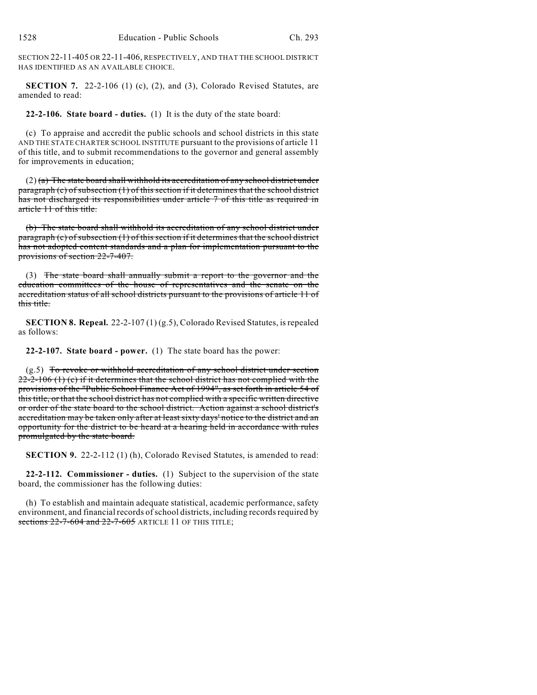SECTION 22-11-405 OR 22-11-406, RESPECTIVELY, AND THAT THE SCHOOL DISTRICT HAS IDENTIFIED AS AN AVAILABLE CHOICE.

**SECTION 7.** 22-2-106 (1) (c), (2), and (3), Colorado Revised Statutes, are amended to read:

**22-2-106. State board - duties.** (1) It is the duty of the state board:

(c) To appraise and accredit the public schools and school districts in this state AND THE STATE CHARTER SCHOOL INSTITUTE pursuant to the provisions of article 11 of this title, and to submit recommendations to the governor and general assembly for improvements in education;

 $(2)$  (a) The state board shall withhold its accreditation of any school district under paragraph (c) of subsection (1) of this section if it determines that the school district has not discharged its responsibilities under article 7 of this title as required in article 11 of this title.

(b) The state board shall withhold its accreditation of any school district under paragraph (c) of subsection (1) of this section if it determines that the school district has not adopted content standards and a plan for implementation pursuant to the provisions of section 22-7-407.

(3) The state board shall annually submit a report to the governor and the education committees of the house of representatives and the senate on the accreditation status of all school districts pursuant to the provisions of article 11 of this title.

**SECTION 8. Repeal.** 22-2-107 (1) (g.5), Colorado Revised Statutes, is repealed as follows:

**22-2-107. State board - power.** (1) The state board has the power:

 $(g.5)$  To revoke or withhold accreditation of any school district under section  $22-2-106$  (1) (c) if it determines that the school district has not complied with the provisions of the "Public School Finance Act of 1994", as set forth in article 54 of this title, or that the school district has not complied with a specific written directive or order of the state board to the school district. Action against a school district's accreditation may be taken only after at least sixty days' notice to the district and an opportunity for the district to be heard at a hearing held in accordance with rules promulgated by the state board.

**SECTION 9.** 22-2-112 (1) (h), Colorado Revised Statutes, is amended to read:

**22-2-112. Commissioner - duties.** (1) Subject to the supervision of the state board, the commissioner has the following duties:

(h) To establish and maintain adequate statistical, academic performance, safety environment, and financial records of school districts, including records required by sections 22-7-604 and 22-7-605 ARTICLE 11 OF THIS TITLE;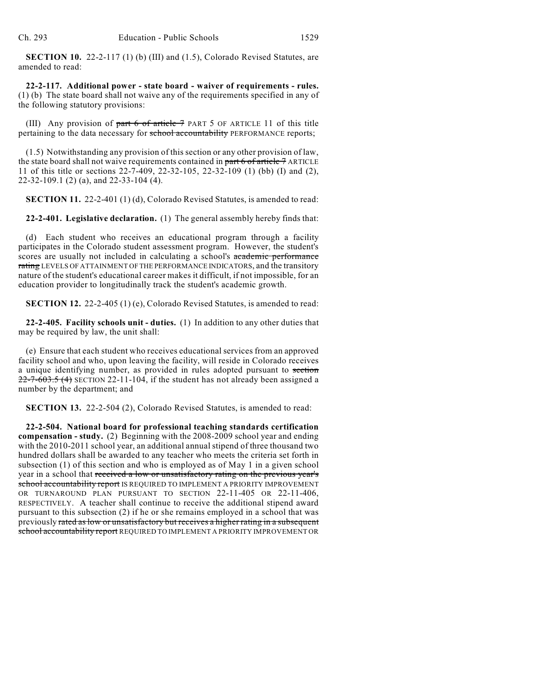**SECTION 10.** 22-2-117 (1) (b) (III) and (1.5), Colorado Revised Statutes, are amended to read:

**22-2-117. Additional power - state board - waiver of requirements - rules.** (1) (b) The state board shall not waive any of the requirements specified in any of the following statutory provisions:

(III) Any provision of  $part 6 of$  article  $7$  PART 5 OF ARTICLE 11 of this title pertaining to the data necessary for **school accountability** PERFORMANCE reports;

(1.5) Notwithstanding any provision of this section or any other provision of law, the state board shall not waive requirements contained in part 6 of article 7 ARTICLE 11 of this title or sections 22-7-409, 22-32-105, 22-32-109 (1) (bb) (I) and (2), 22-32-109.1 (2) (a), and 22-33-104 (4).

**SECTION 11.** 22-2-401 (1) (d), Colorado Revised Statutes, is amended to read:

**22-2-401. Legislative declaration.** (1) The general assembly hereby finds that:

(d) Each student who receives an educational program through a facility participates in the Colorado student assessment program. However, the student's scores are usually not included in calculating a school's academic performance rating LEVELS OF ATTAINMENT OF THE PERFORMANCE INDICATORS, and the transitory nature of the student's educational career makes it difficult, if not impossible, for an education provider to longitudinally track the student's academic growth.

**SECTION 12.** 22-2-405 (1) (e), Colorado Revised Statutes, is amended to read:

**22-2-405. Facility schools unit - duties.** (1) In addition to any other duties that may be required by law, the unit shall:

(e) Ensure that each student who receives educational services from an approved facility school and who, upon leaving the facility, will reside in Colorado receives a unique identifying number, as provided in rules adopted pursuant to section  $22 - 7 - 603.5$  (4) SECTION 22-11-104, if the student has not already been assigned a number by the department; and

**SECTION 13.** 22-2-504 (2), Colorado Revised Statutes, is amended to read:

**22-2-504. National board for professional teaching standards certification compensation - study.** (2) Beginning with the 2008-2009 school year and ending with the 2010-2011 school year, an additional annual stipend of three thousand two hundred dollars shall be awarded to any teacher who meets the criteria set forth in subsection (1) of this section and who is employed as of May 1 in a given school year in a school that received a low or unsatisfactory rating on the previous year's school accountability report IS REQUIRED TO IMPLEMENT A PRIORITY IMPROVEMENT OR TURNAROUND PLAN PURSUANT TO SECTION 22-11-405 OR 22-11-406, RESPECTIVELY. A teacher shall continue to receive the additional stipend award pursuant to this subsection (2) if he or she remains employed in a school that was previously rated as low or unsatisfactory but receives a higher rating in a subsequent school accountability report REQUIRED TO IMPLEMENT A PRIORITY IMPROVEMENT OR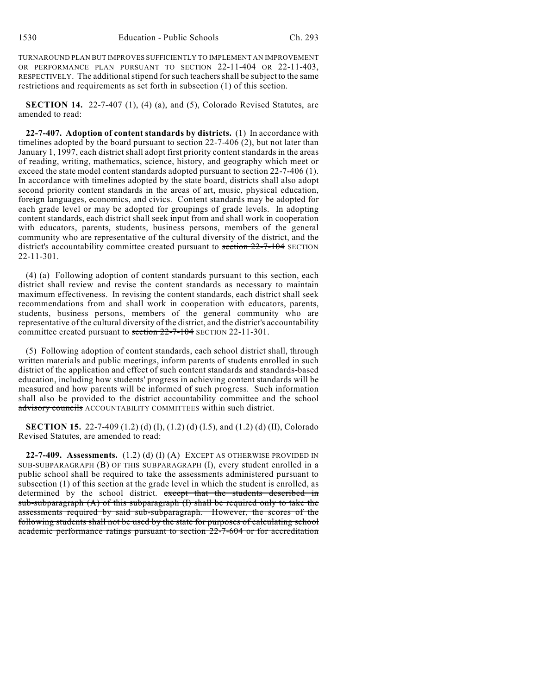TURNAROUND PLAN BUT IMPROVES SUFFICIENTLY TO IMPLEMENT AN IMPROVEMENT OR PERFORMANCE PLAN PURSUANT TO SECTION 22-11-404 OR 22-11-403, RESPECTIVELY. The additional stipend for such teachers shall be subject to the same restrictions and requirements as set forth in subsection (1) of this section.

**SECTION 14.** 22-7-407 (1), (4) (a), and (5), Colorado Revised Statutes, are amended to read:

**22-7-407. Adoption of content standards by districts.** (1) In accordance with timelines adopted by the board pursuant to section 22-7-406 (2), but not later than January 1, 1997, each district shall adopt first priority content standards in the areas of reading, writing, mathematics, science, history, and geography which meet or exceed the state model content standards adopted pursuant to section 22-7-406 (1). In accordance with timelines adopted by the state board, districts shall also adopt second priority content standards in the areas of art, music, physical education, foreign languages, economics, and civics. Content standards may be adopted for each grade level or may be adopted for groupings of grade levels. In adopting content standards, each district shall seek input from and shall work in cooperation with educators, parents, students, business persons, members of the general community who are representative of the cultural diversity of the district, and the district's accountability committee created pursuant to section 22-7-104 SECTION 22-11-301.

(4) (a) Following adoption of content standards pursuant to this section, each district shall review and revise the content standards as necessary to maintain maximum effectiveness. In revising the content standards, each district shall seek recommendations from and shall work in cooperation with educators, parents, students, business persons, members of the general community who are representative of the cultural diversity of the district, and the district's accountability committee created pursuant to section 22-7-104 SECTION 22-11-301.

(5) Following adoption of content standards, each school district shall, through written materials and public meetings, inform parents of students enrolled in such district of the application and effect of such content standards and standards-based education, including how students' progress in achieving content standards will be measured and how parents will be informed of such progress. Such information shall also be provided to the district accountability committee and the school advisory councils ACCOUNTABILITY COMMITTEES within such district.

**SECTION 15.** 22-7-409 (1.2) (d) (I), (1.2) (d) (I.5), and (1.2) (d) (II), Colorado Revised Statutes, are amended to read:

**22-7-409. Assessments.** (1.2) (d) (I) (A) EXCEPT AS OTHERWISE PROVIDED IN SUB-SUBPARAGRAPH (B) OF THIS SUBPARAGRAPH (I), every student enrolled in a public school shall be required to take the assessments administered pursuant to subsection (1) of this section at the grade level in which the student is enrolled, as determined by the school district. except that the students described in sub-subparagraph  $(A)$  of this subparagraph  $(I)$  shall be required only to take the assessments required by said sub-subparagraph. However, the scores of the following students shall not be used by the state for purposes of calculating school academic performance ratings pursuant to section 22-7-604 or for accreditation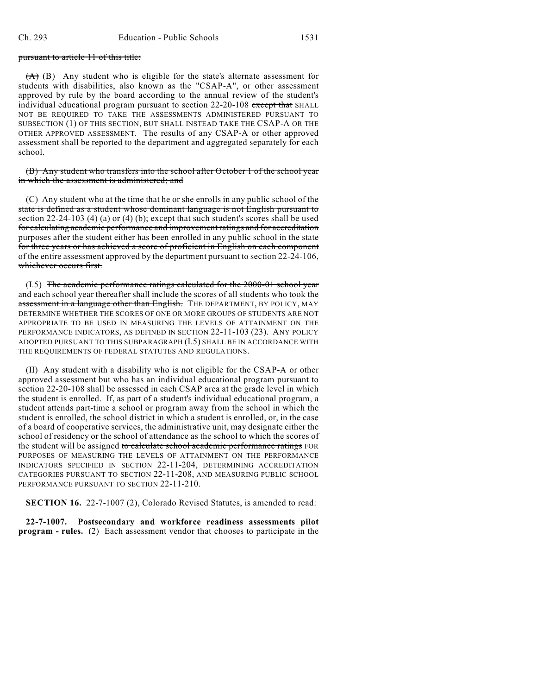## pursuant to article 11 of this title:

 $(A)$  (B) Any student who is eligible for the state's alternate assessment for students with disabilities, also known as the "CSAP-A", or other assessment approved by rule by the board according to the annual review of the student's individual educational program pursuant to section 22-20-108 except that SHALL NOT BE REQUIRED TO TAKE THE ASSESSMENTS ADMINISTERED PURSUANT TO SUBSECTION (1) OF THIS SECTION, BUT SHALL INSTEAD TAKE THE CSAP-A OR THE OTHER APPROVED ASSESSMENT. The results of any CSAP-A or other approved assessment shall be reported to the department and aggregated separately for each school.

(B) Any student who transfers into the school after October 1 of the school year in which the assessment is administered; and

(C) Any student who at the time that he or she enrolls in any public school of the state is defined as a student whose dominant language is not English pursuant to section  $22-24-103$  (4) (a) or (4) (b); except that such student's scores shall be used for calculating academic performance and improvement ratings and for accreditation purposes after the student either has been enrolled in any public school in the state for three years or has achieved a score of proficient in English on each component of the entire assessment approved by the department pursuant to section 22-24-106, whichever occurs first.

(I.5) The academic performance ratings calculated for the 2000-01 school year and each school year thereafter shall include the scores of all students who took the assessment in a language other than English. THE DEPARTMENT, BY POLICY, MAY DETERMINE WHETHER THE SCORES OF ONE OR MORE GROUPS OF STUDENTS ARE NOT APPROPRIATE TO BE USED IN MEASURING THE LEVELS OF ATTAINMENT ON THE PERFORMANCE INDICATORS, AS DEFINED IN SECTION 22-11-103 (23). ANY POLICY ADOPTED PURSUANT TO THIS SUBPARAGRAPH (I.5) SHALL BE IN ACCORDANCE WITH THE REQUIREMENTS OF FEDERAL STATUTES AND REGULATIONS.

(II) Any student with a disability who is not eligible for the CSAP-A or other approved assessment but who has an individual educational program pursuant to section 22-20-108 shall be assessed in each CSAP area at the grade level in which the student is enrolled. If, as part of a student's individual educational program, a student attends part-time a school or program away from the school in which the student is enrolled, the school district in which a student is enrolled, or, in the case of a board of cooperative services, the administrative unit, may designate either the school of residency or the school of attendance as the school to which the scores of the student will be assigned to calculate school academic performance ratings FOR PURPOSES OF MEASURING THE LEVELS OF ATTAINMENT ON THE PERFORMANCE INDICATORS SPECIFIED IN SECTION 22-11-204, DETERMINING ACCREDITATION CATEGORIES PURSUANT TO SECTION 22-11-208, AND MEASURING PUBLIC SCHOOL PERFORMANCE PURSUANT TO SECTION 22-11-210.

**SECTION 16.** 22-7-1007 (2), Colorado Revised Statutes, is amended to read:

**22-7-1007. Postsecondary and workforce readiness assessments pilot program - rules.** (2) Each assessment vendor that chooses to participate in the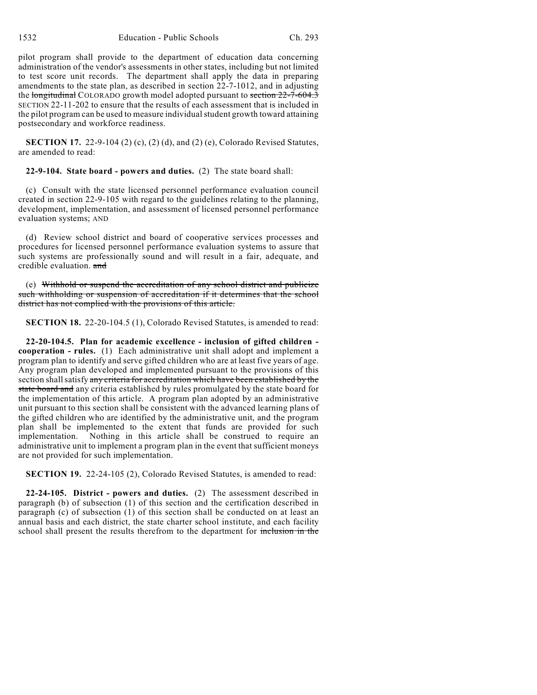pilot program shall provide to the department of education data concerning administration of the vendor's assessments in other states, including but not limited to test score unit records. The department shall apply the data in preparing amendments to the state plan, as described in section 22-7-1012, and in adjusting the longitudinal COLORADO growth model adopted pursuant to section 22-7-604.3 SECTION 22-11-202 to ensure that the results of each assessment that is included in the pilot program can be used to measure individual student growth toward attaining postsecondary and workforce readiness.

**SECTION 17.** 22-9-104 (2) (c), (2) (d), and (2) (e), Colorado Revised Statutes, are amended to read:

**22-9-104. State board - powers and duties.** (2) The state board shall:

(c) Consult with the state licensed personnel performance evaluation council created in section 22-9-105 with regard to the guidelines relating to the planning, development, implementation, and assessment of licensed personnel performance evaluation systems; AND

(d) Review school district and board of cooperative services processes and procedures for licensed personnel performance evaluation systems to assure that such systems are professionally sound and will result in a fair, adequate, and credible evaluation. and

(e) Withhold or suspend the accreditation of any school district and publicize such withholding or suspension of accreditation if it determines that the school district has not complied with the provisions of this article.

**SECTION 18.** 22-20-104.5 (1), Colorado Revised Statutes, is amended to read:

**22-20-104.5. Plan for academic excellence - inclusion of gifted children cooperation - rules.** (1) Each administrative unit shall adopt and implement a program plan to identify and serve gifted children who are at least five years of age. Any program plan developed and implemented pursuant to the provisions of this section shall satisfy any criteria for accreditation which have been established by the state board and any criteria established by rules promulgated by the state board for the implementation of this article. A program plan adopted by an administrative unit pursuant to this section shall be consistent with the advanced learning plans of the gifted children who are identified by the administrative unit, and the program plan shall be implemented to the extent that funds are provided for such implementation. Nothing in this article shall be construed to require an administrative unit to implement a program plan in the event that sufficient moneys are not provided for such implementation.

**SECTION 19.** 22-24-105 (2), Colorado Revised Statutes, is amended to read:

**22-24-105. District - powers and duties.** (2) The assessment described in paragraph (b) of subsection (1) of this section and the certification described in paragraph (c) of subsection (1) of this section shall be conducted on at least an annual basis and each district, the state charter school institute, and each facility school shall present the results therefrom to the department for inclusion in the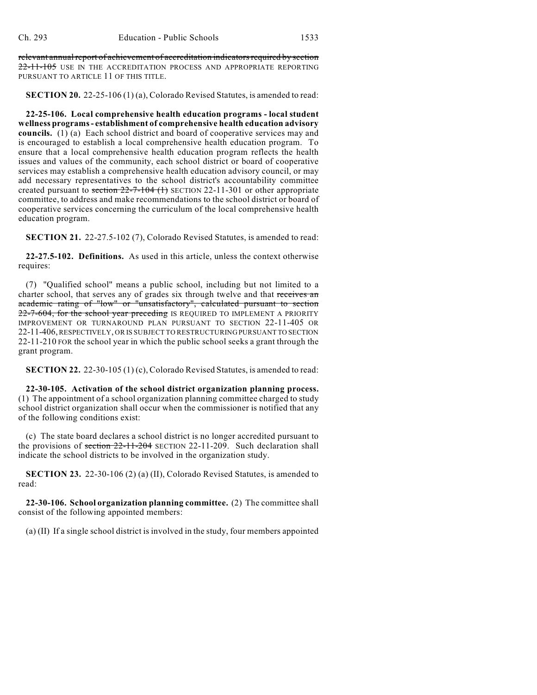relevant annual report of achievement of accreditation indicators required by section 22-11-105 USE IN THE ACCREDITATION PROCESS AND APPROPRIATE REPORTING PURSUANT TO ARTICLE 11 OF THIS TITLE.

**SECTION 20.** 22-25-106 (1) (a), Colorado Revised Statutes, is amended to read:

**22-25-106. Local comprehensive health education programs - local student wellness programs - establishment of comprehensive health education advisory councils.** (1) (a) Each school district and board of cooperative services may and is encouraged to establish a local comprehensive health education program. To ensure that a local comprehensive health education program reflects the health issues and values of the community, each school district or board of cooperative services may establish a comprehensive health education advisory council, or may add necessary representatives to the school district's accountability committee created pursuant to section  $22-7-104$  (1) SECTION 22-11-301 or other appropriate committee, to address and make recommendations to the school district or board of cooperative services concerning the curriculum of the local comprehensive health education program.

**SECTION 21.** 22-27.5-102 (7), Colorado Revised Statutes, is amended to read:

**22-27.5-102. Definitions.** As used in this article, unless the context otherwise requires:

(7) "Qualified school" means a public school, including but not limited to a charter school, that serves any of grades six through twelve and that receives an academic rating of "low" or "unsatisfactory", calculated pursuant to section 22-7-604, for the school year preceding IS REQUIRED TO IMPLEMENT A PRIORITY IMPROVEMENT OR TURNAROUND PLAN PURSUANT TO SECTION 22-11-405 OR 22-11-406, RESPECTIVELY, OR IS SUBJECT TO RESTRUCTURING PURSUANT TO SECTION 22-11-210 FOR the school year in which the public school seeks a grant through the grant program.

**SECTION 22.** 22-30-105 (1) (c), Colorado Revised Statutes, is amended to read:

**22-30-105. Activation of the school district organization planning process.** (1) The appointment of a school organization planning committee charged to study school district organization shall occur when the commissioner is notified that any of the following conditions exist:

(c) The state board declares a school district is no longer accredited pursuant to the provisions of section 22-11-204 SECTION 22-11-209. Such declaration shall indicate the school districts to be involved in the organization study.

**SECTION 23.** 22-30-106 (2) (a) (II), Colorado Revised Statutes, is amended to read:

**22-30-106. School organization planning committee.** (2) The committee shall consist of the following appointed members:

(a) (II) If a single school district is involved in the study, four members appointed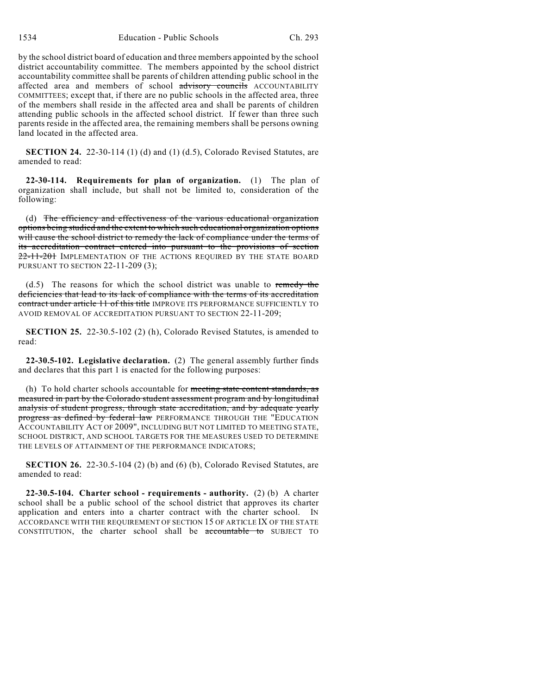by the school district board of education and three members appointed by the school district accountability committee. The members appointed by the school district accountability committee shall be parents of children attending public school in the affected area and members of school advisory councils ACCOUNTABILITY COMMITTEES; except that, if there are no public schools in the affected area, three of the members shall reside in the affected area and shall be parents of children attending public schools in the affected school district. If fewer than three such parents reside in the affected area, the remaining members shall be persons owning land located in the affected area.

**SECTION 24.** 22-30-114 (1) (d) and (1) (d.5), Colorado Revised Statutes, are amended to read:

**22-30-114. Requirements for plan of organization.** (1) The plan of organization shall include, but shall not be limited to, consideration of the following:

(d) The efficiency and effectiveness of the various educational organization options being studied and the extent to which such educational organization options will cause the school district to remedy the lack of compliance under the terms of its accreditation contract entered into pursuant to the provisions of section 22-11-201 IMPLEMENTATION OF THE ACTIONS REQUIRED BY THE STATE BOARD PURSUANT TO SECTION 22-11-209 (3);

(d.5) The reasons for which the school district was unable to remedy the deficiencies that lead to its lack of compliance with the terms of its accreditation contract under article 11 of this title IMPROVE ITS PERFORMANCE SUFFICIENTLY TO AVOID REMOVAL OF ACCREDITATION PURSUANT TO SECTION 22-11-209;

**SECTION 25.** 22-30.5-102 (2) (h), Colorado Revised Statutes, is amended to read:

**22-30.5-102. Legislative declaration.** (2) The general assembly further finds and declares that this part 1 is enacted for the following purposes:

(h) To hold charter schools accountable for meeting state content standards, as measured in part by the Colorado student assessment program and by longitudinal analysis of student progress, through state accreditation, and by adequate yearly progress as defined by federal law PERFORMANCE THROUGH THE "EDUCATION ACCOUNTABILITY ACT OF 2009", INCLUDING BUT NOT LIMITED TO MEETING STATE, SCHOOL DISTRICT, AND SCHOOL TARGETS FOR THE MEASURES USED TO DETERMINE THE LEVELS OF ATTAINMENT OF THE PERFORMANCE INDICATORS;

**SECTION 26.** 22-30.5-104 (2) (b) and (6) (b), Colorado Revised Statutes, are amended to read:

**22-30.5-104. Charter school - requirements - authority.** (2) (b) A charter school shall be a public school of the school district that approves its charter application and enters into a charter contract with the charter school. IN ACCORDANCE WITH THE REQUIREMENT OF SECTION 15 OF ARTICLE IX OF THE STATE CONSTITUTION, the charter school shall be accountable to SUBJECT TO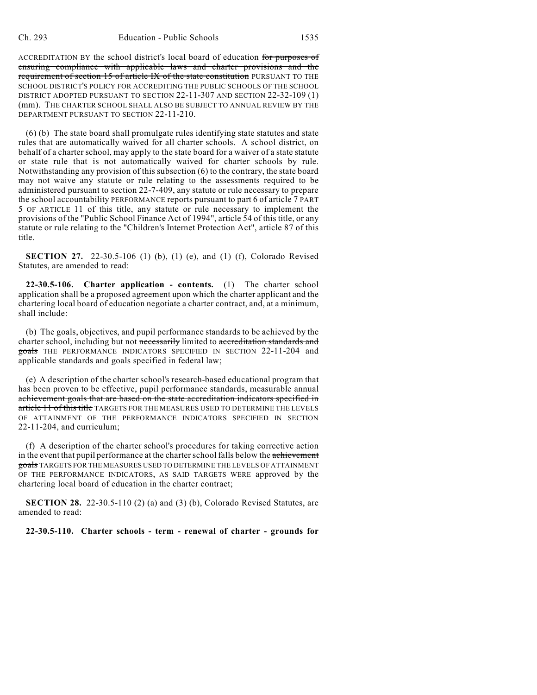ACCREDITATION BY the school district's local board of education for purposes of ensuring compliance with applicable laws and charter provisions and the requirement of section 15 of article IX of the state constitution PURSUANT TO THE SCHOOL DISTRICT'S POLICY FOR ACCREDITING THE PUBLIC SCHOOLS OF THE SCHOOL DISTRICT ADOPTED PURSUANT TO SECTION 22-11-307 AND SECTION 22-32-109 (1) (mm). THE CHARTER SCHOOL SHALL ALSO BE SUBJECT TO ANNUAL REVIEW BY THE DEPARTMENT PURSUANT TO SECTION 22-11-210.

(6) (b) The state board shall promulgate rules identifying state statutes and state rules that are automatically waived for all charter schools. A school district, on behalf of a charter school, may apply to the state board for a waiver of a state statute or state rule that is not automatically waived for charter schools by rule. Notwithstanding any provision of this subsection (6) to the contrary, the state board may not waive any statute or rule relating to the assessments required to be administered pursuant to section 22-7-409, any statute or rule necessary to prepare the school accountability PERFORMANCE reports pursuant to part 6 of article 7 PART 5 OF ARTICLE 11 of this title, any statute or rule necessary to implement the provisions of the "Public School Finance Act of 1994", article 54 of this title, or any statute or rule relating to the "Children's Internet Protection Act", article 87 of this title.

**SECTION 27.** 22-30.5-106 (1) (b), (1) (e), and (1) (f), Colorado Revised Statutes, are amended to read:

**22-30.5-106. Charter application - contents.** (1) The charter school application shall be a proposed agreement upon which the charter applicant and the chartering local board of education negotiate a charter contract, and, at a minimum, shall include:

(b) The goals, objectives, and pupil performance standards to be achieved by the charter school, including but not necessarily limited to accreditation standards and goals THE PERFORMANCE INDICATORS SPECIFIED IN SECTION 22-11-204 and applicable standards and goals specified in federal law;

(e) A description of the charter school's research-based educational program that has been proven to be effective, pupil performance standards, measurable annual achievement goals that are based on the state accreditation indicators specified in article 11 of this title TARGETS FOR THE MEASURES USED TO DETERMINE THE LEVELS OF ATTAINMENT OF THE PERFORMANCE INDICATORS SPECIFIED IN SECTION 22-11-204, and curriculum;

(f) A description of the charter school's procedures for taking corrective action in the event that pupil performance at the charter school falls below the achievement goals TARGETS FOR THE MEASURES USED TO DETERMINE THE LEVELS OF ATTAINMENT OF THE PERFORMANCE INDICATORS, AS SAID TARGETS WERE approved by the chartering local board of education in the charter contract;

**SECTION 28.** 22-30.5-110 (2) (a) and (3) (b), Colorado Revised Statutes, are amended to read:

**22-30.5-110. Charter schools - term - renewal of charter - grounds for**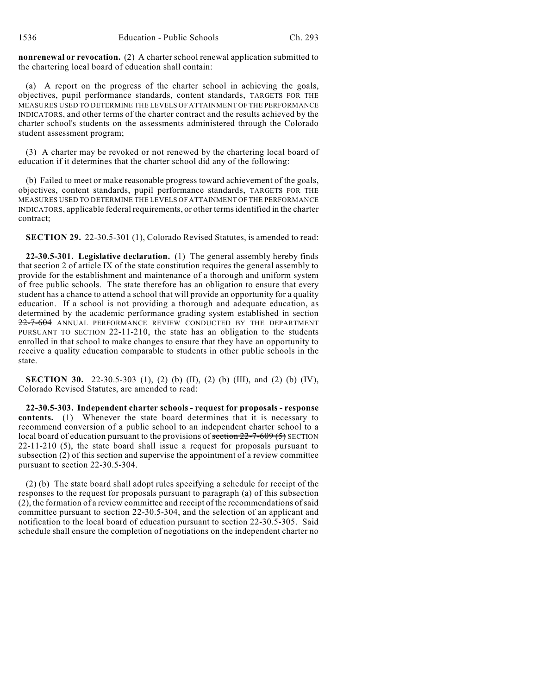**nonrenewal or revocation.** (2) A charter school renewal application submitted to the chartering local board of education shall contain:

(a) A report on the progress of the charter school in achieving the goals, objectives, pupil performance standards, content standards, TARGETS FOR THE MEASURES USED TO DETERMINE THE LEVELS OF ATTAINMENT OF THE PERFORMANCE INDICATORS, and other terms of the charter contract and the results achieved by the charter school's students on the assessments administered through the Colorado student assessment program;

(3) A charter may be revoked or not renewed by the chartering local board of education if it determines that the charter school did any of the following:

(b) Failed to meet or make reasonable progress toward achievement of the goals, objectives, content standards, pupil performance standards, TARGETS FOR THE MEASURES USED TO DETERMINE THE LEVELS OF ATTAINMENT OF THE PERFORMANCE INDICATORS, applicable federal requirements, or other terms identified in the charter contract;

**SECTION 29.** 22-30.5-301 (1), Colorado Revised Statutes, is amended to read:

**22-30.5-301. Legislative declaration.** (1) The general assembly hereby finds that section 2 of article IX of the state constitution requires the general assembly to provide for the establishment and maintenance of a thorough and uniform system of free public schools. The state therefore has an obligation to ensure that every student has a chance to attend a school that will provide an opportunity for a quality education. If a school is not providing a thorough and adequate education, as determined by the academic performance grading system established in section 22-7-604 ANNUAL PERFORMANCE REVIEW CONDUCTED BY THE DEPARTMENT PURSUANT TO SECTION 22-11-210, the state has an obligation to the students enrolled in that school to make changes to ensure that they have an opportunity to receive a quality education comparable to students in other public schools in the state.

**SECTION 30.** 22-30.5-303 (1), (2) (b) (II), (2) (b) (III), and (2) (b) (IV), Colorado Revised Statutes, are amended to read:

**22-30.5-303. Independent charter schools - request for proposals - response contents.** (1) Whenever the state board determines that it is necessary to recommend conversion of a public school to an independent charter school to a local board of education pursuant to the provisions of section  $22-7-609(5)$  SECTION 22-11-210 (5), the state board shall issue a request for proposals pursuant to subsection (2) of this section and supervise the appointment of a review committee pursuant to section 22-30.5-304.

(2) (b) The state board shall adopt rules specifying a schedule for receipt of the responses to the request for proposals pursuant to paragraph (a) of this subsection (2), the formation of a review committee and receipt of the recommendations of said committee pursuant to section 22-30.5-304, and the selection of an applicant and notification to the local board of education pursuant to section 22-30.5-305. Said schedule shall ensure the completion of negotiations on the independent charter no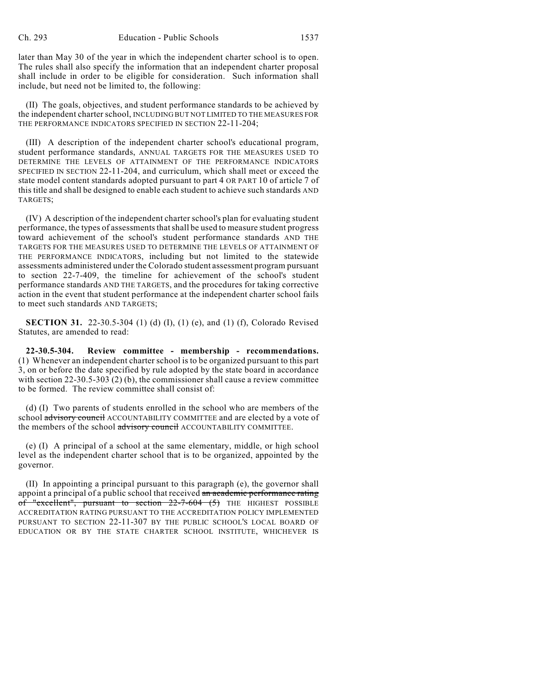later than May 30 of the year in which the independent charter school is to open. The rules shall also specify the information that an independent charter proposal shall include in order to be eligible for consideration. Such information shall include, but need not be limited to, the following:

(II) The goals, objectives, and student performance standards to be achieved by the independent charter school, INCLUDING BUT NOT LIMITED TO THE MEASURES FOR THE PERFORMANCE INDICATORS SPECIFIED IN SECTION 22-11-204;

(III) A description of the independent charter school's educational program, student performance standards, ANNUAL TARGETS FOR THE MEASURES USED TO DETERMINE THE LEVELS OF ATTAINMENT OF THE PERFORMANCE INDICATORS SPECIFIED IN SECTION 22-11-204, and curriculum, which shall meet or exceed the state model content standards adopted pursuant to part 4 OR PART 10 of article 7 of this title and shall be designed to enable each student to achieve such standards AND TARGETS;

(IV) A description of the independent charter school's plan for evaluating student performance, the types of assessments that shall be used to measure student progress toward achievement of the school's student performance standards AND THE TARGETS FOR THE MEASURES USED TO DETERMINE THE LEVELS OF ATTAINMENT OF THE PERFORMANCE INDICATORS, including but not limited to the statewide assessments administered under the Colorado student assessment program pursuant to section 22-7-409, the timeline for achievement of the school's student performance standards AND THE TARGETS, and the procedures for taking corrective action in the event that student performance at the independent charter school fails to meet such standards AND TARGETS;

**SECTION 31.** 22-30.5-304 (1) (d) (I), (1) (e), and (1) (f), Colorado Revised Statutes, are amended to read:

**22-30.5-304. Review committee - membership - recommendations.** (1) Whenever an independent charter school is to be organized pursuant to this part 3, on or before the date specified by rule adopted by the state board in accordance with section 22-30.5-303 (2) (b), the commissioner shall cause a review committee to be formed. The review committee shall consist of:

(d) (I) Two parents of students enrolled in the school who are members of the school advisory council ACCOUNTABILITY COMMITTEE and are elected by a vote of the members of the school advisory council ACCOUNTABILITY COMMITTEE.

(e) (I) A principal of a school at the same elementary, middle, or high school level as the independent charter school that is to be organized, appointed by the governor.

(II) In appointing a principal pursuant to this paragraph (e), the governor shall appoint a principal of a public school that received an academic performance rating of "excellent", pursuant to section 22-7-604 (5) THE HIGHEST POSSIBLE ACCREDITATION RATING PURSUANT TO THE ACCREDITATION POLICY IMPLEMENTED PURSUANT TO SECTION 22-11-307 BY THE PUBLIC SCHOOL'S LOCAL BOARD OF EDUCATION OR BY THE STATE CHARTER SCHOOL INSTITUTE, WHICHEVER IS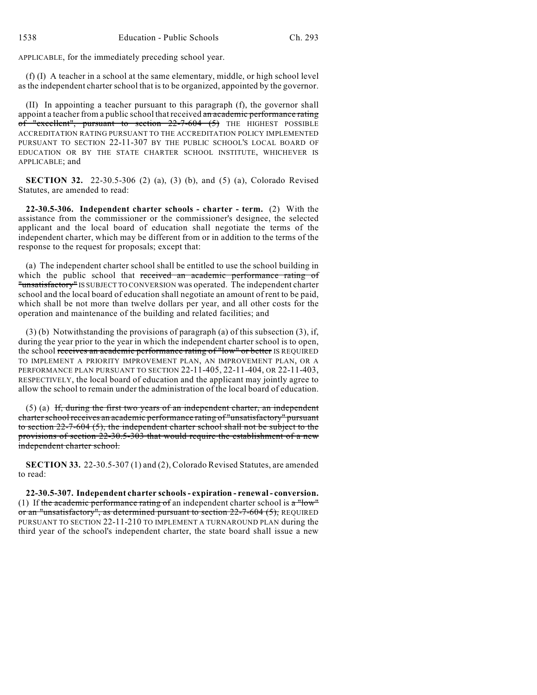APPLICABLE, for the immediately preceding school year.

(f) (I) A teacher in a school at the same elementary, middle, or high school level as the independent charter school that is to be organized, appointed by the governor.

(II) In appointing a teacher pursuant to this paragraph (f), the governor shall appoint a teacher from a public school that received an academic performance rating of "excellent", pursuant to section 22-7-604 (5) THE HIGHEST POSSIBLE ACCREDITATION RATING PURSUANT TO THE ACCREDITATION POLICY IMPLEMENTED PURSUANT TO SECTION 22-11-307 BY THE PUBLIC SCHOOL'S LOCAL BOARD OF EDUCATION OR BY THE STATE CHARTER SCHOOL INSTITUTE, WHICHEVER IS APPLICABLE; and

**SECTION 32.** 22-30.5-306 (2) (a), (3) (b), and (5) (a), Colorado Revised Statutes, are amended to read:

**22-30.5-306. Independent charter schools - charter - term.** (2) With the assistance from the commissioner or the commissioner's designee, the selected applicant and the local board of education shall negotiate the terms of the independent charter, which may be different from or in addition to the terms of the response to the request for proposals; except that:

(a) The independent charter school shall be entitled to use the school building in which the public school that received an academic performance rating of "unsatisfactory" IS SUBJECT TO CONVERSION was operated. The independent charter school and the local board of education shall negotiate an amount of rent to be paid, which shall be not more than twelve dollars per year, and all other costs for the operation and maintenance of the building and related facilities; and

(3) (b) Notwithstanding the provisions of paragraph (a) of this subsection (3), if, during the year prior to the year in which the independent charter school is to open, the school receives an academic performance rating of "low" or better IS REQUIRED TO IMPLEMENT A PRIORITY IMPROVEMENT PLAN, AN IMPROVEMENT PLAN, OR A PERFORMANCE PLAN PURSUANT TO SECTION 22-11-405, 22-11-404, OR 22-11-403, RESPECTIVELY, the local board of education and the applicant may jointly agree to allow the school to remain under the administration of the local board of education.

(5) (a) If, during the first two years of an independent charter, an independent charter school receives an academic performance rating of "unsatisfactory" pursuant to section 22-7-604 (5), the independent charter school shall not be subject to the provisions of section  $22-30.5-303$  that would require the establishment of a new independent charter school.

**SECTION 33.** 22-30.5-307 (1) and (2), Colorado Revised Statutes, are amended to read:

**22-30.5-307. Independent charter schools - expiration - renewal - conversion.** (1) If the academic performance rating of an independent charter school is  $a^{\text{II}}$ or an "unsatisfactory", as determined pursuant to section 22-7-604 (5), REQUIRED PURSUANT TO SECTION 22-11-210 TO IMPLEMENT A TURNAROUND PLAN during the third year of the school's independent charter, the state board shall issue a new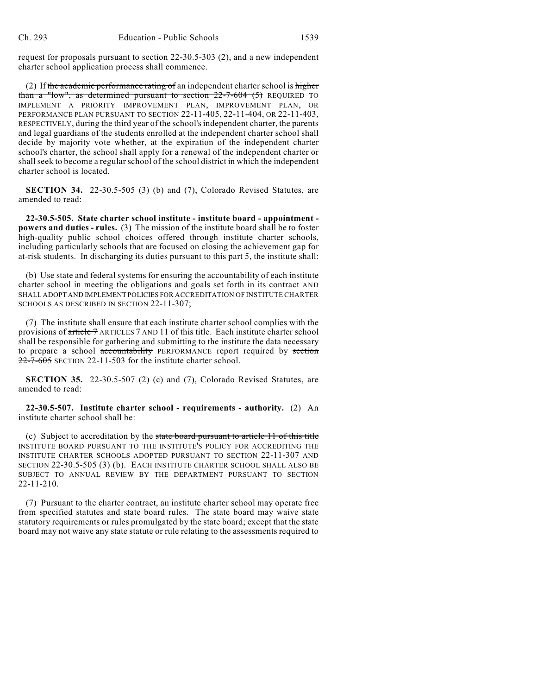request for proposals pursuant to section 22-30.5-303 (2), and a new independent charter school application process shall commence.

(2) If the academic performance rating of an independent charter school is higher than a "low", as determined pursuant to section  $22-7-604$  (5) REQUIRED TO IMPLEMENT A PRIORITY IMPROVEMENT PLAN, IMPROVEMENT PLAN, OR PERFORMANCE PLAN PURSUANT TO SECTION 22-11-405, 22-11-404, OR 22-11-403, RESPECTIVELY, during the third year of the school's independent charter, the parents and legal guardians of the students enrolled at the independent charter school shall decide by majority vote whether, at the expiration of the independent charter school's charter, the school shall apply for a renewal of the independent charter or shall seek to become a regular school of the school district in which the independent charter school is located.

**SECTION 34.** 22-30.5-505 (3) (b) and (7), Colorado Revised Statutes, are amended to read:

**22-30.5-505. State charter school institute - institute board - appointment powers and duties - rules.** (3) The mission of the institute board shall be to foster high-quality public school choices offered through institute charter schools, including particularly schools that are focused on closing the achievement gap for at-risk students. In discharging its duties pursuant to this part 5, the institute shall:

(b) Use state and federal systems for ensuring the accountability of each institute charter school in meeting the obligations and goals set forth in its contract AND SHALL ADOPT AND IMPLEMENT POLICIES FOR ACCREDITATION OF INSTITUTE CHARTER SCHOOLS AS DESCRIBED IN SECTION 22-11-307;

(7) The institute shall ensure that each institute charter school complies with the provisions of article 7 ARTICLES 7 AND 11 of this title. Each institute charter school shall be responsible for gathering and submitting to the institute the data necessary to prepare a school accountability PERFORMANCE report required by section 22-7-605 SECTION 22-11-503 for the institute charter school.

**SECTION 35.** 22-30.5-507 (2) (c) and (7), Colorado Revised Statutes, are amended to read:

**22-30.5-507. Institute charter school - requirements - authority.** (2) An institute charter school shall be:

(c) Subject to accreditation by the state board pursuant to article 11 of this title INSTITUTE BOARD PURSUANT TO THE INSTITUTE'S POLICY FOR ACCREDITING THE INSTITUTE CHARTER SCHOOLS ADOPTED PURSUANT TO SECTION 22-11-307 AND SECTION 22-30.5-505 (3) (b). EACH INSTITUTE CHARTER SCHOOL SHALL ALSO BE SUBJECT TO ANNUAL REVIEW BY THE DEPARTMENT PURSUANT TO SECTION 22-11-210.

(7) Pursuant to the charter contract, an institute charter school may operate free from specified statutes and state board rules. The state board may waive state statutory requirements or rules promulgated by the state board; except that the state board may not waive any state statute or rule relating to the assessments required to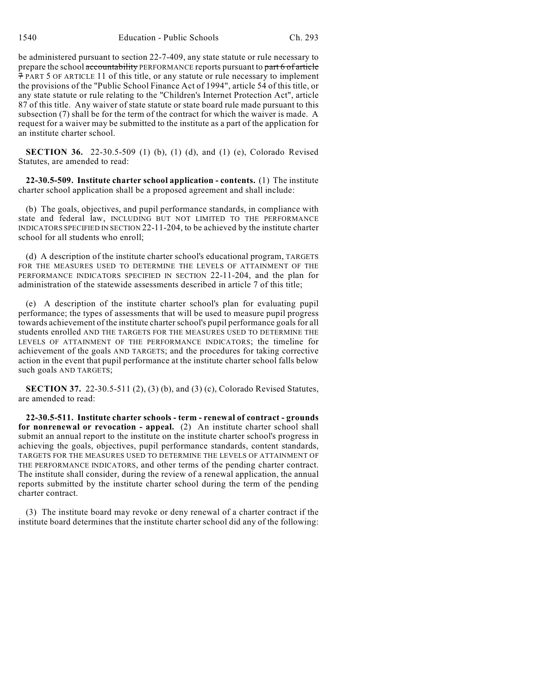be administered pursuant to section 22-7-409, any state statute or rule necessary to prepare the school accountability PERFORMANCE reports pursuant to part 6 of article 7 PART 5 OF ARTICLE 11 of this title, or any statute or rule necessary to implement the provisions of the "Public School Finance Act of 1994", article 54 of this title, or any state statute or rule relating to the "Children's Internet Protection Act", article 87 of this title. Any waiver of state statute or state board rule made pursuant to this subsection (7) shall be for the term of the contract for which the waiver is made. A request for a waiver may be submitted to the institute as a part of the application for an institute charter school.

**SECTION 36.** 22-30.5-509 (1) (b), (1) (d), and (1) (e), Colorado Revised Statutes, are amended to read:

**22-30.5-509. Institute charter school application - contents.** (1) The institute charter school application shall be a proposed agreement and shall include:

(b) The goals, objectives, and pupil performance standards, in compliance with state and federal law, INCLUDING BUT NOT LIMITED TO THE PERFORMANCE INDICATORS SPECIFIED IN SECTION 22-11-204, to be achieved by the institute charter school for all students who enroll;

(d) A description of the institute charter school's educational program, TARGETS FOR THE MEASURES USED TO DETERMINE THE LEVELS OF ATTAINMENT OF THE PERFORMANCE INDICATORS SPECIFIED IN SECTION 22-11-204, and the plan for administration of the statewide assessments described in article 7 of this title;

(e) A description of the institute charter school's plan for evaluating pupil performance; the types of assessments that will be used to measure pupil progress towards achievement of the institute charter school's pupil performance goals for all students enrolled AND THE TARGETS FOR THE MEASURES USED TO DETERMINE THE LEVELS OF ATTAINMENT OF THE PERFORMANCE INDICATORS; the timeline for achievement of the goals AND TARGETS; and the procedures for taking corrective action in the event that pupil performance at the institute charter school falls below such goals AND TARGETS;

**SECTION 37.** 22-30.5-511 (2), (3) (b), and (3) (c), Colorado Revised Statutes, are amended to read:

**22-30.5-511. Institute charter schools - term - renewal of contract - grounds for nonrenewal or revocation - appeal.** (2) An institute charter school shall submit an annual report to the institute on the institute charter school's progress in achieving the goals, objectives, pupil performance standards, content standards, TARGETS FOR THE MEASURES USED TO DETERMINE THE LEVELS OF ATTAINMENT OF THE PERFORMANCE INDICATORS, and other terms of the pending charter contract. The institute shall consider, during the review of a renewal application, the annual reports submitted by the institute charter school during the term of the pending charter contract.

(3) The institute board may revoke or deny renewal of a charter contract if the institute board determines that the institute charter school did any of the following: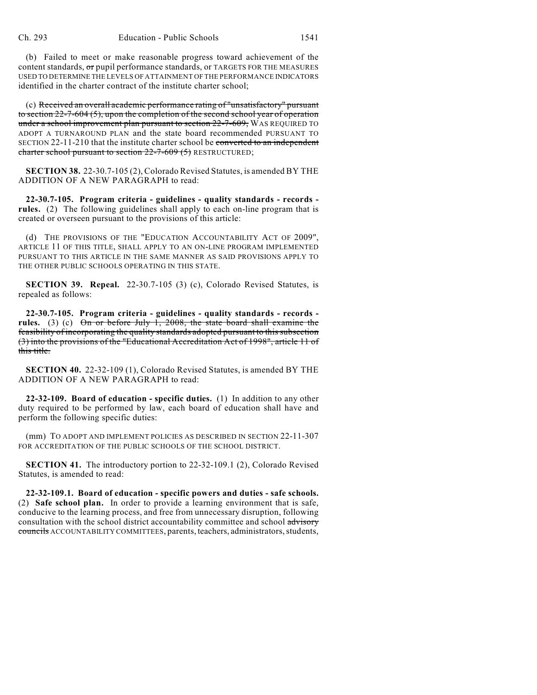(b) Failed to meet or make reasonable progress toward achievement of the content standards, or pupil performance standards, or TARGETS FOR THE MEASURES USED TO DETERMINE THE LEVELS OF ATTAINMENT OF THE PERFORMANCE INDICATORS identified in the charter contract of the institute charter school;

(c) Received an overall academic performance rating of "unsatisfactory" pursuant to section 22-7-604 (5), upon the completion of the second school year of operation under a school improvement plan pursuant to section 22-7-609, WAS REQUIRED TO ADOPT A TURNAROUND PLAN and the state board recommended PURSUANT TO SECTION 22-11-210 that the institute charter school be converted to an independent charter school pursuant to section 22-7-609 (5) RESTRUCTURED;

**SECTION 38.** 22-30.7-105 (2), Colorado Revised Statutes, is amended BY THE ADDITION OF A NEW PARAGRAPH to read:

**22-30.7-105. Program criteria - guidelines - quality standards - records rules.** (2) The following guidelines shall apply to each on-line program that is created or overseen pursuant to the provisions of this article:

(d) THE PROVISIONS OF THE "EDUCATION ACCOUNTABILITY ACT OF 2009", ARTICLE 11 OF THIS TITLE, SHALL APPLY TO AN ON-LINE PROGRAM IMPLEMENTED PURSUANT TO THIS ARTICLE IN THE SAME MANNER AS SAID PROVISIONS APPLY TO THE OTHER PUBLIC SCHOOLS OPERATING IN THIS STATE.

**SECTION 39. Repeal.** 22-30.7-105 (3) (c), Colorado Revised Statutes, is repealed as follows:

**22-30.7-105. Program criteria - guidelines - quality standards - records**  rules. (3) (c) On or before July 1, 2008, the state board shall examine the feasibility of incorporating the quality standards adopted pursuant to this subsection (3) into the provisions of the "Educational Accreditation Act of 1998", article 11 of this title.

**SECTION 40.** 22-32-109 (1), Colorado Revised Statutes, is amended BY THE ADDITION OF A NEW PARAGRAPH to read:

**22-32-109. Board of education - specific duties.** (1) In addition to any other duty required to be performed by law, each board of education shall have and perform the following specific duties:

(mm) TO ADOPT AND IMPLEMENT POLICIES AS DESCRIBED IN SECTION 22-11-307 FOR ACCREDITATION OF THE PUBLIC SCHOOLS OF THE SCHOOL DISTRICT.

**SECTION 41.** The introductory portion to 22-32-109.1 (2), Colorado Revised Statutes, is amended to read:

**22-32-109.1. Board of education - specific powers and duties - safe schools.** (2) **Safe school plan.** In order to provide a learning environment that is safe, conducive to the learning process, and free from unnecessary disruption, following consultation with the school district accountability committee and school advisory councils ACCOUNTABILITY COMMITTEES, parents, teachers, administrators, students,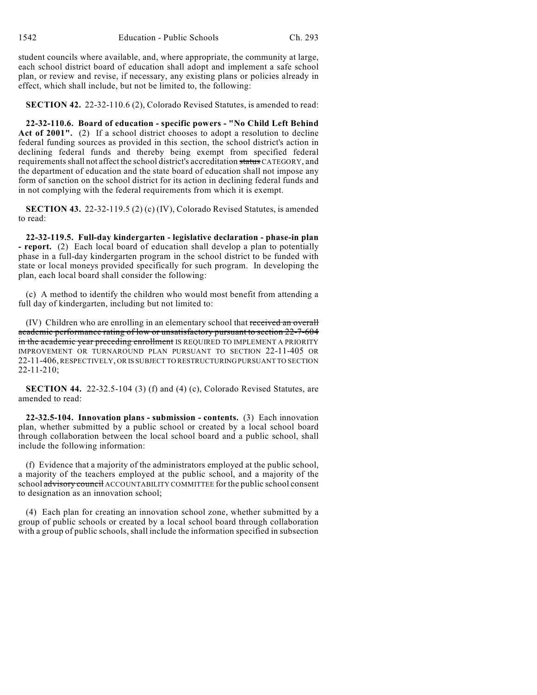student councils where available, and, where appropriate, the community at large, each school district board of education shall adopt and implement a safe school plan, or review and revise, if necessary, any existing plans or policies already in effect, which shall include, but not be limited to, the following:

**SECTION 42.** 22-32-110.6 (2), Colorado Revised Statutes, is amended to read:

**22-32-110.6. Board of education - specific powers - "No Child Left Behind Act of 2001".** (2) If a school district chooses to adopt a resolution to decline federal funding sources as provided in this section, the school district's action in declining federal funds and thereby being exempt from specified federal requirements shall not affect the school district's accreditation status CATEGORY, and the department of education and the state board of education shall not impose any form of sanction on the school district for its action in declining federal funds and in not complying with the federal requirements from which it is exempt.

**SECTION 43.** 22-32-119.5 (2) (c) (IV), Colorado Revised Statutes, is amended to read:

**22-32-119.5. Full-day kindergarten - legislative declaration - phase-in plan - report.** (2) Each local board of education shall develop a plan to potentially phase in a full-day kindergarten program in the school district to be funded with state or local moneys provided specifically for such program. In developing the plan, each local board shall consider the following:

(c) A method to identify the children who would most benefit from attending a full day of kindergarten, including but not limited to:

(IV) Children who are enrolling in an elementary school that received an overall academic performance rating of low or unsatisfactory pursuant to section 22-7-604 in the academic year preceding enrollment IS REQUIRED TO IMPLEMENT A PRIORITY IMPROVEMENT OR TURNAROUND PLAN PURSUANT TO SECTION 22-11-405 OR 22-11-406, RESPECTIVELY, OR IS SUBJECT TO RESTRUCTURING PURSUANT TO SECTION 22-11-210;

**SECTION 44.** 22-32.5-104 (3) (f) and (4) (c), Colorado Revised Statutes, are amended to read:

**22-32.5-104. Innovation plans - submission - contents.** (3) Each innovation plan, whether submitted by a public school or created by a local school board through collaboration between the local school board and a public school, shall include the following information:

(f) Evidence that a majority of the administrators employed at the public school, a majority of the teachers employed at the public school, and a majority of the school advisory council ACCOUNTABILITY COMMITTEE for the public school consent to designation as an innovation school;

(4) Each plan for creating an innovation school zone, whether submitted by a group of public schools or created by a local school board through collaboration with a group of public schools, shall include the information specified in subsection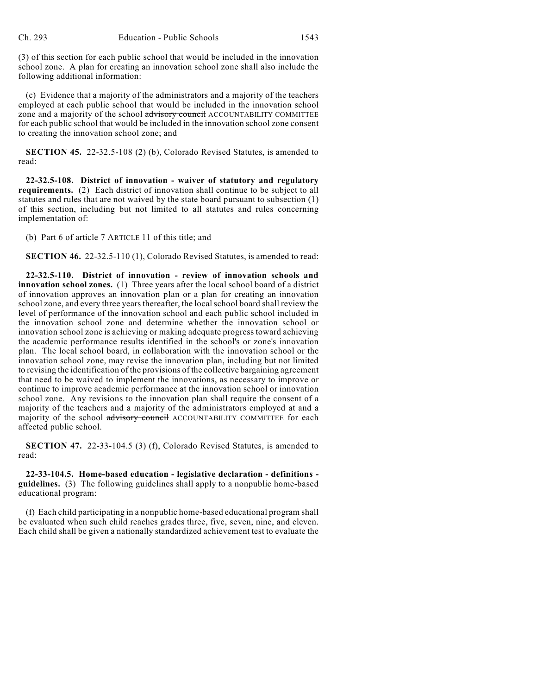(3) of this section for each public school that would be included in the innovation school zone. A plan for creating an innovation school zone shall also include the following additional information:

(c) Evidence that a majority of the administrators and a majority of the teachers employed at each public school that would be included in the innovation school zone and a majority of the school advisory council ACCOUNTABILITY COMMITTEE for each public school that would be included in the innovation school zone consent to creating the innovation school zone; and

**SECTION 45.** 22-32.5-108 (2) (b), Colorado Revised Statutes, is amended to read:

**22-32.5-108. District of innovation - waiver of statutory and regulatory requirements.** (2) Each district of innovation shall continue to be subject to all statutes and rules that are not waived by the state board pursuant to subsection (1) of this section, including but not limited to all statutes and rules concerning implementation of:

(b) Part  $6$  of article  $7$  ARTICLE 11 of this title; and

**SECTION 46.** 22-32.5-110 (1), Colorado Revised Statutes, is amended to read:

**22-32.5-110. District of innovation - review of innovation schools and innovation school zones.** (1) Three years after the local school board of a district of innovation approves an innovation plan or a plan for creating an innovation school zone, and every three years thereafter, the localschool board shall review the level of performance of the innovation school and each public school included in the innovation school zone and determine whether the innovation school or innovation school zone is achieving or making adequate progress toward achieving the academic performance results identified in the school's or zone's innovation plan. The local school board, in collaboration with the innovation school or the innovation school zone, may revise the innovation plan, including but not limited to revising the identification of the provisions of the collective bargaining agreement that need to be waived to implement the innovations, as necessary to improve or continue to improve academic performance at the innovation school or innovation school zone. Any revisions to the innovation plan shall require the consent of a majority of the teachers and a majority of the administrators employed at and a majority of the school advisory council ACCOUNTABILITY COMMITTEE for each affected public school.

**SECTION 47.** 22-33-104.5 (3) (f), Colorado Revised Statutes, is amended to read:

**22-33-104.5. Home-based education - legislative declaration - definitions guidelines.** (3) The following guidelines shall apply to a nonpublic home-based educational program:

(f) Each child participating in a nonpublic home-based educational program shall be evaluated when such child reaches grades three, five, seven, nine, and eleven. Each child shall be given a nationally standardized achievement test to evaluate the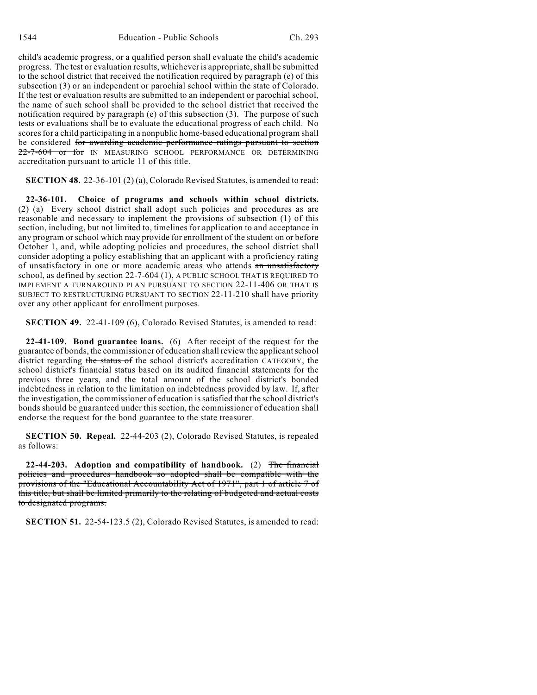child's academic progress, or a qualified person shall evaluate the child's academic progress. The test or evaluation results, whichever is appropriate, shall be submitted to the school district that received the notification required by paragraph (e) of this subsection (3) or an independent or parochial school within the state of Colorado. If the test or evaluation results are submitted to an independent or parochial school, the name of such school shall be provided to the school district that received the notification required by paragraph (e) of this subsection (3). The purpose of such tests or evaluations shall be to evaluate the educational progress of each child. No scores for a child participating in a nonpublic home-based educational program shall be considered for awarding academic performance ratings pursuant to section 22-7-604 or for IN MEASURING SCHOOL PERFORMANCE OR DETERMINING accreditation pursuant to article 11 of this title.

**SECTION 48.** 22-36-101 (2) (a), Colorado Revised Statutes, is amended to read:

**22-36-101. Choice of programs and schools within school districts.** (2) (a) Every school district shall adopt such policies and procedures as are reasonable and necessary to implement the provisions of subsection (1) of this section, including, but not limited to, timelines for application to and acceptance in any program or school which may provide for enrollment of the student on or before October 1, and, while adopting policies and procedures, the school district shall consider adopting a policy establishing that an applicant with a proficiency rating of unsatisfactory in one or more academic areas who attends an unsatisfactory school, as defined by section 22-7-604 (1), A PUBLIC SCHOOL THAT IS REQUIRED TO IMPLEMENT A TURNAROUND PLAN PURSUANT TO SECTION 22-11-406 OR THAT IS SUBJECT TO RESTRUCTURING PURSUANT TO SECTION 22-11-210 shall have priority over any other applicant for enrollment purposes.

**SECTION 49.** 22-41-109 (6), Colorado Revised Statutes, is amended to read:

**22-41-109. Bond guarantee loans.** (6) After receipt of the request for the guarantee of bonds, the commissioner of education shall review the applicant school district regarding the status of the school district's accreditation CATEGORY, the school district's financial status based on its audited financial statements for the previous three years, and the total amount of the school district's bonded indebtedness in relation to the limitation on indebtedness provided by law. If, after the investigation, the commissioner of education issatisfied that the school district's bonds should be guaranteed under this section, the commissioner of education shall endorse the request for the bond guarantee to the state treasurer.

**SECTION 50. Repeal.** 22-44-203 (2), Colorado Revised Statutes, is repealed as follows:

**22-44-203. Adoption and compatibility of handbook.** (2) The financial policies and procedures handbook so adopted shall be compatible with the provisions of the "Educational Accountability Act of 1971", part 1 of article 7 of this title, but shall be limited primarily to the relating of budgeted and actual costs to designated programs.

**SECTION 51.** 22-54-123.5 (2), Colorado Revised Statutes, is amended to read: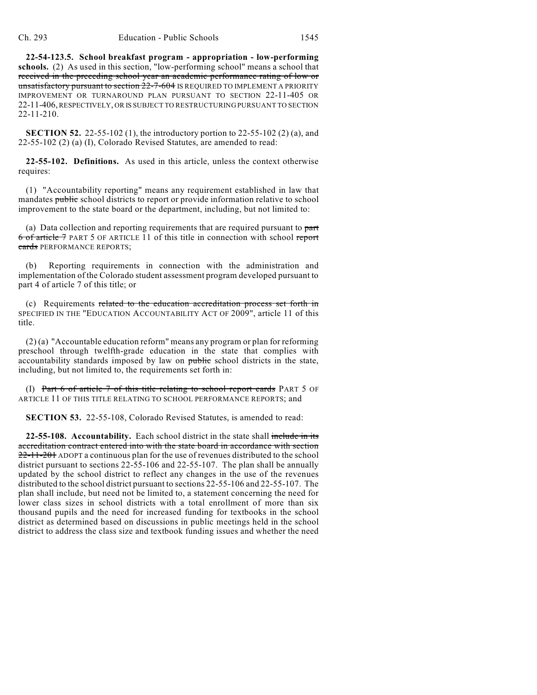**22-54-123.5. School breakfast program - appropriation - low-performing schools.** (2) As used in this section, "low-performing school" means a school that received in the preceding school year an academic performance rating of low or unsatisfactory pursuant to section 22-7-604 IS REQUIRED TO IMPLEMENT A PRIORITY IMPROVEMENT OR TURNAROUND PLAN PURSUANT TO SECTION 22-11-405 OR 22-11-406, RESPECTIVELY, OR IS SUBJECT TO RESTRUCTURING PURSUANT TO SECTION 22-11-210.

**SECTION 52.** 22-55-102 (1), the introductory portion to 22-55-102 (2) (a), and 22-55-102 (2) (a) (I), Colorado Revised Statutes, are amended to read:

**22-55-102. Definitions.** As used in this article, unless the context otherwise requires:

(1) "Accountability reporting" means any requirement established in law that mandates public school districts to report or provide information relative to school improvement to the state board or the department, including, but not limited to:

(a) Data collection and reporting requirements that are required pursuant to part 6 of article 7 PART 5 OF ARTICLE 11 of this title in connection with school report cards PERFORMANCE REPORTS;

(b) Reporting requirements in connection with the administration and implementation of the Colorado student assessment program developed pursuant to part 4 of article 7 of this title; or

(c) Requirements related to the education accreditation process set forth in SPECIFIED IN THE "EDUCATION ACCOUNTABILITY ACT OF 2009", article 11 of this title.

(2) (a) "Accountable education reform" means any program or plan for reforming preschool through twelfth-grade education in the state that complies with accountability standards imposed by law on public school districts in the state, including, but not limited to, the requirements set forth in:

(I) Part 6 of article 7 of this title relating to school report cards PART 5 OF ARTICLE 11 OF THIS TITLE RELATING TO SCHOOL PERFORMANCE REPORTS; and

**SECTION 53.** 22-55-108, Colorado Revised Statutes, is amended to read:

**22-55-108. Accountability.** Each school district in the state shall include in its accreditation contract entered into with the state board in accordance with section 22-11-201 ADOPT a continuous plan for the use of revenues distributed to the school district pursuant to sections 22-55-106 and 22-55-107. The plan shall be annually updated by the school district to reflect any changes in the use of the revenues distributed to the school district pursuant to sections 22-55-106 and 22-55-107. The plan shall include, but need not be limited to, a statement concerning the need for lower class sizes in school districts with a total enrollment of more than six thousand pupils and the need for increased funding for textbooks in the school district as determined based on discussions in public meetings held in the school district to address the class size and textbook funding issues and whether the need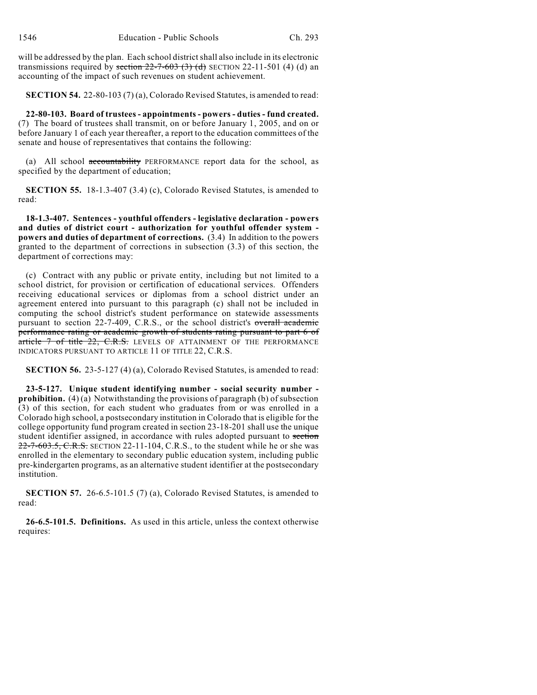will be addressed by the plan. Each school district shall also include in its electronic transmissions required by section  $22-7-603$  (3) (d) SECTION 22-11-501 (4) (d) an accounting of the impact of such revenues on student achievement.

**SECTION 54.** 22-80-103 (7) (a), Colorado Revised Statutes, is amended to read:

**22-80-103. Board of trustees - appointments - powers - duties - fund created.** (7) The board of trustees shall transmit, on or before January 1, 2005, and on or before January 1 of each year thereafter, a report to the education committees of the senate and house of representatives that contains the following:

(a) All school accountability PERFORMANCE report data for the school, as specified by the department of education;

**SECTION 55.** 18-1.3-407 (3.4) (c), Colorado Revised Statutes, is amended to read:

**18-1.3-407. Sentences - youthful offenders - legislative declaration - powers and duties of district court - authorization for youthful offender system powers and duties of department of corrections.** (3.4) In addition to the powers granted to the department of corrections in subsection (3.3) of this section, the department of corrections may:

(c) Contract with any public or private entity, including but not limited to a school district, for provision or certification of educational services. Offenders receiving educational services or diplomas from a school district under an agreement entered into pursuant to this paragraph (c) shall not be included in computing the school district's student performance on statewide assessments pursuant to section 22-7-409, C.R.S., or the school district's overall academic performance rating or academic growth of students rating pursuant to part 6 of article 7 of title 22, C.R.S. LEVELS OF ATTAINMENT OF THE PERFORMANCE INDICATORS PURSUANT TO ARTICLE 11 OF TITLE 22, C.R.S.

**SECTION 56.** 23-5-127 (4) (a), Colorado Revised Statutes, is amended to read:

**23-5-127. Unique student identifying number - social security number prohibition.** (4) (a) Notwithstanding the provisions of paragraph (b) of subsection (3) of this section, for each student who graduates from or was enrolled in a Colorado high school, a postsecondary institution in Colorado that is eligible for the college opportunity fund program created in section 23-18-201 shall use the unique student identifier assigned, in accordance with rules adopted pursuant to section  $22$ -7-603.5, C.R.S. SECTION 22-11-104, C.R.S., to the student while he or she was enrolled in the elementary to secondary public education system, including public pre-kindergarten programs, as an alternative student identifier at the postsecondary institution.

**SECTION 57.** 26-6.5-101.5 (7) (a), Colorado Revised Statutes, is amended to read:

**26-6.5-101.5. Definitions.** As used in this article, unless the context otherwise requires: